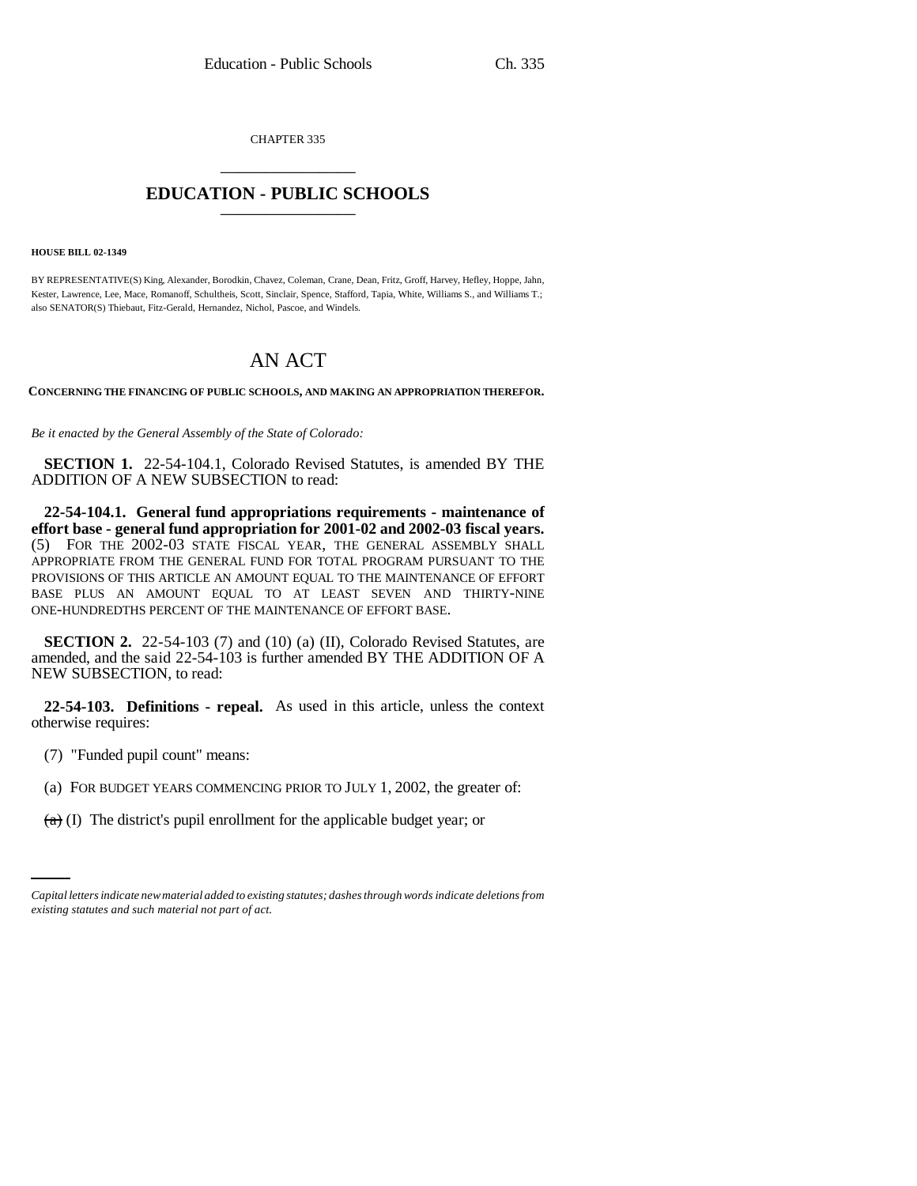CHAPTER 335 \_\_\_\_\_\_\_\_\_\_\_\_\_\_\_

# **EDUCATION - PUBLIC SCHOOLS** \_\_\_\_\_\_\_\_\_\_\_\_\_\_\_

#### **HOUSE BILL 02-1349**

BY REPRESENTATIVE(S) King, Alexander, Borodkin, Chavez, Coleman, Crane, Dean, Fritz, Groff, Harvey, Hefley, Hoppe, Jahn, Kester, Lawrence, Lee, Mace, Romanoff, Schultheis, Scott, Sinclair, Spence, Stafford, Tapia, White, Williams S., and Williams T.; also SENATOR(S) Thiebaut, Fitz-Gerald, Hernandez, Nichol, Pascoe, and Windels.

# AN ACT

**CONCERNING THE FINANCING OF PUBLIC SCHOOLS, AND MAKING AN APPROPRIATION THEREFOR.**

*Be it enacted by the General Assembly of the State of Colorado:*

**SECTION 1.** 22-54-104.1, Colorado Revised Statutes, is amended BY THE ADDITION OF A NEW SUBSECTION to read:

**22-54-104.1. General fund appropriations requirements - maintenance of effort base - general fund appropriation for 2001-02 and 2002-03 fiscal years.** (5) FOR THE 2002-03 STATE FISCAL YEAR, THE GENERAL ASSEMBLY SHALL APPROPRIATE FROM THE GENERAL FUND FOR TOTAL PROGRAM PURSUANT TO THE PROVISIONS OF THIS ARTICLE AN AMOUNT EQUAL TO THE MAINTENANCE OF EFFORT BASE PLUS AN AMOUNT EQUAL TO AT LEAST SEVEN AND THIRTY-NINE ONE-HUNDREDTHS PERCENT OF THE MAINTENANCE OF EFFORT BASE.

**SECTION 2.** 22-54-103 (7) and (10) (a) (II), Colorado Revised Statutes, are amended, and the said 22-54-103 is further amended BY THE ADDITION OF A NEW SUBSECTION, to read:

**22-54-103. Definitions - repeal.** As used in this article, unless the context otherwise requires:

- (7) "Funded pupil count" means:
- $\sum_{i=1}^{n}$ (a) FOR BUDGET YEARS COMMENCING PRIOR TO JULY 1, 2002, the greater of:
	- $(a)$  (I) The district's pupil enrollment for the applicable budget year; or

*Capital letters indicate new material added to existing statutes; dashes through words indicate deletions from existing statutes and such material not part of act.*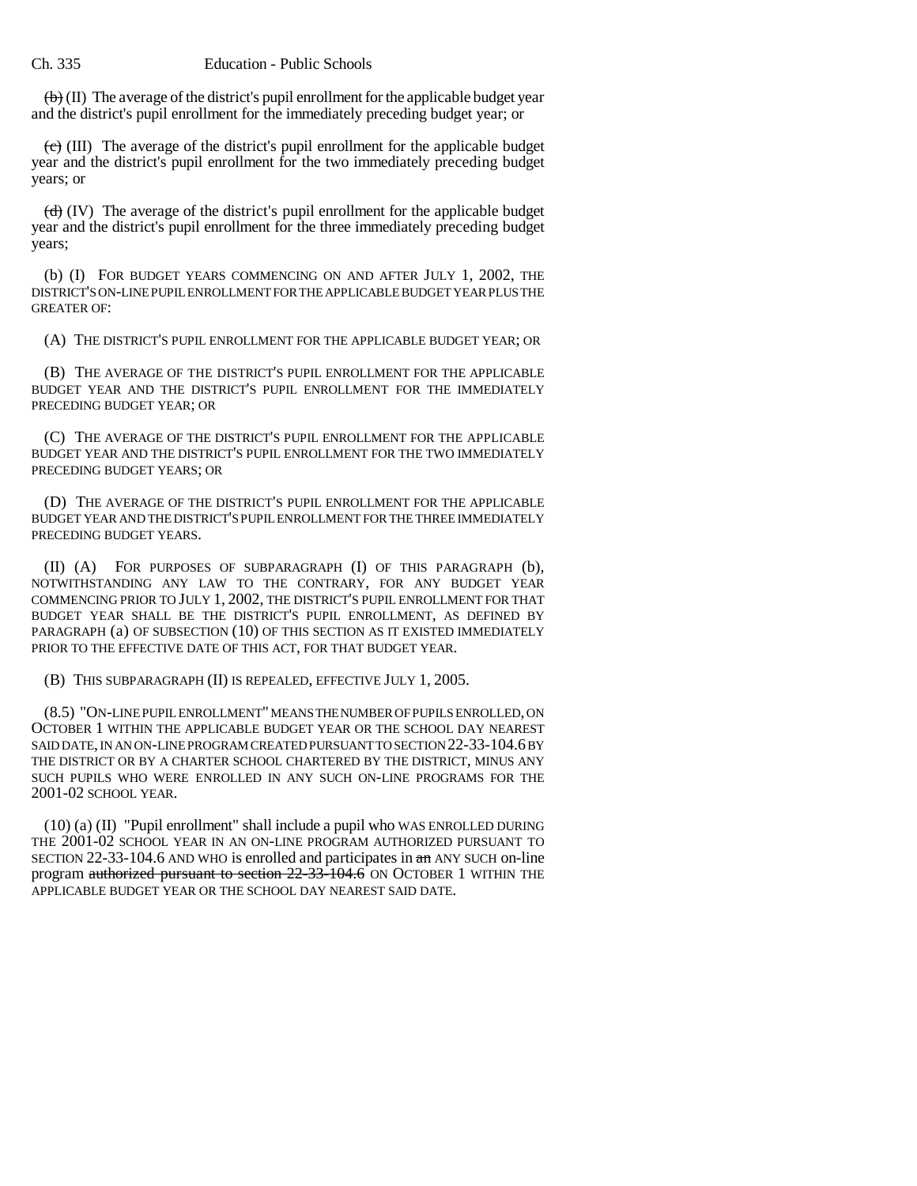$\left(\mathbf{b}\right)$  (II) The average of the district's pupil enrollment for the applicable budget year and the district's pupil enrollment for the immediately preceding budget year; or

 $(e)$  (III) The average of the district's pupil enrollment for the applicable budget year and the district's pupil enrollment for the two immediately preceding budget years; or

 $(d)$  (IV) The average of the district's pupil enrollment for the applicable budget year and the district's pupil enrollment for the three immediately preceding budget years;

(b) (I) FOR BUDGET YEARS COMMENCING ON AND AFTER JULY 1, 2002, THE DISTRICT'S ON-LINE PUPIL ENROLLMENT FOR THE APPLICABLE BUDGET YEAR PLUS THE GREATER OF:

(A) THE DISTRICT'S PUPIL ENROLLMENT FOR THE APPLICABLE BUDGET YEAR; OR

(B) THE AVERAGE OF THE DISTRICT'S PUPIL ENROLLMENT FOR THE APPLICABLE BUDGET YEAR AND THE DISTRICT'S PUPIL ENROLLMENT FOR THE IMMEDIATELY PRECEDING BUDGET YEAR; OR

(C) THE AVERAGE OF THE DISTRICT'S PUPIL ENROLLMENT FOR THE APPLICABLE BUDGET YEAR AND THE DISTRICT'S PUPIL ENROLLMENT FOR THE TWO IMMEDIATELY PRECEDING BUDGET YEARS; OR

(D) THE AVERAGE OF THE DISTRICT'S PUPIL ENROLLMENT FOR THE APPLICABLE BUDGET YEAR AND THE DISTRICT'S PUPIL ENROLLMENT FOR THE THREE IMMEDIATELY PRECEDING BUDGET YEARS.

(II) (A) FOR PURPOSES OF SUBPARAGRAPH (I) OF THIS PARAGRAPH (b), NOTWITHSTANDING ANY LAW TO THE CONTRARY, FOR ANY BUDGET YEAR COMMENCING PRIOR TO JULY 1, 2002, THE DISTRICT'S PUPIL ENROLLMENT FOR THAT BUDGET YEAR SHALL BE THE DISTRICT'S PUPIL ENROLLMENT, AS DEFINED BY PARAGRAPH (a) OF SUBSECTION (10) OF THIS SECTION AS IT EXISTED IMMEDIATELY PRIOR TO THE EFFECTIVE DATE OF THIS ACT, FOR THAT BUDGET YEAR.

(B) THIS SUBPARAGRAPH (II) IS REPEALED, EFFECTIVE JULY 1, 2005.

(8.5) "ON-LINE PUPIL ENROLLMENT" MEANS THE NUMBER OF PUPILS ENROLLED, ON OCTOBER 1 WITHIN THE APPLICABLE BUDGET YEAR OR THE SCHOOL DAY NEAREST SAID DATE, IN AN ON-LINE PROGRAM CREATED PURSUANT TO SECTION 22-33-104.6 BY THE DISTRICT OR BY A CHARTER SCHOOL CHARTERED BY THE DISTRICT, MINUS ANY SUCH PUPILS WHO WERE ENROLLED IN ANY SUCH ON-LINE PROGRAMS FOR THE 2001-02 SCHOOL YEAR.

(10) (a) (II) "Pupil enrollment" shall include a pupil who WAS ENROLLED DURING THE 2001-02 SCHOOL YEAR IN AN ON-LINE PROGRAM AUTHORIZED PURSUANT TO SECTION 22-33-104.6 AND WHO is enrolled and participates in an ANY SUCH on-line program authorized pursuant to section 22-33-104.6 ON OCTOBER 1 WITHIN THE APPLICABLE BUDGET YEAR OR THE SCHOOL DAY NEAREST SAID DATE.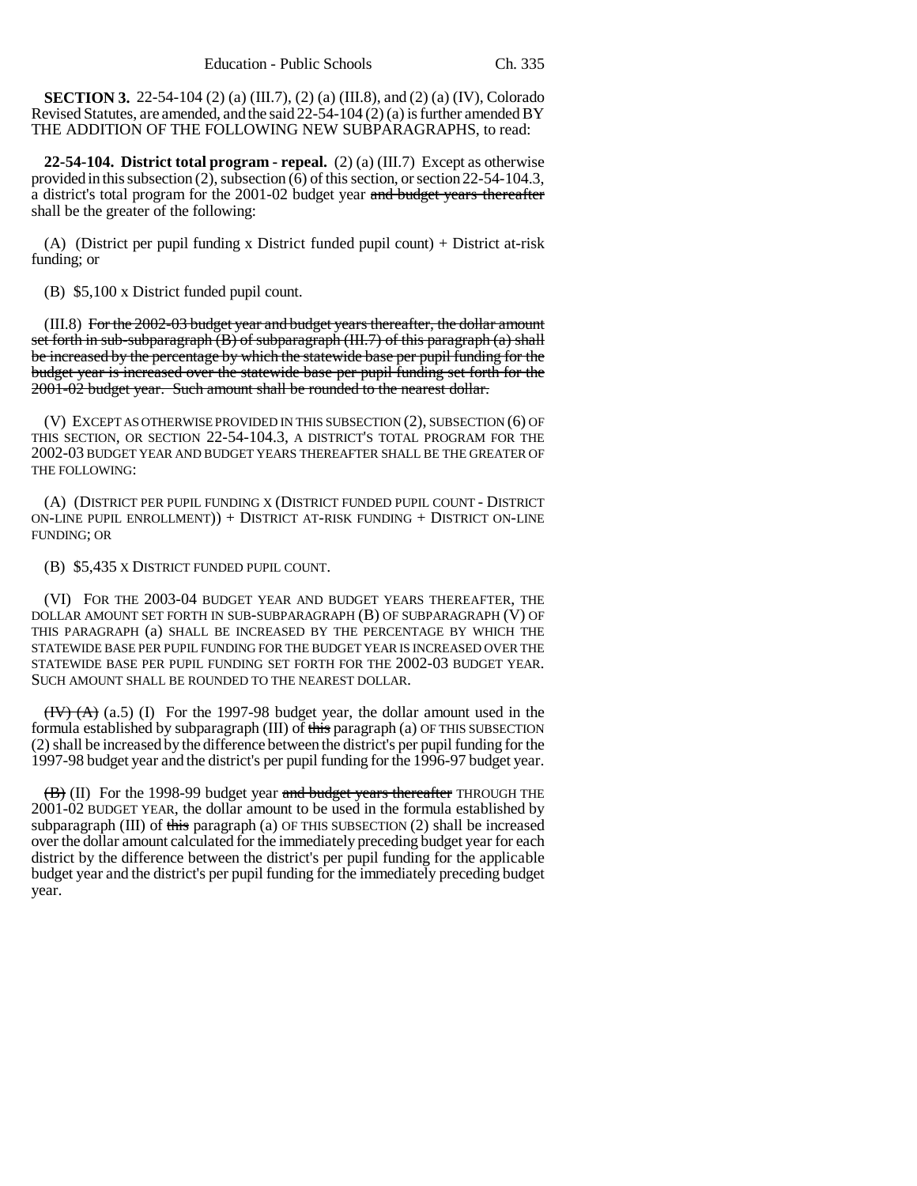**SECTION 3.** 22-54-104 (2) (a) (III.7), (2) (a) (III.8), and (2) (a) (IV), Colorado Revised Statutes, are amended, and the said 22-54-104 (2) (a) is further amended BY THE ADDITION OF THE FOLLOWING NEW SUBPARAGRAPHS, to read:

**22-54-104. District total program - repeal.** (2) (a) (III.7) Except as otherwise provided in this subsection (2), subsection (6) of this section, or section 22-54-104.3, a district's total program for the 2001-02 budget year and budget years thereafter shall be the greater of the following:

(A) (District per pupil funding x District funded pupil count) + District at-risk funding; or

(B) \$5,100 x District funded pupil count.

(III.8) For the 2002-03 budget year and budget years thereafter, the dollar amount set forth in sub-subparagraph  $(B)$  of subparagraph  $(HI.7)$  of this paragraph  $(a)$  shall be increased by the percentage by which the statewide base per pupil funding for the budget year is increased over the statewide base per pupil funding set forth for the 2001-02 budget year. Such amount shall be rounded to the nearest dollar.

(V) EXCEPT AS OTHERWISE PROVIDED IN THIS SUBSECTION (2), SUBSECTION (6) OF THIS SECTION, OR SECTION 22-54-104.3, A DISTRICT'S TOTAL PROGRAM FOR THE 2002-03 BUDGET YEAR AND BUDGET YEARS THEREAFTER SHALL BE THE GREATER OF THE FOLLOWING:

(A) (DISTRICT PER PUPIL FUNDING X (DISTRICT FUNDED PUPIL COUNT - DISTRICT ON-LINE PUPIL ENROLLMENT)) + DISTRICT AT-RISK FUNDING + DISTRICT ON-LINE FUNDING; OR

(B) \$5,435 X DISTRICT FUNDED PUPIL COUNT.

(VI) FOR THE 2003-04 BUDGET YEAR AND BUDGET YEARS THEREAFTER, THE DOLLAR AMOUNT SET FORTH IN SUB-SUBPARAGRAPH (B) OF SUBPARAGRAPH (V) OF THIS PARAGRAPH (a) SHALL BE INCREASED BY THE PERCENTAGE BY WHICH THE STATEWIDE BASE PER PUPIL FUNDING FOR THE BUDGET YEAR IS INCREASED OVER THE STATEWIDE BASE PER PUPIL FUNDING SET FORTH FOR THE 2002-03 BUDGET YEAR. SUCH AMOUNT SHALL BE ROUNDED TO THE NEAREST DOLLAR.

 $(HV)$   $(A)$   $(a.5)$  (I) For the 1997-98 budget year, the dollar amount used in the formula established by subparagraph (III) of this paragraph (a) OF THIS SUBSECTION (2) shall be increased by the difference between the district's per pupil funding for the 1997-98 budget year and the district's per pupil funding for the 1996-97 budget year.

 $\langle \overline{B} \rangle$  (II) For the 1998-99 budget year and budget years thereafter THROUGH THE 2001-02 BUDGET YEAR, the dollar amount to be used in the formula established by subparagraph (III) of this paragraph (a) OF THIS SUBSECTION  $(2)$  shall be increased over the dollar amount calculated for the immediately preceding budget year for each district by the difference between the district's per pupil funding for the applicable budget year and the district's per pupil funding for the immediately preceding budget year.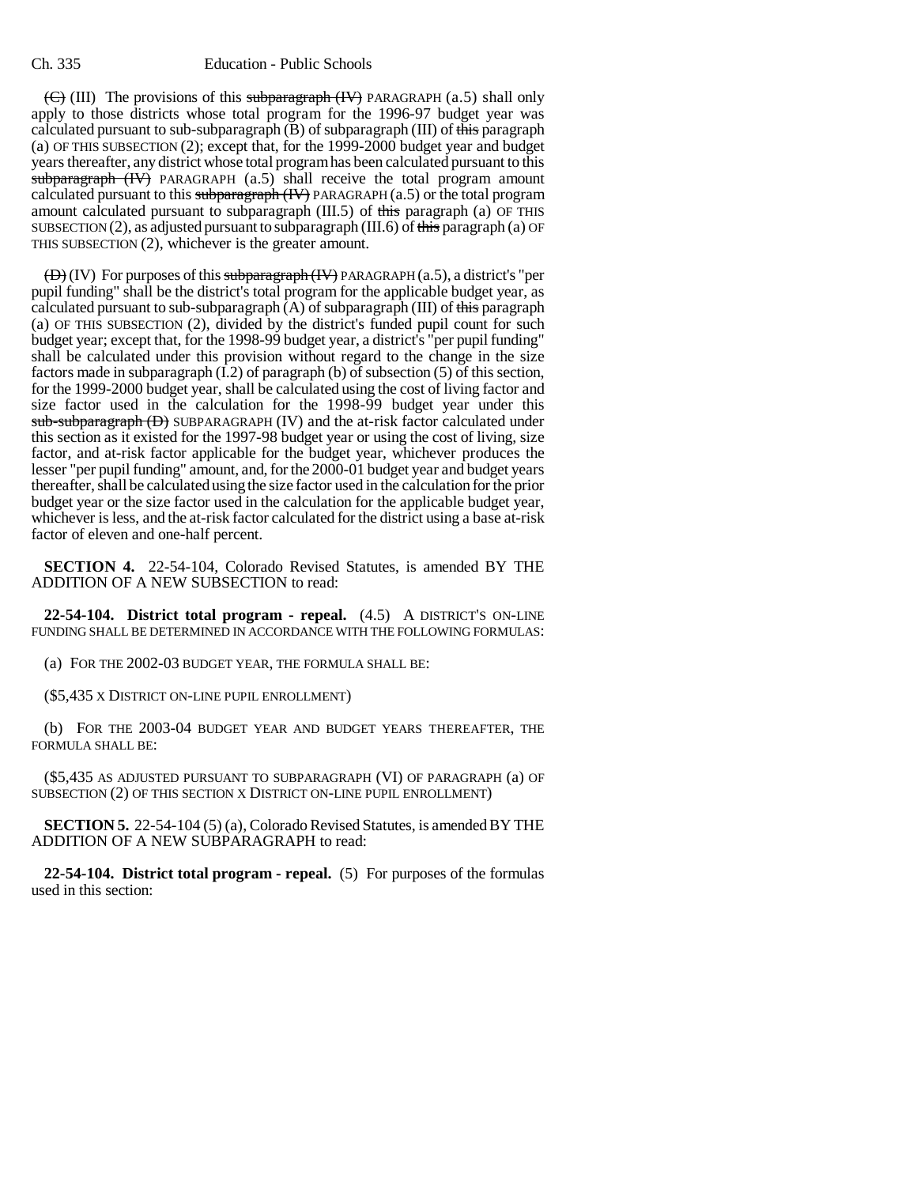$(\overline{\mathbf{C}})$  (III) The provisions of this subparagraph (IV) PARAGRAPH (a.5) shall only apply to those districts whose total program for the 1996-97 budget year was calculated pursuant to sub-subparagraph  $(B)$  of subparagraph  $(III)$  of this paragraph (a) OF THIS SUBSECTION (2); except that, for the 1999-2000 budget year and budget years thereafter, any district whose total program has been calculated pursuant to this subparagraph (IV) PARAGRAPH (a.5) shall receive the total program amount calculated pursuant to this subparagraph  $(W)$  PARAGRAPH (a.5) or the total program amount calculated pursuant to subparagraph  $(III.5)$  of this paragraph (a) OF THIS SUBSECTION  $(2)$ , as adjusted pursuant to subparagraph  $(III.6)$  of this paragraph  $(a)$  OF THIS SUBSECTION (2), whichever is the greater amount.

 $(\bigoplus)(IV)$  For purposes of this subparagraph  $(W)$  PARAGRAPH (a.5), a district's "per pupil funding" shall be the district's total program for the applicable budget year, as calculated pursuant to sub-subparagraph  $(A)$  of subparagraph (III) of this paragraph (a) OF THIS SUBSECTION (2), divided by the district's funded pupil count for such budget year; except that, for the 1998-99 budget year, a district's "per pupil funding" shall be calculated under this provision without regard to the change in the size factors made in subparagraph  $(1,2)$  of paragraph  $(b)$  of subsection  $(5)$  of this section, for the 1999-2000 budget year, shall be calculated using the cost of living factor and size factor used in the calculation for the 1998-99 budget year under this sub-subparagraph (D) SUBPARAGRAPH (IV) and the at-risk factor calculated under this section as it existed for the 1997-98 budget year or using the cost of living, size factor, and at-risk factor applicable for the budget year, whichever produces the lesser "per pupil funding" amount, and, for the 2000-01 budget year and budget years thereafter, shall be calculated using the size factor used in the calculation for the prior budget year or the size factor used in the calculation for the applicable budget year, whichever is less, and the at-risk factor calculated for the district using a base at-risk factor of eleven and one-half percent.

**SECTION 4.** 22-54-104, Colorado Revised Statutes, is amended BY THE ADDITION OF A NEW SUBSECTION to read:

**22-54-104. District total program - repeal.** (4.5) A DISTRICT'S ON-LINE FUNDING SHALL BE DETERMINED IN ACCORDANCE WITH THE FOLLOWING FORMULAS:

(a) FOR THE 2002-03 BUDGET YEAR, THE FORMULA SHALL BE:

(\$5,435 X DISTRICT ON-LINE PUPIL ENROLLMENT)

(b) FOR THE 2003-04 BUDGET YEAR AND BUDGET YEARS THEREAFTER, THE FORMULA SHALL BE:

(\$5,435 AS ADJUSTED PURSUANT TO SUBPARAGRAPH (VI) OF PARAGRAPH (a) OF SUBSECTION (2) OF THIS SECTION X DISTRICT ON-LINE PUPIL ENROLLMENT)

**SECTION 5.** 22-54-104 (5) (a), Colorado Revised Statutes, is amended BY THE ADDITION OF A NEW SUBPARAGRAPH to read:

**22-54-104. District total program - repeal.** (5) For purposes of the formulas used in this section: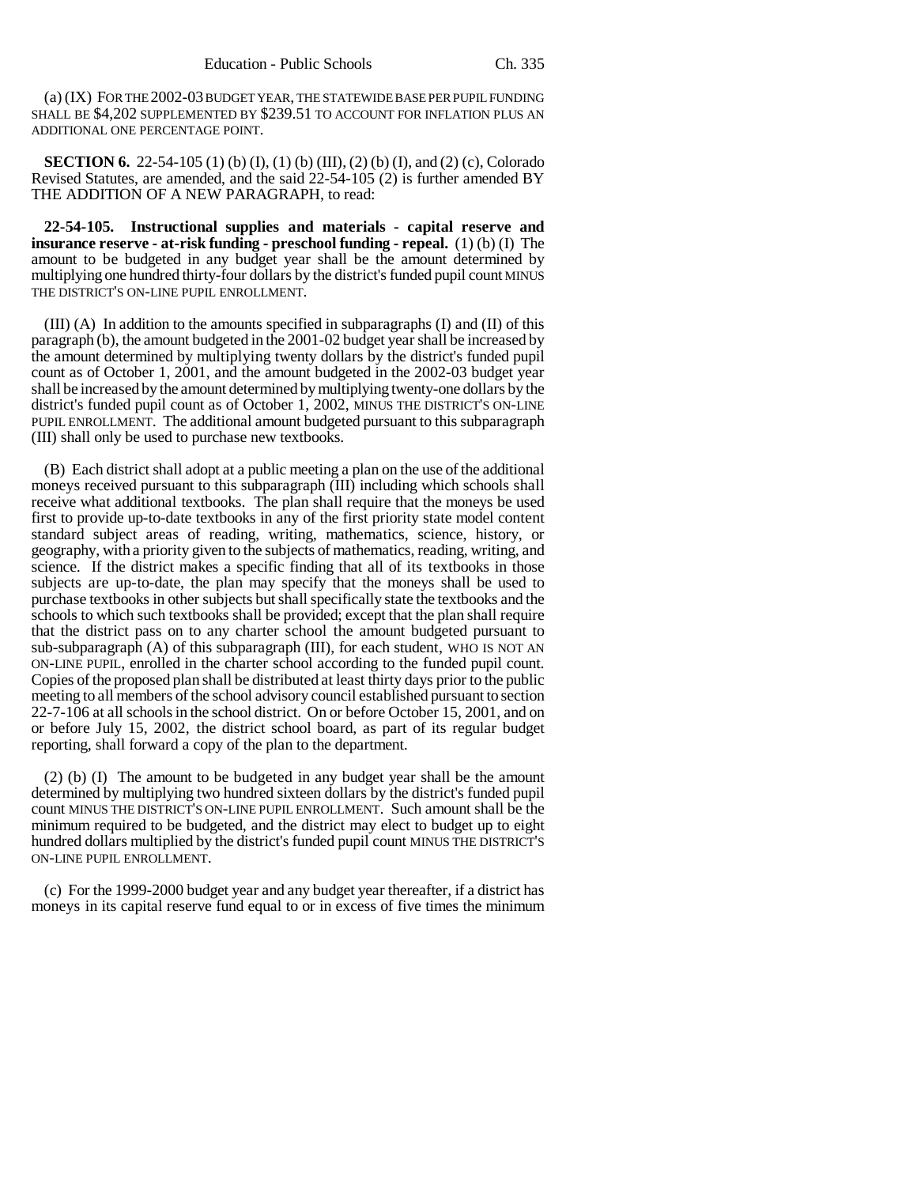(a) (IX) FOR THE 2002-03 BUDGET YEAR, THE STATEWIDE BASE PER PUPIL FUNDING SHALL BE \$4,202 SUPPLEMENTED BY \$239.51 TO ACCOUNT FOR INFLATION PLUS AN ADDITIONAL ONE PERCENTAGE POINT.

**SECTION 6.** 22-54-105 (1) (b) (I), (1) (b) (III), (2) (b) (I), and (2) (c), Colorado Revised Statutes, are amended, and the said 22-54-105 (2) is further amended BY THE ADDITION OF A NEW PARAGRAPH, to read:

**22-54-105. Instructional supplies and materials - capital reserve and insurance reserve - at-risk funding - preschool funding - repeal.** (1) (b) (I) The amount to be budgeted in any budget year shall be the amount determined by multiplying one hundred thirty-four dollars by the district's funded pupil count MINUS THE DISTRICT'S ON-LINE PUPIL ENROLLMENT.

(III) (A) In addition to the amounts specified in subparagraphs (I) and (II) of this paragraph (b), the amount budgeted in the 2001-02 budget year shall be increased by the amount determined by multiplying twenty dollars by the district's funded pupil count as of October 1, 2001, and the amount budgeted in the 2002-03 budget year shall be increased by the amount determined by multiplying twenty-one dollars by the district's funded pupil count as of October 1, 2002, MINUS THE DISTRICT'S ON-LINE PUPIL ENROLLMENT. The additional amount budgeted pursuant to this subparagraph (III) shall only be used to purchase new textbooks.

(B) Each district shall adopt at a public meeting a plan on the use of the additional moneys received pursuant to this subparagraph (III) including which schools shall receive what additional textbooks. The plan shall require that the moneys be used first to provide up-to-date textbooks in any of the first priority state model content standard subject areas of reading, writing, mathematics, science, history, or geography, with a priority given to the subjects of mathematics, reading, writing, and science. If the district makes a specific finding that all of its textbooks in those subjects are up-to-date, the plan may specify that the moneys shall be used to purchase textbooks in other subjects but shall specifically state the textbooks and the schools to which such textbooks shall be provided; except that the plan shall require that the district pass on to any charter school the amount budgeted pursuant to sub-subparagraph (A) of this subparagraph (III), for each student, WHO IS NOT AN ON-LINE PUPIL, enrolled in the charter school according to the funded pupil count. Copies of the proposed plan shall be distributed at least thirty days prior to the public meeting to all members of the school advisory council established pursuant to section 22-7-106 at all schools in the school district. On or before October 15, 2001, and on or before July 15, 2002, the district school board, as part of its regular budget reporting, shall forward a copy of the plan to the department.

(2) (b) (I) The amount to be budgeted in any budget year shall be the amount determined by multiplying two hundred sixteen dollars by the district's funded pupil count MINUS THE DISTRICT'S ON-LINE PUPIL ENROLLMENT. Such amount shall be the minimum required to be budgeted, and the district may elect to budget up to eight hundred dollars multiplied by the district's funded pupil count MINUS THE DISTRICT'S ON-LINE PUPIL ENROLLMENT.

(c) For the 1999-2000 budget year and any budget year thereafter, if a district has moneys in its capital reserve fund equal to or in excess of five times the minimum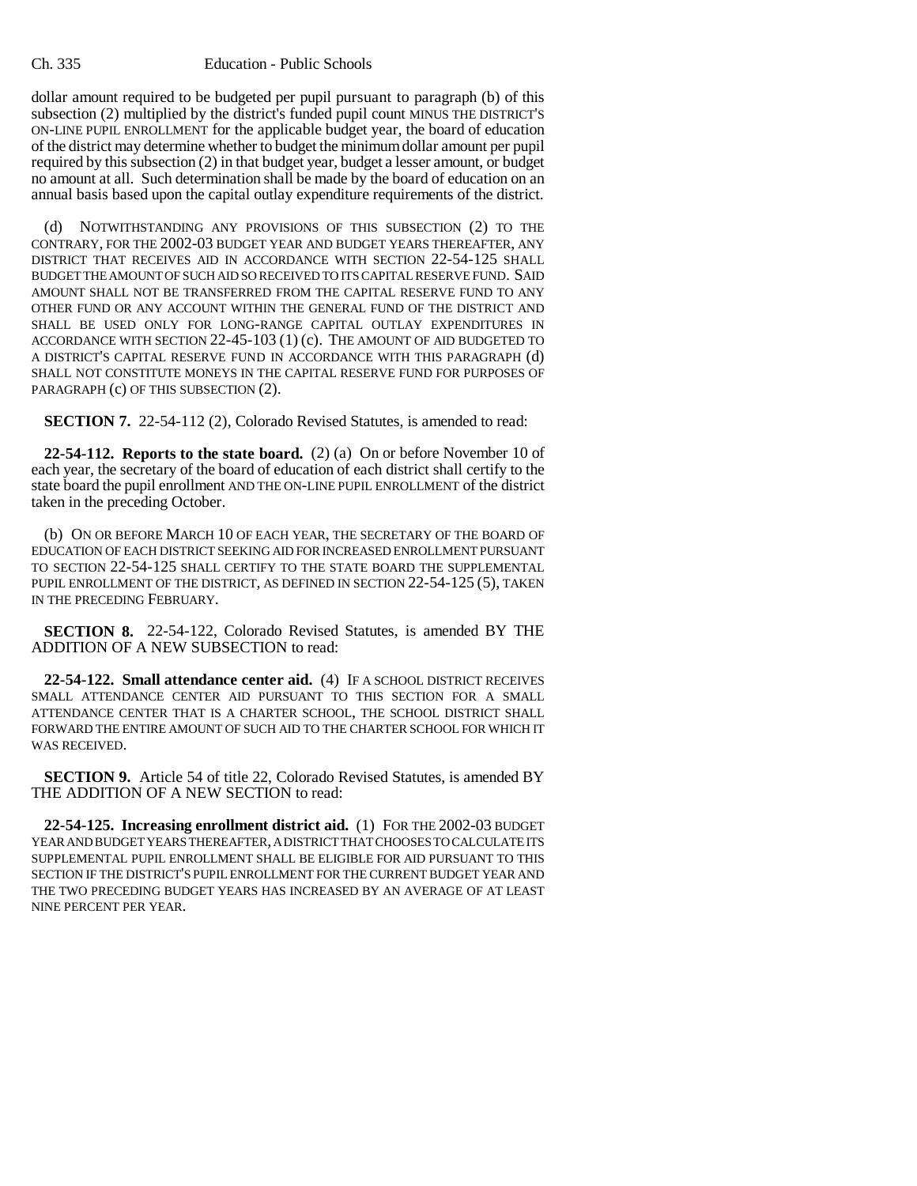dollar amount required to be budgeted per pupil pursuant to paragraph (b) of this subsection (2) multiplied by the district's funded pupil count MINUS THE DISTRICT'S ON-LINE PUPIL ENROLLMENT for the applicable budget year, the board of education of the district may determine whether to budget the minimum dollar amount per pupil required by this subsection (2) in that budget year, budget a lesser amount, or budget no amount at all. Such determination shall be made by the board of education on an annual basis based upon the capital outlay expenditure requirements of the district.

(d) NOTWITHSTANDING ANY PROVISIONS OF THIS SUBSECTION (2) TO THE CONTRARY, FOR THE 2002-03 BUDGET YEAR AND BUDGET YEARS THEREAFTER, ANY DISTRICT THAT RECEIVES AID IN ACCORDANCE WITH SECTION 22-54-125 SHALL BUDGET THE AMOUNT OF SUCH AID SO RECEIVED TO ITS CAPITAL RESERVE FUND. SAID AMOUNT SHALL NOT BE TRANSFERRED FROM THE CAPITAL RESERVE FUND TO ANY OTHER FUND OR ANY ACCOUNT WITHIN THE GENERAL FUND OF THE DISTRICT AND SHALL BE USED ONLY FOR LONG-RANGE CAPITAL OUTLAY EXPENDITURES IN ACCORDANCE WITH SECTION 22-45-103 (1) (c). THE AMOUNT OF AID BUDGETED TO A DISTRICT'S CAPITAL RESERVE FUND IN ACCORDANCE WITH THIS PARAGRAPH (d) SHALL NOT CONSTITUTE MONEYS IN THE CAPITAL RESERVE FUND FOR PURPOSES OF PARAGRAPH (c) OF THIS SUBSECTION (2).

**SECTION 7.** 22-54-112 (2), Colorado Revised Statutes, is amended to read:

**22-54-112. Reports to the state board.** (2) (a) On or before November 10 of each year, the secretary of the board of education of each district shall certify to the state board the pupil enrollment AND THE ON-LINE PUPIL ENROLLMENT of the district taken in the preceding October.

(b) ON OR BEFORE MARCH 10 OF EACH YEAR, THE SECRETARY OF THE BOARD OF EDUCATION OF EACH DISTRICT SEEKING AID FOR INCREASED ENROLLMENT PURSUANT TO SECTION 22-54-125 SHALL CERTIFY TO THE STATE BOARD THE SUPPLEMENTAL PUPIL ENROLLMENT OF THE DISTRICT, AS DEFINED IN SECTION 22-54-125 (5), TAKEN IN THE PRECEDING FEBRUARY.

**SECTION 8.** 22-54-122, Colorado Revised Statutes, is amended BY THE ADDITION OF A NEW SUBSECTION to read:

**22-54-122. Small attendance center aid.** (4) IF A SCHOOL DISTRICT RECEIVES SMALL ATTENDANCE CENTER AID PURSUANT TO THIS SECTION FOR A SMALL ATTENDANCE CENTER THAT IS A CHARTER SCHOOL, THE SCHOOL DISTRICT SHALL FORWARD THE ENTIRE AMOUNT OF SUCH AID TO THE CHARTER SCHOOL FOR WHICH IT WAS RECEIVED.

**SECTION 9.** Article 54 of title 22, Colorado Revised Statutes, is amended BY THE ADDITION OF A NEW SECTION to read:

**22-54-125. Increasing enrollment district aid.** (1) FOR THE 2002-03 BUDGET YEAR AND BUDGET YEARS THEREAFTER, A DISTRICT THAT CHOOSES TO CALCULATE ITS SUPPLEMENTAL PUPIL ENROLLMENT SHALL BE ELIGIBLE FOR AID PURSUANT TO THIS SECTION IF THE DISTRICT'S PUPIL ENROLLMENT FOR THE CURRENT BUDGET YEAR AND THE TWO PRECEDING BUDGET YEARS HAS INCREASED BY AN AVERAGE OF AT LEAST NINE PERCENT PER YEAR.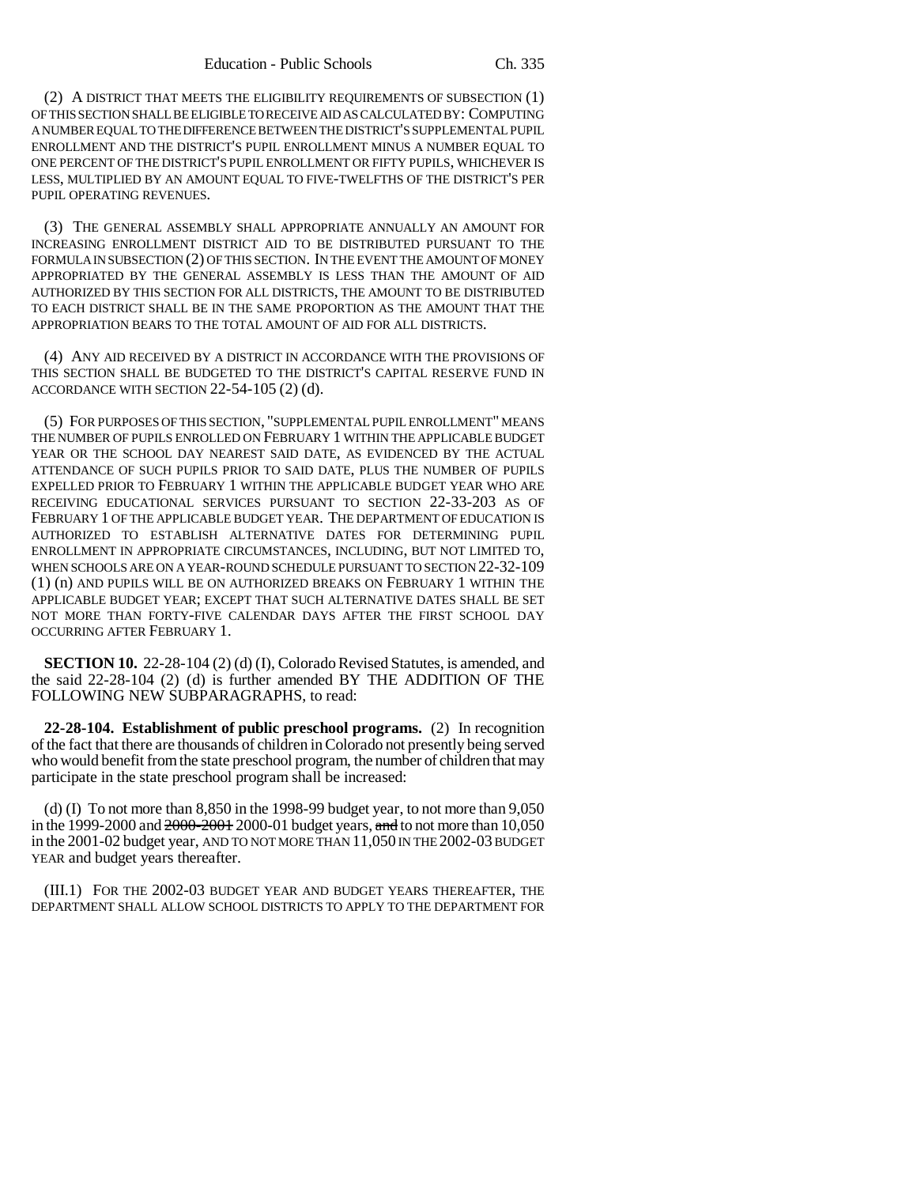(2) A DISTRICT THAT MEETS THE ELIGIBILITY REQUIREMENTS OF SUBSECTION (1) OF THIS SECTION SHALL BE ELIGIBLE TO RECEIVE AID AS CALCULATED BY: COMPUTING A NUMBER EQUAL TO THE DIFFERENCE BETWEEN THE DISTRICT'S SUPPLEMENTAL PUPIL ENROLLMENT AND THE DISTRICT'S PUPIL ENROLLMENT MINUS A NUMBER EQUAL TO ONE PERCENT OF THE DISTRICT'S PUPIL ENROLLMENT OR FIFTY PUPILS, WHICHEVER IS LESS, MULTIPLIED BY AN AMOUNT EQUAL TO FIVE-TWELFTHS OF THE DISTRICT'S PER PUPIL OPERATING REVENUES.

(3) THE GENERAL ASSEMBLY SHALL APPROPRIATE ANNUALLY AN AMOUNT FOR INCREASING ENROLLMENT DISTRICT AID TO BE DISTRIBUTED PURSUANT TO THE FORMULA IN SUBSECTION (2) OF THIS SECTION. IN THE EVENT THE AMOUNT OF MONEY APPROPRIATED BY THE GENERAL ASSEMBLY IS LESS THAN THE AMOUNT OF AID AUTHORIZED BY THIS SECTION FOR ALL DISTRICTS, THE AMOUNT TO BE DISTRIBUTED TO EACH DISTRICT SHALL BE IN THE SAME PROPORTION AS THE AMOUNT THAT THE APPROPRIATION BEARS TO THE TOTAL AMOUNT OF AID FOR ALL DISTRICTS.

(4) ANY AID RECEIVED BY A DISTRICT IN ACCORDANCE WITH THE PROVISIONS OF THIS SECTION SHALL BE BUDGETED TO THE DISTRICT'S CAPITAL RESERVE FUND IN ACCORDANCE WITH SECTION 22-54-105 (2) (d).

(5) FOR PURPOSES OF THIS SECTION, "SUPPLEMENTAL PUPIL ENROLLMENT" MEANS THE NUMBER OF PUPILS ENROLLED ON FEBRUARY 1 WITHIN THE APPLICABLE BUDGET YEAR OR THE SCHOOL DAY NEAREST SAID DATE, AS EVIDENCED BY THE ACTUAL ATTENDANCE OF SUCH PUPILS PRIOR TO SAID DATE, PLUS THE NUMBER OF PUPILS EXPELLED PRIOR TO FEBRUARY 1 WITHIN THE APPLICABLE BUDGET YEAR WHO ARE RECEIVING EDUCATIONAL SERVICES PURSUANT TO SECTION 22-33-203 AS OF FEBRUARY 1 OF THE APPLICABLE BUDGET YEAR. THE DEPARTMENT OF EDUCATION IS AUTHORIZED TO ESTABLISH ALTERNATIVE DATES FOR DETERMINING PUPIL ENROLLMENT IN APPROPRIATE CIRCUMSTANCES, INCLUDING, BUT NOT LIMITED TO, WHEN SCHOOLS ARE ON A YEAR-ROUND SCHEDULE PURSUANT TO SECTION 22-32-109 (1) (n) AND PUPILS WILL BE ON AUTHORIZED BREAKS ON FEBRUARY 1 WITHIN THE APPLICABLE BUDGET YEAR; EXCEPT THAT SUCH ALTERNATIVE DATES SHALL BE SET NOT MORE THAN FORTY-FIVE CALENDAR DAYS AFTER THE FIRST SCHOOL DAY OCCURRING AFTER FEBRUARY 1.

**SECTION 10.** 22-28-104 (2) (d) (I), Colorado Revised Statutes, is amended, and the said 22-28-104 (2) (d) is further amended BY THE ADDITION OF THE FOLLOWING NEW SUBPARAGRAPHS, to read:

**22-28-104. Establishment of public preschool programs.** (2) In recognition of the fact that there are thousands of children in Colorado not presently being served who would benefit from the state preschool program, the number of children that may participate in the state preschool program shall be increased:

(d) (I) To not more than  $8,850$  in the 1998-99 budget year, to not more than  $9,050$ in the 1999-2000 and  $2000-2001$  budget years, and to not more than 10,050 in the 2001-02 budget year, AND TO NOT MORE THAN 11,050 IN THE 2002-03 BUDGET YEAR and budget years thereafter.

(III.1) FOR THE 2002-03 BUDGET YEAR AND BUDGET YEARS THEREAFTER, THE DEPARTMENT SHALL ALLOW SCHOOL DISTRICTS TO APPLY TO THE DEPARTMENT FOR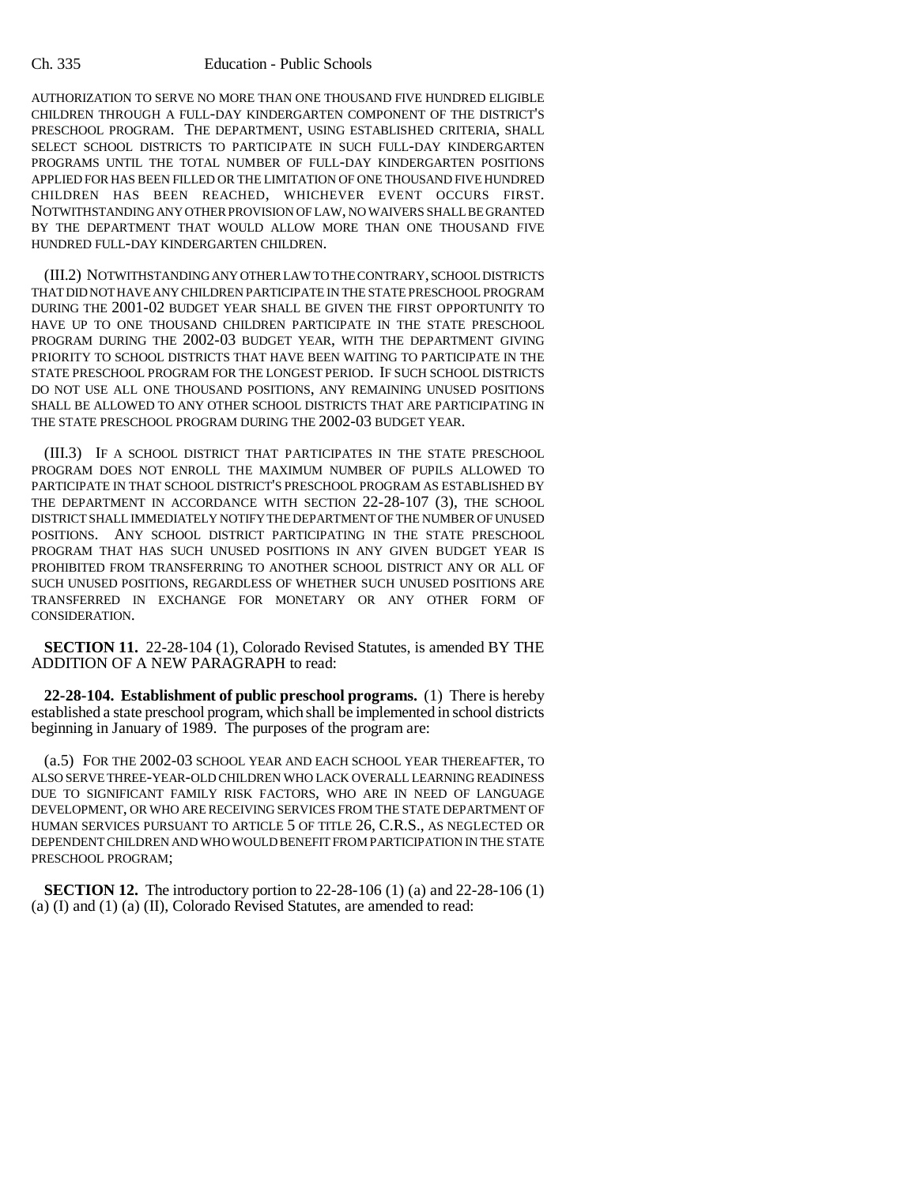AUTHORIZATION TO SERVE NO MORE THAN ONE THOUSAND FIVE HUNDRED ELIGIBLE CHILDREN THROUGH A FULL-DAY KINDERGARTEN COMPONENT OF THE DISTRICT'S PRESCHOOL PROGRAM. THE DEPARTMENT, USING ESTABLISHED CRITERIA, SHALL SELECT SCHOOL DISTRICTS TO PARTICIPATE IN SUCH FULL-DAY KINDERGARTEN PROGRAMS UNTIL THE TOTAL NUMBER OF FULL-DAY KINDERGARTEN POSITIONS APPLIED FOR HAS BEEN FILLED OR THE LIMITATION OF ONE THOUSAND FIVE HUNDRED CHILDREN HAS BEEN REACHED, WHICHEVER EVENT OCCURS FIRST. NOTWITHSTANDING ANY OTHER PROVISION OF LAW, NO WAIVERS SHALL BE GRANTED BY THE DEPARTMENT THAT WOULD ALLOW MORE THAN ONE THOUSAND FIVE HUNDRED FULL-DAY KINDERGARTEN CHILDREN.

(III.2) NOTWITHSTANDING ANY OTHER LAW TO THE CONTRARY, SCHOOL DISTRICTS THAT DID NOT HAVE ANY CHILDREN PARTICIPATE IN THE STATE PRESCHOOL PROGRAM DURING THE 2001-02 BUDGET YEAR SHALL BE GIVEN THE FIRST OPPORTUNITY TO HAVE UP TO ONE THOUSAND CHILDREN PARTICIPATE IN THE STATE PRESCHOOL PROGRAM DURING THE 2002-03 BUDGET YEAR, WITH THE DEPARTMENT GIVING PRIORITY TO SCHOOL DISTRICTS THAT HAVE BEEN WAITING TO PARTICIPATE IN THE STATE PRESCHOOL PROGRAM FOR THE LONGEST PERIOD. IF SUCH SCHOOL DISTRICTS DO NOT USE ALL ONE THOUSAND POSITIONS, ANY REMAINING UNUSED POSITIONS SHALL BE ALLOWED TO ANY OTHER SCHOOL DISTRICTS THAT ARE PARTICIPATING IN THE STATE PRESCHOOL PROGRAM DURING THE 2002-03 BUDGET YEAR.

(III.3) IF A SCHOOL DISTRICT THAT PARTICIPATES IN THE STATE PRESCHOOL PROGRAM DOES NOT ENROLL THE MAXIMUM NUMBER OF PUPILS ALLOWED TO PARTICIPATE IN THAT SCHOOL DISTRICT'S PRESCHOOL PROGRAM AS ESTABLISHED BY THE DEPARTMENT IN ACCORDANCE WITH SECTION 22-28-107 (3), THE SCHOOL DISTRICT SHALL IMMEDIATELY NOTIFY THE DEPARTMENT OF THE NUMBER OF UNUSED POSITIONS. ANY SCHOOL DISTRICT PARTICIPATING IN THE STATE PRESCHOOL PROGRAM THAT HAS SUCH UNUSED POSITIONS IN ANY GIVEN BUDGET YEAR IS PROHIBITED FROM TRANSFERRING TO ANOTHER SCHOOL DISTRICT ANY OR ALL OF SUCH UNUSED POSITIONS, REGARDLESS OF WHETHER SUCH UNUSED POSITIONS ARE TRANSFERRED IN EXCHANGE FOR MONETARY OR ANY OTHER FORM OF CONSIDERATION.

**SECTION 11.** 22-28-104 (1), Colorado Revised Statutes, is amended BY THE ADDITION OF A NEW PARAGRAPH to read:

**22-28-104. Establishment of public preschool programs.** (1) There is hereby established a state preschool program, which shall be implemented in school districts beginning in January of 1989. The purposes of the program are:

(a.5) FOR THE 2002-03 SCHOOL YEAR AND EACH SCHOOL YEAR THEREAFTER, TO ALSO SERVE THREE-YEAR-OLD CHILDREN WHO LACK OVERALL LEARNING READINESS DUE TO SIGNIFICANT FAMILY RISK FACTORS, WHO ARE IN NEED OF LANGUAGE DEVELOPMENT, OR WHO ARE RECEIVING SERVICES FROM THE STATE DEPARTMENT OF HUMAN SERVICES PURSUANT TO ARTICLE 5 OF TITLE 26, C.R.S., AS NEGLECTED OR DEPENDENT CHILDREN AND WHO WOULD BENEFIT FROM PARTICIPATION IN THE STATE PRESCHOOL PROGRAM;

**SECTION 12.** The introductory portion to 22-28-106 (1) (a) and 22-28-106 (1) (a) (I) and (1) (a) (II), Colorado Revised Statutes, are amended to read: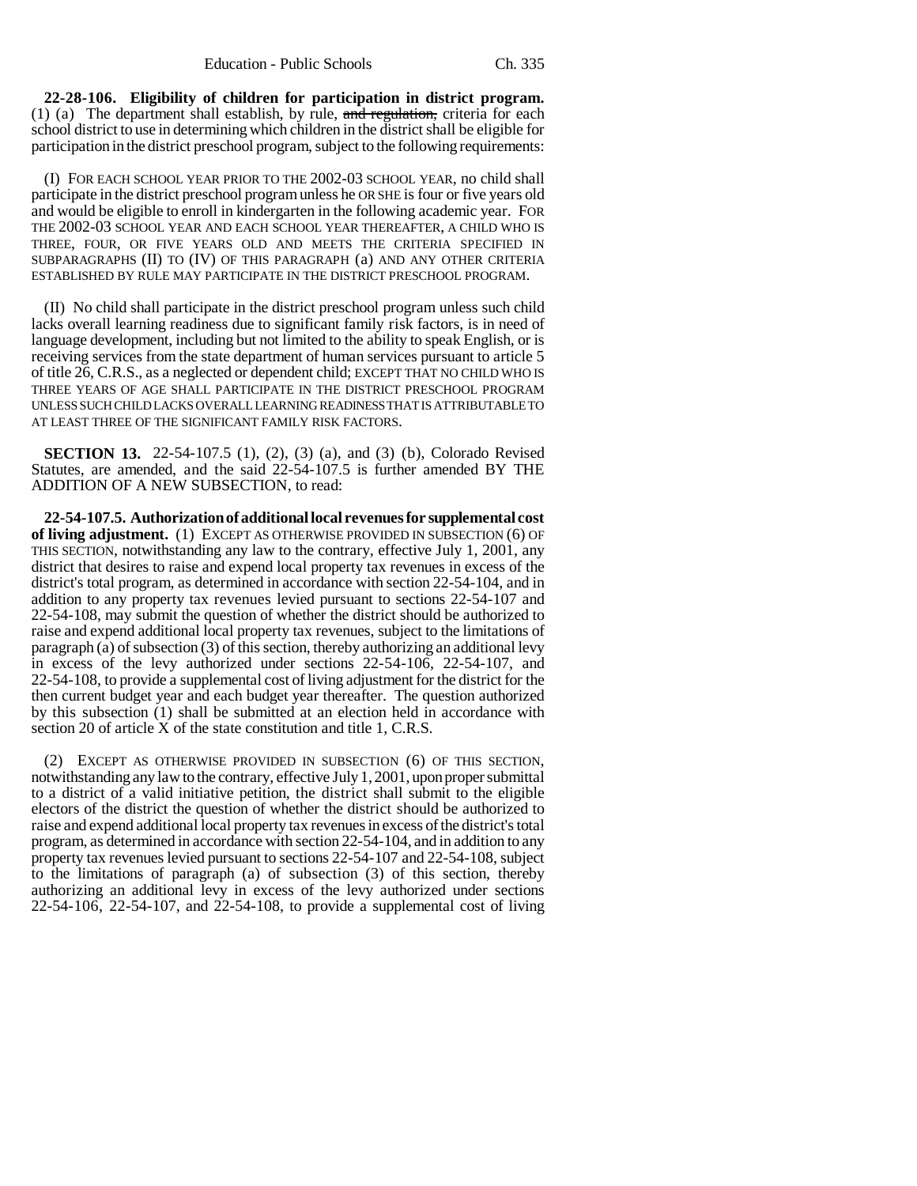**22-28-106. Eligibility of children for participation in district program.** (1) (a) The department shall establish, by rule,  $\frac{1}{2}$  and regulation, criteria for each school district to use in determining which children in the district shall be eligible for participation in the district preschool program, subject to the following requirements:

(I) FOR EACH SCHOOL YEAR PRIOR TO THE 2002-03 SCHOOL YEAR, no child shall participate in the district preschool program unless he OR SHE is four or five years old and would be eligible to enroll in kindergarten in the following academic year. FOR THE 2002-03 SCHOOL YEAR AND EACH SCHOOL YEAR THEREAFTER, A CHILD WHO IS THREE, FOUR, OR FIVE YEARS OLD AND MEETS THE CRITERIA SPECIFIED IN SUBPARAGRAPHS (II) TO (IV) OF THIS PARAGRAPH (a) AND ANY OTHER CRITERIA ESTABLISHED BY RULE MAY PARTICIPATE IN THE DISTRICT PRESCHOOL PROGRAM.

(II) No child shall participate in the district preschool program unless such child lacks overall learning readiness due to significant family risk factors, is in need of language development, including but not limited to the ability to speak English, or is receiving services from the state department of human services pursuant to article 5 of title 26, C.R.S., as a neglected or dependent child; EXCEPT THAT NO CHILD WHO IS THREE YEARS OF AGE SHALL PARTICIPATE IN THE DISTRICT PRESCHOOL PROGRAM UNLESS SUCH CHILD LACKS OVERALL LEARNING READINESS THAT IS ATTRIBUTABLE TO AT LEAST THREE OF THE SIGNIFICANT FAMILY RISK FACTORS.

**SECTION 13.** 22-54-107.5 (1), (2), (3) (a), and (3) (b), Colorado Revised Statutes, are amended, and the said 22-54-107.5 is further amended BY THE ADDITION OF A NEW SUBSECTION, to read:

**22-54-107.5. Authorization of additional local revenues for supplemental cost of living adjustment.** (1) EXCEPT AS OTHERWISE PROVIDED IN SUBSECTION (6) OF THIS SECTION, notwithstanding any law to the contrary, effective July 1, 2001, any district that desires to raise and expend local property tax revenues in excess of the district's total program, as determined in accordance with section 22-54-104, and in addition to any property tax revenues levied pursuant to sections 22-54-107 and 22-54-108, may submit the question of whether the district should be authorized to raise and expend additional local property tax revenues, subject to the limitations of paragraph (a) of subsection (3) of this section, thereby authorizing an additional levy in excess of the levy authorized under sections 22-54-106, 22-54-107, and 22-54-108, to provide a supplemental cost of living adjustment for the district for the then current budget year and each budget year thereafter. The question authorized by this subsection (1) shall be submitted at an election held in accordance with section 20 of article X of the state constitution and title 1, C.R.S.

(2) EXCEPT AS OTHERWISE PROVIDED IN SUBSECTION (6) OF THIS SECTION, notwithstanding any law to the contrary, effective July 1, 2001, upon proper submittal to a district of a valid initiative petition, the district shall submit to the eligible electors of the district the question of whether the district should be authorized to raise and expend additional local property tax revenues in excess of the district's total program, as determined in accordance with section 22-54-104, and in addition to any property tax revenues levied pursuant to sections 22-54-107 and 22-54-108, subject to the limitations of paragraph (a) of subsection (3) of this section, thereby authorizing an additional levy in excess of the levy authorized under sections 22-54-106, 22-54-107, and 22-54-108, to provide a supplemental cost of living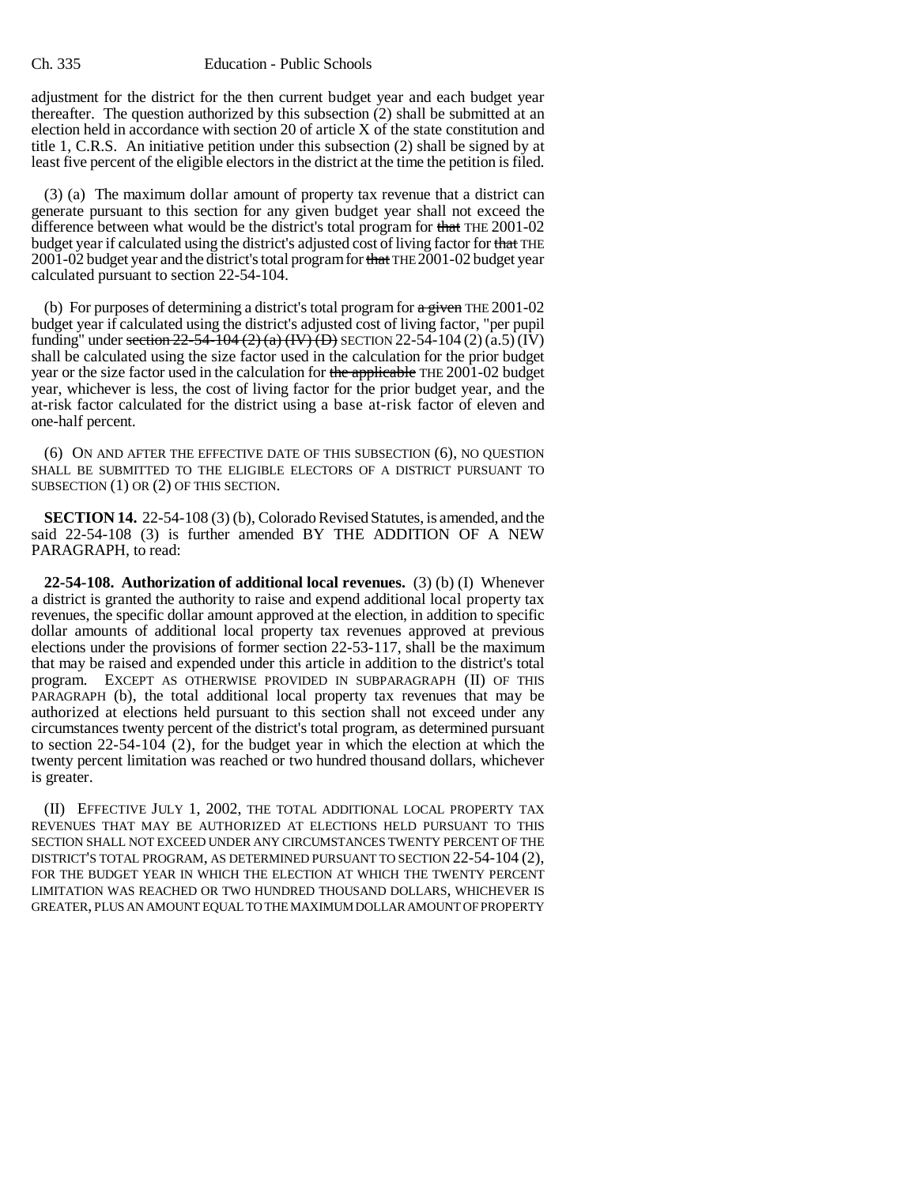adjustment for the district for the then current budget year and each budget year thereafter. The question authorized by this subsection (2) shall be submitted at an election held in accordance with section 20 of article X of the state constitution and title 1, C.R.S. An initiative petition under this subsection (2) shall be signed by at least five percent of the eligible electors in the district at the time the petition is filed.

(3) (a) The maximum dollar amount of property tax revenue that a district can generate pursuant to this section for any given budget year shall not exceed the difference between what would be the district's total program for that THE 2001-02 budget year if calculated using the district's adjusted cost of living factor for that THE 2001-02 budget year and the district's total program for that THE 2001-02 budget year calculated pursuant to section 22-54-104.

(b) For purposes of determining a district's total program for  $\alpha$  given THE 2001-02 budget year if calculated using the district's adjusted cost of living factor, "per pupil funding" under section  $22-54-104$  (2) (a) (IV) (D) SECTION 22-54-104 (2) (a.5) (IV) shall be calculated using the size factor used in the calculation for the prior budget year or the size factor used in the calculation for the applicable THE 2001-02 budget year, whichever is less, the cost of living factor for the prior budget year, and the at-risk factor calculated for the district using a base at-risk factor of eleven and one-half percent.

(6) ON AND AFTER THE EFFECTIVE DATE OF THIS SUBSECTION (6), NO QUESTION SHALL BE SUBMITTED TO THE ELIGIBLE ELECTORS OF A DISTRICT PURSUANT TO SUBSECTION (1) OR (2) OF THIS SECTION.

**SECTION 14.** 22-54-108 (3) (b), Colorado Revised Statutes, is amended, and the said 22-54-108 (3) is further amended BY THE ADDITION OF A NEW PARAGRAPH, to read:

**22-54-108. Authorization of additional local revenues.** (3) (b) (I) Whenever a district is granted the authority to raise and expend additional local property tax revenues, the specific dollar amount approved at the election, in addition to specific dollar amounts of additional local property tax revenues approved at previous elections under the provisions of former section 22-53-117, shall be the maximum that may be raised and expended under this article in addition to the district's total program. EXCEPT AS OTHERWISE PROVIDED IN SUBPARAGRAPH (II) OF THIS PARAGRAPH (b), the total additional local property tax revenues that may be authorized at elections held pursuant to this section shall not exceed under any circumstances twenty percent of the district's total program, as determined pursuant to section 22-54-104 (2), for the budget year in which the election at which the twenty percent limitation was reached or two hundred thousand dollars, whichever is greater.

(II) EFFECTIVE JULY 1, 2002, THE TOTAL ADDITIONAL LOCAL PROPERTY TAX REVENUES THAT MAY BE AUTHORIZED AT ELECTIONS HELD PURSUANT TO THIS SECTION SHALL NOT EXCEED UNDER ANY CIRCUMSTANCES TWENTY PERCENT OF THE DISTRICT'S TOTAL PROGRAM, AS DETERMINED PURSUANT TO SECTION 22-54-104 (2), FOR THE BUDGET YEAR IN WHICH THE ELECTION AT WHICH THE TWENTY PERCENT LIMITATION WAS REACHED OR TWO HUNDRED THOUSAND DOLLARS, WHICHEVER IS GREATER, PLUS AN AMOUNT EQUAL TO THE MAXIMUM DOLLAR AMOUNT OF PROPERTY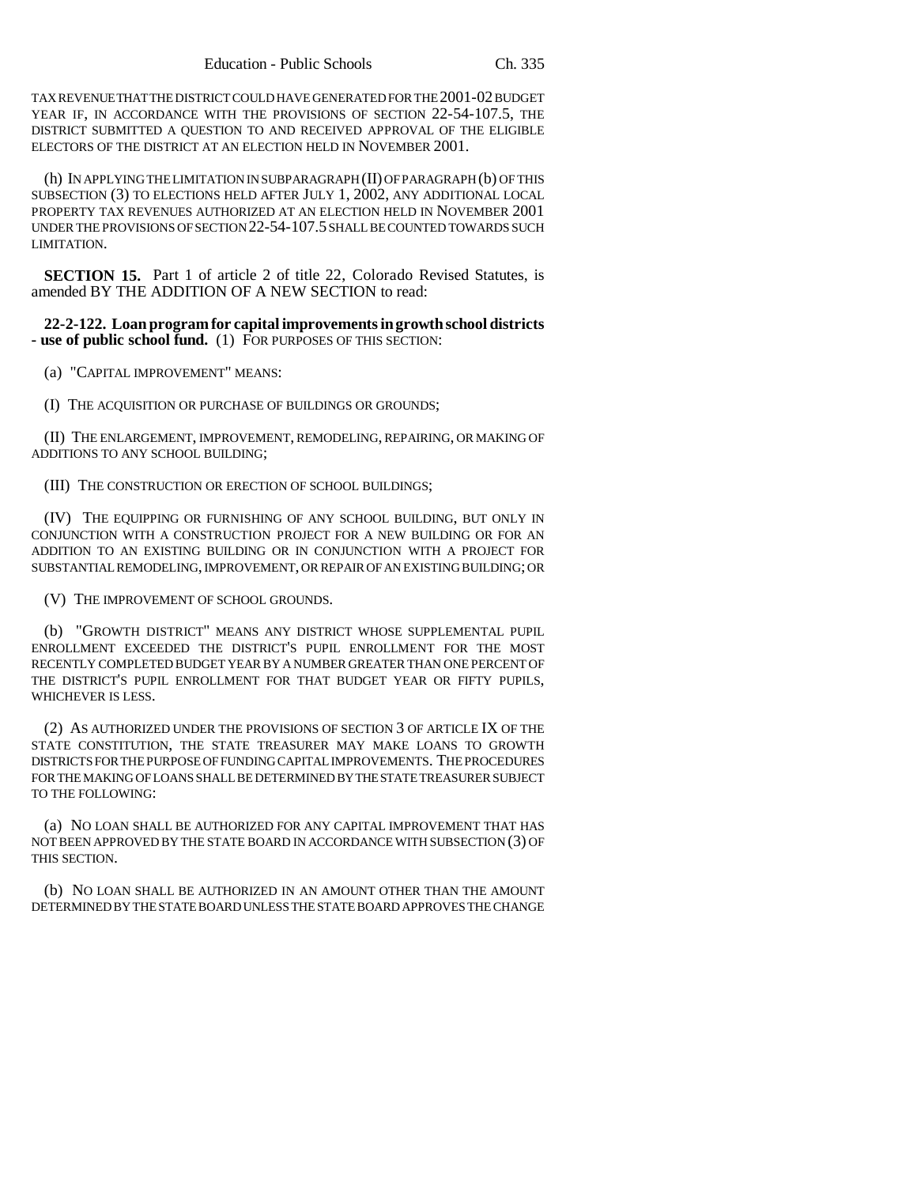TAX REVENUE THAT THE DISTRICT COULD HAVE GENERATED FOR THE 2001-02 BUDGET YEAR IF, IN ACCORDANCE WITH THE PROVISIONS OF SECTION 22-54-107.5, THE DISTRICT SUBMITTED A QUESTION TO AND RECEIVED APPROVAL OF THE ELIGIBLE ELECTORS OF THE DISTRICT AT AN ELECTION HELD IN NOVEMBER 2001.

(h) IN APPLYING THE LIMITATION IN SUBPARAGRAPH (II) OF PARAGRAPH (b) OF THIS SUBSECTION (3) TO ELECTIONS HELD AFTER JULY 1, 2002, ANY ADDITIONAL LOCAL PROPERTY TAX REVENUES AUTHORIZED AT AN ELECTION HELD IN NOVEMBER 2001 UNDER THE PROVISIONS OF SECTION 22-54-107.5 SHALL BE COUNTED TOWARDS SUCH LIMITATION.

**SECTION 15.** Part 1 of article 2 of title 22, Colorado Revised Statutes, is amended BY THE ADDITION OF A NEW SECTION to read:

**22-2-122. Loan program for capital improvements in growth school districts - use of public school fund.** (1) FOR PURPOSES OF THIS SECTION:

(a) "CAPITAL IMPROVEMENT" MEANS:

(I) THE ACQUISITION OR PURCHASE OF BUILDINGS OR GROUNDS;

(II) THE ENLARGEMENT, IMPROVEMENT, REMODELING, REPAIRING, OR MAKING OF ADDITIONS TO ANY SCHOOL BUILDING;

(III) THE CONSTRUCTION OR ERECTION OF SCHOOL BUILDINGS;

(IV) THE EQUIPPING OR FURNISHING OF ANY SCHOOL BUILDING, BUT ONLY IN CONJUNCTION WITH A CONSTRUCTION PROJECT FOR A NEW BUILDING OR FOR AN ADDITION TO AN EXISTING BUILDING OR IN CONJUNCTION WITH A PROJECT FOR SUBSTANTIAL REMODELING, IMPROVEMENT, OR REPAIR OF AN EXISTING BUILDING; OR

(V) THE IMPROVEMENT OF SCHOOL GROUNDS.

(b) "GROWTH DISTRICT" MEANS ANY DISTRICT WHOSE SUPPLEMENTAL PUPIL ENROLLMENT EXCEEDED THE DISTRICT'S PUPIL ENROLLMENT FOR THE MOST RECENTLY COMPLETED BUDGET YEAR BY A NUMBER GREATER THAN ONE PERCENT OF THE DISTRICT'S PUPIL ENROLLMENT FOR THAT BUDGET YEAR OR FIFTY PUPILS, WHICHEVER IS LESS.

(2) AS AUTHORIZED UNDER THE PROVISIONS OF SECTION 3 OF ARTICLE IX OF THE STATE CONSTITUTION, THE STATE TREASURER MAY MAKE LOANS TO GROWTH DISTRICTS FOR THE PURPOSE OF FUNDING CAPITAL IMPROVEMENTS. THE PROCEDURES FOR THE MAKING OF LOANS SHALL BE DETERMINED BY THE STATE TREASURER SUBJECT TO THE FOLLOWING:

(a) NO LOAN SHALL BE AUTHORIZED FOR ANY CAPITAL IMPROVEMENT THAT HAS NOT BEEN APPROVED BY THE STATE BOARD IN ACCORDANCE WITH SUBSECTION (3) OF THIS SECTION.

(b) NO LOAN SHALL BE AUTHORIZED IN AN AMOUNT OTHER THAN THE AMOUNT DETERMINED BY THE STATE BOARD UNLESS THE STATE BOARD APPROVES THE CHANGE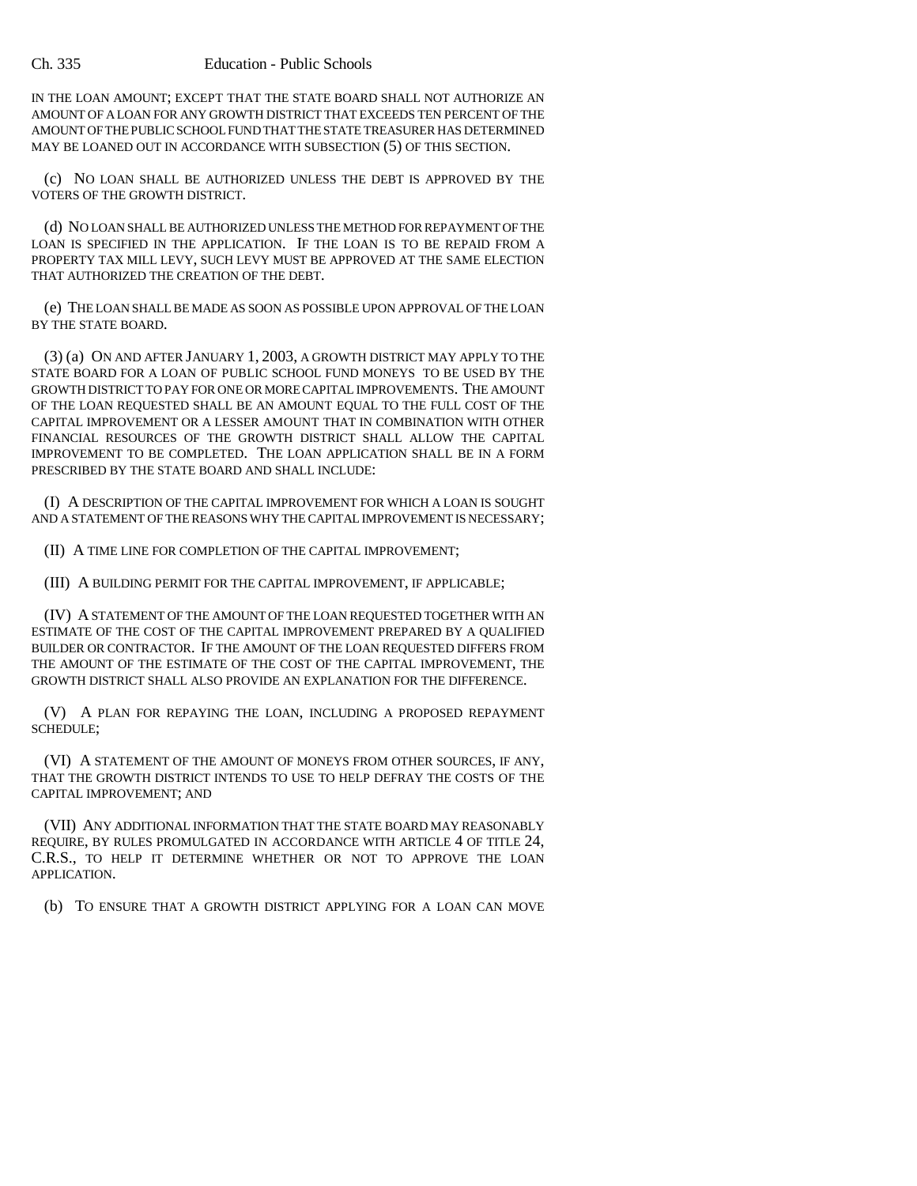IN THE LOAN AMOUNT; EXCEPT THAT THE STATE BOARD SHALL NOT AUTHORIZE AN AMOUNT OF A LOAN FOR ANY GROWTH DISTRICT THAT EXCEEDS TEN PERCENT OF THE AMOUNT OF THE PUBLIC SCHOOL FUND THAT THE STATE TREASURER HAS DETERMINED MAY BE LOANED OUT IN ACCORDANCE WITH SUBSECTION (5) OF THIS SECTION.

(c) NO LOAN SHALL BE AUTHORIZED UNLESS THE DEBT IS APPROVED BY THE VOTERS OF THE GROWTH DISTRICT.

(d) NO LOAN SHALL BE AUTHORIZED UNLESS THE METHOD FOR REPAYMENT OF THE LOAN IS SPECIFIED IN THE APPLICATION. IF THE LOAN IS TO BE REPAID FROM A PROPERTY TAX MILL LEVY, SUCH LEVY MUST BE APPROVED AT THE SAME ELECTION THAT AUTHORIZED THE CREATION OF THE DEBT.

(e) THE LOAN SHALL BE MADE AS SOON AS POSSIBLE UPON APPROVAL OF THE LOAN BY THE STATE BOARD.

(3) (a) ON AND AFTER JANUARY 1, 2003, A GROWTH DISTRICT MAY APPLY TO THE STATE BOARD FOR A LOAN OF PUBLIC SCHOOL FUND MONEYS TO BE USED BY THE GROWTH DISTRICT TO PAY FOR ONE OR MORE CAPITAL IMPROVEMENTS. THE AMOUNT OF THE LOAN REQUESTED SHALL BE AN AMOUNT EQUAL TO THE FULL COST OF THE CAPITAL IMPROVEMENT OR A LESSER AMOUNT THAT IN COMBINATION WITH OTHER FINANCIAL RESOURCES OF THE GROWTH DISTRICT SHALL ALLOW THE CAPITAL IMPROVEMENT TO BE COMPLETED. THE LOAN APPLICATION SHALL BE IN A FORM PRESCRIBED BY THE STATE BOARD AND SHALL INCLUDE:

(I) A DESCRIPTION OF THE CAPITAL IMPROVEMENT FOR WHICH A LOAN IS SOUGHT AND A STATEMENT OF THE REASONS WHY THE CAPITAL IMPROVEMENT IS NECESSARY;

(II) A TIME LINE FOR COMPLETION OF THE CAPITAL IMPROVEMENT;

(III) A BUILDING PERMIT FOR THE CAPITAL IMPROVEMENT, IF APPLICABLE;

(IV) A STATEMENT OF THE AMOUNT OF THE LOAN REQUESTED TOGETHER WITH AN ESTIMATE OF THE COST OF THE CAPITAL IMPROVEMENT PREPARED BY A QUALIFIED BUILDER OR CONTRACTOR. IF THE AMOUNT OF THE LOAN REQUESTED DIFFERS FROM THE AMOUNT OF THE ESTIMATE OF THE COST OF THE CAPITAL IMPROVEMENT, THE GROWTH DISTRICT SHALL ALSO PROVIDE AN EXPLANATION FOR THE DIFFERENCE.

(V) A PLAN FOR REPAYING THE LOAN, INCLUDING A PROPOSED REPAYMENT SCHEDULE;

(VI) A STATEMENT OF THE AMOUNT OF MONEYS FROM OTHER SOURCES, IF ANY, THAT THE GROWTH DISTRICT INTENDS TO USE TO HELP DEFRAY THE COSTS OF THE CAPITAL IMPROVEMENT; AND

(VII) ANY ADDITIONAL INFORMATION THAT THE STATE BOARD MAY REASONABLY REQUIRE, BY RULES PROMULGATED IN ACCORDANCE WITH ARTICLE 4 OF TITLE 24, C.R.S., TO HELP IT DETERMINE WHETHER OR NOT TO APPROVE THE LOAN APPLICATION.

(b) TO ENSURE THAT A GROWTH DISTRICT APPLYING FOR A LOAN CAN MOVE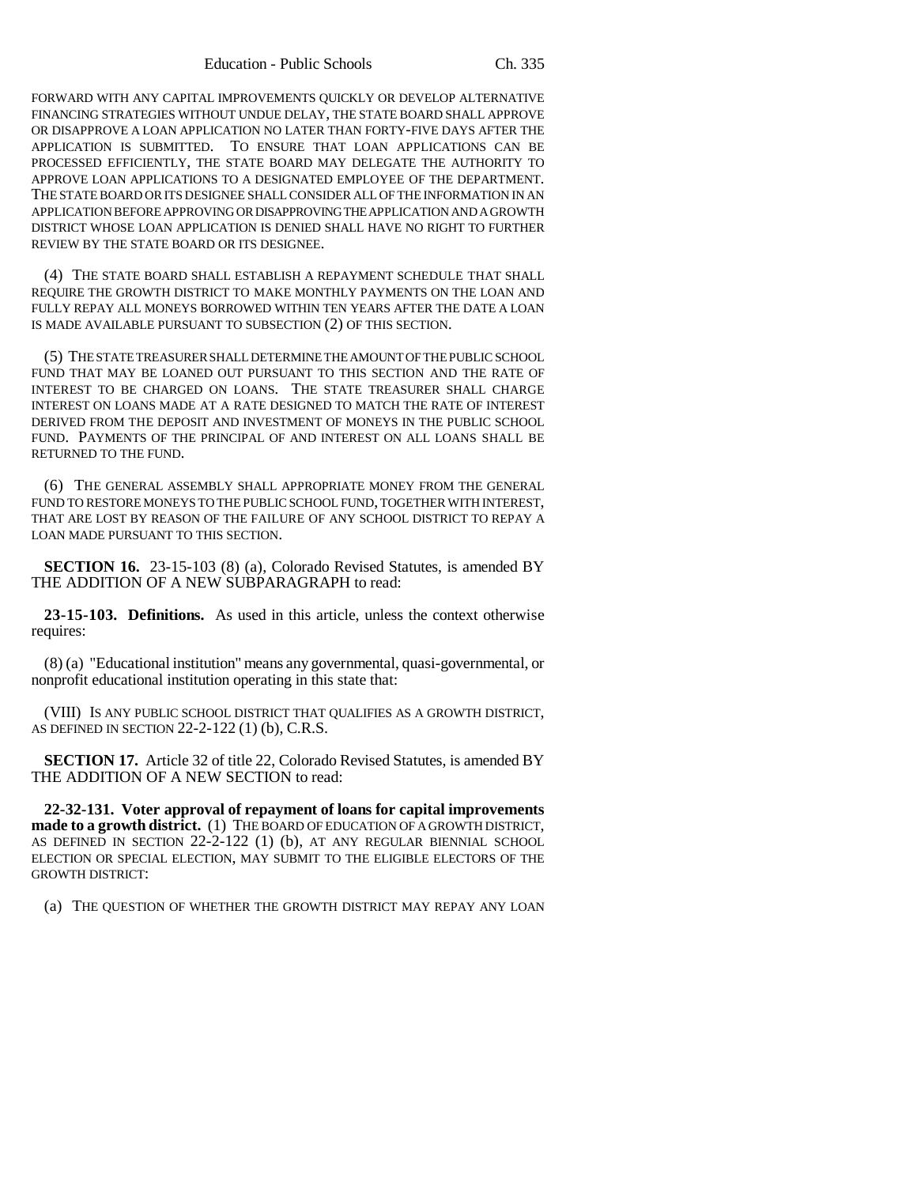FORWARD WITH ANY CAPITAL IMPROVEMENTS QUICKLY OR DEVELOP ALTERNATIVE FINANCING STRATEGIES WITHOUT UNDUE DELAY, THE STATE BOARD SHALL APPROVE OR DISAPPROVE A LOAN APPLICATION NO LATER THAN FORTY-FIVE DAYS AFTER THE APPLICATION IS SUBMITTED. TO ENSURE THAT LOAN APPLICATIONS CAN BE PROCESSED EFFICIENTLY, THE STATE BOARD MAY DELEGATE THE AUTHORITY TO APPROVE LOAN APPLICATIONS TO A DESIGNATED EMPLOYEE OF THE DEPARTMENT. THE STATE BOARD OR ITS DESIGNEE SHALL CONSIDER ALL OF THE INFORMATION IN AN APPLICATION BEFORE APPROVING OR DISAPPROVING THE APPLICATION AND A GROWTH DISTRICT WHOSE LOAN APPLICATION IS DENIED SHALL HAVE NO RIGHT TO FURTHER REVIEW BY THE STATE BOARD OR ITS DESIGNEE.

(4) THE STATE BOARD SHALL ESTABLISH A REPAYMENT SCHEDULE THAT SHALL REQUIRE THE GROWTH DISTRICT TO MAKE MONTHLY PAYMENTS ON THE LOAN AND FULLY REPAY ALL MONEYS BORROWED WITHIN TEN YEARS AFTER THE DATE A LOAN IS MADE AVAILABLE PURSUANT TO SUBSECTION (2) OF THIS SECTION.

(5) THE STATE TREASURER SHALL DETERMINE THE AMOUNT OF THE PUBLIC SCHOOL FUND THAT MAY BE LOANED OUT PURSUANT TO THIS SECTION AND THE RATE OF INTEREST TO BE CHARGED ON LOANS. THE STATE TREASURER SHALL CHARGE INTEREST ON LOANS MADE AT A RATE DESIGNED TO MATCH THE RATE OF INTEREST DERIVED FROM THE DEPOSIT AND INVESTMENT OF MONEYS IN THE PUBLIC SCHOOL FUND. PAYMENTS OF THE PRINCIPAL OF AND INTEREST ON ALL LOANS SHALL BE RETURNED TO THE FUND.

(6) THE GENERAL ASSEMBLY SHALL APPROPRIATE MONEY FROM THE GENERAL FUND TO RESTORE MONEYS TO THE PUBLIC SCHOOL FUND, TOGETHER WITH INTEREST, THAT ARE LOST BY REASON OF THE FAILURE OF ANY SCHOOL DISTRICT TO REPAY A LOAN MADE PURSUANT TO THIS SECTION.

**SECTION 16.** 23-15-103 (8) (a), Colorado Revised Statutes, is amended BY THE ADDITION OF A NEW SUBPARAGRAPH to read:

**23-15-103. Definitions.** As used in this article, unless the context otherwise requires:

(8) (a) "Educational institution" means any governmental, quasi-governmental, or nonprofit educational institution operating in this state that:

(VIII) IS ANY PUBLIC SCHOOL DISTRICT THAT QUALIFIES AS A GROWTH DISTRICT, AS DEFINED IN SECTION 22-2-122 (1) (b), C.R.S.

**SECTION 17.** Article 32 of title 22, Colorado Revised Statutes, is amended BY THE ADDITION OF A NEW SECTION to read:

**22-32-131. Voter approval of repayment of loans for capital improvements made to a growth district.** (1) THE BOARD OF EDUCATION OF A GROWTH DISTRICT, AS DEFINED IN SECTION 22-2-122 (1) (b), AT ANY REGULAR BIENNIAL SCHOOL ELECTION OR SPECIAL ELECTION, MAY SUBMIT TO THE ELIGIBLE ELECTORS OF THE GROWTH DISTRICT:

(a) THE QUESTION OF WHETHER THE GROWTH DISTRICT MAY REPAY ANY LOAN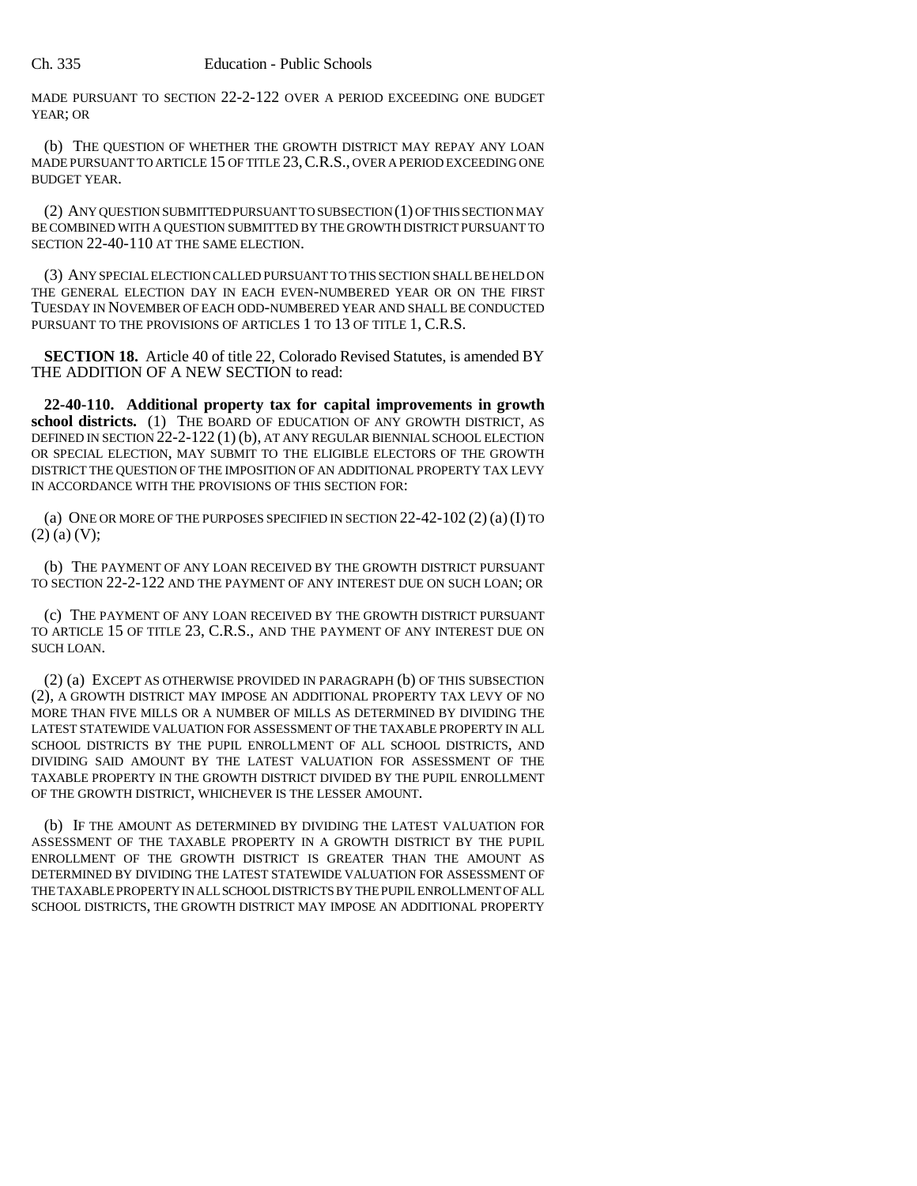MADE PURSUANT TO SECTION 22-2-122 OVER A PERIOD EXCEEDING ONE BUDGET YEAR; OR

(b) THE QUESTION OF WHETHER THE GROWTH DISTRICT MAY REPAY ANY LOAN MADE PURSUANT TO ARTICLE 15 OF TITLE 23, C.R.S., OVER A PERIOD EXCEEDING ONE BUDGET YEAR.

(2) ANY QUESTION SUBMITTED PURSUANT TO SUBSECTION (1) OF THIS SECTION MAY BE COMBINED WITH A QUESTION SUBMITTED BY THE GROWTH DISTRICT PURSUANT TO SECTION 22-40-110 AT THE SAME ELECTION.

(3) ANY SPECIAL ELECTION CALLED PURSUANT TO THIS SECTION SHALL BE HELD ON THE GENERAL ELECTION DAY IN EACH EVEN-NUMBERED YEAR OR ON THE FIRST TUESDAY IN NOVEMBER OF EACH ODD-NUMBERED YEAR AND SHALL BE CONDUCTED PURSUANT TO THE PROVISIONS OF ARTICLES 1 TO 13 OF TITLE 1, C.R.S.

**SECTION 18.** Article 40 of title 22, Colorado Revised Statutes, is amended BY THE ADDITION OF A NEW SECTION to read:

**22-40-110. Additional property tax for capital improvements in growth** school districts. (1) THE BOARD OF EDUCATION OF ANY GROWTH DISTRICT, AS DEFINED IN SECTION 22-2-122 (1) (b), AT ANY REGULAR BIENNIAL SCHOOL ELECTION OR SPECIAL ELECTION, MAY SUBMIT TO THE ELIGIBLE ELECTORS OF THE GROWTH DISTRICT THE QUESTION OF THE IMPOSITION OF AN ADDITIONAL PROPERTY TAX LEVY IN ACCORDANCE WITH THE PROVISIONS OF THIS SECTION FOR:

(a) ONE OR MORE OF THE PURPOSES SPECIFIED IN SECTION 22-42-102 (2) (a)(I) TO  $(2)$  (a) (V);

(b) THE PAYMENT OF ANY LOAN RECEIVED BY THE GROWTH DISTRICT PURSUANT TO SECTION 22-2-122 AND THE PAYMENT OF ANY INTEREST DUE ON SUCH LOAN; OR

(c) THE PAYMENT OF ANY LOAN RECEIVED BY THE GROWTH DISTRICT PURSUANT TO ARTICLE 15 OF TITLE 23, C.R.S., AND THE PAYMENT OF ANY INTEREST DUE ON SUCH LOAN.

(2) (a) EXCEPT AS OTHERWISE PROVIDED IN PARAGRAPH (b) OF THIS SUBSECTION (2), A GROWTH DISTRICT MAY IMPOSE AN ADDITIONAL PROPERTY TAX LEVY OF NO MORE THAN FIVE MILLS OR A NUMBER OF MILLS AS DETERMINED BY DIVIDING THE LATEST STATEWIDE VALUATION FOR ASSESSMENT OF THE TAXABLE PROPERTY IN ALL SCHOOL DISTRICTS BY THE PUPIL ENROLLMENT OF ALL SCHOOL DISTRICTS, AND DIVIDING SAID AMOUNT BY THE LATEST VALUATION FOR ASSESSMENT OF THE TAXABLE PROPERTY IN THE GROWTH DISTRICT DIVIDED BY THE PUPIL ENROLLMENT OF THE GROWTH DISTRICT, WHICHEVER IS THE LESSER AMOUNT.

(b) IF THE AMOUNT AS DETERMINED BY DIVIDING THE LATEST VALUATION FOR ASSESSMENT OF THE TAXABLE PROPERTY IN A GROWTH DISTRICT BY THE PUPIL ENROLLMENT OF THE GROWTH DISTRICT IS GREATER THAN THE AMOUNT AS DETERMINED BY DIVIDING THE LATEST STATEWIDE VALUATION FOR ASSESSMENT OF THE TAXABLE PROPERTY IN ALL SCHOOL DISTRICTS BY THE PUPIL ENROLLMENT OF ALL SCHOOL DISTRICTS, THE GROWTH DISTRICT MAY IMPOSE AN ADDITIONAL PROPERTY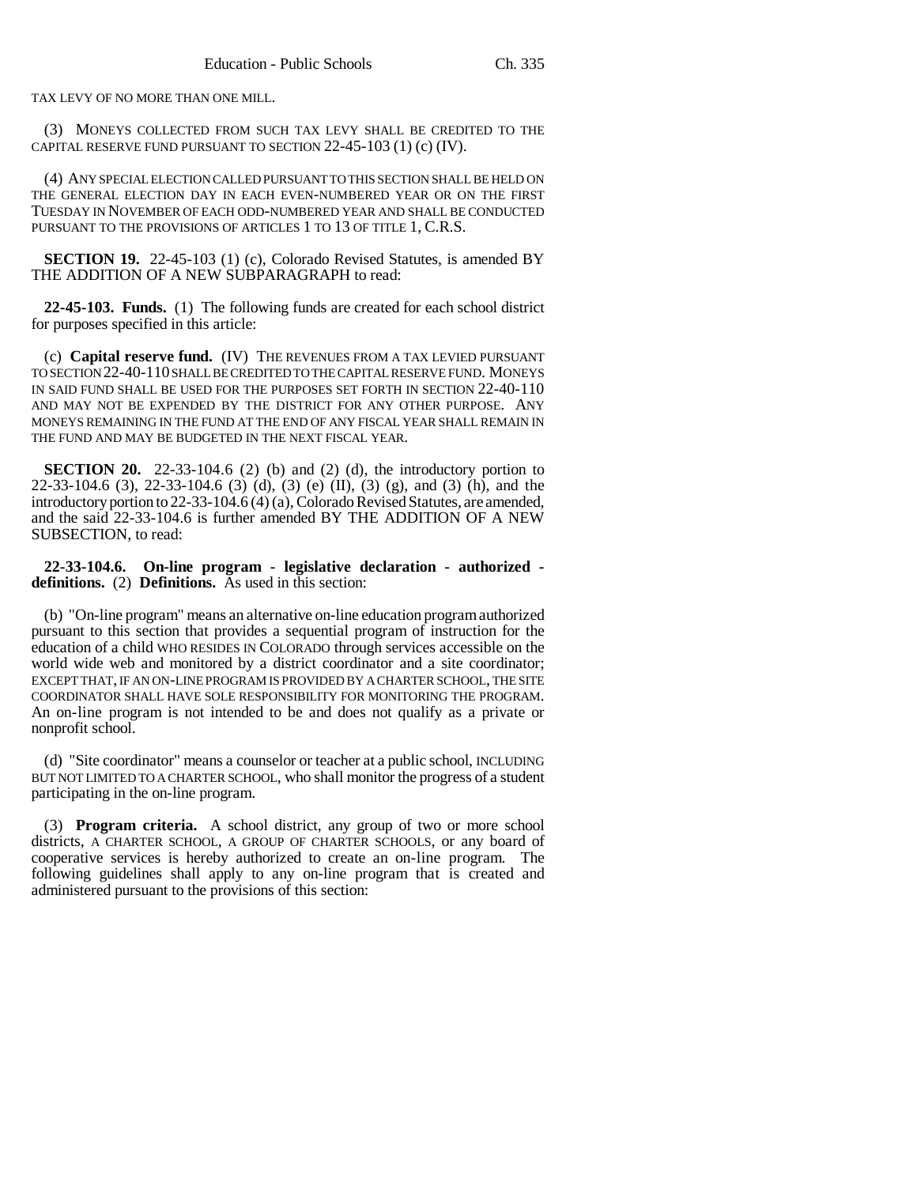TAX LEVY OF NO MORE THAN ONE MILL.

(3) MONEYS COLLECTED FROM SUCH TAX LEVY SHALL BE CREDITED TO THE CAPITAL RESERVE FUND PURSUANT TO SECTION 22-45-103 (1) (c) (IV).

(4) ANY SPECIAL ELECTION CALLED PURSUANT TO THIS SECTION SHALL BE HELD ON THE GENERAL ELECTION DAY IN EACH EVEN-NUMBERED YEAR OR ON THE FIRST TUESDAY IN NOVEMBER OF EACH ODD-NUMBERED YEAR AND SHALL BE CONDUCTED PURSUANT TO THE PROVISIONS OF ARTICLES 1 TO 13 OF TITLE 1, C.R.S.

**SECTION 19.** 22-45-103 (1) (c), Colorado Revised Statutes, is amended BY THE ADDITION OF A NEW SUBPARAGRAPH to read:

**22-45-103. Funds.** (1) The following funds are created for each school district for purposes specified in this article:

(c) **Capital reserve fund.** (IV) THE REVENUES FROM A TAX LEVIED PURSUANT TO SECTION 22-40-110 SHALL BE CREDITED TO THE CAPITAL RESERVE FUND. MONEYS IN SAID FUND SHALL BE USED FOR THE PURPOSES SET FORTH IN SECTION 22-40-110 AND MAY NOT BE EXPENDED BY THE DISTRICT FOR ANY OTHER PURPOSE. ANY MONEYS REMAINING IN THE FUND AT THE END OF ANY FISCAL YEAR SHALL REMAIN IN THE FUND AND MAY BE BUDGETED IN THE NEXT FISCAL YEAR.

**SECTION 20.** 22-33-104.6 (2) (b) and (2) (d), the introductory portion to 22-33-104.6 (3), 22-33-104.6 (3) (d), (3) (e) (II), (3) (g), and (3) (h), and the introductory portion to 22-33-104.6 (4) (a), Colorado Revised Statutes, are amended, and the said 22-33-104.6 is further amended BY THE ADDITION OF A NEW SUBSECTION, to read:

**22-33-104.6. On-line program - legislative declaration - authorized definitions.** (2) **Definitions.** As used in this section:

(b) "On-line program" means an alternative on-line education program authorized pursuant to this section that provides a sequential program of instruction for the education of a child WHO RESIDES IN COLORADO through services accessible on the world wide web and monitored by a district coordinator and a site coordinator; EXCEPT THAT, IF AN ON-LINE PROGRAM IS PROVIDED BY A CHARTER SCHOOL, THE SITE COORDINATOR SHALL HAVE SOLE RESPONSIBILITY FOR MONITORING THE PROGRAM. An on-line program is not intended to be and does not qualify as a private or nonprofit school.

(d) "Site coordinator" means a counselor or teacher at a public school, INCLUDING BUT NOT LIMITED TO A CHARTER SCHOOL, who shall monitor the progress of a student participating in the on-line program.

(3) **Program criteria.** A school district, any group of two or more school districts, A CHARTER SCHOOL, A GROUP OF CHARTER SCHOOLS, or any board of cooperative services is hereby authorized to create an on-line program. The following guidelines shall apply to any on-line program that is created and administered pursuant to the provisions of this section: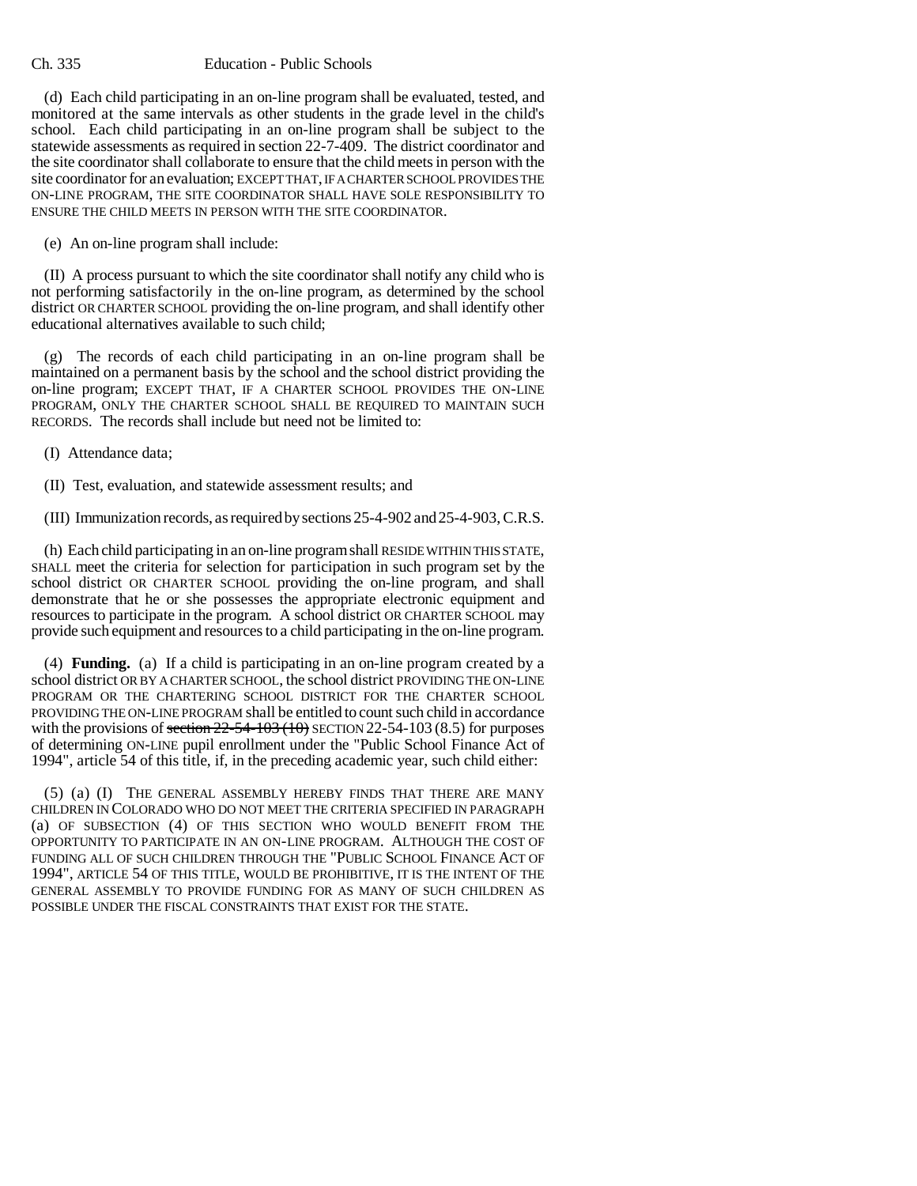(d) Each child participating in an on-line program shall be evaluated, tested, and monitored at the same intervals as other students in the grade level in the child's school. Each child participating in an on-line program shall be subject to the statewide assessments as required in section 22-7-409. The district coordinator and the site coordinator shall collaborate to ensure that the child meets in person with the site coordinator for an evaluation; EXCEPT THAT, IF A CHARTER SCHOOL PROVIDES THE ON-LINE PROGRAM, THE SITE COORDINATOR SHALL HAVE SOLE RESPONSIBILITY TO ENSURE THE CHILD MEETS IN PERSON WITH THE SITE COORDINATOR.

(e) An on-line program shall include:

(II) A process pursuant to which the site coordinator shall notify any child who is not performing satisfactorily in the on-line program, as determined by the school district OR CHARTER SCHOOL providing the on-line program, and shall identify other educational alternatives available to such child;

(g) The records of each child participating in an on-line program shall be maintained on a permanent basis by the school and the school district providing the on-line program; EXCEPT THAT, IF A CHARTER SCHOOL PROVIDES THE ON-LINE PROGRAM, ONLY THE CHARTER SCHOOL SHALL BE REQUIRED TO MAINTAIN SUCH RECORDS. The records shall include but need not be limited to:

(I) Attendance data;

(II) Test, evaluation, and statewide assessment results; and

(III) Immunization records, as required by sections 25-4-902 and 25-4-903, C.R.S.

(h) Each child participating in an on-line program shall RESIDE WITHIN THIS STATE, SHALL meet the criteria for selection for participation in such program set by the school district OR CHARTER SCHOOL providing the on-line program, and shall demonstrate that he or she possesses the appropriate electronic equipment and resources to participate in the program. A school district OR CHARTER SCHOOL may provide such equipment and resources to a child participating in the on-line program.

(4) **Funding.** (a) If a child is participating in an on-line program created by a school district OR BY A CHARTER SCHOOL, the school district PROVIDING THE ON-LINE PROGRAM OR THE CHARTERING SCHOOL DISTRICT FOR THE CHARTER SCHOOL PROVIDING THE ON-LINE PROGRAM shall be entitled to count such child in accordance with the provisions of section  $22-54-103$  (10) SECTION 22-54-103 (8.5) for purposes of determining ON-LINE pupil enrollment under the "Public School Finance Act of 1994", article 54 of this title, if, in the preceding academic year, such child either:

(5) (a) (I) THE GENERAL ASSEMBLY HEREBY FINDS THAT THERE ARE MANY CHILDREN IN COLORADO WHO DO NOT MEET THE CRITERIA SPECIFIED IN PARAGRAPH (a) OF SUBSECTION (4) OF THIS SECTION WHO WOULD BENEFIT FROM THE OPPORTUNITY TO PARTICIPATE IN AN ON-LINE PROGRAM. ALTHOUGH THE COST OF FUNDING ALL OF SUCH CHILDREN THROUGH THE "PUBLIC SCHOOL FINANCE ACT OF 1994", ARTICLE 54 OF THIS TITLE, WOULD BE PROHIBITIVE, IT IS THE INTENT OF THE GENERAL ASSEMBLY TO PROVIDE FUNDING FOR AS MANY OF SUCH CHILDREN AS POSSIBLE UNDER THE FISCAL CONSTRAINTS THAT EXIST FOR THE STATE.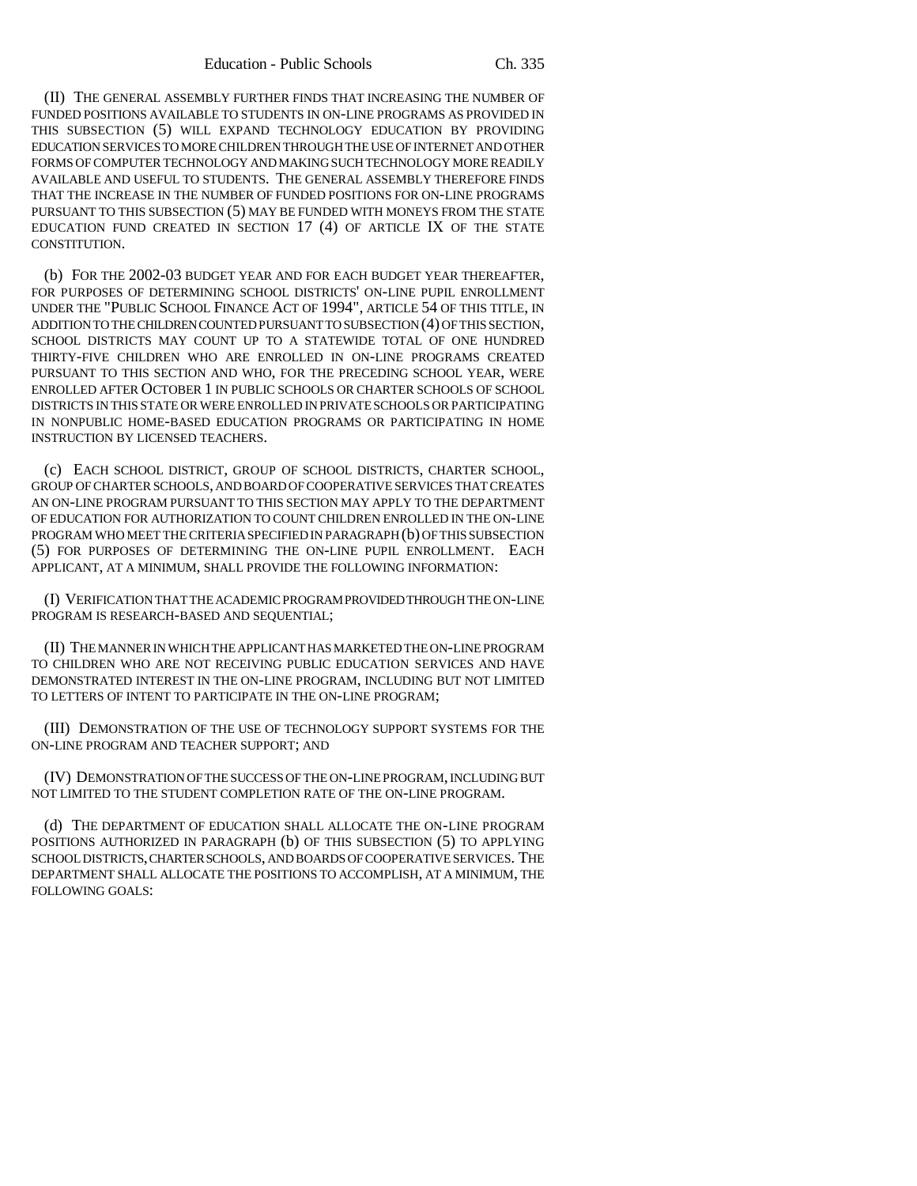(II) THE GENERAL ASSEMBLY FURTHER FINDS THAT INCREASING THE NUMBER OF FUNDED POSITIONS AVAILABLE TO STUDENTS IN ON-LINE PROGRAMS AS PROVIDED IN THIS SUBSECTION (5) WILL EXPAND TECHNOLOGY EDUCATION BY PROVIDING EDUCATION SERVICES TO MORE CHILDREN THROUGH THE USE OF INTERNET AND OTHER FORMS OF COMPUTER TECHNOLOGY AND MAKING SUCH TECHNOLOGY MORE READILY AVAILABLE AND USEFUL TO STUDENTS. THE GENERAL ASSEMBLY THEREFORE FINDS THAT THE INCREASE IN THE NUMBER OF FUNDED POSITIONS FOR ON-LINE PROGRAMS PURSUANT TO THIS SUBSECTION (5) MAY BE FUNDED WITH MONEYS FROM THE STATE EDUCATION FUND CREATED IN SECTION 17 (4) OF ARTICLE IX OF THE STATE CONSTITUTION.

(b) FOR THE 2002-03 BUDGET YEAR AND FOR EACH BUDGET YEAR THEREAFTER, FOR PURPOSES OF DETERMINING SCHOOL DISTRICTS' ON-LINE PUPIL ENROLLMENT UNDER THE "PUBLIC SCHOOL FINANCE ACT OF 1994", ARTICLE 54 OF THIS TITLE, IN ADDITION TO THE CHILDREN COUNTED PURSUANT TO SUBSECTION (4) OF THIS SECTION, SCHOOL DISTRICTS MAY COUNT UP TO A STATEWIDE TOTAL OF ONE HUNDRED THIRTY-FIVE CHILDREN WHO ARE ENROLLED IN ON-LINE PROGRAMS CREATED PURSUANT TO THIS SECTION AND WHO, FOR THE PRECEDING SCHOOL YEAR, WERE ENROLLED AFTER OCTOBER 1 IN PUBLIC SCHOOLS OR CHARTER SCHOOLS OF SCHOOL DISTRICTS IN THIS STATE OR WERE ENROLLED IN PRIVATE SCHOOLS OR PARTICIPATING IN NONPUBLIC HOME-BASED EDUCATION PROGRAMS OR PARTICIPATING IN HOME INSTRUCTION BY LICENSED TEACHERS.

(c) EACH SCHOOL DISTRICT, GROUP OF SCHOOL DISTRICTS, CHARTER SCHOOL, GROUP OF CHARTER SCHOOLS, AND BOARD OF COOPERATIVE SERVICES THAT CREATES AN ON-LINE PROGRAM PURSUANT TO THIS SECTION MAY APPLY TO THE DEPARTMENT OF EDUCATION FOR AUTHORIZATION TO COUNT CHILDREN ENROLLED IN THE ON-LINE PROGRAM WHO MEET THE CRITERIA SPECIFIED IN PARAGRAPH (b) OF THIS SUBSECTION (5) FOR PURPOSES OF DETERMINING THE ON-LINE PUPIL ENROLLMENT. EACH APPLICANT, AT A MINIMUM, SHALL PROVIDE THE FOLLOWING INFORMATION:

(I) VERIFICATION THAT THE ACADEMIC PROGRAM PROVIDED THROUGH THE ON-LINE PROGRAM IS RESEARCH-BASED AND SEQUENTIAL;

(II) THE MANNER IN WHICH THE APPLICANT HAS MARKETED THE ON-LINE PROGRAM TO CHILDREN WHO ARE NOT RECEIVING PUBLIC EDUCATION SERVICES AND HAVE DEMONSTRATED INTEREST IN THE ON-LINE PROGRAM, INCLUDING BUT NOT LIMITED TO LETTERS OF INTENT TO PARTICIPATE IN THE ON-LINE PROGRAM;

(III) DEMONSTRATION OF THE USE OF TECHNOLOGY SUPPORT SYSTEMS FOR THE ON-LINE PROGRAM AND TEACHER SUPPORT; AND

(IV) DEMONSTRATION OF THE SUCCESS OF THE ON-LINE PROGRAM, INCLUDING BUT NOT LIMITED TO THE STUDENT COMPLETION RATE OF THE ON-LINE PROGRAM.

(d) THE DEPARTMENT OF EDUCATION SHALL ALLOCATE THE ON-LINE PROGRAM POSITIONS AUTHORIZED IN PARAGRAPH (b) OF THIS SUBSECTION (5) TO APPLYING SCHOOL DISTRICTS, CHARTER SCHOOLS, AND BOARDS OF COOPERATIVE SERVICES. THE DEPARTMENT SHALL ALLOCATE THE POSITIONS TO ACCOMPLISH, AT A MINIMUM, THE FOLLOWING GOALS: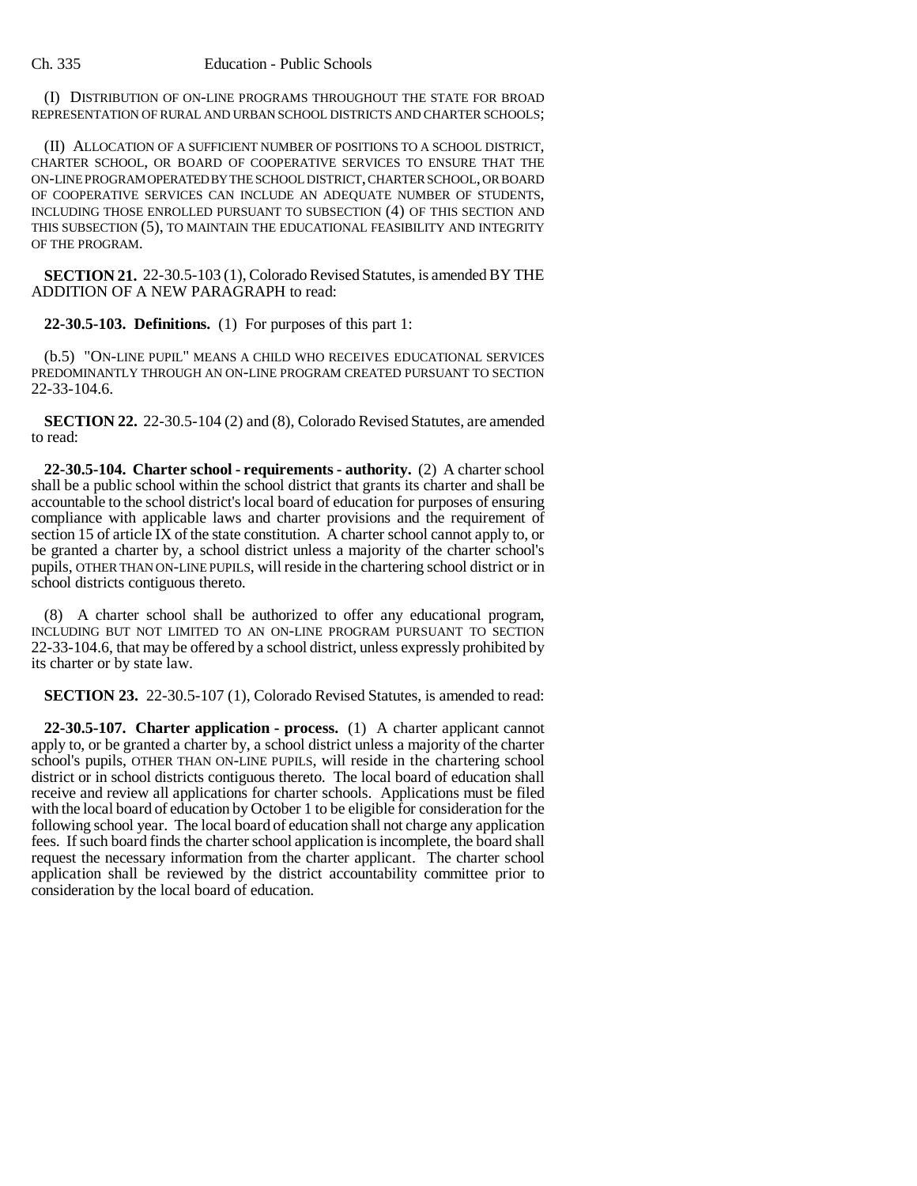(I) DISTRIBUTION OF ON-LINE PROGRAMS THROUGHOUT THE STATE FOR BROAD REPRESENTATION OF RURAL AND URBAN SCHOOL DISTRICTS AND CHARTER SCHOOLS;

(II) ALLOCATION OF A SUFFICIENT NUMBER OF POSITIONS TO A SCHOOL DISTRICT, CHARTER SCHOOL, OR BOARD OF COOPERATIVE SERVICES TO ENSURE THAT THE ON-LINE PROGRAM OPERATED BY THE SCHOOL DISTRICT, CHARTER SCHOOL, OR BOARD OF COOPERATIVE SERVICES CAN INCLUDE AN ADEQUATE NUMBER OF STUDENTS, INCLUDING THOSE ENROLLED PURSUANT TO SUBSECTION (4) OF THIS SECTION AND THIS SUBSECTION (5), TO MAINTAIN THE EDUCATIONAL FEASIBILITY AND INTEGRITY OF THE PROGRAM.

**SECTION 21.** 22-30.5-103 (1), Colorado Revised Statutes, is amended BY THE ADDITION OF A NEW PARAGRAPH to read:

**22-30.5-103. Definitions.** (1) For purposes of this part 1:

(b.5) "ON-LINE PUPIL" MEANS A CHILD WHO RECEIVES EDUCATIONAL SERVICES PREDOMINANTLY THROUGH AN ON-LINE PROGRAM CREATED PURSUANT TO SECTION 22-33-104.6.

**SECTION 22.** 22-30.5-104 (2) and (8), Colorado Revised Statutes, are amended to read:

**22-30.5-104. Charter school - requirements - authority.** (2) A charter school shall be a public school within the school district that grants its charter and shall be accountable to the school district's local board of education for purposes of ensuring compliance with applicable laws and charter provisions and the requirement of section 15 of article IX of the state constitution. A charter school cannot apply to, or be granted a charter by, a school district unless a majority of the charter school's pupils, OTHER THAN ON-LINE PUPILS, will reside in the chartering school district or in school districts contiguous thereto.

(8) A charter school shall be authorized to offer any educational program, INCLUDING BUT NOT LIMITED TO AN ON-LINE PROGRAM PURSUANT TO SECTION 22-33-104.6, that may be offered by a school district, unless expressly prohibited by its charter or by state law.

**SECTION 23.** 22-30.5-107 (1), Colorado Revised Statutes, is amended to read:

**22-30.5-107. Charter application - process.** (1) A charter applicant cannot apply to, or be granted a charter by, a school district unless a majority of the charter school's pupils, OTHER THAN ON-LINE PUPILS, will reside in the chartering school district or in school districts contiguous thereto. The local board of education shall receive and review all applications for charter schools. Applications must be filed with the local board of education by October 1 to be eligible for consideration for the following school year. The local board of education shall not charge any application fees. If such board finds the charter school application is incomplete, the board shall request the necessary information from the charter applicant. The charter school application shall be reviewed by the district accountability committee prior to consideration by the local board of education.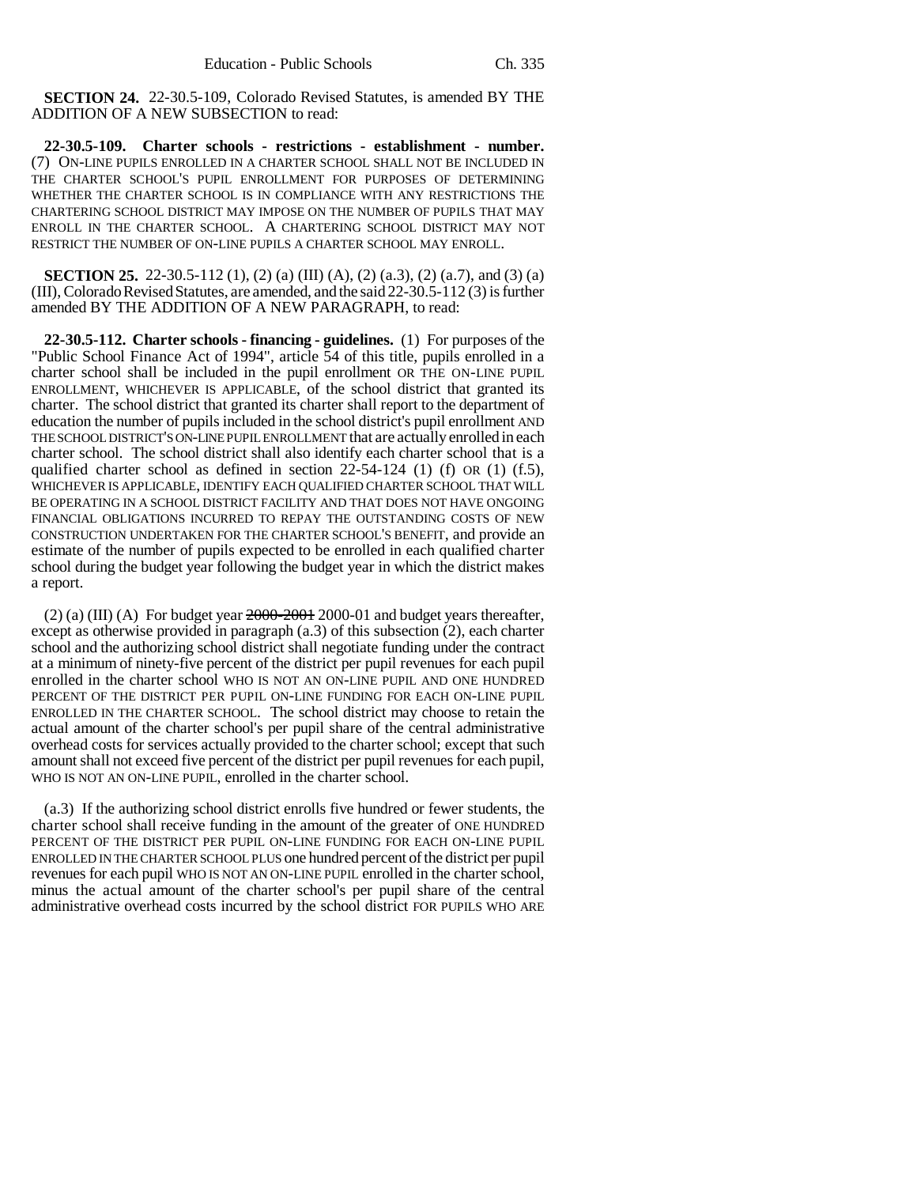**SECTION 24.** 22-30.5-109, Colorado Revised Statutes, is amended BY THE ADDITION OF A NEW SUBSECTION to read:

**22-30.5-109. Charter schools - restrictions - establishment - number.** (7) ON-LINE PUPILS ENROLLED IN A CHARTER SCHOOL SHALL NOT BE INCLUDED IN THE CHARTER SCHOOL'S PUPIL ENROLLMENT FOR PURPOSES OF DETERMINING WHETHER THE CHARTER SCHOOL IS IN COMPLIANCE WITH ANY RESTRICTIONS THE CHARTERING SCHOOL DISTRICT MAY IMPOSE ON THE NUMBER OF PUPILS THAT MAY ENROLL IN THE CHARTER SCHOOL. A CHARTERING SCHOOL DISTRICT MAY NOT RESTRICT THE NUMBER OF ON-LINE PUPILS A CHARTER SCHOOL MAY ENROLL.

**SECTION 25.** 22-30.5-112 (1), (2) (a) (III) (A), (2) (a.3), (2) (a.7), and (3) (a) (III), Colorado Revised Statutes, are amended, and the said 22-30.5-112 (3) is further amended BY THE ADDITION OF A NEW PARAGRAPH, to read:

**22-30.5-112. Charter schools - financing - guidelines.** (1) For purposes of the "Public School Finance Act of 1994", article 54 of this title, pupils enrolled in a charter school shall be included in the pupil enrollment OR THE ON-LINE PUPIL ENROLLMENT, WHICHEVER IS APPLICABLE, of the school district that granted its charter. The school district that granted its charter shall report to the department of education the number of pupils included in the school district's pupil enrollment AND THE SCHOOL DISTRICT'S ON-LINE PUPIL ENROLLMENT that are actually enrolled in each charter school. The school district shall also identify each charter school that is a qualified charter school as defined in section  $22-54-124$  (1) (f) OR (1) (f.5), WHICHEVER IS APPLICABLE, IDENTIFY EACH QUALIFIED CHARTER SCHOOL THAT WILL BE OPERATING IN A SCHOOL DISTRICT FACILITY AND THAT DOES NOT HAVE ONGOING FINANCIAL OBLIGATIONS INCURRED TO REPAY THE OUTSTANDING COSTS OF NEW CONSTRUCTION UNDERTAKEN FOR THE CHARTER SCHOOL'S BENEFIT, and provide an estimate of the number of pupils expected to be enrolled in each qualified charter school during the budget year following the budget year in which the district makes a report.

(2) (a) (III) (A) For budget year  $2000-2001$  2000-01 and budget years thereafter, except as otherwise provided in paragraph (a.3) of this subsection (2), each charter school and the authorizing school district shall negotiate funding under the contract at a minimum of ninety-five percent of the district per pupil revenues for each pupil enrolled in the charter school WHO IS NOT AN ON-LINE PUPIL AND ONE HUNDRED PERCENT OF THE DISTRICT PER PUPIL ON-LINE FUNDING FOR EACH ON-LINE PUPIL ENROLLED IN THE CHARTER SCHOOL. The school district may choose to retain the actual amount of the charter school's per pupil share of the central administrative overhead costs for services actually provided to the charter school; except that such amount shall not exceed five percent of the district per pupil revenues for each pupil, WHO IS NOT AN ON-LINE PUPIL, enrolled in the charter school.

(a.3) If the authorizing school district enrolls five hundred or fewer students, the charter school shall receive funding in the amount of the greater of ONE HUNDRED PERCENT OF THE DISTRICT PER PUPIL ON-LINE FUNDING FOR EACH ON-LINE PUPIL ENROLLED IN THE CHARTER SCHOOL PLUS one hundred percent of the district per pupil revenues for each pupil WHO IS NOT AN ON-LINE PUPIL enrolled in the charter school, minus the actual amount of the charter school's per pupil share of the central administrative overhead costs incurred by the school district FOR PUPILS WHO ARE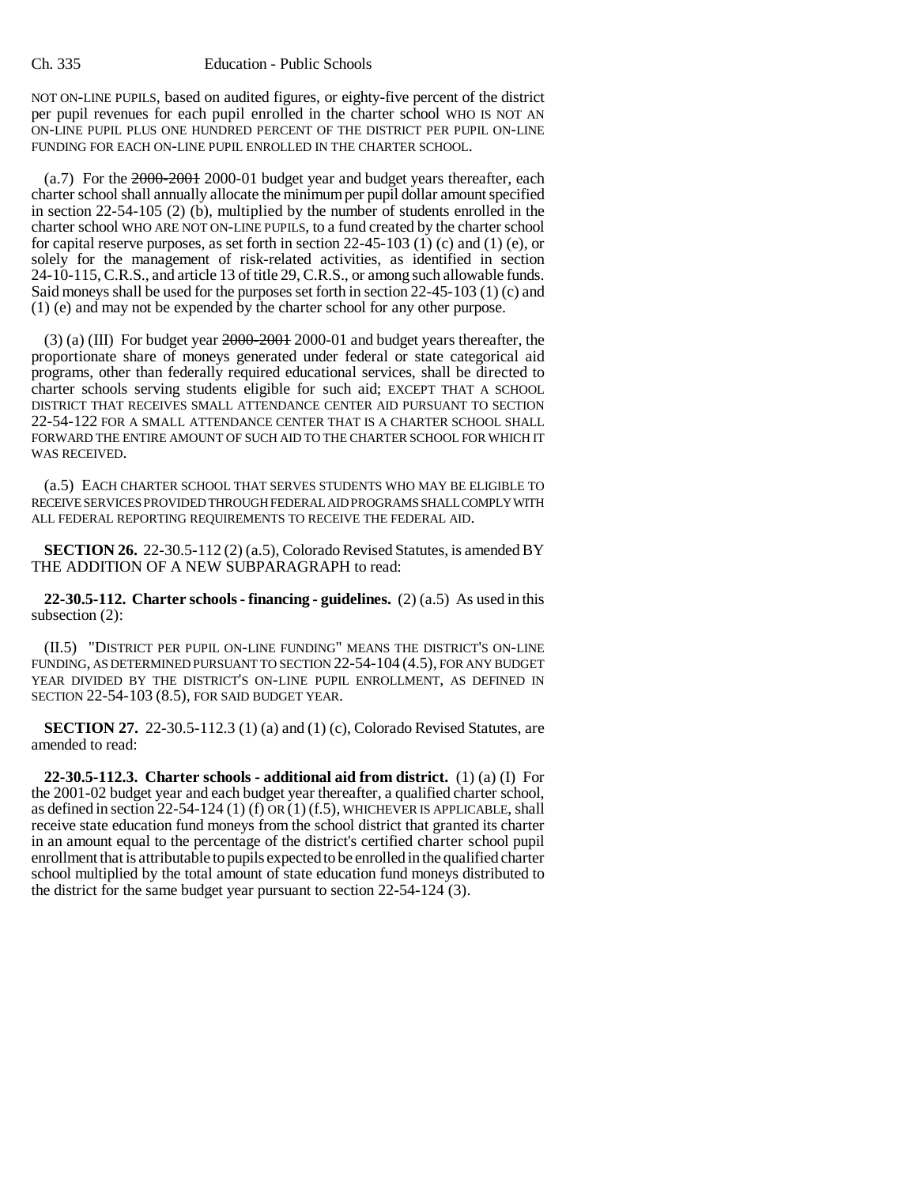NOT ON-LINE PUPILS, based on audited figures, or eighty-five percent of the district per pupil revenues for each pupil enrolled in the charter school WHO IS NOT AN ON-LINE PUPIL PLUS ONE HUNDRED PERCENT OF THE DISTRICT PER PUPIL ON-LINE FUNDING FOR EACH ON-LINE PUPIL ENROLLED IN THE CHARTER SCHOOL.

(a.7) For the 2000-2001 2000-01 budget year and budget years thereafter, each charter school shall annually allocate the minimum per pupil dollar amount specified in section 22-54-105 (2) (b), multiplied by the number of students enrolled in the charter school WHO ARE NOT ON-LINE PUPILS, to a fund created by the charter school for capital reserve purposes, as set forth in section 22-45-103 (1) (c) and (1) (e), or solely for the management of risk-related activities, as identified in section 24-10-115, C.R.S., and article 13 of title 29, C.R.S., or among such allowable funds. Said moneys shall be used for the purposes set forth in section 22-45-103 (1) (c) and (1) (e) and may not be expended by the charter school for any other purpose.

(3) (a) (III) For budget year 2000-2001 2000-01 and budget years thereafter, the proportionate share of moneys generated under federal or state categorical aid programs, other than federally required educational services, shall be directed to charter schools serving students eligible for such aid; EXCEPT THAT A SCHOOL DISTRICT THAT RECEIVES SMALL ATTENDANCE CENTER AID PURSUANT TO SECTION 22-54-122 FOR A SMALL ATTENDANCE CENTER THAT IS A CHARTER SCHOOL SHALL FORWARD THE ENTIRE AMOUNT OF SUCH AID TO THE CHARTER SCHOOL FOR WHICH IT WAS RECEIVED.

(a.5) EACH CHARTER SCHOOL THAT SERVES STUDENTS WHO MAY BE ELIGIBLE TO RECEIVE SERVICES PROVIDED THROUGH FEDERAL AID PROGRAMS SHALL COMPLY WITH ALL FEDERAL REPORTING REQUIREMENTS TO RECEIVE THE FEDERAL AID.

**SECTION 26.** 22-30.5-112 (2) (a.5), Colorado Revised Statutes, is amended BY THE ADDITION OF A NEW SUBPARAGRAPH to read:

**22-30.5-112. Charter schools - financing - guidelines.** (2) (a.5) As used in this subsection (2):

(II.5) "DISTRICT PER PUPIL ON-LINE FUNDING" MEANS THE DISTRICT'S ON-LINE FUNDING, AS DETERMINED PURSUANT TO SECTION 22-54-104 (4.5), FOR ANY BUDGET YEAR DIVIDED BY THE DISTRICT'S ON-LINE PUPIL ENROLLMENT, AS DEFINED IN SECTION 22-54-103 (8.5), FOR SAID BUDGET YEAR.

**SECTION 27.** 22-30.5-112.3 (1) (a) and (1) (c), Colorado Revised Statutes, are amended to read:

**22-30.5-112.3. Charter schools - additional aid from district.** (1) (a) (I) For the 2001-02 budget year and each budget year thereafter, a qualified charter school, as defined in section 22-54-124 (1) (f) OR (1) (f.5), WHICHEVER IS APPLICABLE, shall receive state education fund moneys from the school district that granted its charter in an amount equal to the percentage of the district's certified charter school pupil enrollment that is attributable to pupils expected to be enrolled in the qualified charter school multiplied by the total amount of state education fund moneys distributed to the district for the same budget year pursuant to section 22-54-124 (3).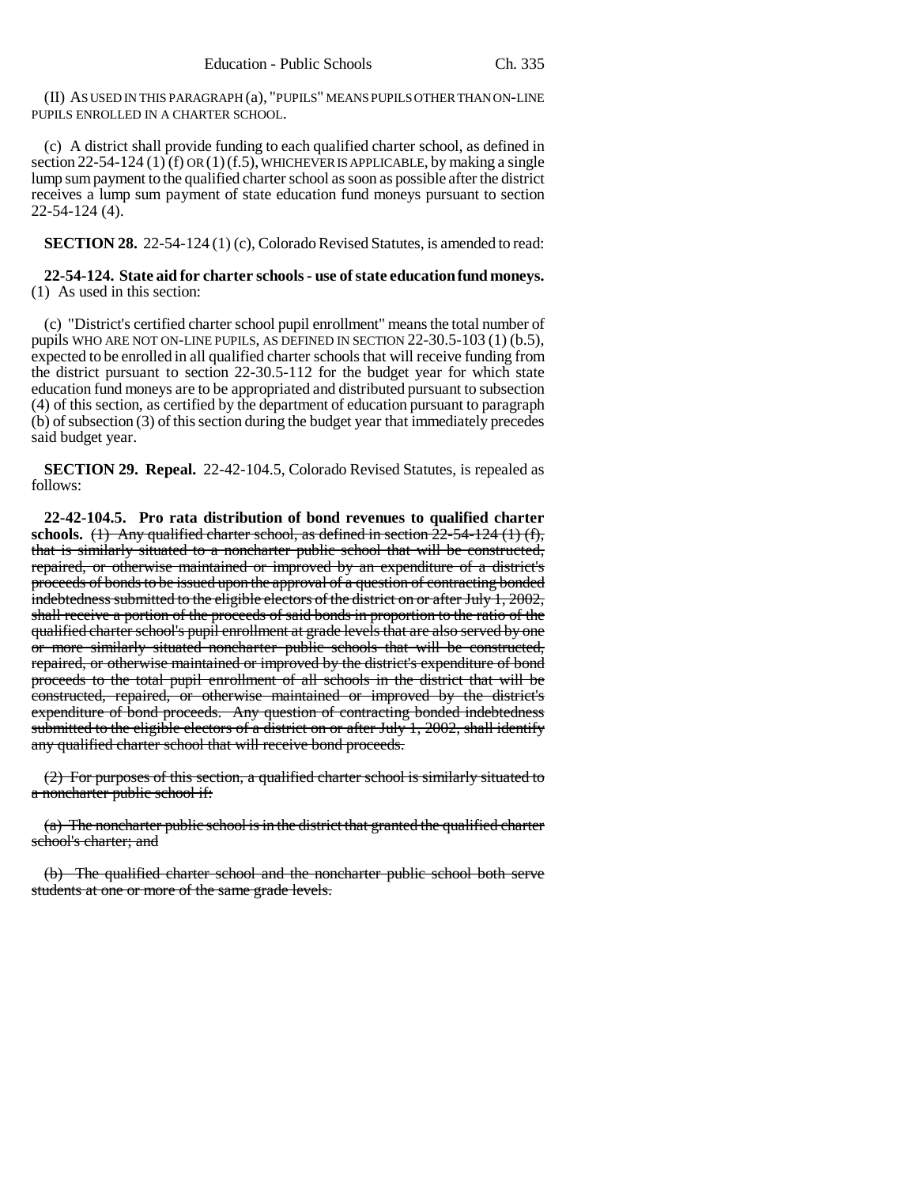(II) AS USED IN THIS PARAGRAPH (a), "PUPILS" MEANS PUPILS OTHER THAN ON-LINE PUPILS ENROLLED IN A CHARTER SCHOOL.

(c) A district shall provide funding to each qualified charter school, as defined in section 22-54-124 (1) (f) OR (1) (f.5), WHICHEVER IS APPLICABLE, by making a single lump sum payment to the qualified charter school as soon as possible after the district receives a lump sum payment of state education fund moneys pursuant to section 22-54-124 (4).

**SECTION 28.** 22-54-124 (1) (c), Colorado Revised Statutes, is amended to read:

## **22-54-124. State aid for charter schools - use of state education fund moneys.** (1) As used in this section:

(c) "District's certified charter school pupil enrollment" means the total number of pupils WHO ARE NOT ON-LINE PUPILS, AS DEFINED IN SECTION 22-30.5-103 (1) (b.5), expected to be enrolled in all qualified charter schools that will receive funding from the district pursuant to section 22-30.5-112 for the budget year for which state education fund moneys are to be appropriated and distributed pursuant to subsection (4) of this section, as certified by the department of education pursuant to paragraph (b) of subsection (3) of this section during the budget year that immediately precedes said budget year.

**SECTION 29. Repeal.** 22-42-104.5, Colorado Revised Statutes, is repealed as follows:

**22-42-104.5. Pro rata distribution of bond revenues to qualified charter** schools.  $(1)$  Any qualified charter school, as defined in section  $22-54-124(1)(f)$ , that is similarly situated to a noncharter public school that will be constructed, repaired, or otherwise maintained or improved by an expenditure of a district's proceeds of bonds to be issued upon the approval of a question of contracting bonded indebtedness submitted to the eligible electors of the district on or after July 1, 2002, shall receive a portion of the proceeds of said bonds in proportion to the ratio of the qualified charter school's pupil enrollment at grade levels that are also served by one or more similarly situated noncharter public schools that will be constructed, repaired, or otherwise maintained or improved by the district's expenditure of bond proceeds to the total pupil enrollment of all schools in the district that will be constructed, repaired, or otherwise maintained or improved by the district's expenditure of bond proceeds. Any question of contracting bonded indebtedness submitted to the eligible electors of a district on or after July 1, 2002, shall identify any qualified charter school that will receive bond proceeds.

(2) For purposes of this section, a qualified charter school is similarly situated to a noncharter public school if:

(a) The noncharter public school is in the district that granted the qualified charter school's charter; and

(b) The qualified charter school and the noncharter public school both serve students at one or more of the same grade levels.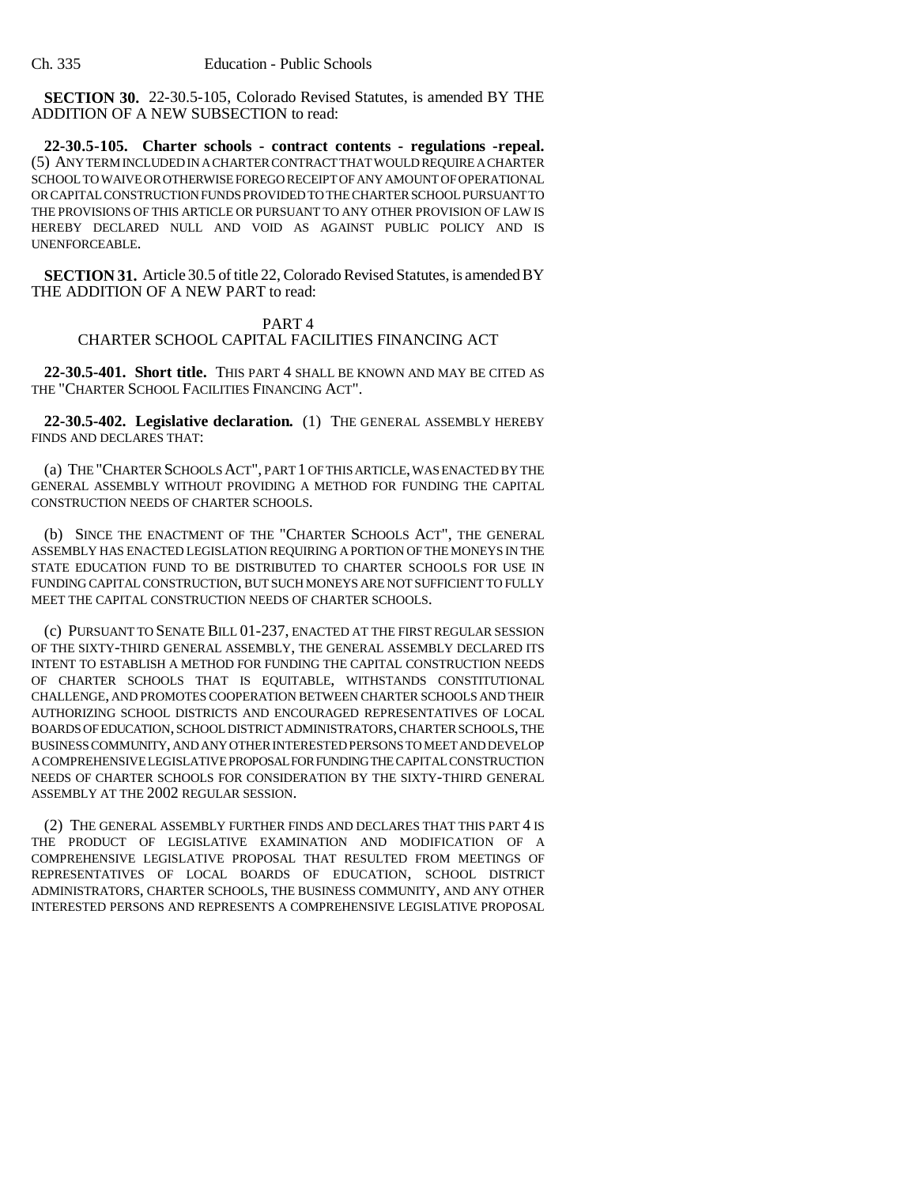**SECTION 30.** 22-30.5-105, Colorado Revised Statutes, is amended BY THE ADDITION OF A NEW SUBSECTION to read:

**22-30.5-105. Charter schools - contract contents - regulations -repeal.** (5) ANY TERM INCLUDED IN A CHARTER CONTRACT THAT WOULD REQUIRE A CHARTER SCHOOL TO WAIVE OR OTHERWISE FOREGO RECEIPT OF ANY AMOUNT OF OPERATIONAL OR CAPITAL CONSTRUCTION FUNDS PROVIDED TO THE CHARTER SCHOOL PURSUANT TO THE PROVISIONS OF THIS ARTICLE OR PURSUANT TO ANY OTHER PROVISION OF LAW IS HEREBY DECLARED NULL AND VOID AS AGAINST PUBLIC POLICY AND IS UNENFORCEABLE.

**SECTION 31.** Article 30.5 of title 22, Colorado Revised Statutes, is amended BY THE ADDITION OF A NEW PART to read:

# PART 4

# CHARTER SCHOOL CAPITAL FACILITIES FINANCING ACT

**22-30.5-401. Short title.** THIS PART 4 SHALL BE KNOWN AND MAY BE CITED AS THE "CHARTER SCHOOL FACILITIES FINANCING ACT".

**22-30.5-402. Legislative declaration.** (1) THE GENERAL ASSEMBLY HEREBY FINDS AND DECLARES THAT:

(a) THE "CHARTER SCHOOLS ACT", PART 1 OF THIS ARTICLE, WAS ENACTED BY THE GENERAL ASSEMBLY WITHOUT PROVIDING A METHOD FOR FUNDING THE CAPITAL CONSTRUCTION NEEDS OF CHARTER SCHOOLS.

(b) SINCE THE ENACTMENT OF THE "CHARTER SCHOOLS ACT", THE GENERAL ASSEMBLY HAS ENACTED LEGISLATION REQUIRING A PORTION OF THE MONEYS IN THE STATE EDUCATION FUND TO BE DISTRIBUTED TO CHARTER SCHOOLS FOR USE IN FUNDING CAPITAL CONSTRUCTION, BUT SUCH MONEYS ARE NOT SUFFICIENT TO FULLY MEET THE CAPITAL CONSTRUCTION NEEDS OF CHARTER SCHOOLS.

(c) PURSUANT TO SENATE BILL 01-237, ENACTED AT THE FIRST REGULAR SESSION OF THE SIXTY-THIRD GENERAL ASSEMBLY, THE GENERAL ASSEMBLY DECLARED ITS INTENT TO ESTABLISH A METHOD FOR FUNDING THE CAPITAL CONSTRUCTION NEEDS OF CHARTER SCHOOLS THAT IS EQUITABLE, WITHSTANDS CONSTITUTIONAL CHALLENGE, AND PROMOTES COOPERATION BETWEEN CHARTER SCHOOLS AND THEIR AUTHORIZING SCHOOL DISTRICTS AND ENCOURAGED REPRESENTATIVES OF LOCAL BOARDS OF EDUCATION, SCHOOL DISTRICT ADMINISTRATORS, CHARTER SCHOOLS, THE BUSINESS COMMUNITY, AND ANY OTHER INTERESTED PERSONS TO MEET AND DEVELOP A COMPREHENSIVE LEGISLATIVE PROPOSAL FOR FUNDING THE CAPITAL CONSTRUCTION NEEDS OF CHARTER SCHOOLS FOR CONSIDERATION BY THE SIXTY-THIRD GENERAL ASSEMBLY AT THE 2002 REGULAR SESSION.

(2) THE GENERAL ASSEMBLY FURTHER FINDS AND DECLARES THAT THIS PART 4 IS THE PRODUCT OF LEGISLATIVE EXAMINATION AND MODIFICATION OF A COMPREHENSIVE LEGISLATIVE PROPOSAL THAT RESULTED FROM MEETINGS OF REPRESENTATIVES OF LOCAL BOARDS OF EDUCATION, SCHOOL DISTRICT ADMINISTRATORS, CHARTER SCHOOLS, THE BUSINESS COMMUNITY, AND ANY OTHER INTERESTED PERSONS AND REPRESENTS A COMPREHENSIVE LEGISLATIVE PROPOSAL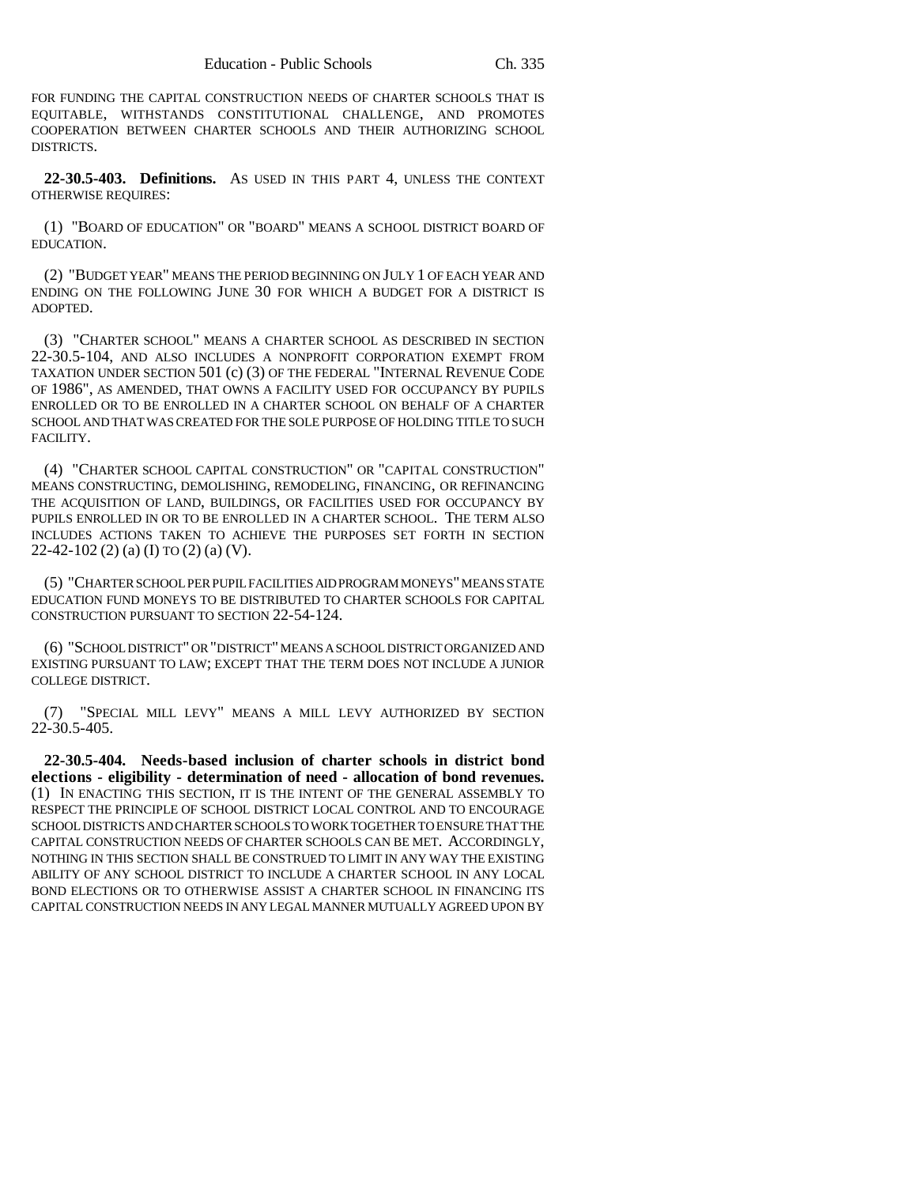FOR FUNDING THE CAPITAL CONSTRUCTION NEEDS OF CHARTER SCHOOLS THAT IS EQUITABLE, WITHSTANDS CONSTITUTIONAL CHALLENGE, AND PROMOTES COOPERATION BETWEEN CHARTER SCHOOLS AND THEIR AUTHORIZING SCHOOL DISTRICTS.

**22-30.5-403. Definitions.** AS USED IN THIS PART 4, UNLESS THE CONTEXT OTHERWISE REQUIRES:

(1) "BOARD OF EDUCATION" OR "BOARD" MEANS A SCHOOL DISTRICT BOARD OF EDUCATION.

(2) "BUDGET YEAR" MEANS THE PERIOD BEGINNING ON JULY 1 OF EACH YEAR AND ENDING ON THE FOLLOWING JUNE 30 FOR WHICH A BUDGET FOR A DISTRICT IS ADOPTED.

(3) "CHARTER SCHOOL" MEANS A CHARTER SCHOOL AS DESCRIBED IN SECTION 22-30.5-104, AND ALSO INCLUDES A NONPROFIT CORPORATION EXEMPT FROM TAXATION UNDER SECTION 501 (c) (3) OF THE FEDERAL "INTERNAL REVENUE CODE OF 1986", AS AMENDED, THAT OWNS A FACILITY USED FOR OCCUPANCY BY PUPILS ENROLLED OR TO BE ENROLLED IN A CHARTER SCHOOL ON BEHALF OF A CHARTER SCHOOL AND THAT WAS CREATED FOR THE SOLE PURPOSE OF HOLDING TITLE TO SUCH FACILITY.

(4) "CHARTER SCHOOL CAPITAL CONSTRUCTION" OR "CAPITAL CONSTRUCTION" MEANS CONSTRUCTING, DEMOLISHING, REMODELING, FINANCING, OR REFINANCING THE ACQUISITION OF LAND, BUILDINGS, OR FACILITIES USED FOR OCCUPANCY BY PUPILS ENROLLED IN OR TO BE ENROLLED IN A CHARTER SCHOOL. THE TERM ALSO INCLUDES ACTIONS TAKEN TO ACHIEVE THE PURPOSES SET FORTH IN SECTION 22-42-102 (2) (a) (I) TO (2) (a) (V).

(5) "CHARTER SCHOOL PER PUPIL FACILITIES AID PROGRAM MONEYS" MEANS STATE EDUCATION FUND MONEYS TO BE DISTRIBUTED TO CHARTER SCHOOLS FOR CAPITAL CONSTRUCTION PURSUANT TO SECTION 22-54-124.

(6) "SCHOOL DISTRICT" OR "DISTRICT" MEANS A SCHOOL DISTRICT ORGANIZED AND EXISTING PURSUANT TO LAW; EXCEPT THAT THE TERM DOES NOT INCLUDE A JUNIOR COLLEGE DISTRICT.

(7) "SPECIAL MILL LEVY" MEANS A MILL LEVY AUTHORIZED BY SECTION 22-30.5-405.

**22-30.5-404. Needs-based inclusion of charter schools in district bond elections - eligibility - determination of need - allocation of bond revenues.** (1) IN ENACTING THIS SECTION, IT IS THE INTENT OF THE GENERAL ASSEMBLY TO RESPECT THE PRINCIPLE OF SCHOOL DISTRICT LOCAL CONTROL AND TO ENCOURAGE SCHOOL DISTRICTS AND CHARTER SCHOOLS TO WORK TOGETHER TO ENSURE THAT THE CAPITAL CONSTRUCTION NEEDS OF CHARTER SCHOOLS CAN BE MET. ACCORDINGLY, NOTHING IN THIS SECTION SHALL BE CONSTRUED TO LIMIT IN ANY WAY THE EXISTING ABILITY OF ANY SCHOOL DISTRICT TO INCLUDE A CHARTER SCHOOL IN ANY LOCAL BOND ELECTIONS OR TO OTHERWISE ASSIST A CHARTER SCHOOL IN FINANCING ITS CAPITAL CONSTRUCTION NEEDS IN ANY LEGAL MANNER MUTUALLY AGREED UPON BY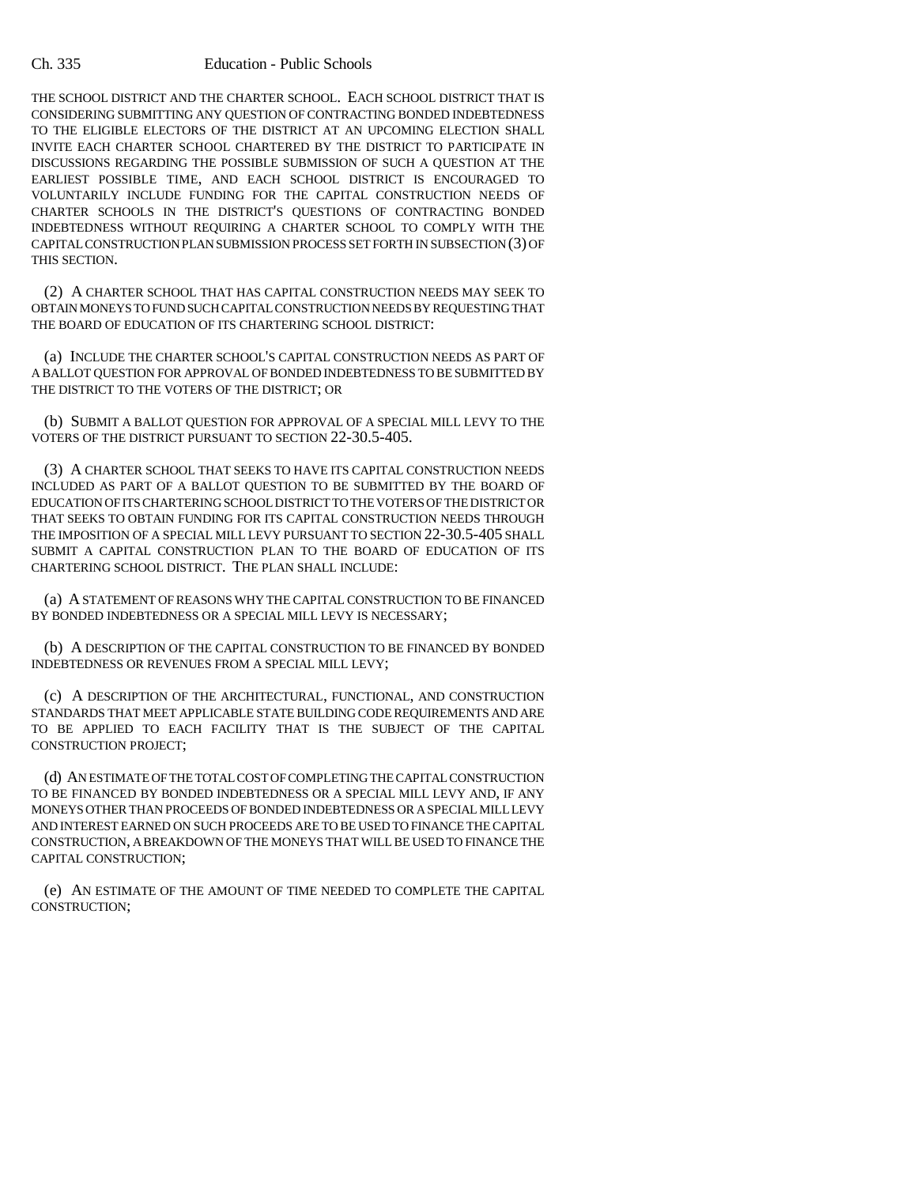THE SCHOOL DISTRICT AND THE CHARTER SCHOOL. EACH SCHOOL DISTRICT THAT IS CONSIDERING SUBMITTING ANY QUESTION OF CONTRACTING BONDED INDEBTEDNESS TO THE ELIGIBLE ELECTORS OF THE DISTRICT AT AN UPCOMING ELECTION SHALL INVITE EACH CHARTER SCHOOL CHARTERED BY THE DISTRICT TO PARTICIPATE IN DISCUSSIONS REGARDING THE POSSIBLE SUBMISSION OF SUCH A QUESTION AT THE EARLIEST POSSIBLE TIME, AND EACH SCHOOL DISTRICT IS ENCOURAGED TO VOLUNTARILY INCLUDE FUNDING FOR THE CAPITAL CONSTRUCTION NEEDS OF CHARTER SCHOOLS IN THE DISTRICT'S QUESTIONS OF CONTRACTING BONDED INDEBTEDNESS WITHOUT REQUIRING A CHARTER SCHOOL TO COMPLY WITH THE CAPITAL CONSTRUCTION PLAN SUBMISSION PROCESS SET FORTH IN SUBSECTION (3) OF THIS SECTION.

(2) A CHARTER SCHOOL THAT HAS CAPITAL CONSTRUCTION NEEDS MAY SEEK TO OBTAIN MONEYS TO FUND SUCH CAPITAL CONSTRUCTION NEEDS BY REQUESTING THAT THE BOARD OF EDUCATION OF ITS CHARTERING SCHOOL DISTRICT:

(a) INCLUDE THE CHARTER SCHOOL'S CAPITAL CONSTRUCTION NEEDS AS PART OF A BALLOT QUESTION FOR APPROVAL OF BONDED INDEBTEDNESS TO BE SUBMITTED BY THE DISTRICT TO THE VOTERS OF THE DISTRICT; OR

(b) SUBMIT A BALLOT QUESTION FOR APPROVAL OF A SPECIAL MILL LEVY TO THE VOTERS OF THE DISTRICT PURSUANT TO SECTION 22-30.5-405.

(3) A CHARTER SCHOOL THAT SEEKS TO HAVE ITS CAPITAL CONSTRUCTION NEEDS INCLUDED AS PART OF A BALLOT QUESTION TO BE SUBMITTED BY THE BOARD OF EDUCATION OF ITS CHARTERING SCHOOL DISTRICT TO THE VOTERS OF THE DISTRICT OR THAT SEEKS TO OBTAIN FUNDING FOR ITS CAPITAL CONSTRUCTION NEEDS THROUGH THE IMPOSITION OF A SPECIAL MILL LEVY PURSUANT TO SECTION 22-30.5-405 SHALL SUBMIT A CAPITAL CONSTRUCTION PLAN TO THE BOARD OF EDUCATION OF ITS CHARTERING SCHOOL DISTRICT. THE PLAN SHALL INCLUDE:

(a) A STATEMENT OF REASONS WHY THE CAPITAL CONSTRUCTION TO BE FINANCED BY BONDED INDEBTEDNESS OR A SPECIAL MILL LEVY IS NECESSARY;

(b) A DESCRIPTION OF THE CAPITAL CONSTRUCTION TO BE FINANCED BY BONDED INDEBTEDNESS OR REVENUES FROM A SPECIAL MILL LEVY;

(c) A DESCRIPTION OF THE ARCHITECTURAL, FUNCTIONAL, AND CONSTRUCTION STANDARDS THAT MEET APPLICABLE STATE BUILDING CODE REQUIREMENTS AND ARE TO BE APPLIED TO EACH FACILITY THAT IS THE SUBJECT OF THE CAPITAL CONSTRUCTION PROJECT;

(d) AN ESTIMATE OF THE TOTAL COST OF COMPLETING THE CAPITAL CONSTRUCTION TO BE FINANCED BY BONDED INDEBTEDNESS OR A SPECIAL MILL LEVY AND, IF ANY MONEYS OTHER THAN PROCEEDS OF BONDED INDEBTEDNESS OR A SPECIAL MILL LEVY AND INTEREST EARNED ON SUCH PROCEEDS ARE TO BE USED TO FINANCE THE CAPITAL CONSTRUCTION, A BREAKDOWN OF THE MONEYS THAT WILL BE USED TO FINANCE THE CAPITAL CONSTRUCTION;

(e) AN ESTIMATE OF THE AMOUNT OF TIME NEEDED TO COMPLETE THE CAPITAL CONSTRUCTION;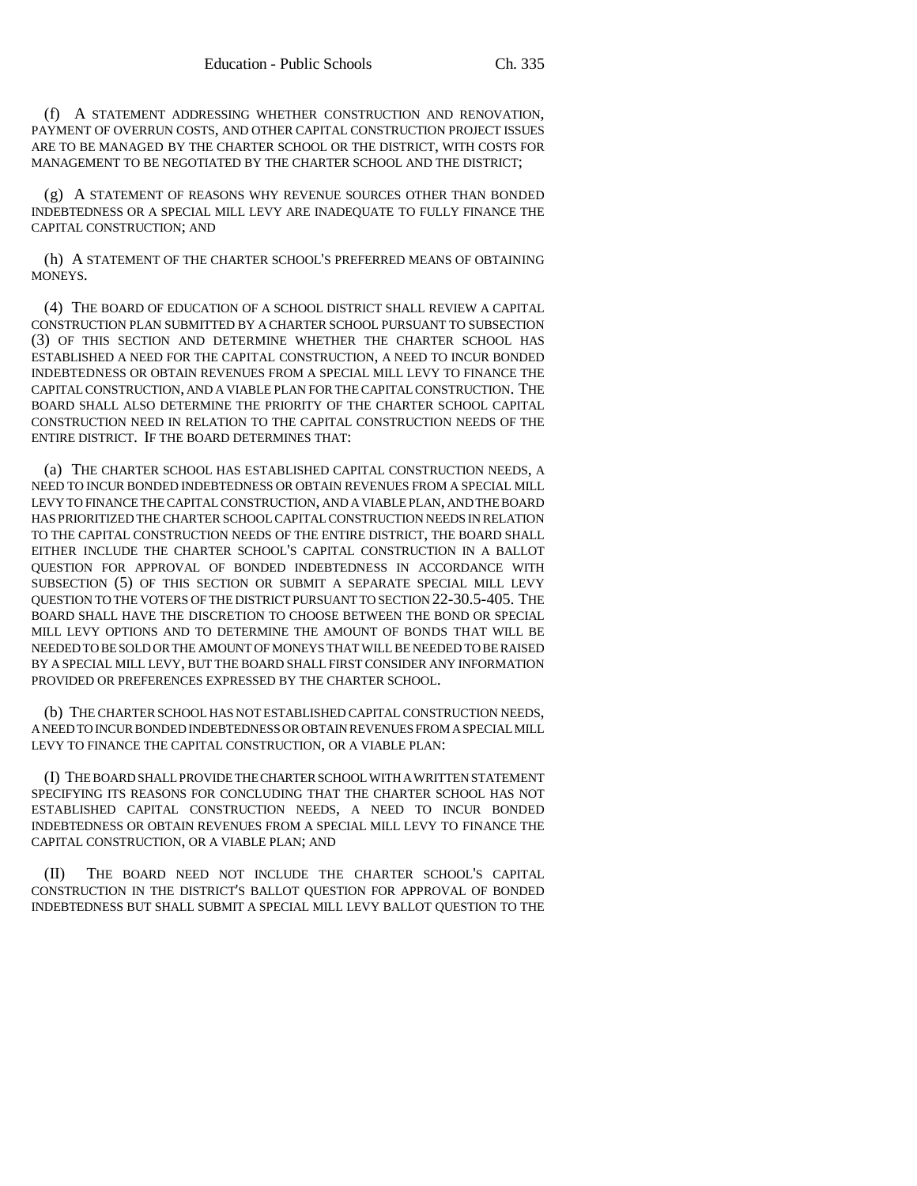(f) A STATEMENT ADDRESSING WHETHER CONSTRUCTION AND RENOVATION, PAYMENT OF OVERRUN COSTS, AND OTHER CAPITAL CONSTRUCTION PROJECT ISSUES ARE TO BE MANAGED BY THE CHARTER SCHOOL OR THE DISTRICT, WITH COSTS FOR MANAGEMENT TO BE NEGOTIATED BY THE CHARTER SCHOOL AND THE DISTRICT;

(g) A STATEMENT OF REASONS WHY REVENUE SOURCES OTHER THAN BONDED INDEBTEDNESS OR A SPECIAL MILL LEVY ARE INADEQUATE TO FULLY FINANCE THE CAPITAL CONSTRUCTION; AND

(h) A STATEMENT OF THE CHARTER SCHOOL'S PREFERRED MEANS OF OBTAINING MONEYS.

(4) THE BOARD OF EDUCATION OF A SCHOOL DISTRICT SHALL REVIEW A CAPITAL CONSTRUCTION PLAN SUBMITTED BY A CHARTER SCHOOL PURSUANT TO SUBSECTION (3) OF THIS SECTION AND DETERMINE WHETHER THE CHARTER SCHOOL HAS ESTABLISHED A NEED FOR THE CAPITAL CONSTRUCTION, A NEED TO INCUR BONDED INDEBTEDNESS OR OBTAIN REVENUES FROM A SPECIAL MILL LEVY TO FINANCE THE CAPITAL CONSTRUCTION, AND A VIABLE PLAN FOR THE CAPITAL CONSTRUCTION. THE BOARD SHALL ALSO DETERMINE THE PRIORITY OF THE CHARTER SCHOOL CAPITAL CONSTRUCTION NEED IN RELATION TO THE CAPITAL CONSTRUCTION NEEDS OF THE ENTIRE DISTRICT. IF THE BOARD DETERMINES THAT:

(a) THE CHARTER SCHOOL HAS ESTABLISHED CAPITAL CONSTRUCTION NEEDS, A NEED TO INCUR BONDED INDEBTEDNESS OR OBTAIN REVENUES FROM A SPECIAL MILL LEVY TO FINANCE THE CAPITAL CONSTRUCTION, AND A VIABLE PLAN, AND THE BOARD HAS PRIORITIZED THE CHARTER SCHOOL CAPITAL CONSTRUCTION NEEDS IN RELATION TO THE CAPITAL CONSTRUCTION NEEDS OF THE ENTIRE DISTRICT, THE BOARD SHALL EITHER INCLUDE THE CHARTER SCHOOL'S CAPITAL CONSTRUCTION IN A BALLOT QUESTION FOR APPROVAL OF BONDED INDEBTEDNESS IN ACCORDANCE WITH SUBSECTION (5) OF THIS SECTION OR SUBMIT A SEPARATE SPECIAL MILL LEVY QUESTION TO THE VOTERS OF THE DISTRICT PURSUANT TO SECTION 22-30.5-405. THE BOARD SHALL HAVE THE DISCRETION TO CHOOSE BETWEEN THE BOND OR SPECIAL MILL LEVY OPTIONS AND TO DETERMINE THE AMOUNT OF BONDS THAT WILL BE NEEDED TO BE SOLD OR THE AMOUNT OF MONEYS THAT WILL BE NEEDED TO BE RAISED BY A SPECIAL MILL LEVY, BUT THE BOARD SHALL FIRST CONSIDER ANY INFORMATION PROVIDED OR PREFERENCES EXPRESSED BY THE CHARTER SCHOOL.

(b) THE CHARTER SCHOOL HAS NOT ESTABLISHED CAPITAL CONSTRUCTION NEEDS, A NEED TO INCUR BONDED INDEBTEDNESS OR OBTAIN REVENUES FROM A SPECIAL MILL LEVY TO FINANCE THE CAPITAL CONSTRUCTION, OR A VIABLE PLAN:

(I) THE BOARD SHALL PROVIDE THE CHARTER SCHOOL WITH A WRITTEN STATEMENT SPECIFYING ITS REASONS FOR CONCLUDING THAT THE CHARTER SCHOOL HAS NOT ESTABLISHED CAPITAL CONSTRUCTION NEEDS, A NEED TO INCUR BONDED INDEBTEDNESS OR OBTAIN REVENUES FROM A SPECIAL MILL LEVY TO FINANCE THE CAPITAL CONSTRUCTION, OR A VIABLE PLAN; AND

(II) THE BOARD NEED NOT INCLUDE THE CHARTER SCHOOL'S CAPITAL CONSTRUCTION IN THE DISTRICT'S BALLOT QUESTION FOR APPROVAL OF BONDED INDEBTEDNESS BUT SHALL SUBMIT A SPECIAL MILL LEVY BALLOT QUESTION TO THE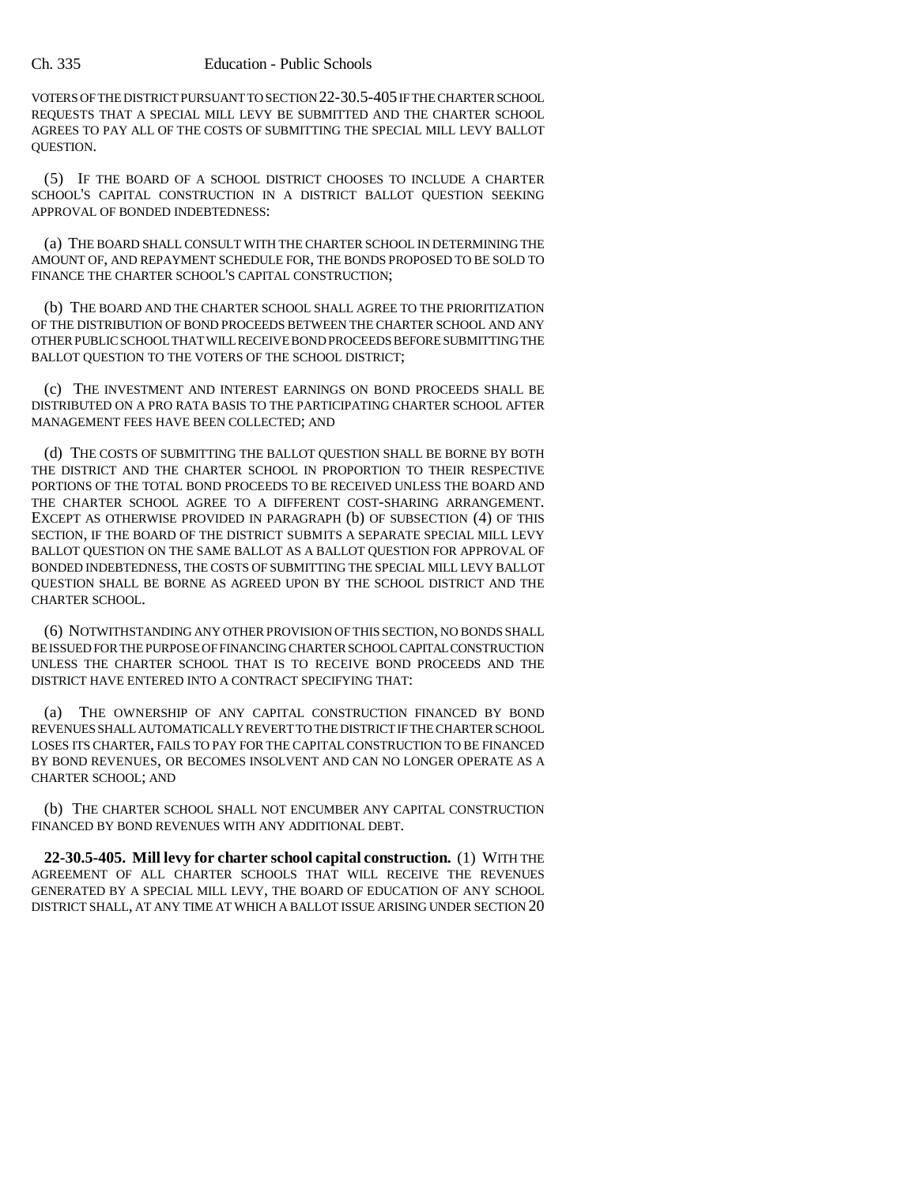VOTERS OF THE DISTRICT PURSUANT TO SECTION 22-30.5-405 IF THE CHARTER SCHOOL REQUESTS THAT A SPECIAL MILL LEVY BE SUBMITTED AND THE CHARTER SCHOOL AGREES TO PAY ALL OF THE COSTS OF SUBMITTING THE SPECIAL MILL LEVY BALLOT QUESTION.

(5) IF THE BOARD OF A SCHOOL DISTRICT CHOOSES TO INCLUDE A CHARTER SCHOOL'S CAPITAL CONSTRUCTION IN A DISTRICT BALLOT QUESTION SEEKING APPROVAL OF BONDED INDEBTEDNESS:

(a) THE BOARD SHALL CONSULT WITH THE CHARTER SCHOOL IN DETERMINING THE AMOUNT OF, AND REPAYMENT SCHEDULE FOR, THE BONDS PROPOSED TO BE SOLD TO FINANCE THE CHARTER SCHOOL'S CAPITAL CONSTRUCTION;

(b) THE BOARD AND THE CHARTER SCHOOL SHALL AGREE TO THE PRIORITIZATION OF THE DISTRIBUTION OF BOND PROCEEDS BETWEEN THE CHARTER SCHOOL AND ANY OTHER PUBLIC SCHOOL THAT WILL RECEIVE BOND PROCEEDS BEFORE SUBMITTING THE BALLOT OUESTION TO THE VOTERS OF THE SCHOOL DISTRICT;

(c) THE INVESTMENT AND INTEREST EARNINGS ON BOND PROCEEDS SHALL BE DISTRIBUTED ON A PRO RATA BASIS TO THE PARTICIPATING CHARTER SCHOOL AFTER MANAGEMENT FEES HAVE BEEN COLLECTED; AND

(d) THE COSTS OF SUBMITTING THE BALLOT QUESTION SHALL BE BORNE BY BOTH THE DISTRICT AND THE CHARTER SCHOOL IN PROPORTION TO THEIR RESPECTIVE PORTIONS OF THE TOTAL BOND PROCEEDS TO BE RECEIVED UNLESS THE BOARD AND THE CHARTER SCHOOL AGREE TO A DIFFERENT COST-SHARING ARRANGEMENT. EXCEPT AS OTHERWISE PROVIDED IN PARAGRAPH (b) OF SUBSECTION (4) OF THIS SECTION, IF THE BOARD OF THE DISTRICT SUBMITS A SEPARATE SPECIAL MILL LEVY BALLOT QUESTION ON THE SAME BALLOT AS A BALLOT QUESTION FOR APPROVAL OF BONDED INDEBTEDNESS, THE COSTS OF SUBMITTING THE SPECIAL MILL LEVY BALLOT QUESTION SHALL BE BORNE AS AGREED UPON BY THE SCHOOL DISTRICT AND THE CHARTER SCHOOL.

(6) NOTWITHSTANDING ANY OTHER PROVISION OF THIS SECTION, NO BONDS SHALL BE ISSUED FOR THE PURPOSE OF FINANCING CHARTER SCHOOL CAPITAL CONSTRUCTION UNLESS THE CHARTER SCHOOL THAT IS TO RECEIVE BOND PROCEEDS AND THE DISTRICT HAVE ENTERED INTO A CONTRACT SPECIFYING THAT:

(a) THE OWNERSHIP OF ANY CAPITAL CONSTRUCTION FINANCED BY BOND REVENUES SHALL AUTOMATICALLY REVERT TO THE DISTRICT IF THE CHARTER SCHOOL LOSES ITS CHARTER, FAILS TO PAY FOR THE CAPITAL CONSTRUCTION TO BE FINANCED BY BOND REVENUES, OR BECOMES INSOLVENT AND CAN NO LONGER OPERATE AS A CHARTER SCHOOL; AND

(b) THE CHARTER SCHOOL SHALL NOT ENCUMBER ANY CAPITAL CONSTRUCTION FINANCED BY BOND REVENUES WITH ANY ADDITIONAL DEBT.

**22-30.5-405. Mill levy for charter school capital construction.** (1) WITH THE AGREEMENT OF ALL CHARTER SCHOOLS THAT WILL RECEIVE THE REVENUES GENERATED BY A SPECIAL MILL LEVY, THE BOARD OF EDUCATION OF ANY SCHOOL DISTRICT SHALL, AT ANY TIME AT WHICH A BALLOT ISSUE ARISING UNDER SECTION 20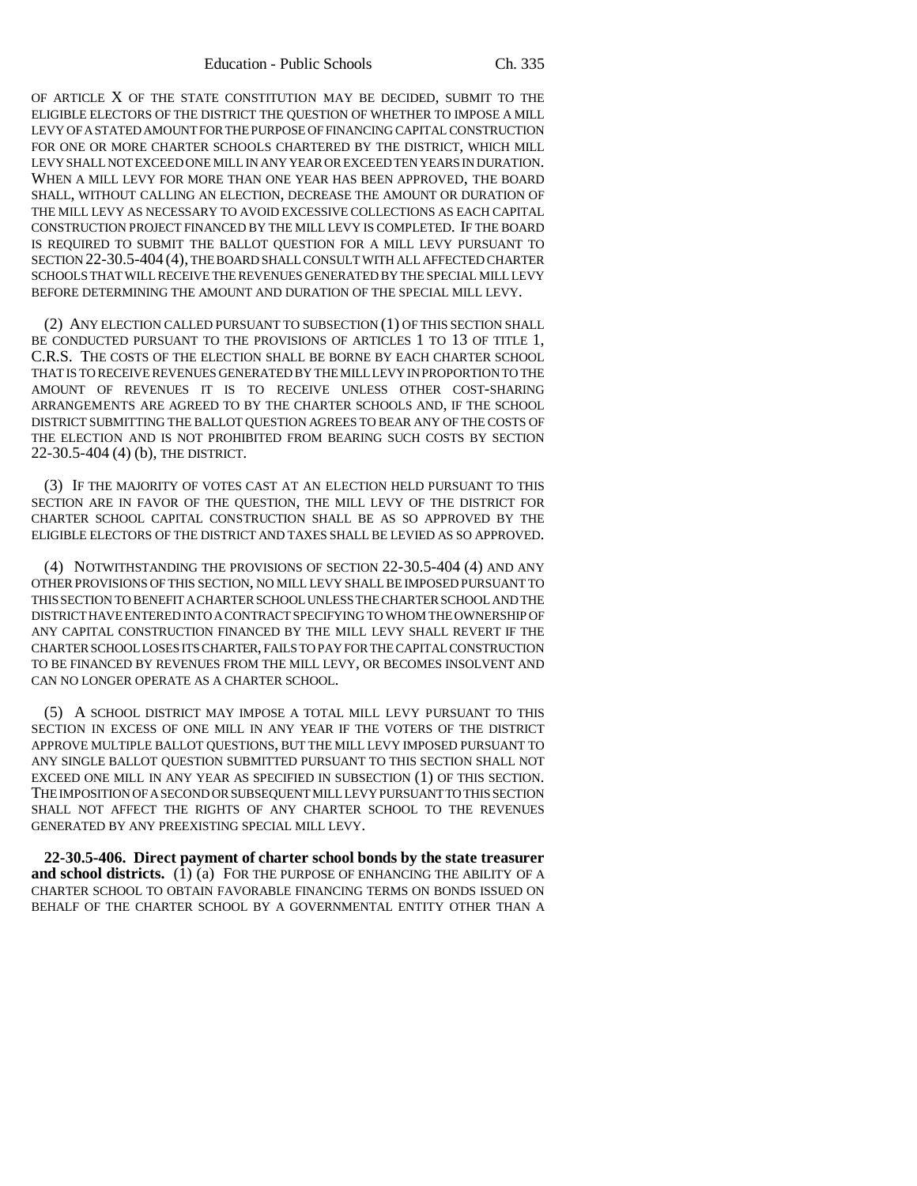OF ARTICLE X OF THE STATE CONSTITUTION MAY BE DECIDED, SUBMIT TO THE ELIGIBLE ELECTORS OF THE DISTRICT THE QUESTION OF WHETHER TO IMPOSE A MILL LEVY OF A STATED AMOUNT FOR THE PURPOSE OF FINANCING CAPITAL CONSTRUCTION FOR ONE OR MORE CHARTER SCHOOLS CHARTERED BY THE DISTRICT, WHICH MILL LEVY SHALL NOT EXCEED ONE MILL IN ANY YEAR OR EXCEED TEN YEARS IN DURATION. WHEN A MILL LEVY FOR MORE THAN ONE YEAR HAS BEEN APPROVED, THE BOARD SHALL, WITHOUT CALLING AN ELECTION, DECREASE THE AMOUNT OR DURATION OF THE MILL LEVY AS NECESSARY TO AVOID EXCESSIVE COLLECTIONS AS EACH CAPITAL CONSTRUCTION PROJECT FINANCED BY THE MILL LEVY IS COMPLETED. IF THE BOARD IS REQUIRED TO SUBMIT THE BALLOT QUESTION FOR A MILL LEVY PURSUANT TO SECTION 22-30.5-404 (4), THE BOARD SHALL CONSULT WITH ALL AFFECTED CHARTER SCHOOLS THAT WILL RECEIVE THE REVENUES GENERATED BY THE SPECIAL MILL LEVY BEFORE DETERMINING THE AMOUNT AND DURATION OF THE SPECIAL MILL LEVY.

(2) ANY ELECTION CALLED PURSUANT TO SUBSECTION (1) OF THIS SECTION SHALL BE CONDUCTED PURSUANT TO THE PROVISIONS OF ARTICLES 1 TO 13 OF TITLE 1, C.R.S. THE COSTS OF THE ELECTION SHALL BE BORNE BY EACH CHARTER SCHOOL THAT IS TO RECEIVE REVENUES GENERATED BY THE MILL LEVY IN PROPORTION TO THE AMOUNT OF REVENUES IT IS TO RECEIVE UNLESS OTHER COST-SHARING ARRANGEMENTS ARE AGREED TO BY THE CHARTER SCHOOLS AND, IF THE SCHOOL DISTRICT SUBMITTING THE BALLOT QUESTION AGREES TO BEAR ANY OF THE COSTS OF THE ELECTION AND IS NOT PROHIBITED FROM BEARING SUCH COSTS BY SECTION 22-30.5-404 (4) (b), THE DISTRICT.

(3) IF THE MAJORITY OF VOTES CAST AT AN ELECTION HELD PURSUANT TO THIS SECTION ARE IN FAVOR OF THE QUESTION, THE MILL LEVY OF THE DISTRICT FOR CHARTER SCHOOL CAPITAL CONSTRUCTION SHALL BE AS SO APPROVED BY THE ELIGIBLE ELECTORS OF THE DISTRICT AND TAXES SHALL BE LEVIED AS SO APPROVED.

(4) NOTWITHSTANDING THE PROVISIONS OF SECTION 22-30.5-404 (4) AND ANY OTHER PROVISIONS OF THIS SECTION, NO MILL LEVY SHALL BE IMPOSED PURSUANT TO THIS SECTION TO BENEFIT A CHARTER SCHOOL UNLESS THE CHARTER SCHOOL AND THE DISTRICT HAVE ENTERED INTO A CONTRACT SPECIFYING TO WHOM THE OWNERSHIP OF ANY CAPITAL CONSTRUCTION FINANCED BY THE MILL LEVY SHALL REVERT IF THE CHARTER SCHOOL LOSES ITS CHARTER, FAILS TO PAY FOR THE CAPITAL CONSTRUCTION TO BE FINANCED BY REVENUES FROM THE MILL LEVY, OR BECOMES INSOLVENT AND CAN NO LONGER OPERATE AS A CHARTER SCHOOL.

(5) A SCHOOL DISTRICT MAY IMPOSE A TOTAL MILL LEVY PURSUANT TO THIS SECTION IN EXCESS OF ONE MILL IN ANY YEAR IF THE VOTERS OF THE DISTRICT APPROVE MULTIPLE BALLOT QUESTIONS, BUT THE MILL LEVY IMPOSED PURSUANT TO ANY SINGLE BALLOT QUESTION SUBMITTED PURSUANT TO THIS SECTION SHALL NOT EXCEED ONE MILL IN ANY YEAR AS SPECIFIED IN SUBSECTION (1) OF THIS SECTION. THE IMPOSITION OF A SECOND OR SUBSEQUENT MILL LEVY PURSUANT TO THIS SECTION SHALL NOT AFFECT THE RIGHTS OF ANY CHARTER SCHOOL TO THE REVENUES GENERATED BY ANY PREEXISTING SPECIAL MILL LEVY.

**22-30.5-406. Direct payment of charter school bonds by the state treasurer and school districts.**  $(1)(a)$  FOR THE PURPOSE OF ENHANCING THE ABILITY OF A CHARTER SCHOOL TO OBTAIN FAVORABLE FINANCING TERMS ON BONDS ISSUED ON BEHALF OF THE CHARTER SCHOOL BY A GOVERNMENTAL ENTITY OTHER THAN A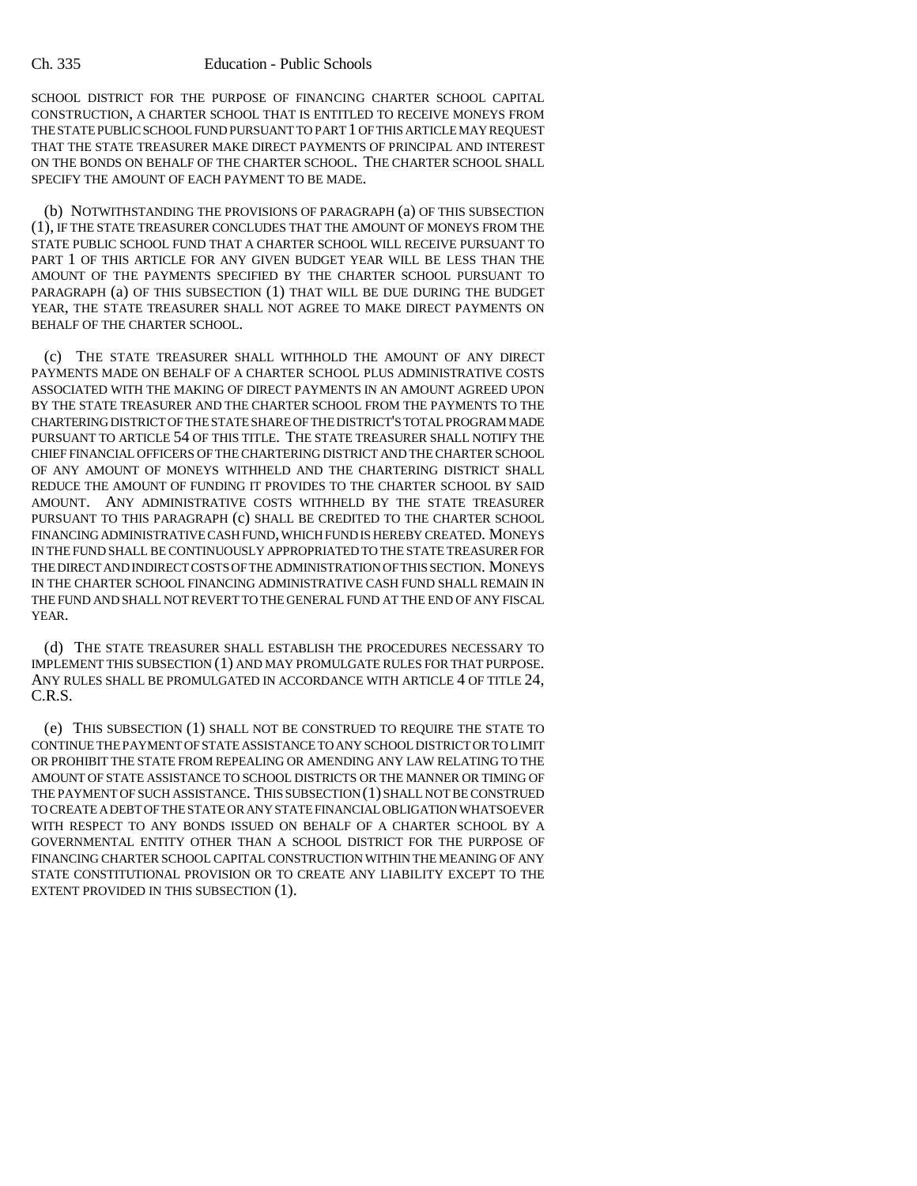SCHOOL DISTRICT FOR THE PURPOSE OF FINANCING CHARTER SCHOOL CAPITAL CONSTRUCTION, A CHARTER SCHOOL THAT IS ENTITLED TO RECEIVE MONEYS FROM THE STATE PUBLIC SCHOOL FUND PURSUANT TO PART 1 OF THIS ARTICLE MAY REQUEST THAT THE STATE TREASURER MAKE DIRECT PAYMENTS OF PRINCIPAL AND INTEREST ON THE BONDS ON BEHALF OF THE CHARTER SCHOOL. THE CHARTER SCHOOL SHALL SPECIFY THE AMOUNT OF EACH PAYMENT TO BE MADE.

(b) NOTWITHSTANDING THE PROVISIONS OF PARAGRAPH (a) OF THIS SUBSECTION (1), IF THE STATE TREASURER CONCLUDES THAT THE AMOUNT OF MONEYS FROM THE STATE PUBLIC SCHOOL FUND THAT A CHARTER SCHOOL WILL RECEIVE PURSUANT TO PART 1 OF THIS ARTICLE FOR ANY GIVEN BUDGET YEAR WILL BE LESS THAN THE AMOUNT OF THE PAYMENTS SPECIFIED BY THE CHARTER SCHOOL PURSUANT TO PARAGRAPH (a) OF THIS SUBSECTION (1) THAT WILL BE DUE DURING THE BUDGET YEAR, THE STATE TREASURER SHALL NOT AGREE TO MAKE DIRECT PAYMENTS ON BEHALF OF THE CHARTER SCHOOL.

(c) THE STATE TREASURER SHALL WITHHOLD THE AMOUNT OF ANY DIRECT PAYMENTS MADE ON BEHALF OF A CHARTER SCHOOL PLUS ADMINISTRATIVE COSTS ASSOCIATED WITH THE MAKING OF DIRECT PAYMENTS IN AN AMOUNT AGREED UPON BY THE STATE TREASURER AND THE CHARTER SCHOOL FROM THE PAYMENTS TO THE CHARTERING DISTRICT OF THE STATE SHARE OF THE DISTRICT'S TOTAL PROGRAM MADE PURSUANT TO ARTICLE 54 OF THIS TITLE. THE STATE TREASURER SHALL NOTIFY THE CHIEF FINANCIAL OFFICERS OF THE CHARTERING DISTRICT AND THE CHARTER SCHOOL OF ANY AMOUNT OF MONEYS WITHHELD AND THE CHARTERING DISTRICT SHALL REDUCE THE AMOUNT OF FUNDING IT PROVIDES TO THE CHARTER SCHOOL BY SAID AMOUNT. ANY ADMINISTRATIVE COSTS WITHHELD BY THE STATE TREASURER PURSUANT TO THIS PARAGRAPH (c) SHALL BE CREDITED TO THE CHARTER SCHOOL FINANCING ADMINISTRATIVE CASH FUND, WHICH FUND IS HEREBY CREATED. MONEYS IN THE FUND SHALL BE CONTINUOUSLY APPROPRIATED TO THE STATE TREASURER FOR THE DIRECT AND INDIRECT COSTS OF THE ADMINISTRATION OF THIS SECTION. MONEYS IN THE CHARTER SCHOOL FINANCING ADMINISTRATIVE CASH FUND SHALL REMAIN IN THE FUND AND SHALL NOT REVERT TO THE GENERAL FUND AT THE END OF ANY FISCAL YEAR.

(d) THE STATE TREASURER SHALL ESTABLISH THE PROCEDURES NECESSARY TO IMPLEMENT THIS SUBSECTION (1) AND MAY PROMULGATE RULES FOR THAT PURPOSE. ANY RULES SHALL BE PROMULGATED IN ACCORDANCE WITH ARTICLE 4 OF TITLE 24, C.R.S.

(e) THIS SUBSECTION (1) SHALL NOT BE CONSTRUED TO REQUIRE THE STATE TO CONTINUE THE PAYMENT OF STATE ASSISTANCE TO ANY SCHOOL DISTRICT OR TO LIMIT OR PROHIBIT THE STATE FROM REPEALING OR AMENDING ANY LAW RELATING TO THE AMOUNT OF STATE ASSISTANCE TO SCHOOL DISTRICTS OR THE MANNER OR TIMING OF THE PAYMENT OF SUCH ASSISTANCE. THIS SUBSECTION (1) SHALL NOT BE CONSTRUED TO CREATE A DEBT OF THE STATE OR ANY STATE FINANCIAL OBLIGATION WHATSOEVER WITH RESPECT TO ANY BONDS ISSUED ON BEHALF OF A CHARTER SCHOOL BY A GOVERNMENTAL ENTITY OTHER THAN A SCHOOL DISTRICT FOR THE PURPOSE OF FINANCING CHARTER SCHOOL CAPITAL CONSTRUCTION WITHIN THE MEANING OF ANY STATE CONSTITUTIONAL PROVISION OR TO CREATE ANY LIABILITY EXCEPT TO THE EXTENT PROVIDED IN THIS SUBSECTION (1).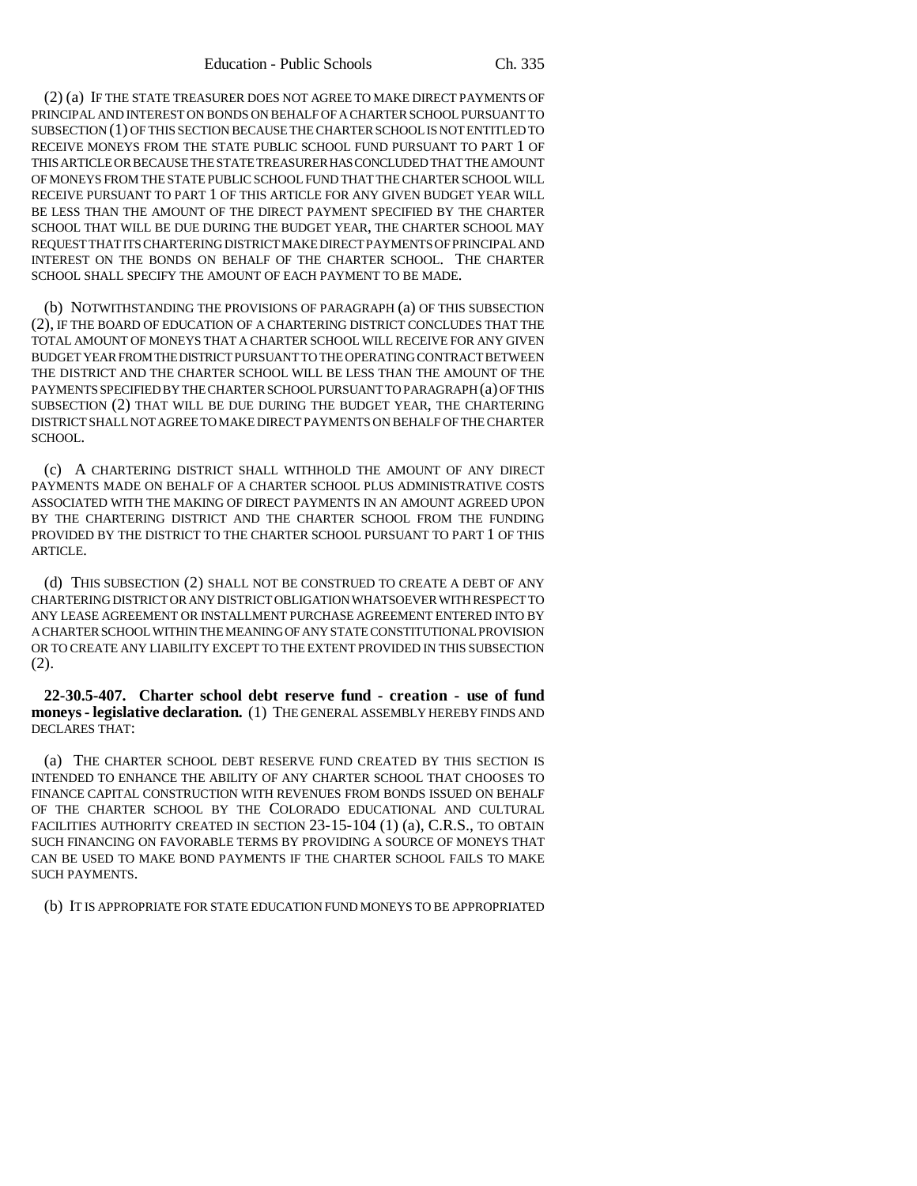(2) (a) IF THE STATE TREASURER DOES NOT AGREE TO MAKE DIRECT PAYMENTS OF PRINCIPAL AND INTEREST ON BONDS ON BEHALF OF A CHARTER SCHOOL PURSUANT TO SUBSECTION (1) OF THIS SECTION BECAUSE THE CHARTER SCHOOL IS NOT ENTITLED TO RECEIVE MONEYS FROM THE STATE PUBLIC SCHOOL FUND PURSUANT TO PART 1 OF THIS ARTICLE OR BECAUSE THE STATE TREASURER HAS CONCLUDED THAT THE AMOUNT OF MONEYS FROM THE STATE PUBLIC SCHOOL FUND THAT THE CHARTER SCHOOL WILL RECEIVE PURSUANT TO PART 1 OF THIS ARTICLE FOR ANY GIVEN BUDGET YEAR WILL BE LESS THAN THE AMOUNT OF THE DIRECT PAYMENT SPECIFIED BY THE CHARTER SCHOOL THAT WILL BE DUE DURING THE BUDGET YEAR, THE CHARTER SCHOOL MAY REQUEST THAT ITS CHARTERING DISTRICT MAKE DIRECT PAYMENTS OF PRINCIPAL AND INTEREST ON THE BONDS ON BEHALF OF THE CHARTER SCHOOL. THE CHARTER SCHOOL SHALL SPECIFY THE AMOUNT OF EACH PAYMENT TO BE MADE.

(b) NOTWITHSTANDING THE PROVISIONS OF PARAGRAPH (a) OF THIS SUBSECTION (2), IF THE BOARD OF EDUCATION OF A CHARTERING DISTRICT CONCLUDES THAT THE TOTAL AMOUNT OF MONEYS THAT A CHARTER SCHOOL WILL RECEIVE FOR ANY GIVEN BUDGET YEAR FROM THE DISTRICT PURSUANT TO THE OPERATING CONTRACT BETWEEN THE DISTRICT AND THE CHARTER SCHOOL WILL BE LESS THAN THE AMOUNT OF THE PAYMENTS SPECIFIED BY THE CHARTER SCHOOL PURSUANT TO PARAGRAPH (a) OF THIS SUBSECTION (2) THAT WILL BE DUE DURING THE BUDGET YEAR, THE CHARTERING DISTRICT SHALL NOT AGREE TO MAKE DIRECT PAYMENTS ON BEHALF OF THE CHARTER SCHOOL.

(c) A CHARTERING DISTRICT SHALL WITHHOLD THE AMOUNT OF ANY DIRECT PAYMENTS MADE ON BEHALF OF A CHARTER SCHOOL PLUS ADMINISTRATIVE COSTS ASSOCIATED WITH THE MAKING OF DIRECT PAYMENTS IN AN AMOUNT AGREED UPON BY THE CHARTERING DISTRICT AND THE CHARTER SCHOOL FROM THE FUNDING PROVIDED BY THE DISTRICT TO THE CHARTER SCHOOL PURSUANT TO PART 1 OF THIS ARTICLE.

(d) THIS SUBSECTION (2) SHALL NOT BE CONSTRUED TO CREATE A DEBT OF ANY CHARTERING DISTRICT OR ANY DISTRICT OBLIGATION WHATSOEVER WITH RESPECT TO ANY LEASE AGREEMENT OR INSTALLMENT PURCHASE AGREEMENT ENTERED INTO BY A CHARTER SCHOOL WITHIN THE MEANING OF ANY STATE CONSTITUTIONAL PROVISION OR TO CREATE ANY LIABILITY EXCEPT TO THE EXTENT PROVIDED IN THIS SUBSECTION (2).

**22-30.5-407. Charter school debt reserve fund - creation - use of fund moneys - legislative declaration.** (1) THE GENERAL ASSEMBLY HEREBY FINDS AND DECLARES THAT:

(a) THE CHARTER SCHOOL DEBT RESERVE FUND CREATED BY THIS SECTION IS INTENDED TO ENHANCE THE ABILITY OF ANY CHARTER SCHOOL THAT CHOOSES TO FINANCE CAPITAL CONSTRUCTION WITH REVENUES FROM BONDS ISSUED ON BEHALF OF THE CHARTER SCHOOL BY THE COLORADO EDUCATIONAL AND CULTURAL FACILITIES AUTHORITY CREATED IN SECTION 23-15-104 (1) (a), C.R.S., TO OBTAIN SUCH FINANCING ON FAVORABLE TERMS BY PROVIDING A SOURCE OF MONEYS THAT CAN BE USED TO MAKE BOND PAYMENTS IF THE CHARTER SCHOOL FAILS TO MAKE SUCH PAYMENTS.

(b) IT IS APPROPRIATE FOR STATE EDUCATION FUND MONEYS TO BE APPROPRIATED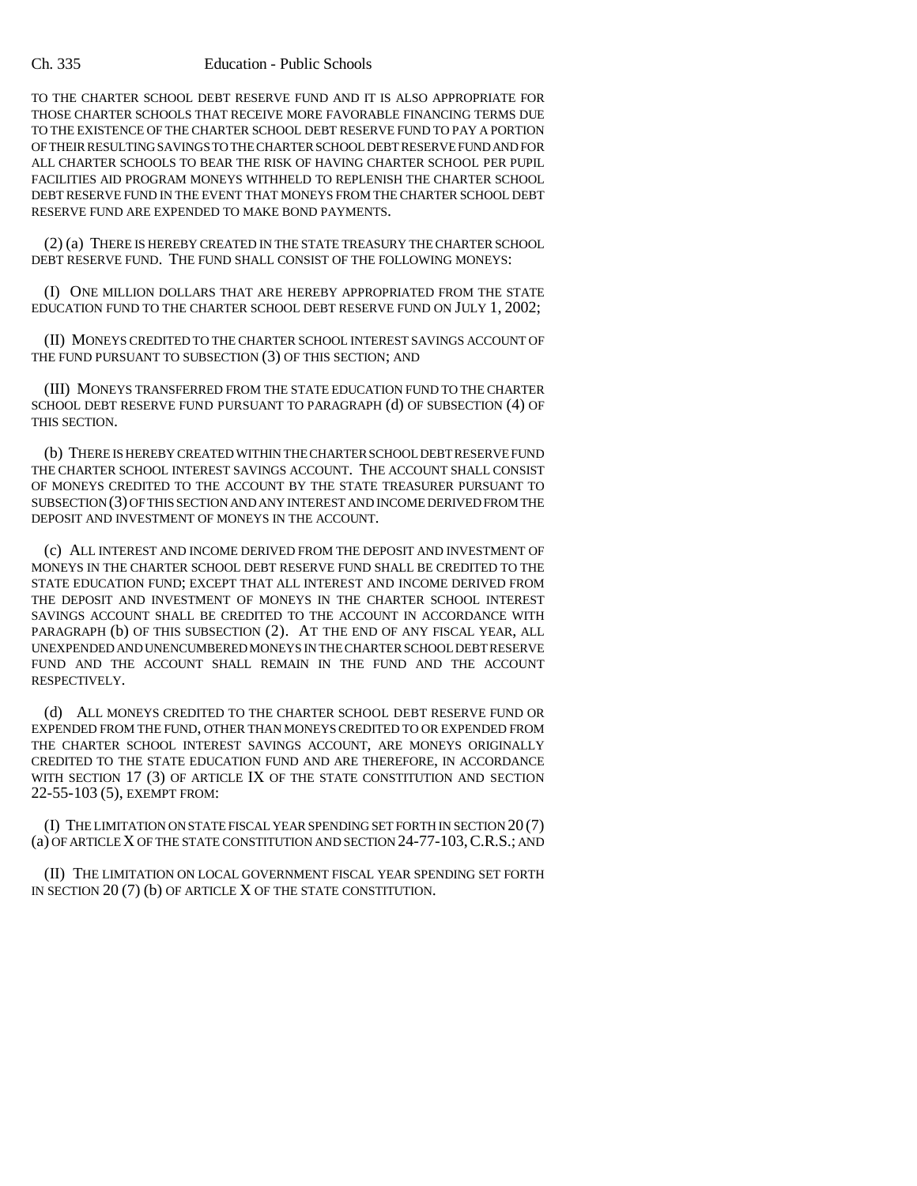TO THE CHARTER SCHOOL DEBT RESERVE FUND AND IT IS ALSO APPROPRIATE FOR THOSE CHARTER SCHOOLS THAT RECEIVE MORE FAVORABLE FINANCING TERMS DUE TO THE EXISTENCE OF THE CHARTER SCHOOL DEBT RESERVE FUND TO PAY A PORTION OF THEIR RESULTING SAVINGS TO THE CHARTER SCHOOL DEBT RESERVE FUND AND FOR ALL CHARTER SCHOOLS TO BEAR THE RISK OF HAVING CHARTER SCHOOL PER PUPIL FACILITIES AID PROGRAM MONEYS WITHHELD TO REPLENISH THE CHARTER SCHOOL DEBT RESERVE FUND IN THE EVENT THAT MONEYS FROM THE CHARTER SCHOOL DEBT RESERVE FUND ARE EXPENDED TO MAKE BOND PAYMENTS.

(2) (a) THERE IS HEREBY CREATED IN THE STATE TREASURY THE CHARTER SCHOOL DEBT RESERVE FUND. THE FUND SHALL CONSIST OF THE FOLLOWING MONEYS:

(I) ONE MILLION DOLLARS THAT ARE HEREBY APPROPRIATED FROM THE STATE EDUCATION FUND TO THE CHARTER SCHOOL DEBT RESERVE FUND ON JULY 1, 2002;

(II) MONEYS CREDITED TO THE CHARTER SCHOOL INTEREST SAVINGS ACCOUNT OF THE FUND PURSUANT TO SUBSECTION (3) OF THIS SECTION; AND

(III) MONEYS TRANSFERRED FROM THE STATE EDUCATION FUND TO THE CHARTER SCHOOL DEBT RESERVE FUND PURSUANT TO PARAGRAPH (d) OF SUBSECTION (4) OF THIS SECTION.

(b) THERE IS HEREBY CREATED WITHIN THE CHARTER SCHOOL DEBT RESERVE FUND THE CHARTER SCHOOL INTEREST SAVINGS ACCOUNT. THE ACCOUNT SHALL CONSIST OF MONEYS CREDITED TO THE ACCOUNT BY THE STATE TREASURER PURSUANT TO SUBSECTION (3) OF THIS SECTION AND ANY INTEREST AND INCOME DERIVED FROM THE DEPOSIT AND INVESTMENT OF MONEYS IN THE ACCOUNT.

(c) ALL INTEREST AND INCOME DERIVED FROM THE DEPOSIT AND INVESTMENT OF MONEYS IN THE CHARTER SCHOOL DEBT RESERVE FUND SHALL BE CREDITED TO THE STATE EDUCATION FUND; EXCEPT THAT ALL INTEREST AND INCOME DERIVED FROM THE DEPOSIT AND INVESTMENT OF MONEYS IN THE CHARTER SCHOOL INTEREST SAVINGS ACCOUNT SHALL BE CREDITED TO THE ACCOUNT IN ACCORDANCE WITH PARAGRAPH (b) OF THIS SUBSECTION (2). AT THE END OF ANY FISCAL YEAR, ALL UNEXPENDED AND UNENCUMBERED MONEYS IN THE CHARTER SCHOOL DEBT RESERVE FUND AND THE ACCOUNT SHALL REMAIN IN THE FUND AND THE ACCOUNT RESPECTIVELY.

(d) ALL MONEYS CREDITED TO THE CHARTER SCHOOL DEBT RESERVE FUND OR EXPENDED FROM THE FUND, OTHER THAN MONEYS CREDITED TO OR EXPENDED FROM THE CHARTER SCHOOL INTEREST SAVINGS ACCOUNT, ARE MONEYS ORIGINALLY CREDITED TO THE STATE EDUCATION FUND AND ARE THEREFORE, IN ACCORDANCE WITH SECTION 17 (3) OF ARTICLE IX OF THE STATE CONSTITUTION AND SECTION 22-55-103 (5), EXEMPT FROM:

(I) THE LIMITATION ON STATE FISCAL YEAR SPENDING SET FORTH IN SECTION 20 (7) (a) OF ARTICLE X OF THE STATE CONSTITUTION AND SECTION 24-77-103,C.R.S.; AND

(II) THE LIMITATION ON LOCAL GOVERNMENT FISCAL YEAR SPENDING SET FORTH IN SECTION 20 (7) (b) OF ARTICLE X OF THE STATE CONSTITUTION.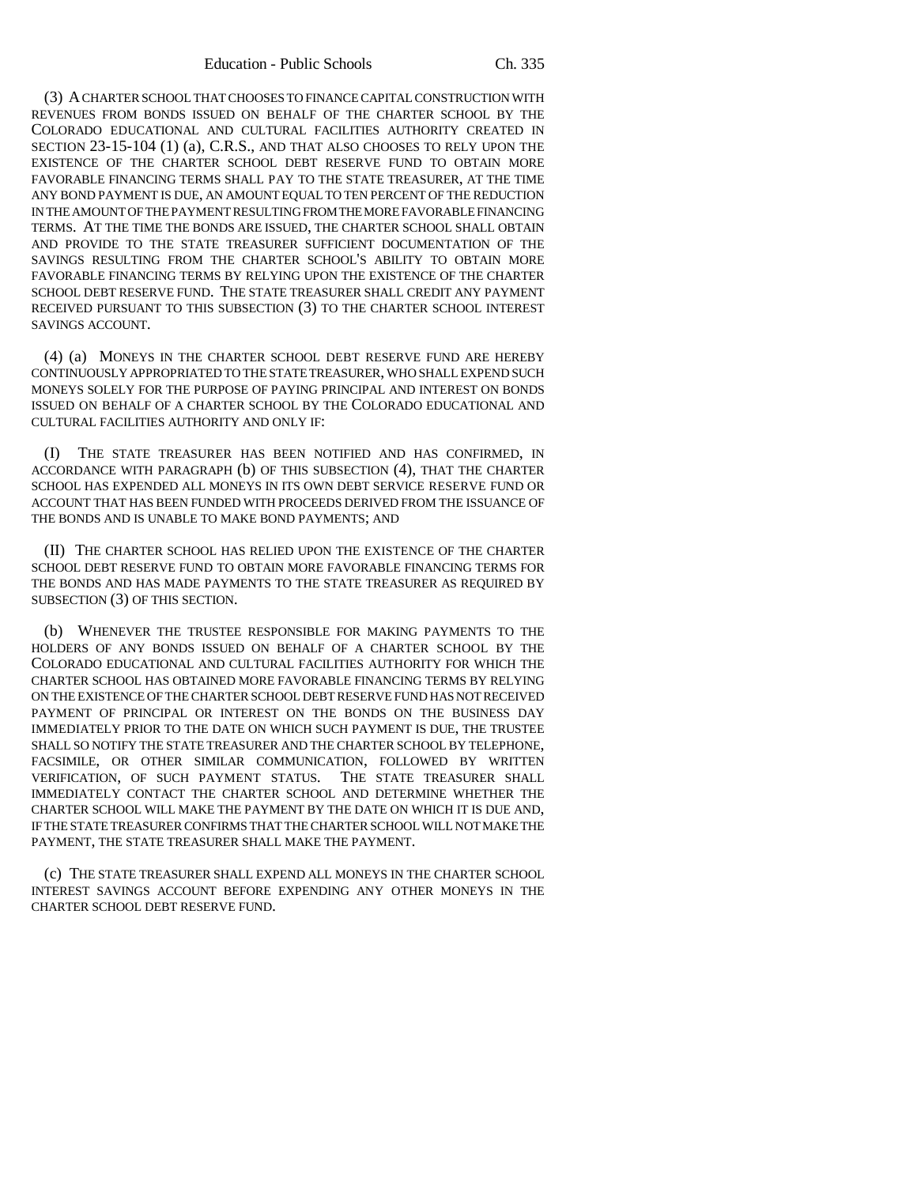(3) A CHARTER SCHOOL THAT CHOOSES TO FINANCE CAPITAL CONSTRUCTION WITH REVENUES FROM BONDS ISSUED ON BEHALF OF THE CHARTER SCHOOL BY THE COLORADO EDUCATIONAL AND CULTURAL FACILITIES AUTHORITY CREATED IN SECTION 23-15-104 (1) (a), C.R.S., AND THAT ALSO CHOOSES TO RELY UPON THE EXISTENCE OF THE CHARTER SCHOOL DEBT RESERVE FUND TO OBTAIN MORE FAVORABLE FINANCING TERMS SHALL PAY TO THE STATE TREASURER, AT THE TIME ANY BOND PAYMENT IS DUE, AN AMOUNT EQUAL TO TEN PERCENT OF THE REDUCTION IN THE AMOUNT OF THE PAYMENT RESULTING FROM THE MORE FAVORABLE FINANCING TERMS. AT THE TIME THE BONDS ARE ISSUED, THE CHARTER SCHOOL SHALL OBTAIN AND PROVIDE TO THE STATE TREASURER SUFFICIENT DOCUMENTATION OF THE SAVINGS RESULTING FROM THE CHARTER SCHOOL'S ABILITY TO OBTAIN MORE FAVORABLE FINANCING TERMS BY RELYING UPON THE EXISTENCE OF THE CHARTER SCHOOL DEBT RESERVE FUND. THE STATE TREASURER SHALL CREDIT ANY PAYMENT RECEIVED PURSUANT TO THIS SUBSECTION (3) TO THE CHARTER SCHOOL INTEREST SAVINGS ACCOUNT.

(4) (a) MONEYS IN THE CHARTER SCHOOL DEBT RESERVE FUND ARE HEREBY CONTINUOUSLY APPROPRIATED TO THE STATE TREASURER, WHO SHALL EXPEND SUCH MONEYS SOLELY FOR THE PURPOSE OF PAYING PRINCIPAL AND INTEREST ON BONDS ISSUED ON BEHALF OF A CHARTER SCHOOL BY THE COLORADO EDUCATIONAL AND CULTURAL FACILITIES AUTHORITY AND ONLY IF:

(I) THE STATE TREASURER HAS BEEN NOTIFIED AND HAS CONFIRMED, IN ACCORDANCE WITH PARAGRAPH (b) OF THIS SUBSECTION (4), THAT THE CHARTER SCHOOL HAS EXPENDED ALL MONEYS IN ITS OWN DEBT SERVICE RESERVE FUND OR ACCOUNT THAT HAS BEEN FUNDED WITH PROCEEDS DERIVED FROM THE ISSUANCE OF THE BONDS AND IS UNABLE TO MAKE BOND PAYMENTS; AND

(II) THE CHARTER SCHOOL HAS RELIED UPON THE EXISTENCE OF THE CHARTER SCHOOL DEBT RESERVE FUND TO OBTAIN MORE FAVORABLE FINANCING TERMS FOR THE BONDS AND HAS MADE PAYMENTS TO THE STATE TREASURER AS REQUIRED BY SUBSECTION (3) OF THIS SECTION.

(b) WHENEVER THE TRUSTEE RESPONSIBLE FOR MAKING PAYMENTS TO THE HOLDERS OF ANY BONDS ISSUED ON BEHALF OF A CHARTER SCHOOL BY THE COLORADO EDUCATIONAL AND CULTURAL FACILITIES AUTHORITY FOR WHICH THE CHARTER SCHOOL HAS OBTAINED MORE FAVORABLE FINANCING TERMS BY RELYING ON THE EXISTENCE OF THE CHARTER SCHOOL DEBT RESERVE FUND HAS NOT RECEIVED PAYMENT OF PRINCIPAL OR INTEREST ON THE BONDS ON THE BUSINESS DAY IMMEDIATELY PRIOR TO THE DATE ON WHICH SUCH PAYMENT IS DUE, THE TRUSTEE SHALL SO NOTIFY THE STATE TREASURER AND THE CHARTER SCHOOL BY TELEPHONE, FACSIMILE, OR OTHER SIMILAR COMMUNICATION, FOLLOWED BY WRITTEN VERIFICATION, OF SUCH PAYMENT STATUS. THE STATE TREASURER SHALL IMMEDIATELY CONTACT THE CHARTER SCHOOL AND DETERMINE WHETHER THE CHARTER SCHOOL WILL MAKE THE PAYMENT BY THE DATE ON WHICH IT IS DUE AND, IF THE STATE TREASURER CONFIRMS THAT THE CHARTER SCHOOL WILL NOT MAKE THE PAYMENT, THE STATE TREASURER SHALL MAKE THE PAYMENT.

(c) THE STATE TREASURER SHALL EXPEND ALL MONEYS IN THE CHARTER SCHOOL INTEREST SAVINGS ACCOUNT BEFORE EXPENDING ANY OTHER MONEYS IN THE CHARTER SCHOOL DEBT RESERVE FUND.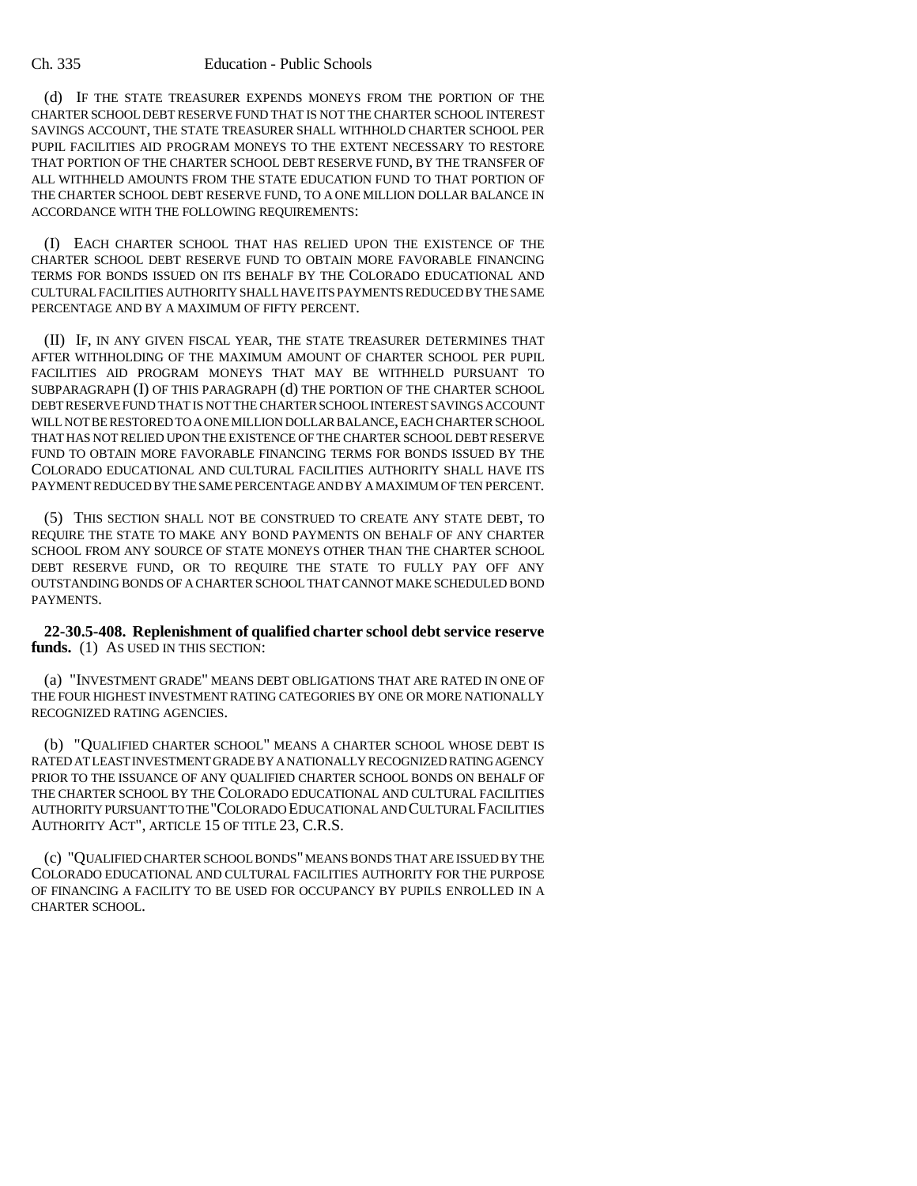(d) IF THE STATE TREASURER EXPENDS MONEYS FROM THE PORTION OF THE CHARTER SCHOOL DEBT RESERVE FUND THAT IS NOT THE CHARTER SCHOOL INTEREST SAVINGS ACCOUNT, THE STATE TREASURER SHALL WITHHOLD CHARTER SCHOOL PER PUPIL FACILITIES AID PROGRAM MONEYS TO THE EXTENT NECESSARY TO RESTORE THAT PORTION OF THE CHARTER SCHOOL DEBT RESERVE FUND, BY THE TRANSFER OF ALL WITHHELD AMOUNTS FROM THE STATE EDUCATION FUND TO THAT PORTION OF THE CHARTER SCHOOL DEBT RESERVE FUND, TO A ONE MILLION DOLLAR BALANCE IN ACCORDANCE WITH THE FOLLOWING REQUIREMENTS:

(I) EACH CHARTER SCHOOL THAT HAS RELIED UPON THE EXISTENCE OF THE CHARTER SCHOOL DEBT RESERVE FUND TO OBTAIN MORE FAVORABLE FINANCING TERMS FOR BONDS ISSUED ON ITS BEHALF BY THE COLORADO EDUCATIONAL AND CULTURAL FACILITIES AUTHORITY SHALL HAVE ITS PAYMENTS REDUCED BY THE SAME PERCENTAGE AND BY A MAXIMUM OF FIFTY PERCENT.

(II) IF, IN ANY GIVEN FISCAL YEAR, THE STATE TREASURER DETERMINES THAT AFTER WITHHOLDING OF THE MAXIMUM AMOUNT OF CHARTER SCHOOL PER PUPIL FACILITIES AID PROGRAM MONEYS THAT MAY BE WITHHELD PURSUANT TO SUBPARAGRAPH (I) OF THIS PARAGRAPH (d) THE PORTION OF THE CHARTER SCHOOL DEBT RESERVE FUND THAT IS NOT THE CHARTER SCHOOL INTEREST SAVINGS ACCOUNT WILL NOT BE RESTORED TO A ONE MILLION DOLLAR BALANCE, EACH CHARTER SCHOOL THAT HAS NOT RELIED UPON THE EXISTENCE OF THE CHARTER SCHOOL DEBT RESERVE FUND TO OBTAIN MORE FAVORABLE FINANCING TERMS FOR BONDS ISSUED BY THE COLORADO EDUCATIONAL AND CULTURAL FACILITIES AUTHORITY SHALL HAVE ITS PAYMENT REDUCED BY THE SAME PERCENTAGE AND BY A MAXIMUM OF TEN PERCENT.

(5) THIS SECTION SHALL NOT BE CONSTRUED TO CREATE ANY STATE DEBT, TO REQUIRE THE STATE TO MAKE ANY BOND PAYMENTS ON BEHALF OF ANY CHARTER SCHOOL FROM ANY SOURCE OF STATE MONEYS OTHER THAN THE CHARTER SCHOOL DEBT RESERVE FUND, OR TO REQUIRE THE STATE TO FULLY PAY OFF ANY OUTSTANDING BONDS OF A CHARTER SCHOOL THAT CANNOT MAKE SCHEDULED BOND PAYMENTS.

**22-30.5-408. Replenishment of qualified charter school debt service reserve** funds. (1) As USED IN THIS SECTION:

(a) "INVESTMENT GRADE" MEANS DEBT OBLIGATIONS THAT ARE RATED IN ONE OF THE FOUR HIGHEST INVESTMENT RATING CATEGORIES BY ONE OR MORE NATIONALLY RECOGNIZED RATING AGENCIES.

(b) "QUALIFIED CHARTER SCHOOL" MEANS A CHARTER SCHOOL WHOSE DEBT IS RATED AT LEAST INVESTMENT GRADE BY A NATIONALLY RECOGNIZED RATING AGENCY PRIOR TO THE ISSUANCE OF ANY QUALIFIED CHARTER SCHOOL BONDS ON BEHALF OF THE CHARTER SCHOOL BY THE COLORADO EDUCATIONAL AND CULTURAL FACILITIES AUTHORITY PURSUANT TO THE "COLORADO EDUCATIONAL AND CULTURAL FACILITIES AUTHORITY ACT", ARTICLE 15 OF TITLE 23, C.R.S.

(c) "QUALIFIED CHARTER SCHOOL BONDS" MEANS BONDS THAT ARE ISSUED BY THE COLORADO EDUCATIONAL AND CULTURAL FACILITIES AUTHORITY FOR THE PURPOSE OF FINANCING A FACILITY TO BE USED FOR OCCUPANCY BY PUPILS ENROLLED IN A CHARTER SCHOOL.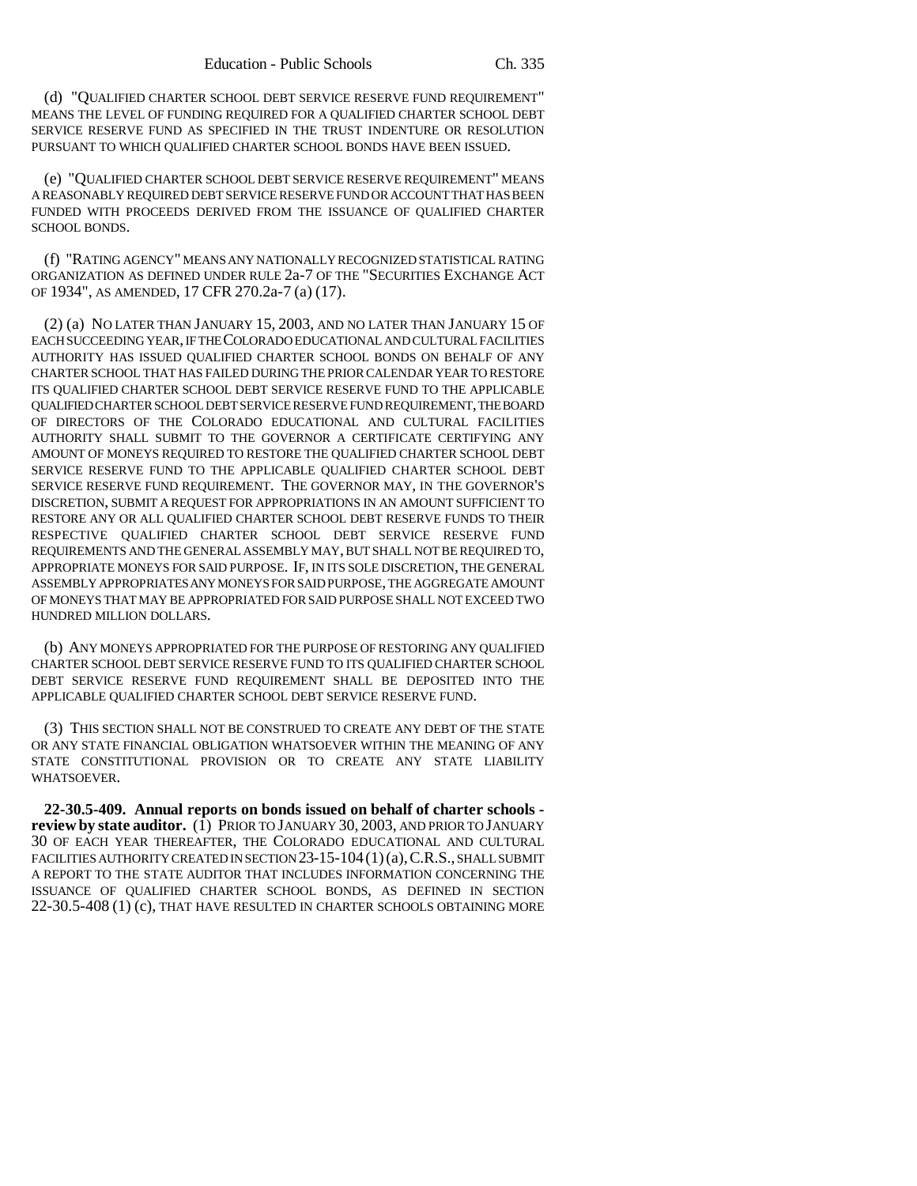(d) "QUALIFIED CHARTER SCHOOL DEBT SERVICE RESERVE FUND REQUIREMENT" MEANS THE LEVEL OF FUNDING REQUIRED FOR A QUALIFIED CHARTER SCHOOL DEBT SERVICE RESERVE FUND AS SPECIFIED IN THE TRUST INDENTURE OR RESOLUTION PURSUANT TO WHICH QUALIFIED CHARTER SCHOOL BONDS HAVE BEEN ISSUED.

(e) "QUALIFIED CHARTER SCHOOL DEBT SERVICE RESERVE REQUIREMENT" MEANS A REASONABLY REQUIRED DEBT SERVICE RESERVE FUND OR ACCOUNT THAT HAS BEEN FUNDED WITH PROCEEDS DERIVED FROM THE ISSUANCE OF QUALIFIED CHARTER SCHOOL BONDS.

(f) "RATING AGENCY" MEANS ANY NATIONALLY RECOGNIZED STATISTICAL RATING ORGANIZATION AS DEFINED UNDER RULE 2a-7 OF THE "SECURITIES EXCHANGE ACT OF 1934", AS AMENDED, 17 CFR 270.2a-7 (a) (17).

(2) (a) NO LATER THAN JANUARY 15, 2003, AND NO LATER THAN JANUARY 15 OF EACH SUCCEEDING YEAR, IF THE COLORADO EDUCATIONAL AND CULTURAL FACILITIES AUTHORITY HAS ISSUED QUALIFIED CHARTER SCHOOL BONDS ON BEHALF OF ANY CHARTER SCHOOL THAT HAS FAILED DURING THE PRIOR CALENDAR YEAR TO RESTORE ITS QUALIFIED CHARTER SCHOOL DEBT SERVICE RESERVE FUND TO THE APPLICABLE QUALIFIED CHARTER SCHOOL DEBT SERVICE RESERVE FUND REQUIREMENT, THE BOARD OF DIRECTORS OF THE COLORADO EDUCATIONAL AND CULTURAL FACILITIES AUTHORITY SHALL SUBMIT TO THE GOVERNOR A CERTIFICATE CERTIFYING ANY AMOUNT OF MONEYS REQUIRED TO RESTORE THE QUALIFIED CHARTER SCHOOL DEBT SERVICE RESERVE FUND TO THE APPLICABLE QUALIFIED CHARTER SCHOOL DEBT SERVICE RESERVE FUND REQUIREMENT. THE GOVERNOR MAY, IN THE GOVERNOR'S DISCRETION, SUBMIT A REQUEST FOR APPROPRIATIONS IN AN AMOUNT SUFFICIENT TO RESTORE ANY OR ALL QUALIFIED CHARTER SCHOOL DEBT RESERVE FUNDS TO THEIR RESPECTIVE QUALIFIED CHARTER SCHOOL DEBT SERVICE RESERVE FUND REQUIREMENTS AND THE GENERAL ASSEMBLY MAY, BUT SHALL NOT BE REQUIRED TO, APPROPRIATE MONEYS FOR SAID PURPOSE. IF, IN ITS SOLE DISCRETION, THE GENERAL ASSEMBLY APPROPRIATES ANY MONEYS FOR SAID PURPOSE, THE AGGREGATE AMOUNT OF MONEYS THAT MAY BE APPROPRIATED FOR SAID PURPOSE SHALL NOT EXCEED TWO HUNDRED MILLION DOLLARS.

(b) ANY MONEYS APPROPRIATED FOR THE PURPOSE OF RESTORING ANY QUALIFIED CHARTER SCHOOL DEBT SERVICE RESERVE FUND TO ITS QUALIFIED CHARTER SCHOOL DEBT SERVICE RESERVE FUND REQUIREMENT SHALL BE DEPOSITED INTO THE APPLICABLE QUALIFIED CHARTER SCHOOL DEBT SERVICE RESERVE FUND.

(3) THIS SECTION SHALL NOT BE CONSTRUED TO CREATE ANY DEBT OF THE STATE OR ANY STATE FINANCIAL OBLIGATION WHATSOEVER WITHIN THE MEANING OF ANY STATE CONSTITUTIONAL PROVISION OR TO CREATE ANY STATE LIABILITY WHATSOEVER.

**22-30.5-409. Annual reports on bonds issued on behalf of charter schools review by state auditor.** (1) PRIOR TO JANUARY 30, 2003, AND PRIOR TO JANUARY 30 OF EACH YEAR THEREAFTER, THE COLORADO EDUCATIONAL AND CULTURAL FACILITIES AUTHORITY CREATED IN SECTION 23-15-104 (1) (a), C.R.S., SHALL SUBMIT A REPORT TO THE STATE AUDITOR THAT INCLUDES INFORMATION CONCERNING THE ISSUANCE OF QUALIFIED CHARTER SCHOOL BONDS, AS DEFINED IN SECTION 22-30.5-408 (1) (c), THAT HAVE RESULTED IN CHARTER SCHOOLS OBTAINING MORE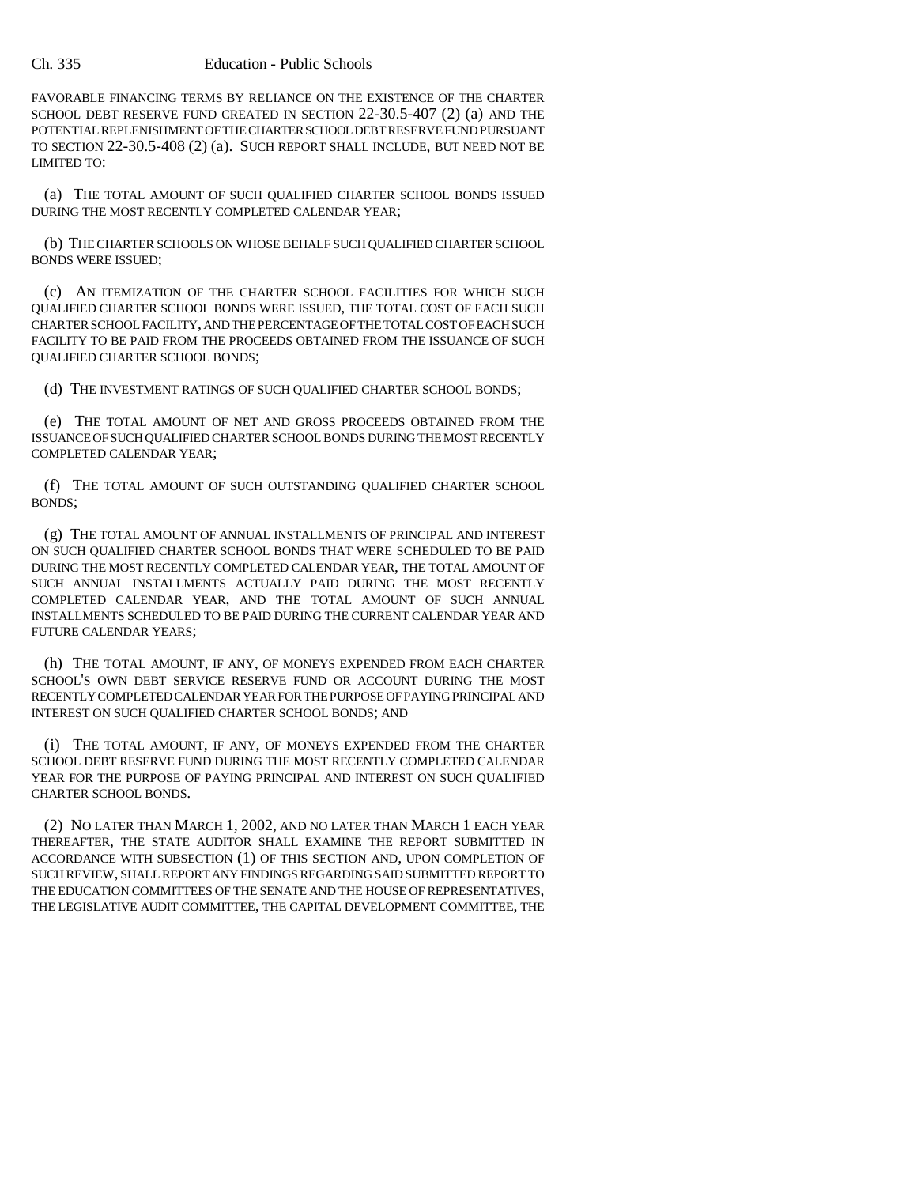FAVORABLE FINANCING TERMS BY RELIANCE ON THE EXISTENCE OF THE CHARTER SCHOOL DEBT RESERVE FUND CREATED IN SECTION 22-30.5-407 (2) (a) AND THE POTENTIAL REPLENISHMENT OF THE CHARTER SCHOOL DEBT RESERVE FUND PURSUANT TO SECTION 22-30.5-408 (2) (a). SUCH REPORT SHALL INCLUDE, BUT NEED NOT BE LIMITED TO:

(a) THE TOTAL AMOUNT OF SUCH QUALIFIED CHARTER SCHOOL BONDS ISSUED DURING THE MOST RECENTLY COMPLETED CALENDAR YEAR;

(b) THE CHARTER SCHOOLS ON WHOSE BEHALF SUCH QUALIFIED CHARTER SCHOOL BONDS WERE ISSUED;

(c) AN ITEMIZATION OF THE CHARTER SCHOOL FACILITIES FOR WHICH SUCH QUALIFIED CHARTER SCHOOL BONDS WERE ISSUED, THE TOTAL COST OF EACH SUCH CHARTER SCHOOL FACILITY, AND THE PERCENTAGE OF THE TOTAL COST OF EACH SUCH FACILITY TO BE PAID FROM THE PROCEEDS OBTAINED FROM THE ISSUANCE OF SUCH QUALIFIED CHARTER SCHOOL BONDS;

(d) THE INVESTMENT RATINGS OF SUCH QUALIFIED CHARTER SCHOOL BONDS;

(e) THE TOTAL AMOUNT OF NET AND GROSS PROCEEDS OBTAINED FROM THE ISSUANCE OF SUCH QUALIFIED CHARTER SCHOOL BONDS DURING THE MOST RECENTLY COMPLETED CALENDAR YEAR;

(f) THE TOTAL AMOUNT OF SUCH OUTSTANDING QUALIFIED CHARTER SCHOOL BONDS;

(g) THE TOTAL AMOUNT OF ANNUAL INSTALLMENTS OF PRINCIPAL AND INTEREST ON SUCH QUALIFIED CHARTER SCHOOL BONDS THAT WERE SCHEDULED TO BE PAID DURING THE MOST RECENTLY COMPLETED CALENDAR YEAR, THE TOTAL AMOUNT OF SUCH ANNUAL INSTALLMENTS ACTUALLY PAID DURING THE MOST RECENTLY COMPLETED CALENDAR YEAR, AND THE TOTAL AMOUNT OF SUCH ANNUAL INSTALLMENTS SCHEDULED TO BE PAID DURING THE CURRENT CALENDAR YEAR AND FUTURE CALENDAR YEARS;

(h) THE TOTAL AMOUNT, IF ANY, OF MONEYS EXPENDED FROM EACH CHARTER SCHOOL'S OWN DEBT SERVICE RESERVE FUND OR ACCOUNT DURING THE MOST RECENTLY COMPLETED CALENDAR YEAR FOR THE PURPOSE OF PAYING PRINCIPAL AND INTEREST ON SUCH QUALIFIED CHARTER SCHOOL BONDS; AND

(i) THE TOTAL AMOUNT, IF ANY, OF MONEYS EXPENDED FROM THE CHARTER SCHOOL DEBT RESERVE FUND DURING THE MOST RECENTLY COMPLETED CALENDAR YEAR FOR THE PURPOSE OF PAYING PRINCIPAL AND INTEREST ON SUCH QUALIFIED CHARTER SCHOOL BONDS.

(2) NO LATER THAN MARCH 1, 2002, AND NO LATER THAN MARCH 1 EACH YEAR THEREAFTER, THE STATE AUDITOR SHALL EXAMINE THE REPORT SUBMITTED IN ACCORDANCE WITH SUBSECTION (1) OF THIS SECTION AND, UPON COMPLETION OF SUCH REVIEW, SHALL REPORT ANY FINDINGS REGARDING SAID SUBMITTED REPORT TO THE EDUCATION COMMITTEES OF THE SENATE AND THE HOUSE OF REPRESENTATIVES, THE LEGISLATIVE AUDIT COMMITTEE, THE CAPITAL DEVELOPMENT COMMITTEE, THE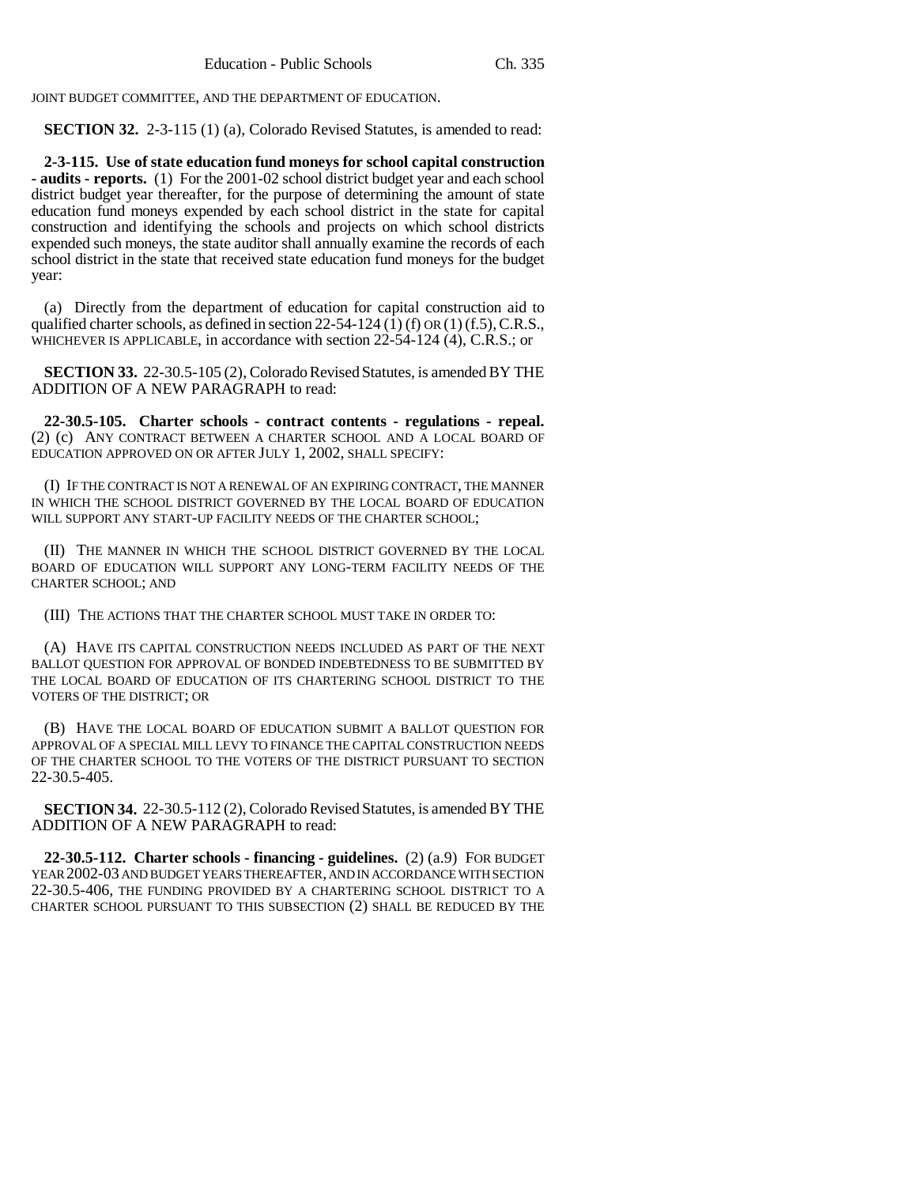JOINT BUDGET COMMITTEE, AND THE DEPARTMENT OF EDUCATION.

**SECTION 32.** 2-3-115 (1) (a), Colorado Revised Statutes, is amended to read:

**2-3-115. Use of state education fund moneys for school capital construction - audits - reports.** (1) For the 2001-02 school district budget year and each school district budget year thereafter, for the purpose of determining the amount of state education fund moneys expended by each school district in the state for capital construction and identifying the schools and projects on which school districts expended such moneys, the state auditor shall annually examine the records of each school district in the state that received state education fund moneys for the budget year:

(a) Directly from the department of education for capital construction aid to qualified charter schools, as defined in section 22-54-124 (1) (f) OR (1) (f.5), C.R.S., WHICHEVER IS APPLICABLE, in accordance with section 22-54-124 (4), C.R.S.; or

**SECTION 33.** 22-30.5-105 (2), Colorado Revised Statutes, is amended BY THE ADDITION OF A NEW PARAGRAPH to read:

**22-30.5-105. Charter schools - contract contents - regulations - repeal.** (2) (c) ANY CONTRACT BETWEEN A CHARTER SCHOOL AND A LOCAL BOARD OF EDUCATION APPROVED ON OR AFTER JULY 1, 2002, SHALL SPECIFY:

(I) IF THE CONTRACT IS NOT A RENEWAL OF AN EXPIRING CONTRACT, THE MANNER IN WHICH THE SCHOOL DISTRICT GOVERNED BY THE LOCAL BOARD OF EDUCATION WILL SUPPORT ANY START-UP FACILITY NEEDS OF THE CHARTER SCHOOL:

(II) THE MANNER IN WHICH THE SCHOOL DISTRICT GOVERNED BY THE LOCAL BOARD OF EDUCATION WILL SUPPORT ANY LONG-TERM FACILITY NEEDS OF THE CHARTER SCHOOL; AND

(III) THE ACTIONS THAT THE CHARTER SCHOOL MUST TAKE IN ORDER TO:

(A) HAVE ITS CAPITAL CONSTRUCTION NEEDS INCLUDED AS PART OF THE NEXT BALLOT QUESTION FOR APPROVAL OF BONDED INDEBTEDNESS TO BE SUBMITTED BY THE LOCAL BOARD OF EDUCATION OF ITS CHARTERING SCHOOL DISTRICT TO THE VOTERS OF THE DISTRICT; OR

(B) HAVE THE LOCAL BOARD OF EDUCATION SUBMIT A BALLOT QUESTION FOR APPROVAL OF A SPECIAL MILL LEVY TO FINANCE THE CAPITAL CONSTRUCTION NEEDS OF THE CHARTER SCHOOL TO THE VOTERS OF THE DISTRICT PURSUANT TO SECTION 22-30.5-405.

**SECTION 34.** 22-30.5-112 (2), Colorado Revised Statutes, is amended BY THE ADDITION OF A NEW PARAGRAPH to read:

**22-30.5-112. Charter schools - financing - guidelines.** (2) (a.9) FOR BUDGET YEAR 2002-03 AND BUDGET YEARS THEREAFTER, AND IN ACCORDANCE WITH SECTION 22-30.5-406, THE FUNDING PROVIDED BY A CHARTERING SCHOOL DISTRICT TO A CHARTER SCHOOL PURSUANT TO THIS SUBSECTION (2) SHALL BE REDUCED BY THE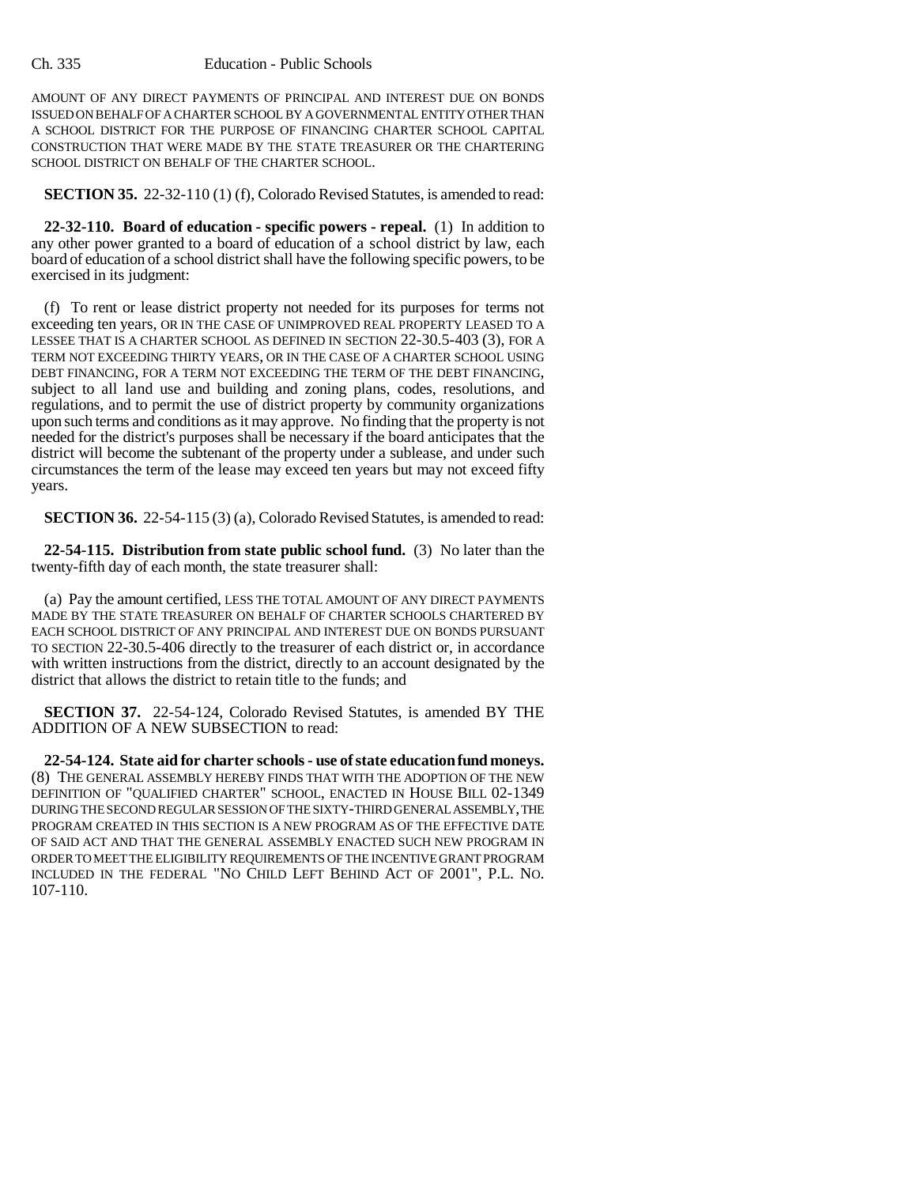AMOUNT OF ANY DIRECT PAYMENTS OF PRINCIPAL AND INTEREST DUE ON BONDS ISSUED ON BEHALF OF A CHARTER SCHOOL BY A GOVERNMENTAL ENTITY OTHER THAN A SCHOOL DISTRICT FOR THE PURPOSE OF FINANCING CHARTER SCHOOL CAPITAL CONSTRUCTION THAT WERE MADE BY THE STATE TREASURER OR THE CHARTERING SCHOOL DISTRICT ON BEHALF OF THE CHARTER SCHOOL.

**SECTION 35.** 22-32-110 (1) (f), Colorado Revised Statutes, is amended to read:

**22-32-110. Board of education - specific powers - repeal.** (1) In addition to any other power granted to a board of education of a school district by law, each board of education of a school district shall have the following specific powers, to be exercised in its judgment:

(f) To rent or lease district property not needed for its purposes for terms not exceeding ten years, OR IN THE CASE OF UNIMPROVED REAL PROPERTY LEASED TO A LESSEE THAT IS A CHARTER SCHOOL AS DEFINED IN SECTION 22-30.5-403 (3), FOR A TERM NOT EXCEEDING THIRTY YEARS, OR IN THE CASE OF A CHARTER SCHOOL USING DEBT FINANCING, FOR A TERM NOT EXCEEDING THE TERM OF THE DEBT FINANCING, subject to all land use and building and zoning plans, codes, resolutions, and regulations, and to permit the use of district property by community organizations upon such terms and conditions as it may approve. No finding that the property is not needed for the district's purposes shall be necessary if the board anticipates that the district will become the subtenant of the property under a sublease, and under such circumstances the term of the lease may exceed ten years but may not exceed fifty years.

**SECTION 36.** 22-54-115 (3) (a), Colorado Revised Statutes, is amended to read:

**22-54-115. Distribution from state public school fund.** (3) No later than the twenty-fifth day of each month, the state treasurer shall:

(a) Pay the amount certified, LESS THE TOTAL AMOUNT OF ANY DIRECT PAYMENTS MADE BY THE STATE TREASURER ON BEHALF OF CHARTER SCHOOLS CHARTERED BY EACH SCHOOL DISTRICT OF ANY PRINCIPAL AND INTEREST DUE ON BONDS PURSUANT TO SECTION 22-30.5-406 directly to the treasurer of each district or, in accordance with written instructions from the district, directly to an account designated by the district that allows the district to retain title to the funds; and

**SECTION 37.** 22-54-124, Colorado Revised Statutes, is amended BY THE ADDITION OF A NEW SUBSECTION to read:

**22-54-124. State aid for charter schools - use of state education fund moneys.** (8) THE GENERAL ASSEMBLY HEREBY FINDS THAT WITH THE ADOPTION OF THE NEW DEFINITION OF "QUALIFIED CHARTER" SCHOOL, ENACTED IN HOUSE BILL 02-1349 DURING THE SECOND REGULAR SESSION OF THE SIXTY-THIRD GENERAL ASSEMBLY, THE PROGRAM CREATED IN THIS SECTION IS A NEW PROGRAM AS OF THE EFFECTIVE DATE OF SAID ACT AND THAT THE GENERAL ASSEMBLY ENACTED SUCH NEW PROGRAM IN ORDER TO MEET THE ELIGIBILITY REQUIREMENTS OF THE INCENTIVE GRANT PROGRAM INCLUDED IN THE FEDERAL "NO CHILD LEFT BEHIND ACT OF 2001", P.L. NO. 107-110.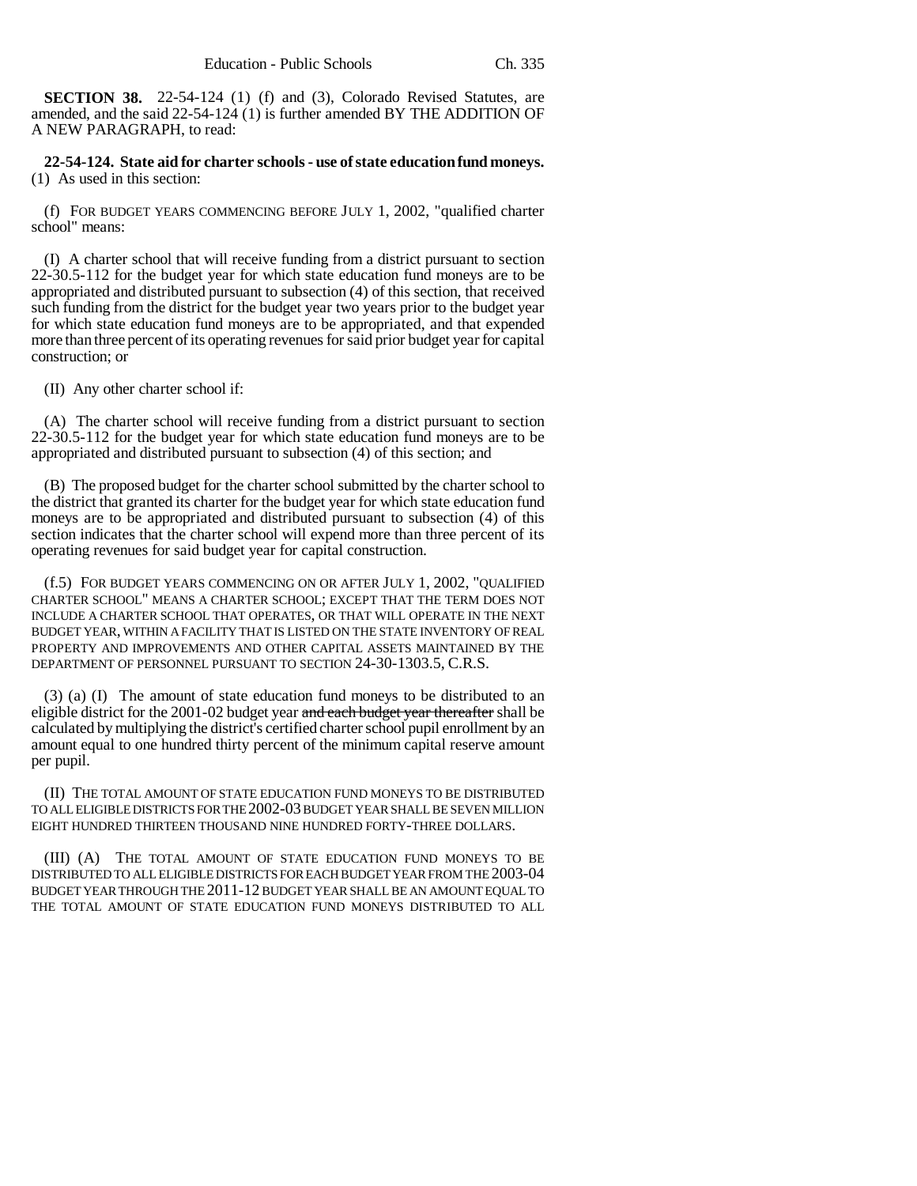**SECTION 38.** 22-54-124 (1) (f) and (3), Colorado Revised Statutes, are amended, and the said 22-54-124 (1) is further amended BY THE ADDITION OF A NEW PARAGRAPH, to read:

**22-54-124. State aid for charter schools - use of state education fund moneys.** (1) As used in this section:

(f) FOR BUDGET YEARS COMMENCING BEFORE JULY 1, 2002, "qualified charter school" means:

(I) A charter school that will receive funding from a district pursuant to section 22-30.5-112 for the budget year for which state education fund moneys are to be appropriated and distributed pursuant to subsection (4) of this section, that received such funding from the district for the budget year two years prior to the budget year for which state education fund moneys are to be appropriated, and that expended more than three percent of its operating revenues for said prior budget year for capital construction; or

(II) Any other charter school if:

(A) The charter school will receive funding from a district pursuant to section 22-30.5-112 for the budget year for which state education fund moneys are to be appropriated and distributed pursuant to subsection (4) of this section; and

(B) The proposed budget for the charter school submitted by the charter school to the district that granted its charter for the budget year for which state education fund moneys are to be appropriated and distributed pursuant to subsection (4) of this section indicates that the charter school will expend more than three percent of its operating revenues for said budget year for capital construction.

(f.5) FOR BUDGET YEARS COMMENCING ON OR AFTER JULY 1, 2002, "QUALIFIED CHARTER SCHOOL" MEANS A CHARTER SCHOOL; EXCEPT THAT THE TERM DOES NOT INCLUDE A CHARTER SCHOOL THAT OPERATES, OR THAT WILL OPERATE IN THE NEXT BUDGET YEAR, WITHIN A FACILITY THAT IS LISTED ON THE STATE INVENTORY OF REAL PROPERTY AND IMPROVEMENTS AND OTHER CAPITAL ASSETS MAINTAINED BY THE DEPARTMENT OF PERSONNEL PURSUANT TO SECTION 24-30-1303.5, C.R.S.

(3) (a) (I) The amount of state education fund moneys to be distributed to an eligible district for the 2001-02 budget year and each budget year thereafter shall be calculated by multiplying the district's certified charter school pupil enrollment by an amount equal to one hundred thirty percent of the minimum capital reserve amount per pupil.

(II) THE TOTAL AMOUNT OF STATE EDUCATION FUND MONEYS TO BE DISTRIBUTED TO ALL ELIGIBLE DISTRICTS FOR THE 2002-03 BUDGET YEAR SHALL BE SEVEN MILLION EIGHT HUNDRED THIRTEEN THOUSAND NINE HUNDRED FORTY-THREE DOLLARS.

(III) (A) THE TOTAL AMOUNT OF STATE EDUCATION FUND MONEYS TO BE DISTRIBUTED TO ALL ELIGIBLE DISTRICTS FOR EACH BUDGET YEAR FROM THE 2003-04 BUDGET YEAR THROUGH THE 2011-12 BUDGET YEAR SHALL BE AN AMOUNT EQUAL TO THE TOTAL AMOUNT OF STATE EDUCATION FUND MONEYS DISTRIBUTED TO ALL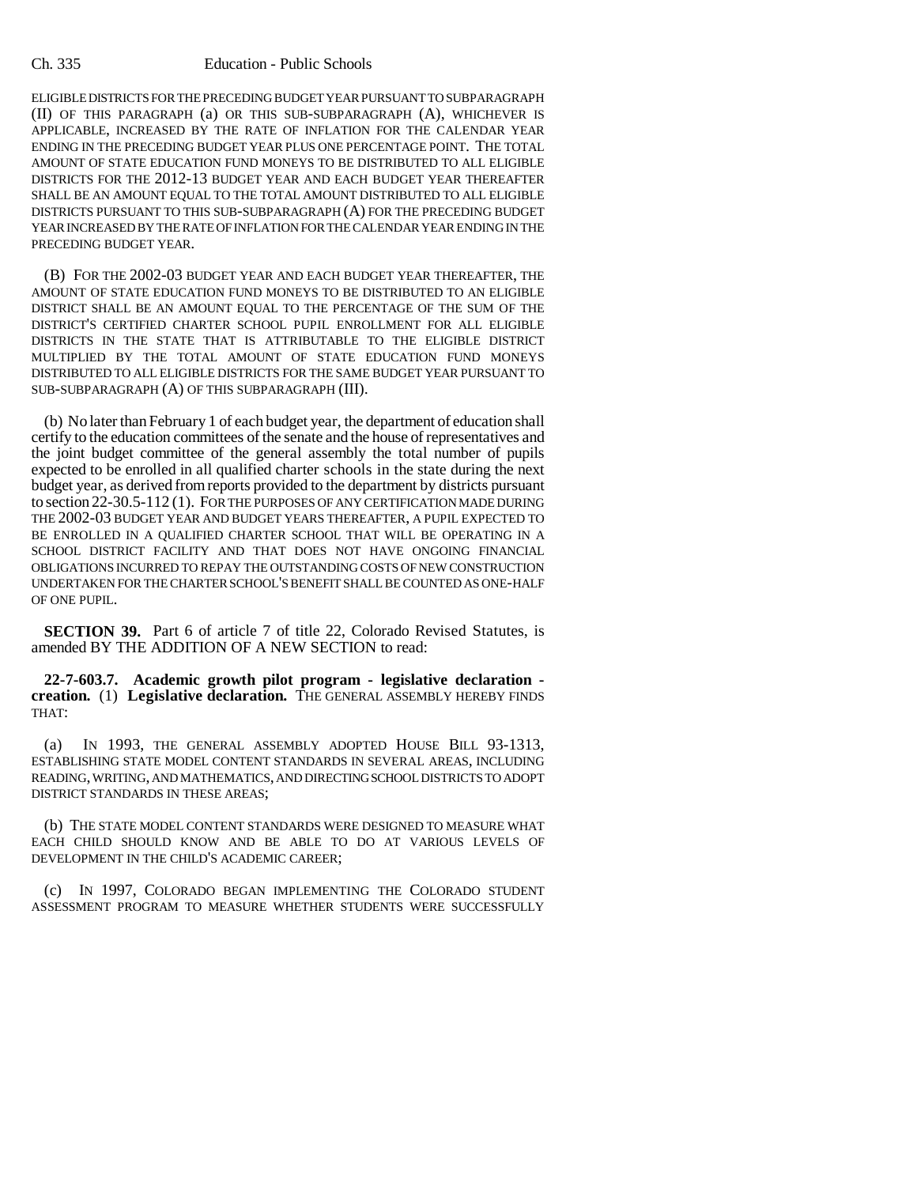ELIGIBLE DISTRICTS FOR THE PRECEDING BUDGET YEAR PURSUANT TO SUBPARAGRAPH (II) OF THIS PARAGRAPH (a) OR THIS SUB-SUBPARAGRAPH (A), WHICHEVER IS APPLICABLE, INCREASED BY THE RATE OF INFLATION FOR THE CALENDAR YEAR ENDING IN THE PRECEDING BUDGET YEAR PLUS ONE PERCENTAGE POINT. THE TOTAL AMOUNT OF STATE EDUCATION FUND MONEYS TO BE DISTRIBUTED TO ALL ELIGIBLE DISTRICTS FOR THE 2012-13 BUDGET YEAR AND EACH BUDGET YEAR THEREAFTER SHALL BE AN AMOUNT EQUAL TO THE TOTAL AMOUNT DISTRIBUTED TO ALL ELIGIBLE DISTRICTS PURSUANT TO THIS SUB-SUBPARAGRAPH (A) FOR THE PRECEDING BUDGET YEAR INCREASED BY THE RATE OF INFLATION FOR THE CALENDAR YEAR ENDING IN THE PRECEDING BUDGET YEAR.

(B) FOR THE 2002-03 BUDGET YEAR AND EACH BUDGET YEAR THEREAFTER, THE AMOUNT OF STATE EDUCATION FUND MONEYS TO BE DISTRIBUTED TO AN ELIGIBLE DISTRICT SHALL BE AN AMOUNT EQUAL TO THE PERCENTAGE OF THE SUM OF THE DISTRICT'S CERTIFIED CHARTER SCHOOL PUPIL ENROLLMENT FOR ALL ELIGIBLE DISTRICTS IN THE STATE THAT IS ATTRIBUTABLE TO THE ELIGIBLE DISTRICT MULTIPLIED BY THE TOTAL AMOUNT OF STATE EDUCATION FUND MONEYS DISTRIBUTED TO ALL ELIGIBLE DISTRICTS FOR THE SAME BUDGET YEAR PURSUANT TO SUB-SUBPARAGRAPH (A) OF THIS SUBPARAGRAPH (III).

(b) No later than February 1 of each budget year, the department of education shall certify to the education committees of the senate and the house of representatives and the joint budget committee of the general assembly the total number of pupils expected to be enrolled in all qualified charter schools in the state during the next budget year, as derived from reports provided to the department by districts pursuant to section 22-30.5-112 (1). FOR THE PURPOSES OF ANY CERTIFICATION MADE DURING THE 2002-03 BUDGET YEAR AND BUDGET YEARS THEREAFTER, A PUPIL EXPECTED TO BE ENROLLED IN A QUALIFIED CHARTER SCHOOL THAT WILL BE OPERATING IN A SCHOOL DISTRICT FACILITY AND THAT DOES NOT HAVE ONGOING FINANCIAL OBLIGATIONS INCURRED TO REPAY THE OUTSTANDING COSTS OF NEW CONSTRUCTION UNDERTAKEN FOR THE CHARTER SCHOOL'S BENEFIT SHALL BE COUNTED AS ONE-HALF OF ONE PUPIL.

**SECTION 39.** Part 6 of article 7 of title 22, Colorado Revised Statutes, is amended BY THE ADDITION OF A NEW SECTION to read:

**22-7-603.7. Academic growth pilot program - legislative declaration creation.** (1) **Legislative declaration.** THE GENERAL ASSEMBLY HEREBY FINDS THAT:

(a) IN 1993, THE GENERAL ASSEMBLY ADOPTED HOUSE BILL 93-1313, ESTABLISHING STATE MODEL CONTENT STANDARDS IN SEVERAL AREAS, INCLUDING READING, WRITING, AND MATHEMATICS, AND DIRECTING SCHOOL DISTRICTS TO ADOPT DISTRICT STANDARDS IN THESE AREAS;

(b) THE STATE MODEL CONTENT STANDARDS WERE DESIGNED TO MEASURE WHAT EACH CHILD SHOULD KNOW AND BE ABLE TO DO AT VARIOUS LEVELS OF DEVELOPMENT IN THE CHILD'S ACADEMIC CAREER;

(c) IN 1997, COLORADO BEGAN IMPLEMENTING THE COLORADO STUDENT ASSESSMENT PROGRAM TO MEASURE WHETHER STUDENTS WERE SUCCESSFULLY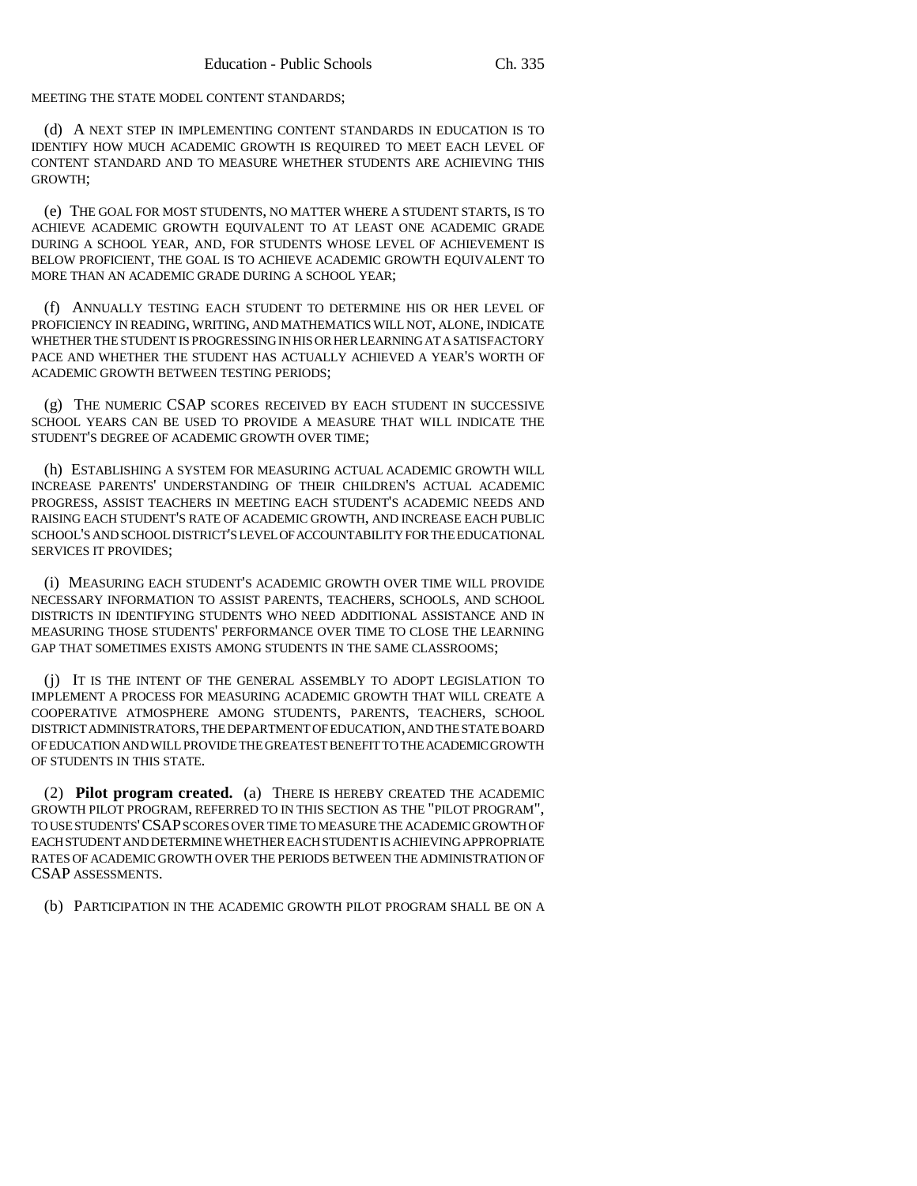MEETING THE STATE MODEL CONTENT STANDARDS;

(d) A NEXT STEP IN IMPLEMENTING CONTENT STANDARDS IN EDUCATION IS TO IDENTIFY HOW MUCH ACADEMIC GROWTH IS REQUIRED TO MEET EACH LEVEL OF CONTENT STANDARD AND TO MEASURE WHETHER STUDENTS ARE ACHIEVING THIS GROWTH;

(e) THE GOAL FOR MOST STUDENTS, NO MATTER WHERE A STUDENT STARTS, IS TO ACHIEVE ACADEMIC GROWTH EQUIVALENT TO AT LEAST ONE ACADEMIC GRADE DURING A SCHOOL YEAR, AND, FOR STUDENTS WHOSE LEVEL OF ACHIEVEMENT IS BELOW PROFICIENT, THE GOAL IS TO ACHIEVE ACADEMIC GROWTH EQUIVALENT TO MORE THAN AN ACADEMIC GRADE DURING A SCHOOL YEAR;

(f) ANNUALLY TESTING EACH STUDENT TO DETERMINE HIS OR HER LEVEL OF PROFICIENCY IN READING, WRITING, AND MATHEMATICS WILL NOT, ALONE, INDICATE WHETHER THE STUDENT IS PROGRESSING IN HIS OR HER LEARNING AT A SATISFACTORY PACE AND WHETHER THE STUDENT HAS ACTUALLY ACHIEVED A YEAR'S WORTH OF ACADEMIC GROWTH BETWEEN TESTING PERIODS;

(g) THE NUMERIC CSAP SCORES RECEIVED BY EACH STUDENT IN SUCCESSIVE SCHOOL YEARS CAN BE USED TO PROVIDE A MEASURE THAT WILL INDICATE THE STUDENT'S DEGREE OF ACADEMIC GROWTH OVER TIME;

(h) ESTABLISHING A SYSTEM FOR MEASURING ACTUAL ACADEMIC GROWTH WILL INCREASE PARENTS' UNDERSTANDING OF THEIR CHILDREN'S ACTUAL ACADEMIC PROGRESS, ASSIST TEACHERS IN MEETING EACH STUDENT'S ACADEMIC NEEDS AND RAISING EACH STUDENT'S RATE OF ACADEMIC GROWTH, AND INCREASE EACH PUBLIC SCHOOL'S AND SCHOOL DISTRICT'S LEVEL OF ACCOUNTABILITY FOR THE EDUCATIONAL SERVICES IT PROVIDES;

(i) MEASURING EACH STUDENT'S ACADEMIC GROWTH OVER TIME WILL PROVIDE NECESSARY INFORMATION TO ASSIST PARENTS, TEACHERS, SCHOOLS, AND SCHOOL DISTRICTS IN IDENTIFYING STUDENTS WHO NEED ADDITIONAL ASSISTANCE AND IN MEASURING THOSE STUDENTS' PERFORMANCE OVER TIME TO CLOSE THE LEARNING GAP THAT SOMETIMES EXISTS AMONG STUDENTS IN THE SAME CLASSROOMS;

(j) IT IS THE INTENT OF THE GENERAL ASSEMBLY TO ADOPT LEGISLATION TO IMPLEMENT A PROCESS FOR MEASURING ACADEMIC GROWTH THAT WILL CREATE A COOPERATIVE ATMOSPHERE AMONG STUDENTS, PARENTS, TEACHERS, SCHOOL DISTRICT ADMINISTRATORS, THE DEPARTMENT OF EDUCATION, AND THE STATE BOARD OF EDUCATION AND WILL PROVIDE THE GREATEST BENEFIT TO THE ACADEMIC GROWTH OF STUDENTS IN THIS STATE.

(2) **Pilot program created.** (a) THERE IS HEREBY CREATED THE ACADEMIC GROWTH PILOT PROGRAM, REFERRED TO IN THIS SECTION AS THE "PILOT PROGRAM", TO USE STUDENTS'CSAP SCORES OVER TIME TO MEASURE THE ACADEMIC GROWTH OF EACH STUDENT AND DETERMINE WHETHER EACH STUDENT IS ACHIEVING APPROPRIATE RATES OF ACADEMIC GROWTH OVER THE PERIODS BETWEEN THE ADMINISTRATION OF CSAP ASSESSMENTS.

(b) PARTICIPATION IN THE ACADEMIC GROWTH PILOT PROGRAM SHALL BE ON A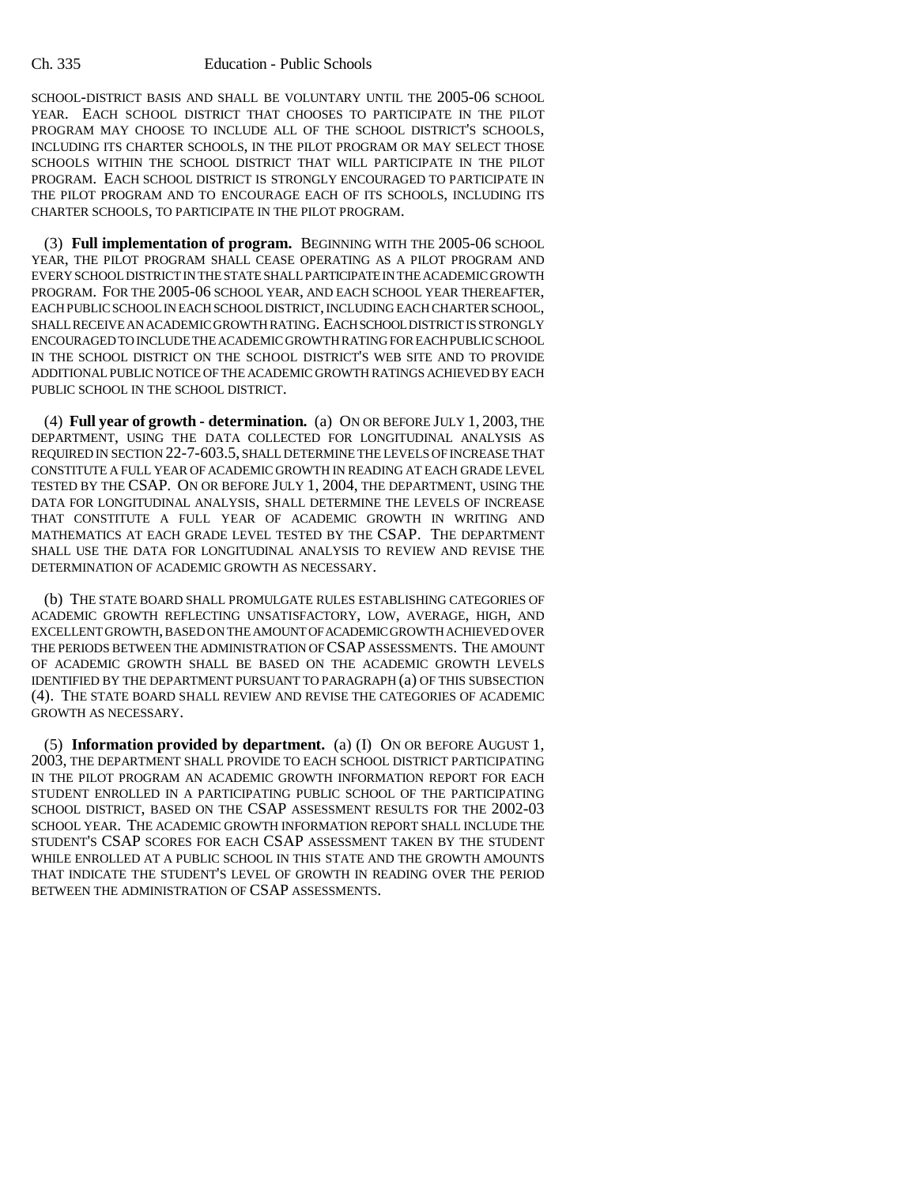SCHOOL-DISTRICT BASIS AND SHALL BE VOLUNTARY UNTIL THE 2005-06 SCHOOL YEAR. EACH SCHOOL DISTRICT THAT CHOOSES TO PARTICIPATE IN THE PILOT PROGRAM MAY CHOOSE TO INCLUDE ALL OF THE SCHOOL DISTRICT'S SCHOOLS, INCLUDING ITS CHARTER SCHOOLS, IN THE PILOT PROGRAM OR MAY SELECT THOSE SCHOOLS WITHIN THE SCHOOL DISTRICT THAT WILL PARTICIPATE IN THE PILOT PROGRAM. EACH SCHOOL DISTRICT IS STRONGLY ENCOURAGED TO PARTICIPATE IN THE PILOT PROGRAM AND TO ENCOURAGE EACH OF ITS SCHOOLS, INCLUDING ITS CHARTER SCHOOLS, TO PARTICIPATE IN THE PILOT PROGRAM.

(3) **Full implementation of program.** BEGINNING WITH THE 2005-06 SCHOOL YEAR, THE PILOT PROGRAM SHALL CEASE OPERATING AS A PILOT PROGRAM AND EVERY SCHOOL DISTRICT IN THE STATE SHALL PARTICIPATE IN THE ACADEMIC GROWTH PROGRAM. FOR THE 2005-06 SCHOOL YEAR, AND EACH SCHOOL YEAR THEREAFTER, EACH PUBLIC SCHOOL IN EACH SCHOOL DISTRICT, INCLUDING EACH CHARTER SCHOOL, SHALL RECEIVE AN ACADEMIC GROWTH RATING. EACH SCHOOL DISTRICT IS STRONGLY ENCOURAGED TO INCLUDE THE ACADEMIC GROWTH RATING FOR EACH PUBLIC SCHOOL IN THE SCHOOL DISTRICT ON THE SCHOOL DISTRICT'S WEB SITE AND TO PROVIDE ADDITIONAL PUBLIC NOTICE OF THE ACADEMIC GROWTH RATINGS ACHIEVED BY EACH PUBLIC SCHOOL IN THE SCHOOL DISTRICT.

(4) **Full year of growth - determination.** (a) ON OR BEFORE JULY 1, 2003, THE DEPARTMENT, USING THE DATA COLLECTED FOR LONGITUDINAL ANALYSIS AS REQUIRED IN SECTION 22-7-603.5, SHALL DETERMINE THE LEVELS OF INCREASE THAT CONSTITUTE A FULL YEAR OF ACADEMIC GROWTH IN READING AT EACH GRADE LEVEL TESTED BY THE CSAP. ON OR BEFORE JULY 1, 2004, THE DEPARTMENT, USING THE DATA FOR LONGITUDINAL ANALYSIS, SHALL DETERMINE THE LEVELS OF INCREASE THAT CONSTITUTE A FULL YEAR OF ACADEMIC GROWTH IN WRITING AND MATHEMATICS AT EACH GRADE LEVEL TESTED BY THE CSAP. THE DEPARTMENT SHALL USE THE DATA FOR LONGITUDINAL ANALYSIS TO REVIEW AND REVISE THE DETERMINATION OF ACADEMIC GROWTH AS NECESSARY.

(b) THE STATE BOARD SHALL PROMULGATE RULES ESTABLISHING CATEGORIES OF ACADEMIC GROWTH REFLECTING UNSATISFACTORY, LOW, AVERAGE, HIGH, AND EXCELLENT GROWTH, BASED ON THE AMOUNT OF ACADEMIC GROWTH ACHIEVED OVER THE PERIODS BETWEEN THE ADMINISTRATION OF CSAP ASSESSMENTS. THE AMOUNT OF ACADEMIC GROWTH SHALL BE BASED ON THE ACADEMIC GROWTH LEVELS IDENTIFIED BY THE DEPARTMENT PURSUANT TO PARAGRAPH (a) OF THIS SUBSECTION (4). THE STATE BOARD SHALL REVIEW AND REVISE THE CATEGORIES OF ACADEMIC GROWTH AS NECESSARY.

(5) **Information provided by department.** (a) (I) ON OR BEFORE AUGUST 1, 2003, THE DEPARTMENT SHALL PROVIDE TO EACH SCHOOL DISTRICT PARTICIPATING IN THE PILOT PROGRAM AN ACADEMIC GROWTH INFORMATION REPORT FOR EACH STUDENT ENROLLED IN A PARTICIPATING PUBLIC SCHOOL OF THE PARTICIPATING SCHOOL DISTRICT, BASED ON THE CSAP ASSESSMENT RESULTS FOR THE 2002-03 SCHOOL YEAR. THE ACADEMIC GROWTH INFORMATION REPORT SHALL INCLUDE THE STUDENT'S CSAP SCORES FOR EACH CSAP ASSESSMENT TAKEN BY THE STUDENT WHILE ENROLLED AT A PUBLIC SCHOOL IN THIS STATE AND THE GROWTH AMOUNTS THAT INDICATE THE STUDENT'S LEVEL OF GROWTH IN READING OVER THE PERIOD BETWEEN THE ADMINISTRATION OF CSAP ASSESSMENTS.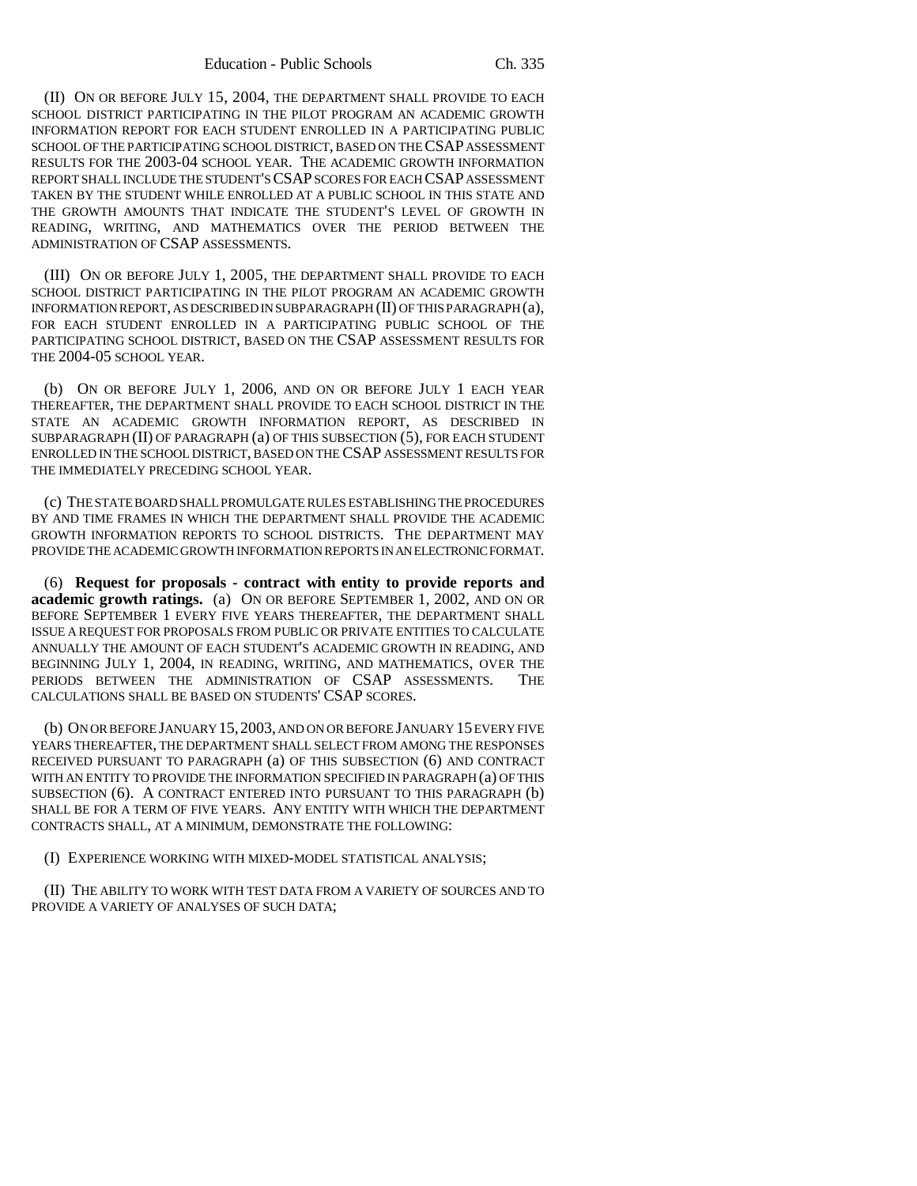(II) ON OR BEFORE JULY 15, 2004, THE DEPARTMENT SHALL PROVIDE TO EACH SCHOOL DISTRICT PARTICIPATING IN THE PILOT PROGRAM AN ACADEMIC GROWTH INFORMATION REPORT FOR EACH STUDENT ENROLLED IN A PARTICIPATING PUBLIC SCHOOL OF THE PARTICIPATING SCHOOL DISTRICT, BASED ON THE CSAP ASSESSMENT RESULTS FOR THE 2003-04 SCHOOL YEAR. THE ACADEMIC GROWTH INFORMATION REPORT SHALL INCLUDE THE STUDENT'S CSAP SCORES FOR EACH CSAP ASSESSMENT TAKEN BY THE STUDENT WHILE ENROLLED AT A PUBLIC SCHOOL IN THIS STATE AND THE GROWTH AMOUNTS THAT INDICATE THE STUDENT'S LEVEL OF GROWTH IN READING, WRITING, AND MATHEMATICS OVER THE PERIOD BETWEEN THE ADMINISTRATION OF CSAP ASSESSMENTS.

(III) ON OR BEFORE JULY 1, 2005, THE DEPARTMENT SHALL PROVIDE TO EACH SCHOOL DISTRICT PARTICIPATING IN THE PILOT PROGRAM AN ACADEMIC GROWTH INFORMATION REPORT, AS DESCRIBED IN SUBPARAGRAPH (II) OF THIS PARAGRAPH (a), FOR EACH STUDENT ENROLLED IN A PARTICIPATING PUBLIC SCHOOL OF THE PARTICIPATING SCHOOL DISTRICT, BASED ON THE CSAP ASSESSMENT RESULTS FOR THE 2004-05 SCHOOL YEAR.

(b) ON OR BEFORE JULY 1, 2006, AND ON OR BEFORE JULY 1 EACH YEAR THEREAFTER, THE DEPARTMENT SHALL PROVIDE TO EACH SCHOOL DISTRICT IN THE STATE AN ACADEMIC GROWTH INFORMATION REPORT, AS DESCRIBED IN SUBPARAGRAPH (II) OF PARAGRAPH (a) OF THIS SUBSECTION (5), FOR EACH STUDENT ENROLLED IN THE SCHOOL DISTRICT, BASED ON THE CSAP ASSESSMENT RESULTS FOR THE IMMEDIATELY PRECEDING SCHOOL YEAR.

(c) THE STATE BOARD SHALL PROMULGATE RULES ESTABLISHING THE PROCEDURES BY AND TIME FRAMES IN WHICH THE DEPARTMENT SHALL PROVIDE THE ACADEMIC GROWTH INFORMATION REPORTS TO SCHOOL DISTRICTS. THE DEPARTMENT MAY PROVIDE THE ACADEMIC GROWTH INFORMATION REPORTS IN AN ELECTRONIC FORMAT.

(6) **Request for proposals - contract with entity to provide reports and academic growth ratings.** (a) ON OR BEFORE SEPTEMBER 1, 2002, AND ON OR BEFORE SEPTEMBER 1 EVERY FIVE YEARS THEREAFTER, THE DEPARTMENT SHALL ISSUE A REQUEST FOR PROPOSALS FROM PUBLIC OR PRIVATE ENTITIES TO CALCULATE ANNUALLY THE AMOUNT OF EACH STUDENT'S ACADEMIC GROWTH IN READING, AND BEGINNING JULY 1, 2004, IN READING, WRITING, AND MATHEMATICS, OVER THE PERIODS BETWEEN THE ADMINISTRATION OF CSAP ASSESSMENTS. THE CALCULATIONS SHALL BE BASED ON STUDENTS' CSAP SCORES.

(b) ON OR BEFORE JANUARY 15,2003, AND ON OR BEFORE JANUARY 15 EVERY FIVE YEARS THEREAFTER, THE DEPARTMENT SHALL SELECT FROM AMONG THE RESPONSES RECEIVED PURSUANT TO PARAGRAPH (a) OF THIS SUBSECTION (6) AND CONTRACT WITH AN ENTITY TO PROVIDE THE INFORMATION SPECIFIED IN PARAGRAPH (a) OF THIS SUBSECTION (6). A CONTRACT ENTERED INTO PURSUANT TO THIS PARAGRAPH (b) SHALL BE FOR A TERM OF FIVE YEARS. ANY ENTITY WITH WHICH THE DEPARTMENT CONTRACTS SHALL, AT A MINIMUM, DEMONSTRATE THE FOLLOWING:

(I) EXPERIENCE WORKING WITH MIXED-MODEL STATISTICAL ANALYSIS;

(II) THE ABILITY TO WORK WITH TEST DATA FROM A VARIETY OF SOURCES AND TO PROVIDE A VARIETY OF ANALYSES OF SUCH DATA;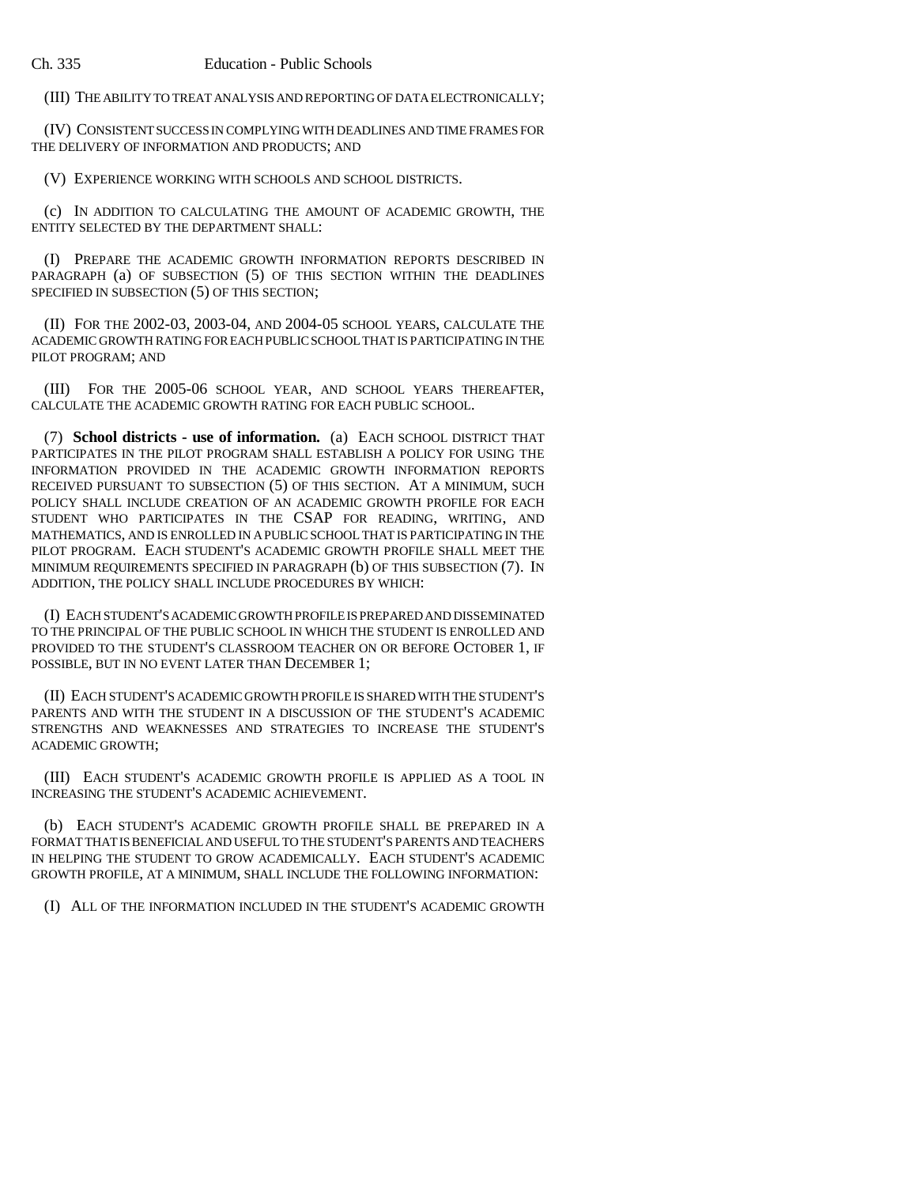(III) THE ABILITY TO TREAT ANALYSIS AND REPORTING OF DATA ELECTRONICALLY;

(IV) CONSISTENT SUCCESS IN COMPLYING WITH DEADLINES AND TIME FRAMES FOR THE DELIVERY OF INFORMATION AND PRODUCTS; AND

(V) EXPERIENCE WORKING WITH SCHOOLS AND SCHOOL DISTRICTS.

(c) IN ADDITION TO CALCULATING THE AMOUNT OF ACADEMIC GROWTH, THE ENTITY SELECTED BY THE DEPARTMENT SHALL:

(I) PREPARE THE ACADEMIC GROWTH INFORMATION REPORTS DESCRIBED IN PARAGRAPH (a) OF SUBSECTION (5) OF THIS SECTION WITHIN THE DEADLINES SPECIFIED IN SUBSECTION (5) OF THIS SECTION;

(II) FOR THE 2002-03, 2003-04, AND 2004-05 SCHOOL YEARS, CALCULATE THE ACADEMIC GROWTH RATING FOR EACH PUBLIC SCHOOL THAT IS PARTICIPATING IN THE PILOT PROGRAM; AND

(III) FOR THE 2005-06 SCHOOL YEAR, AND SCHOOL YEARS THEREAFTER, CALCULATE THE ACADEMIC GROWTH RATING FOR EACH PUBLIC SCHOOL.

(7) **School districts - use of information.** (a) EACH SCHOOL DISTRICT THAT PARTICIPATES IN THE PILOT PROGRAM SHALL ESTABLISH A POLICY FOR USING THE INFORMATION PROVIDED IN THE ACADEMIC GROWTH INFORMATION REPORTS RECEIVED PURSUANT TO SUBSECTION (5) OF THIS SECTION. AT A MINIMUM, SUCH POLICY SHALL INCLUDE CREATION OF AN ACADEMIC GROWTH PROFILE FOR EACH STUDENT WHO PARTICIPATES IN THE CSAP FOR READING, WRITING, AND MATHEMATICS, AND IS ENROLLED IN A PUBLIC SCHOOL THAT IS PARTICIPATING IN THE PILOT PROGRAM. EACH STUDENT'S ACADEMIC GROWTH PROFILE SHALL MEET THE MINIMUM REQUIREMENTS SPECIFIED IN PARAGRAPH (b) OF THIS SUBSECTION (7). IN ADDITION, THE POLICY SHALL INCLUDE PROCEDURES BY WHICH:

(I) EACH STUDENT'S ACADEMIC GROWTH PROFILE IS PREPARED AND DISSEMINATED TO THE PRINCIPAL OF THE PUBLIC SCHOOL IN WHICH THE STUDENT IS ENROLLED AND PROVIDED TO THE STUDENT'S CLASSROOM TEACHER ON OR BEFORE OCTOBER 1, IF POSSIBLE, BUT IN NO EVENT LATER THAN DECEMBER 1;

(II) EACH STUDENT'S ACADEMIC GROWTH PROFILE IS SHARED WITH THE STUDENT'S PARENTS AND WITH THE STUDENT IN A DISCUSSION OF THE STUDENT'S ACADEMIC STRENGTHS AND WEAKNESSES AND STRATEGIES TO INCREASE THE STUDENT'S ACADEMIC GROWTH;

(III) EACH STUDENT'S ACADEMIC GROWTH PROFILE IS APPLIED AS A TOOL IN INCREASING THE STUDENT'S ACADEMIC ACHIEVEMENT.

(b) EACH STUDENT'S ACADEMIC GROWTH PROFILE SHALL BE PREPARED IN A FORMAT THAT IS BENEFICIAL AND USEFUL TO THE STUDENT'S PARENTS AND TEACHERS IN HELPING THE STUDENT TO GROW ACADEMICALLY. EACH STUDENT'S ACADEMIC GROWTH PROFILE, AT A MINIMUM, SHALL INCLUDE THE FOLLOWING INFORMATION:

(I) ALL OF THE INFORMATION INCLUDED IN THE STUDENT'S ACADEMIC GROWTH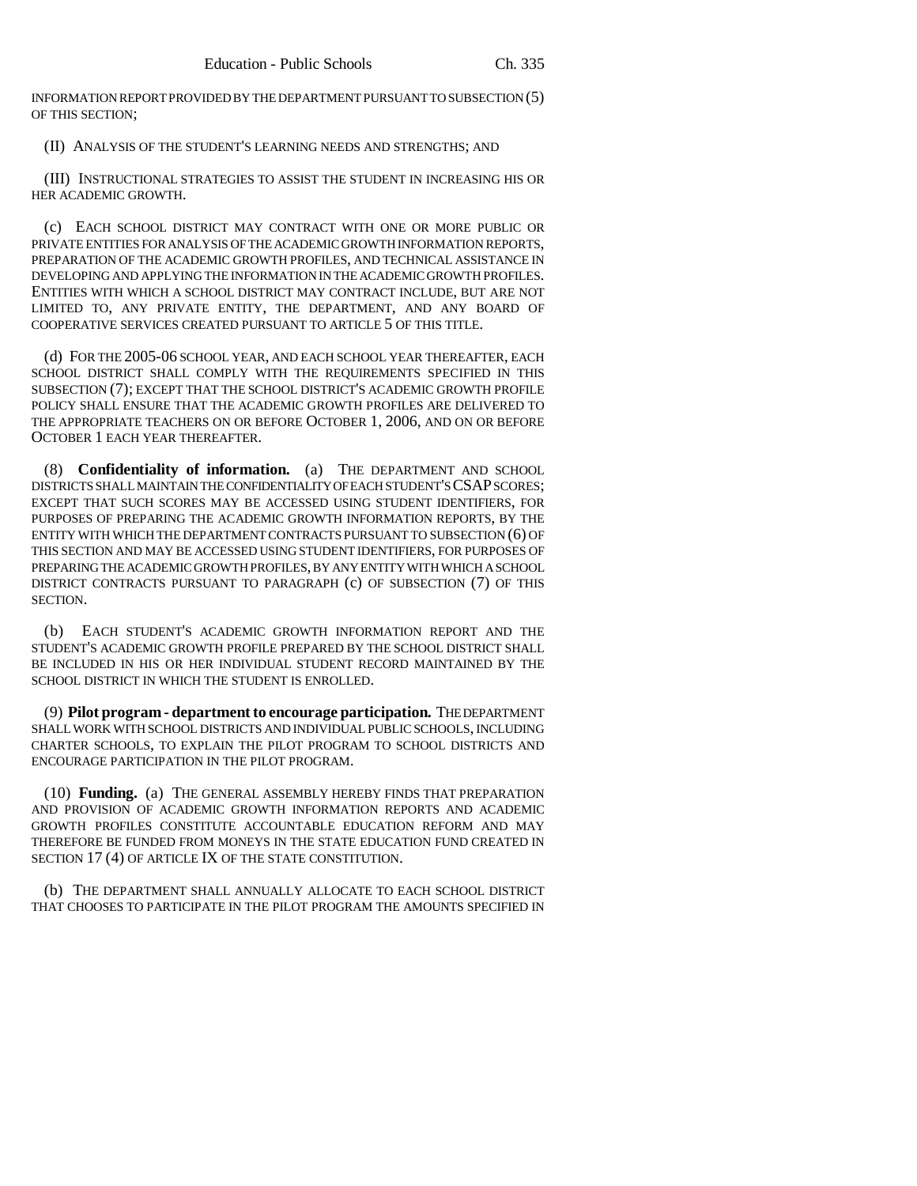INFORMATION REPORT PROVIDED BY THE DEPARTMENT PURSUANT TO SUBSECTION (5) OF THIS SECTION;

(II) ANALYSIS OF THE STUDENT'S LEARNING NEEDS AND STRENGTHS; AND

(III) INSTRUCTIONAL STRATEGIES TO ASSIST THE STUDENT IN INCREASING HIS OR HER ACADEMIC GROWTH.

(c) EACH SCHOOL DISTRICT MAY CONTRACT WITH ONE OR MORE PUBLIC OR PRIVATE ENTITIES FOR ANALYSIS OF THE ACADEMIC GROWTH INFORMATION REPORTS, PREPARATION OF THE ACADEMIC GROWTH PROFILES, AND TECHNICAL ASSISTANCE IN DEVELOPING AND APPLYING THE INFORMATION IN THE ACADEMIC GROWTH PROFILES. ENTITIES WITH WHICH A SCHOOL DISTRICT MAY CONTRACT INCLUDE, BUT ARE NOT LIMITED TO, ANY PRIVATE ENTITY, THE DEPARTMENT, AND ANY BOARD OF COOPERATIVE SERVICES CREATED PURSUANT TO ARTICLE 5 OF THIS TITLE.

(d) FOR THE 2005-06 SCHOOL YEAR, AND EACH SCHOOL YEAR THEREAFTER, EACH SCHOOL DISTRICT SHALL COMPLY WITH THE REQUIREMENTS SPECIFIED IN THIS SUBSECTION (7); EXCEPT THAT THE SCHOOL DISTRICT'S ACADEMIC GROWTH PROFILE POLICY SHALL ENSURE THAT THE ACADEMIC GROWTH PROFILES ARE DELIVERED TO THE APPROPRIATE TEACHERS ON OR BEFORE OCTOBER 1, 2006, AND ON OR BEFORE OCTOBER 1 EACH YEAR THEREAFTER.

(8) **Confidentiality of information.** (a) THE DEPARTMENT AND SCHOOL DISTRICTS SHALL MAINTAIN THE CONFIDENTIALITY OF EACH STUDENT'S CSAP SCORES; EXCEPT THAT SUCH SCORES MAY BE ACCESSED USING STUDENT IDENTIFIERS, FOR PURPOSES OF PREPARING THE ACADEMIC GROWTH INFORMATION REPORTS, BY THE ENTITY WITH WHICH THE DEPARTMENT CONTRACTS PURSUANT TO SUBSECTION (6) OF THIS SECTION AND MAY BE ACCESSED USING STUDENT IDENTIFIERS, FOR PURPOSES OF PREPARING THE ACADEMIC GROWTH PROFILES, BY ANY ENTITY WITH WHICH A SCHOOL DISTRICT CONTRACTS PURSUANT TO PARAGRAPH (c) OF SUBSECTION (7) OF THIS SECTION.

(b) EACH STUDENT'S ACADEMIC GROWTH INFORMATION REPORT AND THE STUDENT'S ACADEMIC GROWTH PROFILE PREPARED BY THE SCHOOL DISTRICT SHALL BE INCLUDED IN HIS OR HER INDIVIDUAL STUDENT RECORD MAINTAINED BY THE SCHOOL DISTRICT IN WHICH THE STUDENT IS ENROLLED.

(9) **Pilot program - department to encourage participation.** THE DEPARTMENT SHALL WORK WITH SCHOOL DISTRICTS AND INDIVIDUAL PUBLIC SCHOOLS, INCLUDING CHARTER SCHOOLS, TO EXPLAIN THE PILOT PROGRAM TO SCHOOL DISTRICTS AND ENCOURAGE PARTICIPATION IN THE PILOT PROGRAM.

(10) **Funding.** (a) THE GENERAL ASSEMBLY HEREBY FINDS THAT PREPARATION AND PROVISION OF ACADEMIC GROWTH INFORMATION REPORTS AND ACADEMIC GROWTH PROFILES CONSTITUTE ACCOUNTABLE EDUCATION REFORM AND MAY THEREFORE BE FUNDED FROM MONEYS IN THE STATE EDUCATION FUND CREATED IN SECTION 17 (4) OF ARTICLE IX OF THE STATE CONSTITUTION.

(b) THE DEPARTMENT SHALL ANNUALLY ALLOCATE TO EACH SCHOOL DISTRICT THAT CHOOSES TO PARTICIPATE IN THE PILOT PROGRAM THE AMOUNTS SPECIFIED IN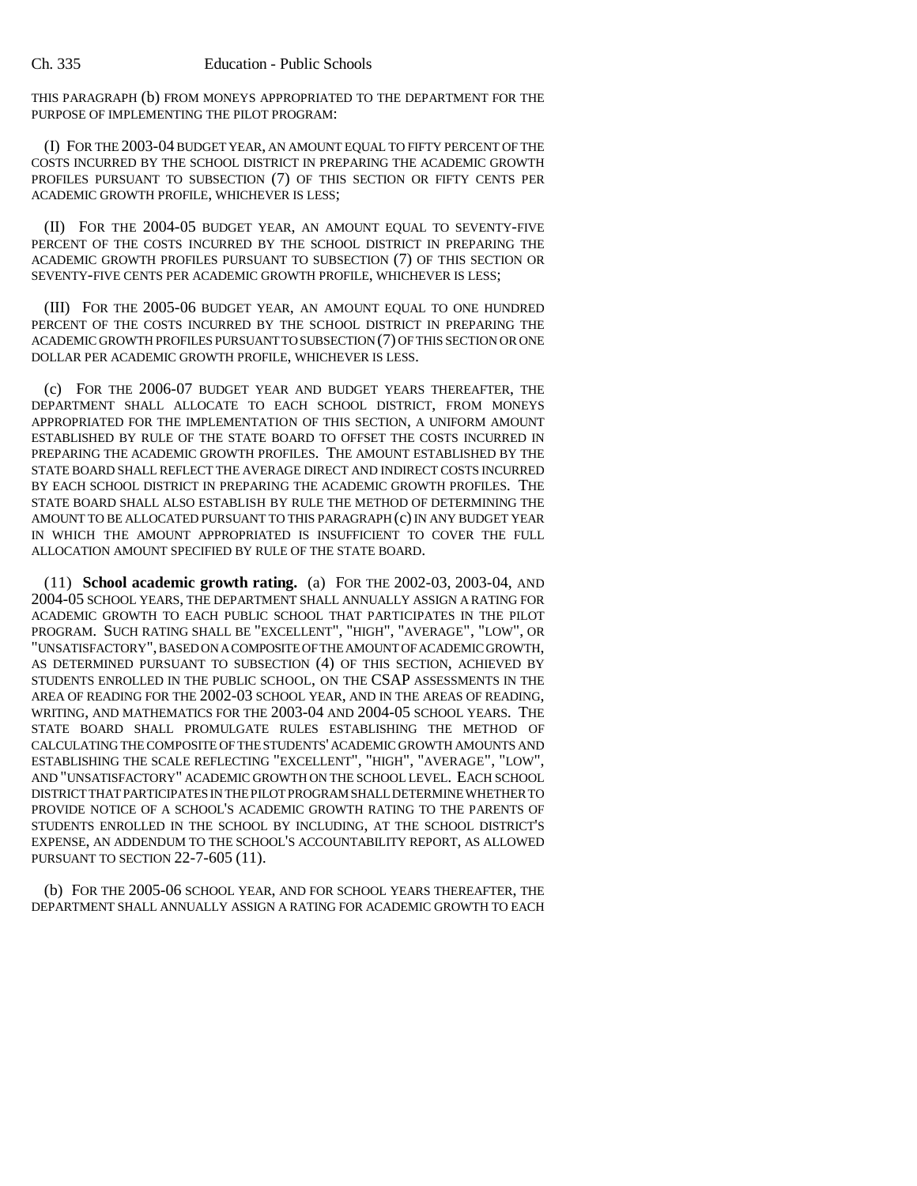THIS PARAGRAPH (b) FROM MONEYS APPROPRIATED TO THE DEPARTMENT FOR THE PURPOSE OF IMPLEMENTING THE PILOT PROGRAM:

(I) FOR THE 2003-04 BUDGET YEAR, AN AMOUNT EQUAL TO FIFTY PERCENT OF THE COSTS INCURRED BY THE SCHOOL DISTRICT IN PREPARING THE ACADEMIC GROWTH PROFILES PURSUANT TO SUBSECTION (7) OF THIS SECTION OR FIFTY CENTS PER ACADEMIC GROWTH PROFILE, WHICHEVER IS LESS;

(II) FOR THE 2004-05 BUDGET YEAR, AN AMOUNT EQUAL TO SEVENTY-FIVE PERCENT OF THE COSTS INCURRED BY THE SCHOOL DISTRICT IN PREPARING THE ACADEMIC GROWTH PROFILES PURSUANT TO SUBSECTION (7) OF THIS SECTION OR SEVENTY-FIVE CENTS PER ACADEMIC GROWTH PROFILE, WHICHEVER IS LESS;

(III) FOR THE 2005-06 BUDGET YEAR, AN AMOUNT EQUAL TO ONE HUNDRED PERCENT OF THE COSTS INCURRED BY THE SCHOOL DISTRICT IN PREPARING THE ACADEMIC GROWTH PROFILES PURSUANT TO SUBSECTION (7) OF THIS SECTION OR ONE DOLLAR PER ACADEMIC GROWTH PROFILE, WHICHEVER IS LESS.

(c) FOR THE 2006-07 BUDGET YEAR AND BUDGET YEARS THEREAFTER, THE DEPARTMENT SHALL ALLOCATE TO EACH SCHOOL DISTRICT, FROM MONEYS APPROPRIATED FOR THE IMPLEMENTATION OF THIS SECTION, A UNIFORM AMOUNT ESTABLISHED BY RULE OF THE STATE BOARD TO OFFSET THE COSTS INCURRED IN PREPARING THE ACADEMIC GROWTH PROFILES. THE AMOUNT ESTABLISHED BY THE STATE BOARD SHALL REFLECT THE AVERAGE DIRECT AND INDIRECT COSTS INCURRED BY EACH SCHOOL DISTRICT IN PREPARING THE ACADEMIC GROWTH PROFILES. THE STATE BOARD SHALL ALSO ESTABLISH BY RULE THE METHOD OF DETERMINING THE AMOUNT TO BE ALLOCATED PURSUANT TO THIS PARAGRAPH (c) IN ANY BUDGET YEAR IN WHICH THE AMOUNT APPROPRIATED IS INSUFFICIENT TO COVER THE FULL ALLOCATION AMOUNT SPECIFIED BY RULE OF THE STATE BOARD.

(11) **School academic growth rating.** (a) FOR THE 2002-03, 2003-04, AND 2004-05 SCHOOL YEARS, THE DEPARTMENT SHALL ANNUALLY ASSIGN A RATING FOR ACADEMIC GROWTH TO EACH PUBLIC SCHOOL THAT PARTICIPATES IN THE PILOT PROGRAM. SUCH RATING SHALL BE "EXCELLENT", "HIGH", "AVERAGE", "LOW", OR "UNSATISFACTORY", BASED ON A COMPOSITE OF THE AMOUNT OF ACADEMIC GROWTH, AS DETERMINED PURSUANT TO SUBSECTION (4) OF THIS SECTION, ACHIEVED BY STUDENTS ENROLLED IN THE PUBLIC SCHOOL, ON THE CSAP ASSESSMENTS IN THE AREA OF READING FOR THE 2002-03 SCHOOL YEAR, AND IN THE AREAS OF READING, WRITING, AND MATHEMATICS FOR THE 2003-04 AND 2004-05 SCHOOL YEARS. THE STATE BOARD SHALL PROMULGATE RULES ESTABLISHING THE METHOD OF CALCULATING THE COMPOSITE OF THE STUDENTS' ACADEMIC GROWTH AMOUNTS AND ESTABLISHING THE SCALE REFLECTING "EXCELLENT", "HIGH", "AVERAGE", "LOW", AND "UNSATISFACTORY" ACADEMIC GROWTH ON THE SCHOOL LEVEL. EACH SCHOOL DISTRICT THAT PARTICIPATES IN THE PILOT PROGRAM SHALL DETERMINE WHETHER TO PROVIDE NOTICE OF A SCHOOL'S ACADEMIC GROWTH RATING TO THE PARENTS OF STUDENTS ENROLLED IN THE SCHOOL BY INCLUDING, AT THE SCHOOL DISTRICT'S EXPENSE, AN ADDENDUM TO THE SCHOOL'S ACCOUNTABILITY REPORT, AS ALLOWED PURSUANT TO SECTION 22-7-605 (11).

(b) FOR THE 2005-06 SCHOOL YEAR, AND FOR SCHOOL YEARS THEREAFTER, THE DEPARTMENT SHALL ANNUALLY ASSIGN A RATING FOR ACADEMIC GROWTH TO EACH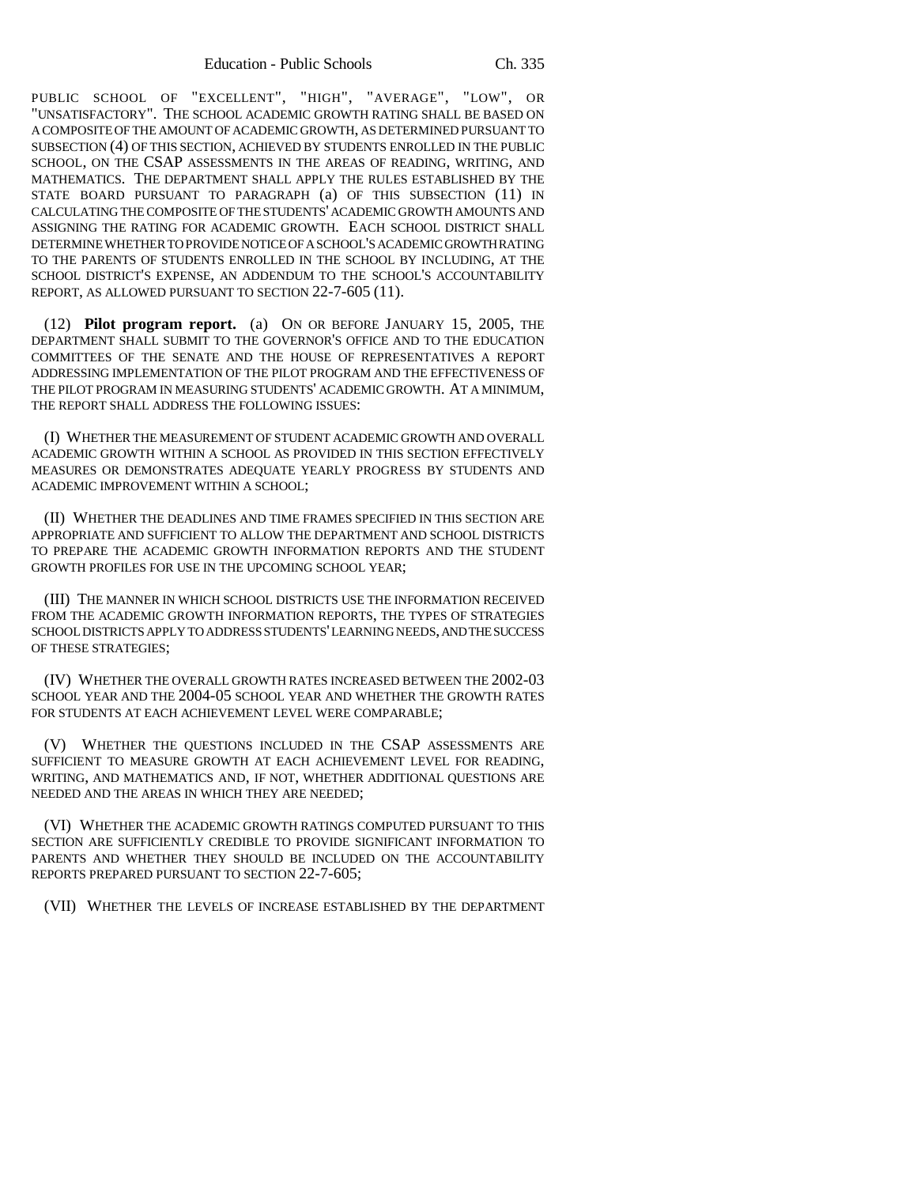PUBLIC SCHOOL OF "EXCELLENT", "HIGH", "AVERAGE", "LOW", OR "UNSATISFACTORY". THE SCHOOL ACADEMIC GROWTH RATING SHALL BE BASED ON A COMPOSITE OF THE AMOUNT OF ACADEMIC GROWTH, AS DETERMINED PURSUANT TO SUBSECTION (4) OF THIS SECTION, ACHIEVED BY STUDENTS ENROLLED IN THE PUBLIC SCHOOL, ON THE CSAP ASSESSMENTS IN THE AREAS OF READING, WRITING, AND MATHEMATICS. THE DEPARTMENT SHALL APPLY THE RULES ESTABLISHED BY THE STATE BOARD PURSUANT TO PARAGRAPH (a) OF THIS SUBSECTION (11) IN CALCULATING THE COMPOSITE OF THE STUDENTS' ACADEMIC GROWTH AMOUNTS AND ASSIGNING THE RATING FOR ACADEMIC GROWTH. EACH SCHOOL DISTRICT SHALL DETERMINE WHETHER TO PROVIDE NOTICE OF A SCHOOL'S ACADEMIC GROWTH RATING TO THE PARENTS OF STUDENTS ENROLLED IN THE SCHOOL BY INCLUDING, AT THE SCHOOL DISTRICT'S EXPENSE, AN ADDENDUM TO THE SCHOOL'S ACCOUNTABILITY REPORT, AS ALLOWED PURSUANT TO SECTION 22-7-605 (11).

(12) **Pilot program report.** (a) ON OR BEFORE JANUARY 15, 2005, THE DEPARTMENT SHALL SUBMIT TO THE GOVERNOR'S OFFICE AND TO THE EDUCATION COMMITTEES OF THE SENATE AND THE HOUSE OF REPRESENTATIVES A REPORT ADDRESSING IMPLEMENTATION OF THE PILOT PROGRAM AND THE EFFECTIVENESS OF THE PILOT PROGRAM IN MEASURING STUDENTS' ACADEMIC GROWTH. AT A MINIMUM, THE REPORT SHALL ADDRESS THE FOLLOWING ISSUES:

(I) WHETHER THE MEASUREMENT OF STUDENT ACADEMIC GROWTH AND OVERALL ACADEMIC GROWTH WITHIN A SCHOOL AS PROVIDED IN THIS SECTION EFFECTIVELY MEASURES OR DEMONSTRATES ADEQUATE YEARLY PROGRESS BY STUDENTS AND ACADEMIC IMPROVEMENT WITHIN A SCHOOL;

(II) WHETHER THE DEADLINES AND TIME FRAMES SPECIFIED IN THIS SECTION ARE APPROPRIATE AND SUFFICIENT TO ALLOW THE DEPARTMENT AND SCHOOL DISTRICTS TO PREPARE THE ACADEMIC GROWTH INFORMATION REPORTS AND THE STUDENT GROWTH PROFILES FOR USE IN THE UPCOMING SCHOOL YEAR;

(III) THE MANNER IN WHICH SCHOOL DISTRICTS USE THE INFORMATION RECEIVED FROM THE ACADEMIC GROWTH INFORMATION REPORTS, THE TYPES OF STRATEGIES SCHOOL DISTRICTS APPLY TO ADDRESS STUDENTS' LEARNING NEEDS, AND THE SUCCESS OF THESE STRATEGIES;

(IV) WHETHER THE OVERALL GROWTH RATES INCREASED BETWEEN THE 2002-03 SCHOOL YEAR AND THE 2004-05 SCHOOL YEAR AND WHETHER THE GROWTH RATES FOR STUDENTS AT EACH ACHIEVEMENT LEVEL WERE COMPARABLE;

(V) WHETHER THE QUESTIONS INCLUDED IN THE CSAP ASSESSMENTS ARE SUFFICIENT TO MEASURE GROWTH AT EACH ACHIEVEMENT LEVEL FOR READING, WRITING, AND MATHEMATICS AND, IF NOT, WHETHER ADDITIONAL QUESTIONS ARE NEEDED AND THE AREAS IN WHICH THEY ARE NEEDED;

(VI) WHETHER THE ACADEMIC GROWTH RATINGS COMPUTED PURSUANT TO THIS SECTION ARE SUFFICIENTLY CREDIBLE TO PROVIDE SIGNIFICANT INFORMATION TO PARENTS AND WHETHER THEY SHOULD BE INCLUDED ON THE ACCOUNTABILITY REPORTS PREPARED PURSUANT TO SECTION 22-7-605;

(VII) WHETHER THE LEVELS OF INCREASE ESTABLISHED BY THE DEPARTMENT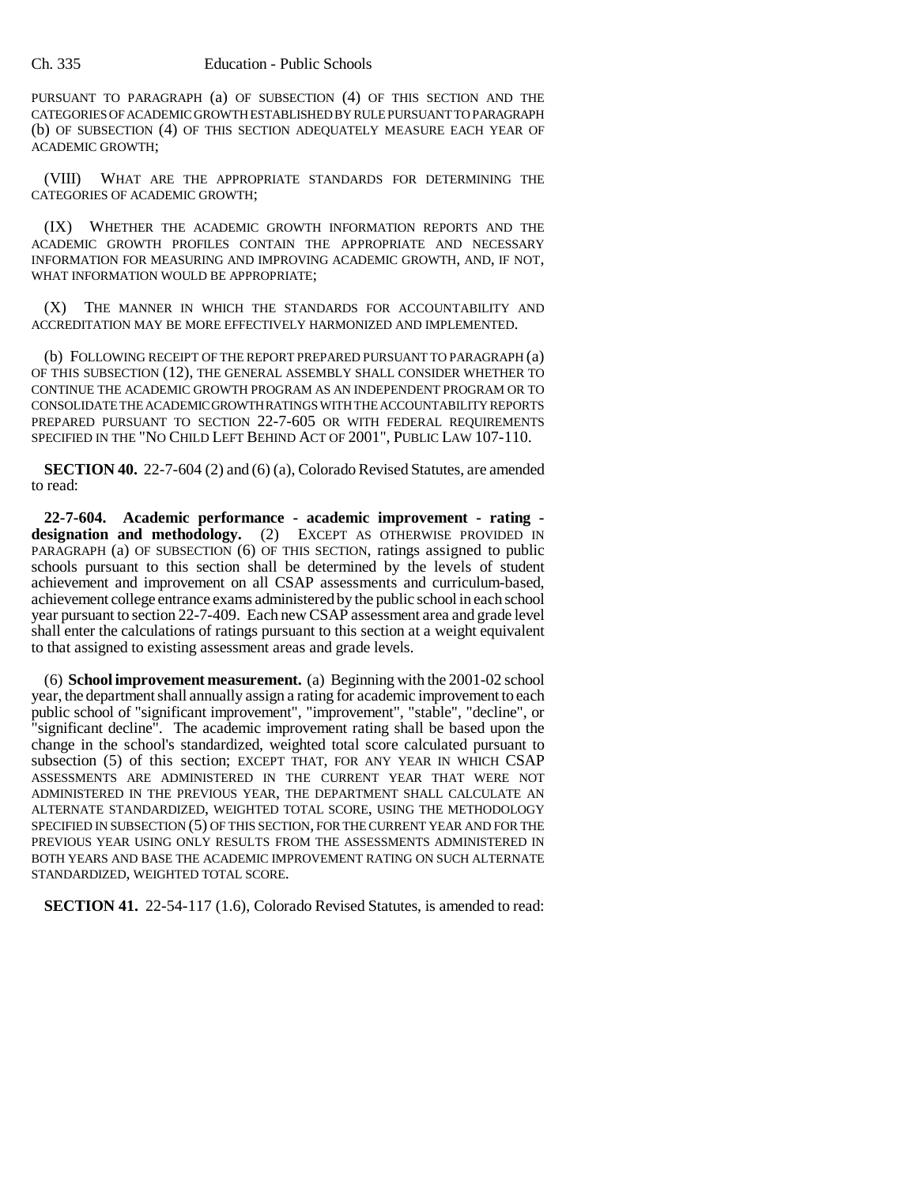PURSUANT TO PARAGRAPH (a) OF SUBSECTION (4) OF THIS SECTION AND THE CATEGORIES OF ACADEMIC GROWTH ESTABLISHED BY RULE PURSUANT TO PARAGRAPH (b) OF SUBSECTION (4) OF THIS SECTION ADEQUATELY MEASURE EACH YEAR OF ACADEMIC GROWTH;

(VIII) WHAT ARE THE APPROPRIATE STANDARDS FOR DETERMINING THE CATEGORIES OF ACADEMIC GROWTH;

(IX) WHETHER THE ACADEMIC GROWTH INFORMATION REPORTS AND THE ACADEMIC GROWTH PROFILES CONTAIN THE APPROPRIATE AND NECESSARY INFORMATION FOR MEASURING AND IMPROVING ACADEMIC GROWTH, AND, IF NOT, WHAT INFORMATION WOULD BE APPROPRIATE;

(X) THE MANNER IN WHICH THE STANDARDS FOR ACCOUNTABILITY AND ACCREDITATION MAY BE MORE EFFECTIVELY HARMONIZED AND IMPLEMENTED.

(b) FOLLOWING RECEIPT OF THE REPORT PREPARED PURSUANT TO PARAGRAPH (a) OF THIS SUBSECTION (12), THE GENERAL ASSEMBLY SHALL CONSIDER WHETHER TO CONTINUE THE ACADEMIC GROWTH PROGRAM AS AN INDEPENDENT PROGRAM OR TO CONSOLIDATE THE ACADEMIC GROWTH RATINGS WITH THE ACCOUNTABILITY REPORTS PREPARED PURSUANT TO SECTION 22-7-605 OR WITH FEDERAL REQUIREMENTS SPECIFIED IN THE "NO CHILD LEFT BEHIND ACT OF 2001", PUBLIC LAW 107-110.

**SECTION 40.** 22-7-604 (2) and (6) (a), Colorado Revised Statutes, are amended to read:

**22-7-604. Academic performance - academic improvement - rating designation and methodology.** (2) EXCEPT AS OTHERWISE PROVIDED IN PARAGRAPH (a) OF SUBSECTION (6) OF THIS SECTION, ratings assigned to public schools pursuant to this section shall be determined by the levels of student achievement and improvement on all CSAP assessments and curriculum-based, achievement college entrance exams administered by the public school in each school year pursuant to section 22-7-409. Each new CSAP assessment area and grade level shall enter the calculations of ratings pursuant to this section at a weight equivalent to that assigned to existing assessment areas and grade levels.

(6) **School improvement measurement.** (a) Beginning with the 2001-02 school year, the department shall annually assign a rating for academic improvement to each public school of "significant improvement", "improvement", "stable", "decline", or "significant decline". The academic improvement rating shall be based upon the change in the school's standardized, weighted total score calculated pursuant to subsection (5) of this section; EXCEPT THAT, FOR ANY YEAR IN WHICH CSAP ASSESSMENTS ARE ADMINISTERED IN THE CURRENT YEAR THAT WERE NOT ADMINISTERED IN THE PREVIOUS YEAR, THE DEPARTMENT SHALL CALCULATE AN ALTERNATE STANDARDIZED, WEIGHTED TOTAL SCORE, USING THE METHODOLOGY SPECIFIED IN SUBSECTION (5) OF THIS SECTION, FOR THE CURRENT YEAR AND FOR THE PREVIOUS YEAR USING ONLY RESULTS FROM THE ASSESSMENTS ADMINISTERED IN BOTH YEARS AND BASE THE ACADEMIC IMPROVEMENT RATING ON SUCH ALTERNATE STANDARDIZED, WEIGHTED TOTAL SCORE.

**SECTION 41.** 22-54-117 (1.6), Colorado Revised Statutes, is amended to read: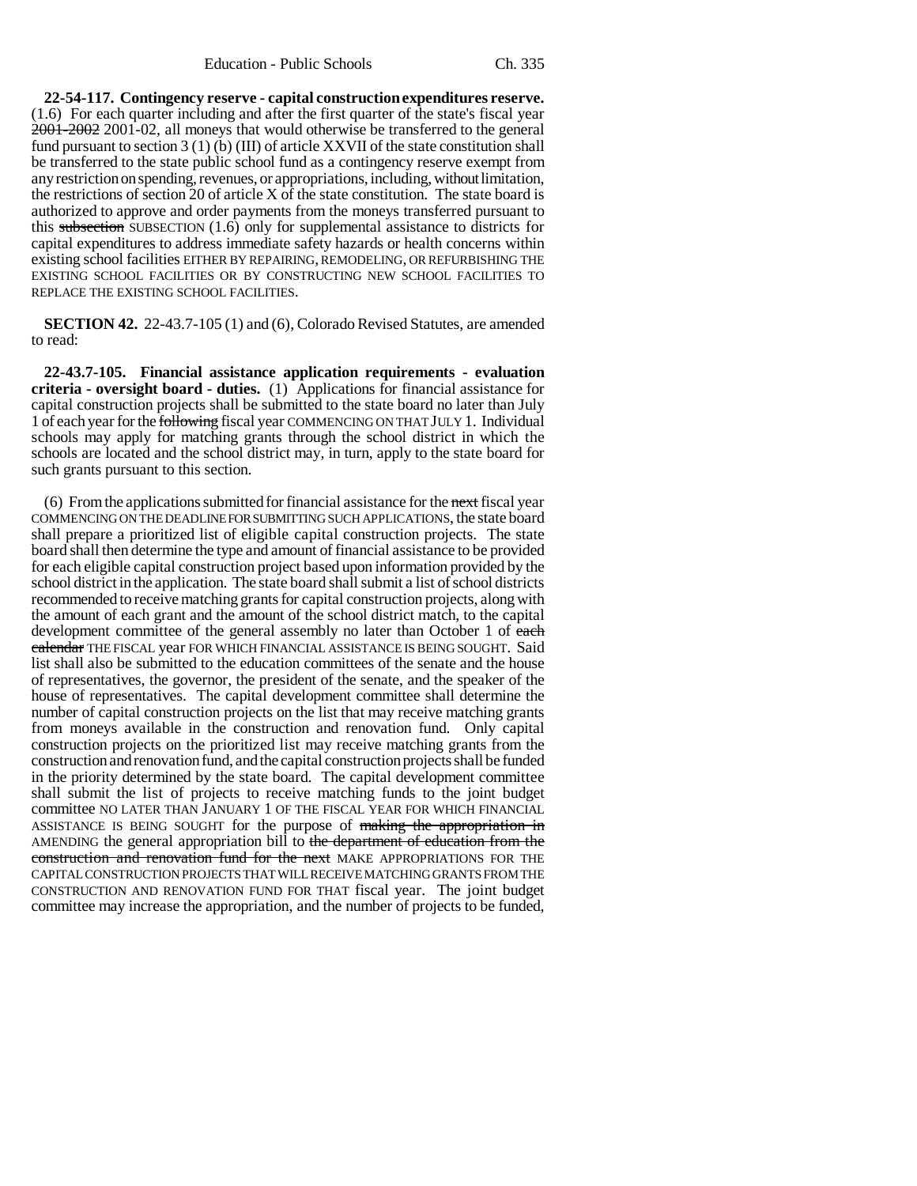**22-54-117. Contingency reserve - capital construction expenditures reserve.** (1.6) For each quarter including and after the first quarter of the state's fiscal year 2001-2002 2001-02, all moneys that would otherwise be transferred to the general fund pursuant to section 3 (1) (b) (III) of article XXVII of the state constitution shall be transferred to the state public school fund as a contingency reserve exempt from any restriction on spending, revenues, or appropriations, including, without limitation, the restrictions of section 20 of article X of the state constitution. The state board is authorized to approve and order payments from the moneys transferred pursuant to this subsection SUBSECTION  $(1.6)$  only for supplemental assistance to districts for capital expenditures to address immediate safety hazards or health concerns within existing school facilities EITHER BY REPAIRING, REMODELING, OR REFURBISHING THE EXISTING SCHOOL FACILITIES OR BY CONSTRUCTING NEW SCHOOL FACILITIES TO REPLACE THE EXISTING SCHOOL FACILITIES.

**SECTION 42.** 22-43.7-105 (1) and (6), Colorado Revised Statutes, are amended to read:

**22-43.7-105. Financial assistance application requirements - evaluation criteria - oversight board - duties.** (1) Applications for financial assistance for capital construction projects shall be submitted to the state board no later than July 1 of each year for the following fiscal year COMMENCING ON THAT JULY 1. Individual schools may apply for matching grants through the school district in which the schools are located and the school district may, in turn, apply to the state board for such grants pursuant to this section.

(6) From the applications submitted for financial assistance for the next fiscal year COMMENCING ON THE DEADLINE FOR SUBMITTING SUCH APPLICATIONS, the state board shall prepare a prioritized list of eligible capital construction projects. The state board shall then determine the type and amount of financial assistance to be provided for each eligible capital construction project based upon information provided by the school district in the application. The state board shall submit a list of school districts recommended to receive matching grants for capital construction projects, along with the amount of each grant and the amount of the school district match, to the capital development committee of the general assembly no later than October 1 of each calendar THE FISCAL year FOR WHICH FINANCIAL ASSISTANCE IS BEING SOUGHT. Said list shall also be submitted to the education committees of the senate and the house of representatives, the governor, the president of the senate, and the speaker of the house of representatives. The capital development committee shall determine the number of capital construction projects on the list that may receive matching grants from moneys available in the construction and renovation fund. Only capital construction projects on the prioritized list may receive matching grants from the construction and renovation fund, and the capital construction projects shall be funded in the priority determined by the state board. The capital development committee shall submit the list of projects to receive matching funds to the joint budget committee NO LATER THAN JANUARY 1 OF THE FISCAL YEAR FOR WHICH FINANCIAL ASSISTANCE IS BEING SOUGHT for the purpose of making the appropriation in AMENDING the general appropriation bill to the department of education from the construction and renovation fund for the next MAKE APPROPRIATIONS FOR THE CAPITAL CONSTRUCTION PROJECTS THAT WILL RECEIVE MATCHING GRANTS FROM THE CONSTRUCTION AND RENOVATION FUND FOR THAT fiscal year. The joint budget committee may increase the appropriation, and the number of projects to be funded,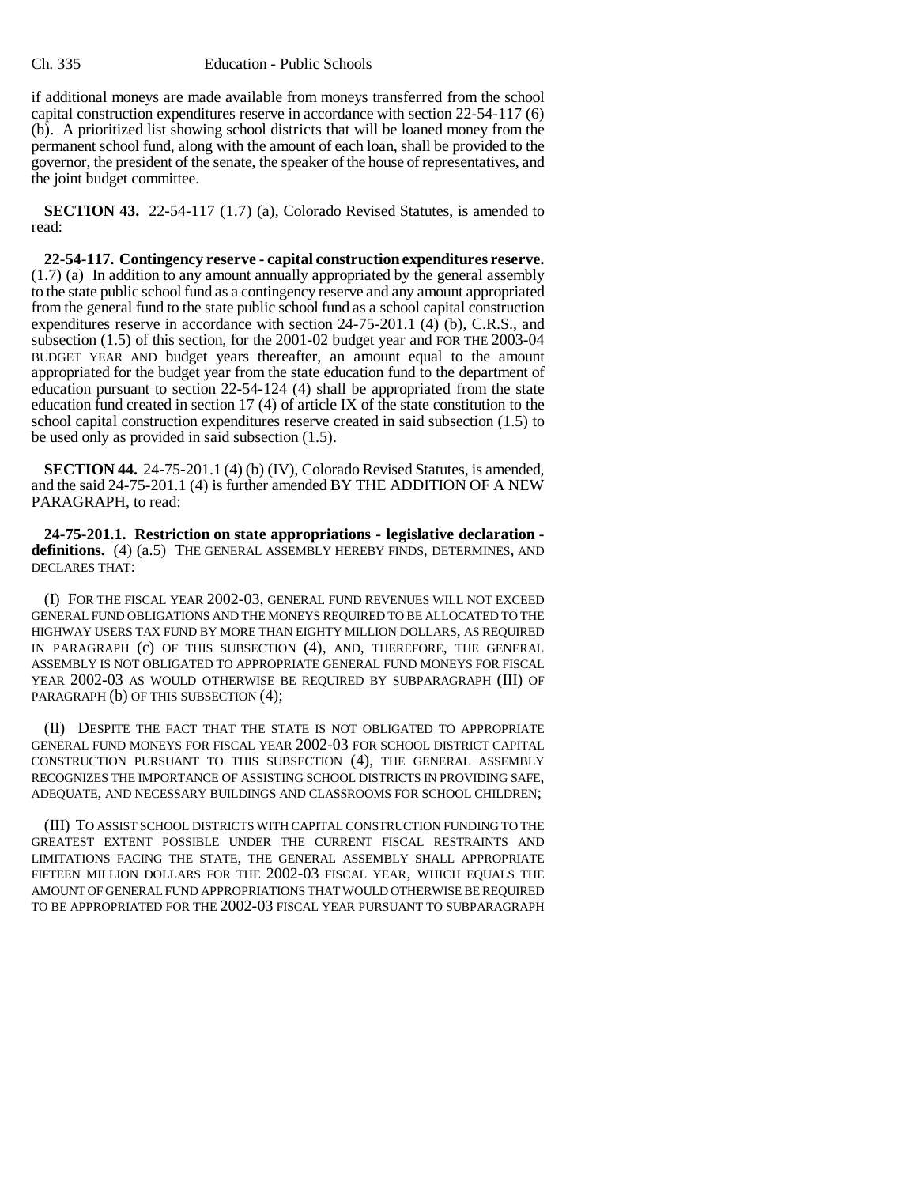if additional moneys are made available from moneys transferred from the school capital construction expenditures reserve in accordance with section 22-54-117 (6) (b). A prioritized list showing school districts that will be loaned money from the permanent school fund, along with the amount of each loan, shall be provided to the governor, the president of the senate, the speaker of the house of representatives, and the joint budget committee.

**SECTION 43.** 22-54-117 (1.7) (a), Colorado Revised Statutes, is amended to read:

**22-54-117. Contingency reserve - capital construction expenditures reserve.** (1.7) (a) In addition to any amount annually appropriated by the general assembly to the state public school fund as a contingency reserve and any amount appropriated from the general fund to the state public school fund as a school capital construction expenditures reserve in accordance with section 24-75-201.1 (4) (b), C.R.S., and subsection (1.5) of this section, for the 2001-02 budget year and FOR THE 2003-04 BUDGET YEAR AND budget years thereafter, an amount equal to the amount appropriated for the budget year from the state education fund to the department of education pursuant to section 22-54-124 (4) shall be appropriated from the state education fund created in section 17 (4) of article IX of the state constitution to the school capital construction expenditures reserve created in said subsection (1.5) to be used only as provided in said subsection (1.5).

**SECTION 44.** 24-75-201.1 (4) (b) (IV), Colorado Revised Statutes, is amended, and the said 24-75-201.1 (4) is further amended BY THE ADDITION OF A NEW PARAGRAPH, to read:

**24-75-201.1. Restriction on state appropriations - legislative declaration**  definitions. (4) (a.5) THE GENERAL ASSEMBLY HEREBY FINDS, DETERMINES, AND DECLARES THAT:

(I) FOR THE FISCAL YEAR 2002-03, GENERAL FUND REVENUES WILL NOT EXCEED GENERAL FUND OBLIGATIONS AND THE MONEYS REQUIRED TO BE ALLOCATED TO THE HIGHWAY USERS TAX FUND BY MORE THAN EIGHTY MILLION DOLLARS, AS REQUIRED IN PARAGRAPH (c) OF THIS SUBSECTION (4), AND, THEREFORE, THE GENERAL ASSEMBLY IS NOT OBLIGATED TO APPROPRIATE GENERAL FUND MONEYS FOR FISCAL YEAR 2002-03 AS WOULD OTHERWISE BE REQUIRED BY SUBPARAGRAPH (III) OF PARAGRAPH (b) OF THIS SUBSECTION (4);

(II) DESPITE THE FACT THAT THE STATE IS NOT OBLIGATED TO APPROPRIATE GENERAL FUND MONEYS FOR FISCAL YEAR 2002-03 FOR SCHOOL DISTRICT CAPITAL CONSTRUCTION PURSUANT TO THIS SUBSECTION (4), THE GENERAL ASSEMBLY RECOGNIZES THE IMPORTANCE OF ASSISTING SCHOOL DISTRICTS IN PROVIDING SAFE, ADEQUATE, AND NECESSARY BUILDINGS AND CLASSROOMS FOR SCHOOL CHILDREN;

(III) TO ASSIST SCHOOL DISTRICTS WITH CAPITAL CONSTRUCTION FUNDING TO THE GREATEST EXTENT POSSIBLE UNDER THE CURRENT FISCAL RESTRAINTS AND LIMITATIONS FACING THE STATE, THE GENERAL ASSEMBLY SHALL APPROPRIATE FIFTEEN MILLION DOLLARS FOR THE 2002-03 FISCAL YEAR, WHICH EQUALS THE AMOUNT OF GENERAL FUND APPROPRIATIONS THAT WOULD OTHERWISE BE REQUIRED TO BE APPROPRIATED FOR THE 2002-03 FISCAL YEAR PURSUANT TO SUBPARAGRAPH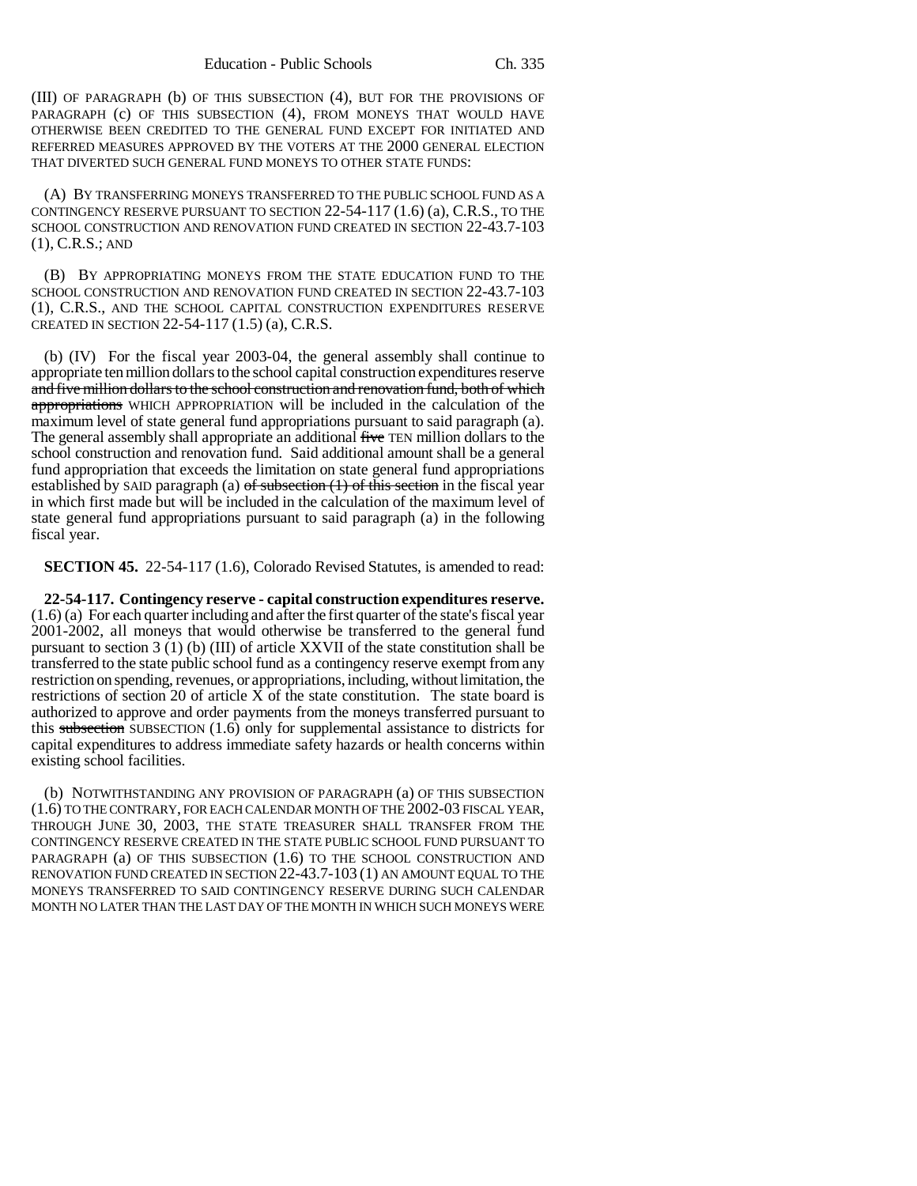(III) OF PARAGRAPH (b) OF THIS SUBSECTION (4), BUT FOR THE PROVISIONS OF PARAGRAPH (c) OF THIS SUBSECTION (4), FROM MONEYS THAT WOULD HAVE OTHERWISE BEEN CREDITED TO THE GENERAL FUND EXCEPT FOR INITIATED AND REFERRED MEASURES APPROVED BY THE VOTERS AT THE 2000 GENERAL ELECTION THAT DIVERTED SUCH GENERAL FUND MONEYS TO OTHER STATE FUNDS:

(A) BY TRANSFERRING MONEYS TRANSFERRED TO THE PUBLIC SCHOOL FUND AS A CONTINGENCY RESERVE PURSUANT TO SECTION  $22-54-117(1.6)$  (a), C.R.S., TO THE SCHOOL CONSTRUCTION AND RENOVATION FUND CREATED IN SECTION 22-43.7-103 (1), C.R.S.; AND

(B) BY APPROPRIATING MONEYS FROM THE STATE EDUCATION FUND TO THE SCHOOL CONSTRUCTION AND RENOVATION FUND CREATED IN SECTION 22-43.7-103 (1), C.R.S., AND THE SCHOOL CAPITAL CONSTRUCTION EXPENDITURES RESERVE CREATED IN SECTION 22-54-117 (1.5) (a), C.R.S.

(b) (IV) For the fiscal year 2003-04, the general assembly shall continue to appropriate ten million dollars to the school capital construction expenditures reserve and five million dollars to the school construction and renovation fund, both of which appropriations WHICH APPROPRIATION will be included in the calculation of the maximum level of state general fund appropriations pursuant to said paragraph (a). The general assembly shall appropriate an additional five TEN million dollars to the school construction and renovation fund. Said additional amount shall be a general fund appropriation that exceeds the limitation on state general fund appropriations established by SAID paragraph (a)  $\sigma f$  subsection (1) of this section in the fiscal year in which first made but will be included in the calculation of the maximum level of state general fund appropriations pursuant to said paragraph (a) in the following fiscal year.

**SECTION 45.** 22-54-117 (1.6), Colorado Revised Statutes, is amended to read:

**22-54-117. Contingency reserve - capital construction expenditures reserve.** (1.6) (a) For each quarter including and after the first quarter of the state's fiscal year 2001-2002, all moneys that would otherwise be transferred to the general fund pursuant to section 3 (1) (b) (III) of article XXVII of the state constitution shall be transferred to the state public school fund as a contingency reserve exempt from any restriction on spending, revenues, or appropriations, including, without limitation, the restrictions of section 20 of article X of the state constitution. The state board is authorized to approve and order payments from the moneys transferred pursuant to this subsection SUBSECTION  $(1.6)$  only for supplemental assistance to districts for capital expenditures to address immediate safety hazards or health concerns within existing school facilities.

(b) NOTWITHSTANDING ANY PROVISION OF PARAGRAPH (a) OF THIS SUBSECTION (1.6) TO THE CONTRARY, FOR EACH CALENDAR MONTH OF THE 2002-03 FISCAL YEAR, THROUGH JUNE 30, 2003, THE STATE TREASURER SHALL TRANSFER FROM THE CONTINGENCY RESERVE CREATED IN THE STATE PUBLIC SCHOOL FUND PURSUANT TO PARAGRAPH (a) OF THIS SUBSECTION (1.6) TO THE SCHOOL CONSTRUCTION AND RENOVATION FUND CREATED IN SECTION 22-43.7-103 (1) AN AMOUNT EQUAL TO THE MONEYS TRANSFERRED TO SAID CONTINGENCY RESERVE DURING SUCH CALENDAR MONTH NO LATER THAN THE LAST DAY OF THE MONTH IN WHICH SUCH MONEYS WERE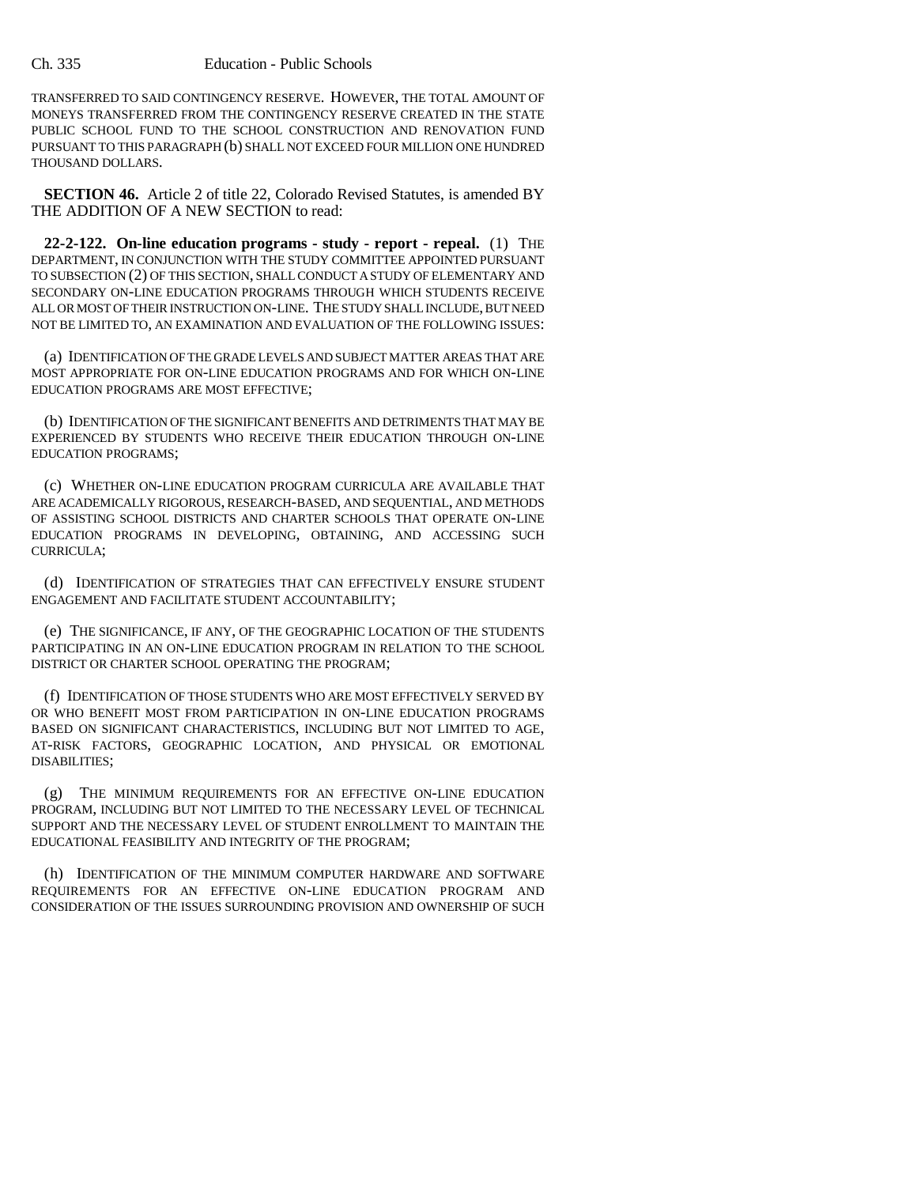TRANSFERRED TO SAID CONTINGENCY RESERVE. HOWEVER, THE TOTAL AMOUNT OF MONEYS TRANSFERRED FROM THE CONTINGENCY RESERVE CREATED IN THE STATE PUBLIC SCHOOL FUND TO THE SCHOOL CONSTRUCTION AND RENOVATION FUND PURSUANT TO THIS PARAGRAPH (b) SHALL NOT EXCEED FOUR MILLION ONE HUNDRED THOUSAND DOLLARS.

**SECTION 46.** Article 2 of title 22, Colorado Revised Statutes, is amended BY THE ADDITION OF A NEW SECTION to read:

**22-2-122. On-line education programs - study - report - repeal.** (1) THE DEPARTMENT, IN CONJUNCTION WITH THE STUDY COMMITTEE APPOINTED PURSUANT TO SUBSECTION (2) OF THIS SECTION, SHALL CONDUCT A STUDY OF ELEMENTARY AND SECONDARY ON-LINE EDUCATION PROGRAMS THROUGH WHICH STUDENTS RECEIVE ALL OR MOST OF THEIR INSTRUCTION ON-LINE. THE STUDY SHALL INCLUDE, BUT NEED NOT BE LIMITED TO, AN EXAMINATION AND EVALUATION OF THE FOLLOWING ISSUES:

(a) IDENTIFICATION OF THE GRADE LEVELS AND SUBJECT MATTER AREAS THAT ARE MOST APPROPRIATE FOR ON-LINE EDUCATION PROGRAMS AND FOR WHICH ON-LINE EDUCATION PROGRAMS ARE MOST EFFECTIVE;

(b) IDENTIFICATION OF THE SIGNIFICANT BENEFITS AND DETRIMENTS THAT MAY BE EXPERIENCED BY STUDENTS WHO RECEIVE THEIR EDUCATION THROUGH ON-LINE EDUCATION PROGRAMS;

(c) WHETHER ON-LINE EDUCATION PROGRAM CURRICULA ARE AVAILABLE THAT ARE ACADEMICALLY RIGOROUS, RESEARCH-BASED, AND SEQUENTIAL, AND METHODS OF ASSISTING SCHOOL DISTRICTS AND CHARTER SCHOOLS THAT OPERATE ON-LINE EDUCATION PROGRAMS IN DEVELOPING, OBTAINING, AND ACCESSING SUCH CURRICULA;

(d) IDENTIFICATION OF STRATEGIES THAT CAN EFFECTIVELY ENSURE STUDENT ENGAGEMENT AND FACILITATE STUDENT ACCOUNTABILITY;

(e) THE SIGNIFICANCE, IF ANY, OF THE GEOGRAPHIC LOCATION OF THE STUDENTS PARTICIPATING IN AN ON-LINE EDUCATION PROGRAM IN RELATION TO THE SCHOOL DISTRICT OR CHARTER SCHOOL OPERATING THE PROGRAM;

(f) IDENTIFICATION OF THOSE STUDENTS WHO ARE MOST EFFECTIVELY SERVED BY OR WHO BENEFIT MOST FROM PARTICIPATION IN ON-LINE EDUCATION PROGRAMS BASED ON SIGNIFICANT CHARACTERISTICS, INCLUDING BUT NOT LIMITED TO AGE, AT-RISK FACTORS, GEOGRAPHIC LOCATION, AND PHYSICAL OR EMOTIONAL DISABILITIES;

(g) THE MINIMUM REQUIREMENTS FOR AN EFFECTIVE ON-LINE EDUCATION PROGRAM, INCLUDING BUT NOT LIMITED TO THE NECESSARY LEVEL OF TECHNICAL SUPPORT AND THE NECESSARY LEVEL OF STUDENT ENROLLMENT TO MAINTAIN THE EDUCATIONAL FEASIBILITY AND INTEGRITY OF THE PROGRAM;

(h) IDENTIFICATION OF THE MINIMUM COMPUTER HARDWARE AND SOFTWARE REQUIREMENTS FOR AN EFFECTIVE ON-LINE EDUCATION PROGRAM AND CONSIDERATION OF THE ISSUES SURROUNDING PROVISION AND OWNERSHIP OF SUCH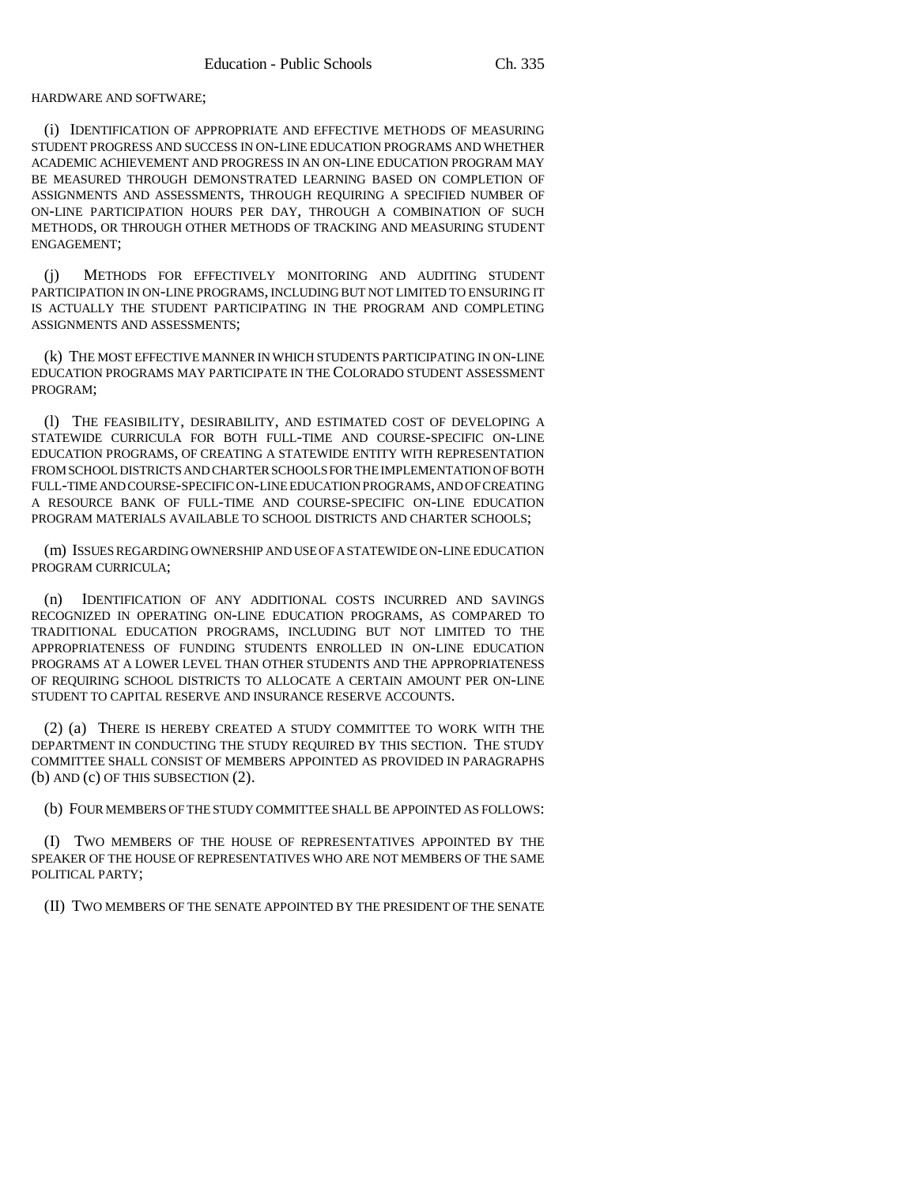HARDWARE AND SOFTWARE;

(i) IDENTIFICATION OF APPROPRIATE AND EFFECTIVE METHODS OF MEASURING STUDENT PROGRESS AND SUCCESS IN ON-LINE EDUCATION PROGRAMS AND WHETHER ACADEMIC ACHIEVEMENT AND PROGRESS IN AN ON-LINE EDUCATION PROGRAM MAY BE MEASURED THROUGH DEMONSTRATED LEARNING BASED ON COMPLETION OF ASSIGNMENTS AND ASSESSMENTS, THROUGH REQUIRING A SPECIFIED NUMBER OF ON-LINE PARTICIPATION HOURS PER DAY, THROUGH A COMBINATION OF SUCH METHODS, OR THROUGH OTHER METHODS OF TRACKING AND MEASURING STUDENT ENGAGEMENT;

(j) METHODS FOR EFFECTIVELY MONITORING AND AUDITING STUDENT PARTICIPATION IN ON-LINE PROGRAMS, INCLUDING BUT NOT LIMITED TO ENSURING IT IS ACTUALLY THE STUDENT PARTICIPATING IN THE PROGRAM AND COMPLETING ASSIGNMENTS AND ASSESSMENTS;

(k) THE MOST EFFECTIVE MANNER IN WHICH STUDENTS PARTICIPATING IN ON-LINE EDUCATION PROGRAMS MAY PARTICIPATE IN THE COLORADO STUDENT ASSESSMENT PROGRAM;

(l) THE FEASIBILITY, DESIRABILITY, AND ESTIMATED COST OF DEVELOPING A STATEWIDE CURRICULA FOR BOTH FULL-TIME AND COURSE-SPECIFIC ON-LINE EDUCATION PROGRAMS, OF CREATING A STATEWIDE ENTITY WITH REPRESENTATION FROM SCHOOL DISTRICTS AND CHARTER SCHOOLS FOR THE IMPLEMENTATION OF BOTH FULL-TIME AND COURSE-SPECIFIC ON-LINE EDUCATION PROGRAMS, AND OF CREATING A RESOURCE BANK OF FULL-TIME AND COURSE-SPECIFIC ON-LINE EDUCATION PROGRAM MATERIALS AVAILABLE TO SCHOOL DISTRICTS AND CHARTER SCHOOLS;

(m) ISSUES REGARDING OWNERSHIP AND USE OF A STATEWIDE ON-LINE EDUCATION PROGRAM CURRICULA;

(n) IDENTIFICATION OF ANY ADDITIONAL COSTS INCURRED AND SAVINGS RECOGNIZED IN OPERATING ON-LINE EDUCATION PROGRAMS, AS COMPARED TO TRADITIONAL EDUCATION PROGRAMS, INCLUDING BUT NOT LIMITED TO THE APPROPRIATENESS OF FUNDING STUDENTS ENROLLED IN ON-LINE EDUCATION PROGRAMS AT A LOWER LEVEL THAN OTHER STUDENTS AND THE APPROPRIATENESS OF REQUIRING SCHOOL DISTRICTS TO ALLOCATE A CERTAIN AMOUNT PER ON-LINE STUDENT TO CAPITAL RESERVE AND INSURANCE RESERVE ACCOUNTS.

(2) (a) THERE IS HEREBY CREATED A STUDY COMMITTEE TO WORK WITH THE DEPARTMENT IN CONDUCTING THE STUDY REQUIRED BY THIS SECTION. THE STUDY COMMITTEE SHALL CONSIST OF MEMBERS APPOINTED AS PROVIDED IN PARAGRAPHS (b) AND (c) OF THIS SUBSECTION (2).

(b) FOUR MEMBERS OF THE STUDY COMMITTEE SHALL BE APPOINTED AS FOLLOWS:

(I) TWO MEMBERS OF THE HOUSE OF REPRESENTATIVES APPOINTED BY THE SPEAKER OF THE HOUSE OF REPRESENTATIVES WHO ARE NOT MEMBERS OF THE SAME POLITICAL PARTY;

(II) TWO MEMBERS OF THE SENATE APPOINTED BY THE PRESIDENT OF THE SENATE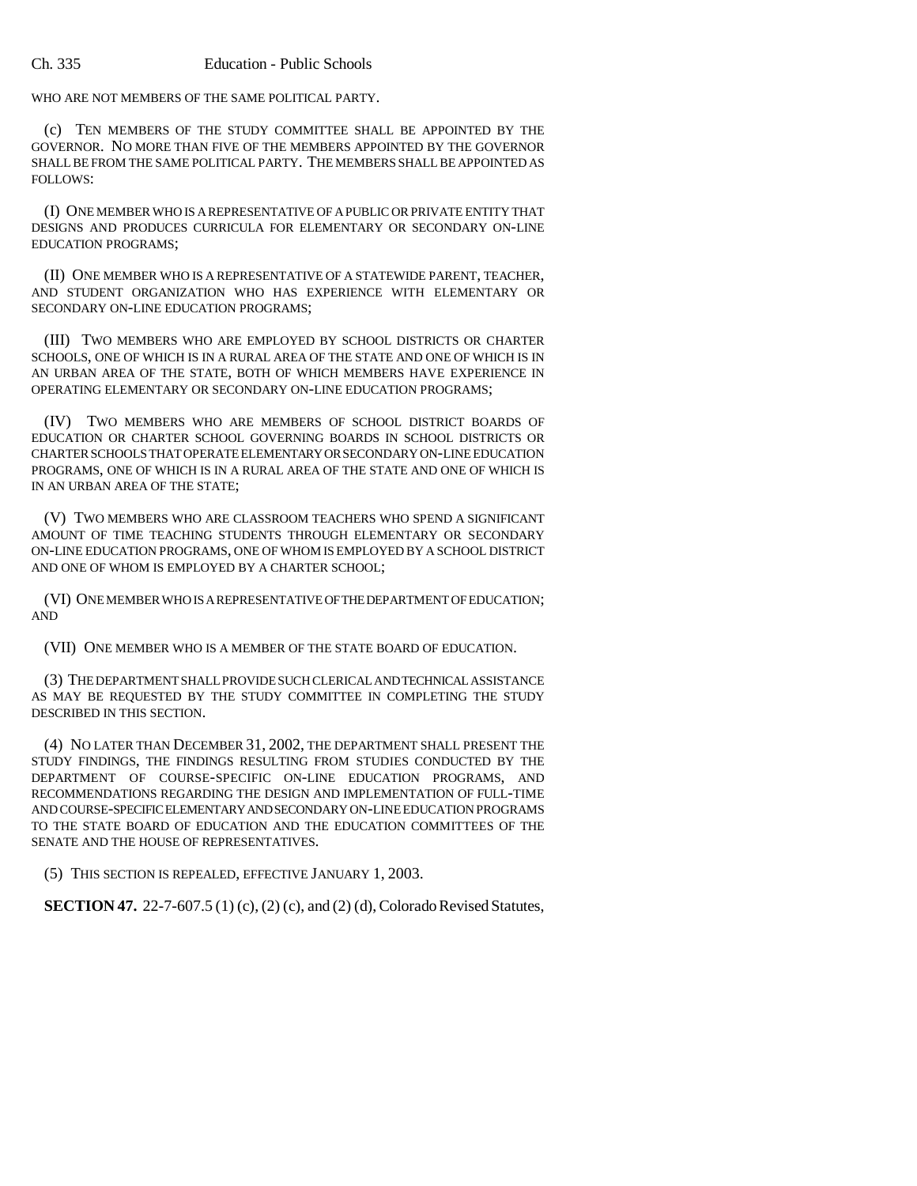WHO ARE NOT MEMBERS OF THE SAME POLITICAL PARTY.

(c) TEN MEMBERS OF THE STUDY COMMITTEE SHALL BE APPOINTED BY THE GOVERNOR. NO MORE THAN FIVE OF THE MEMBERS APPOINTED BY THE GOVERNOR SHALL BE FROM THE SAME POLITICAL PARTY. THE MEMBERS SHALL BE APPOINTED AS FOLLOWS:

(I) ONE MEMBER WHO IS A REPRESENTATIVE OF A PUBLIC OR PRIVATE ENTITY THAT DESIGNS AND PRODUCES CURRICULA FOR ELEMENTARY OR SECONDARY ON-LINE EDUCATION PROGRAMS;

(II) ONE MEMBER WHO IS A REPRESENTATIVE OF A STATEWIDE PARENT, TEACHER, AND STUDENT ORGANIZATION WHO HAS EXPERIENCE WITH ELEMENTARY OR SECONDARY ON-LINE EDUCATION PROGRAMS;

(III) TWO MEMBERS WHO ARE EMPLOYED BY SCHOOL DISTRICTS OR CHARTER SCHOOLS, ONE OF WHICH IS IN A RURAL AREA OF THE STATE AND ONE OF WHICH IS IN AN URBAN AREA OF THE STATE, BOTH OF WHICH MEMBERS HAVE EXPERIENCE IN OPERATING ELEMENTARY OR SECONDARY ON-LINE EDUCATION PROGRAMS;

(IV) TWO MEMBERS WHO ARE MEMBERS OF SCHOOL DISTRICT BOARDS OF EDUCATION OR CHARTER SCHOOL GOVERNING BOARDS IN SCHOOL DISTRICTS OR CHARTER SCHOOLS THAT OPERATE ELEMENTARY OR SECONDARY ON-LINE EDUCATION PROGRAMS, ONE OF WHICH IS IN A RURAL AREA OF THE STATE AND ONE OF WHICH IS IN AN URBAN AREA OF THE STATE;

(V) TWO MEMBERS WHO ARE CLASSROOM TEACHERS WHO SPEND A SIGNIFICANT AMOUNT OF TIME TEACHING STUDENTS THROUGH ELEMENTARY OR SECONDARY ON-LINE EDUCATION PROGRAMS, ONE OF WHOM IS EMPLOYED BY A SCHOOL DISTRICT AND ONE OF WHOM IS EMPLOYED BY A CHARTER SCHOOL;

(VI) ONE MEMBER WHO IS A REPRESENTATIVE OF THE DEPARTMENT OF EDUCATION; AND

(VII) ONE MEMBER WHO IS A MEMBER OF THE STATE BOARD OF EDUCATION.

(3) THE DEPARTMENT SHALL PROVIDE SUCH CLERICAL AND TECHNICAL ASSISTANCE AS MAY BE REQUESTED BY THE STUDY COMMITTEE IN COMPLETING THE STUDY DESCRIBED IN THIS SECTION.

(4) NO LATER THAN DECEMBER 31, 2002, THE DEPARTMENT SHALL PRESENT THE STUDY FINDINGS, THE FINDINGS RESULTING FROM STUDIES CONDUCTED BY THE DEPARTMENT OF COURSE-SPECIFIC ON-LINE EDUCATION PROGRAMS, AND RECOMMENDATIONS REGARDING THE DESIGN AND IMPLEMENTATION OF FULL-TIME AND COURSE-SPECIFIC ELEMENTARY AND SECONDARY ON-LINE EDUCATION PROGRAMS TO THE STATE BOARD OF EDUCATION AND THE EDUCATION COMMITTEES OF THE SENATE AND THE HOUSE OF REPRESENTATIVES.

(5) THIS SECTION IS REPEALED, EFFECTIVE JANUARY 1, 2003.

**SECTION 47.** 22-7-607.5 (1) (c), (2) (c), and (2) (d), Colorado Revised Statutes,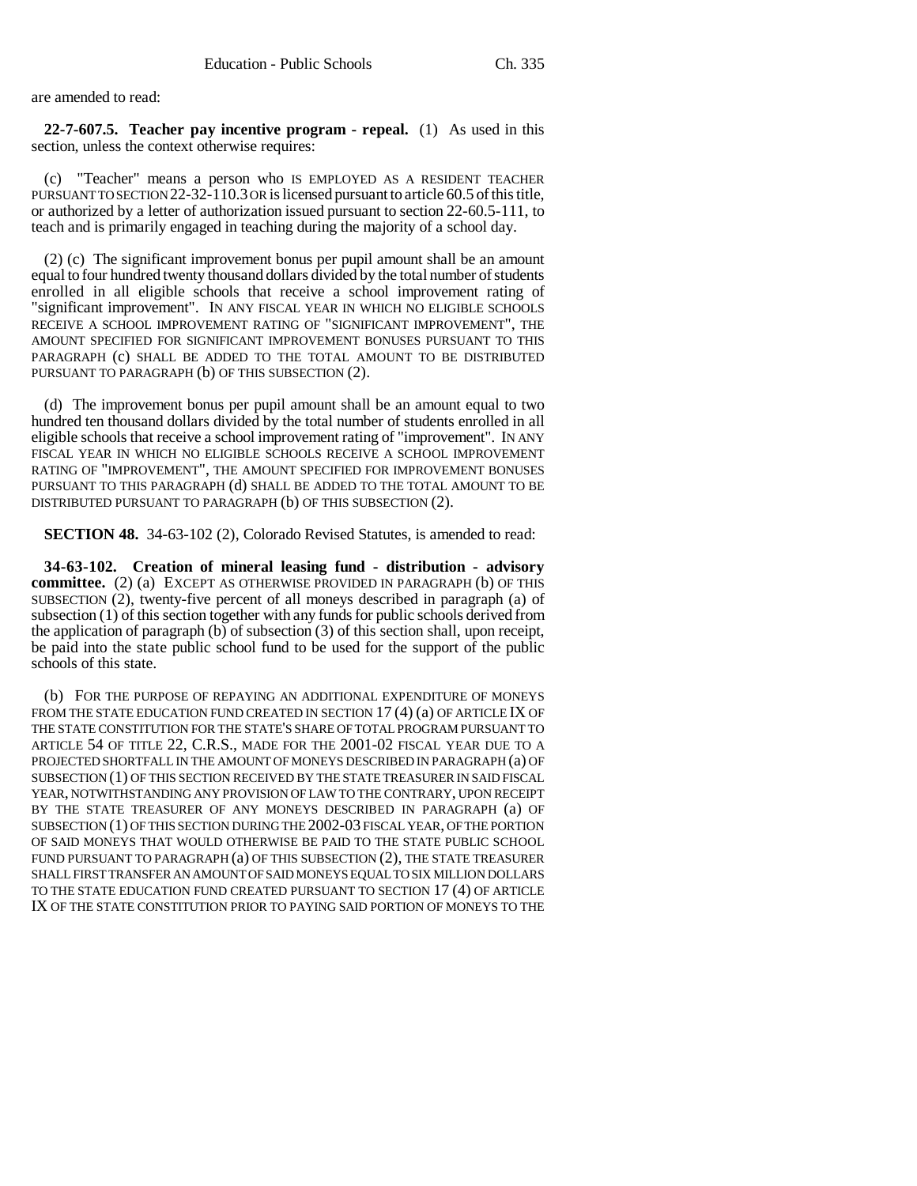are amended to read:

**22-7-607.5. Teacher pay incentive program - repeal.** (1) As used in this section, unless the context otherwise requires:

(c) "Teacher" means a person who IS EMPLOYED AS A RESIDENT TEACHER PURSUANT TO SECTION 22-32-110.3 OR is licensed pursuant to article 60.5 of this title, or authorized by a letter of authorization issued pursuant to section 22-60.5-111, to teach and is primarily engaged in teaching during the majority of a school day.

(2) (c) The significant improvement bonus per pupil amount shall be an amount equal to four hundred twenty thousand dollars divided by the total number of students enrolled in all eligible schools that receive a school improvement rating of "significant improvement". IN ANY FISCAL YEAR IN WHICH NO ELIGIBLE SCHOOLS RECEIVE A SCHOOL IMPROVEMENT RATING OF "SIGNIFICANT IMPROVEMENT", THE AMOUNT SPECIFIED FOR SIGNIFICANT IMPROVEMENT BONUSES PURSUANT TO THIS PARAGRAPH (c) SHALL BE ADDED TO THE TOTAL AMOUNT TO BE DISTRIBUTED PURSUANT TO PARAGRAPH (b) OF THIS SUBSECTION (2).

(d) The improvement bonus per pupil amount shall be an amount equal to two hundred ten thousand dollars divided by the total number of students enrolled in all eligible schools that receive a school improvement rating of "improvement". IN ANY FISCAL YEAR IN WHICH NO ELIGIBLE SCHOOLS RECEIVE A SCHOOL IMPROVEMENT RATING OF "IMPROVEMENT", THE AMOUNT SPECIFIED FOR IMPROVEMENT BONUSES PURSUANT TO THIS PARAGRAPH (d) SHALL BE ADDED TO THE TOTAL AMOUNT TO BE DISTRIBUTED PURSUANT TO PARAGRAPH (b) OF THIS SUBSECTION (2).

**SECTION 48.** 34-63-102 (2), Colorado Revised Statutes, is amended to read:

**34-63-102. Creation of mineral leasing fund - distribution - advisory committee.** (2) (a) EXCEPT AS OTHERWISE PROVIDED IN PARAGRAPH (b) OF THIS SUBSECTION (2), twenty-five percent of all moneys described in paragraph (a) of subsection (1) of this section together with any funds for public schools derived from the application of paragraph (b) of subsection (3) of this section shall, upon receipt, be paid into the state public school fund to be used for the support of the public schools of this state.

(b) FOR THE PURPOSE OF REPAYING AN ADDITIONAL EXPENDITURE OF MONEYS FROM THE STATE EDUCATION FUND CREATED IN SECTION  $17(4)(a)$  OF ARTICLE IX OF THE STATE CONSTITUTION FOR THE STATE'S SHARE OF TOTAL PROGRAM PURSUANT TO ARTICLE 54 OF TITLE 22, C.R.S., MADE FOR THE 2001-02 FISCAL YEAR DUE TO A PROJECTED SHORTFALL IN THE AMOUNT OF MONEYS DESCRIBED IN PARAGRAPH (a) OF SUBSECTION (1) OF THIS SECTION RECEIVED BY THE STATE TREASURER IN SAID FISCAL YEAR, NOTWITHSTANDING ANY PROVISION OF LAW TO THE CONTRARY, UPON RECEIPT BY THE STATE TREASURER OF ANY MONEYS DESCRIBED IN PARAGRAPH (a) OF SUBSECTION (1) OF THIS SECTION DURING THE 2002-03 FISCAL YEAR, OF THE PORTION OF SAID MONEYS THAT WOULD OTHERWISE BE PAID TO THE STATE PUBLIC SCHOOL FUND PURSUANT TO PARAGRAPH (a) OF THIS SUBSECTION (2), THE STATE TREASURER SHALL FIRST TRANSFER AN AMOUNT OF SAID MONEYS EQUAL TO SIX MILLION DOLLARS TO THE STATE EDUCATION FUND CREATED PURSUANT TO SECTION 17 (4) OF ARTICLE IX OF THE STATE CONSTITUTION PRIOR TO PAYING SAID PORTION OF MONEYS TO THE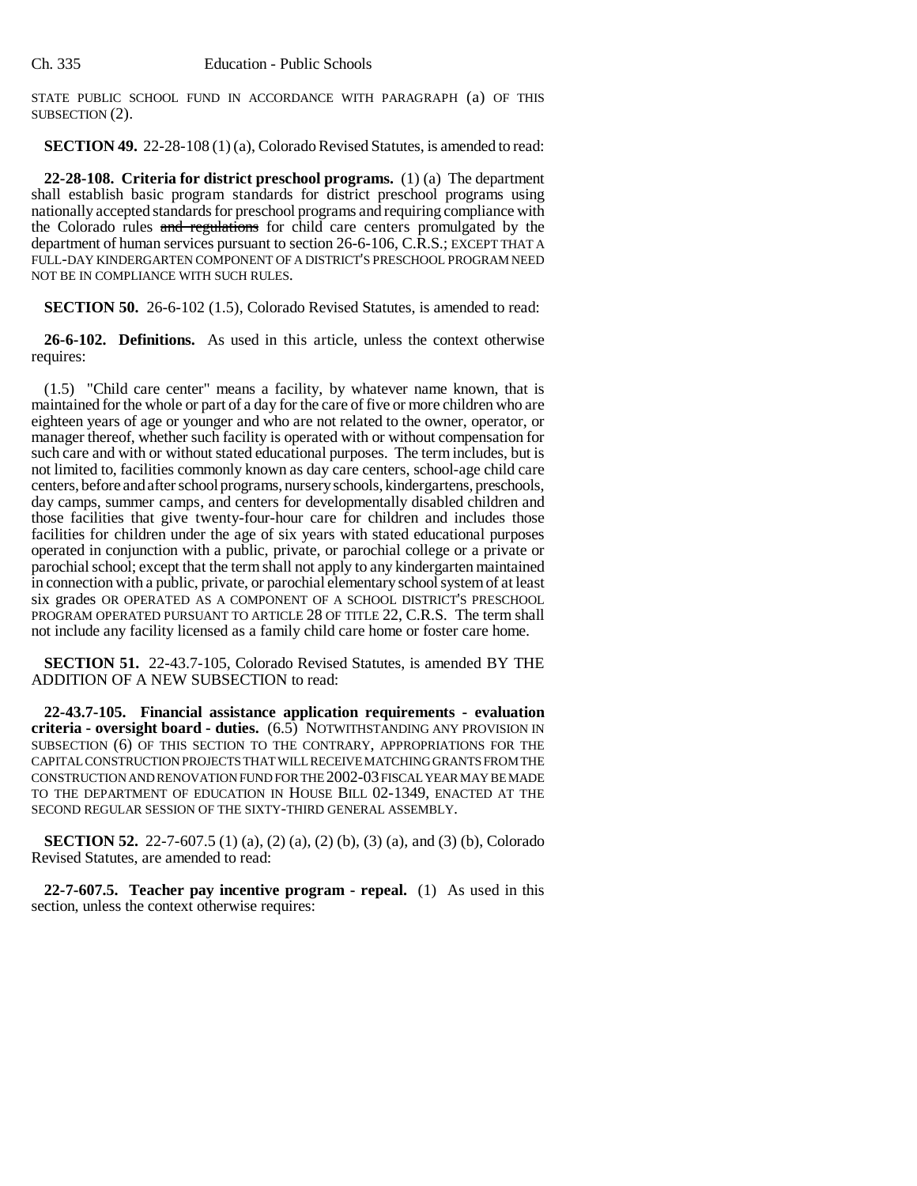STATE PUBLIC SCHOOL FUND IN ACCORDANCE WITH PARAGRAPH (a) OF THIS SUBSECTION (2).

**SECTION 49.** 22-28-108 (1) (a), Colorado Revised Statutes, is amended to read:

**22-28-108. Criteria for district preschool programs.** (1) (a) The department shall establish basic program standards for district preschool programs using nationally accepted standards for preschool programs and requiring compliance with the Colorado rules and regulations for child care centers promulgated by the department of human services pursuant to section 26-6-106, C.R.S.; EXCEPT THAT A FULL-DAY KINDERGARTEN COMPONENT OF A DISTRICT'S PRESCHOOL PROGRAM NEED NOT BE IN COMPLIANCE WITH SUCH RULES.

**SECTION 50.** 26-6-102 (1.5), Colorado Revised Statutes, is amended to read:

**26-6-102. Definitions.** As used in this article, unless the context otherwise requires:

(1.5) "Child care center" means a facility, by whatever name known, that is maintained for the whole or part of a day for the care of five or more children who are eighteen years of age or younger and who are not related to the owner, operator, or manager thereof, whether such facility is operated with or without compensation for such care and with or without stated educational purposes. The term includes, but is not limited to, facilities commonly known as day care centers, school-age child care centers, before and after school programs, nursery schools, kindergartens, preschools, day camps, summer camps, and centers for developmentally disabled children and those facilities that give twenty-four-hour care for children and includes those facilities for children under the age of six years with stated educational purposes operated in conjunction with a public, private, or parochial college or a private or parochial school; except that the term shall not apply to any kindergarten maintained in connection with a public, private, or parochial elementary school system of at least six grades OR OPERATED AS A COMPONENT OF A SCHOOL DISTRICT'S PRESCHOOL PROGRAM OPERATED PURSUANT TO ARTICLE 28 OF TITLE 22, C.R.S. The term shall not include any facility licensed as a family child care home or foster care home.

**SECTION 51.** 22-43.7-105, Colorado Revised Statutes, is amended BY THE ADDITION OF A NEW SUBSECTION to read:

**22-43.7-105. Financial assistance application requirements - evaluation criteria - oversight board - duties.** (6.5) NOTWITHSTANDING ANY PROVISION IN SUBSECTION (6) OF THIS SECTION TO THE CONTRARY, APPROPRIATIONS FOR THE CAPITAL CONSTRUCTION PROJECTS THAT WILL RECEIVE MATCHING GRANTS FROM THE CONSTRUCTION AND RENOVATION FUND FOR THE 2002-03 FISCAL YEAR MAY BE MADE TO THE DEPARTMENT OF EDUCATION IN HOUSE BILL 02-1349, ENACTED AT THE SECOND REGULAR SESSION OF THE SIXTY-THIRD GENERAL ASSEMBLY.

**SECTION 52.** 22-7-607.5 (1) (a), (2) (a), (2) (b), (3) (a), and (3) (b), Colorado Revised Statutes, are amended to read:

**22-7-607.5. Teacher pay incentive program - repeal.** (1) As used in this section, unless the context otherwise requires: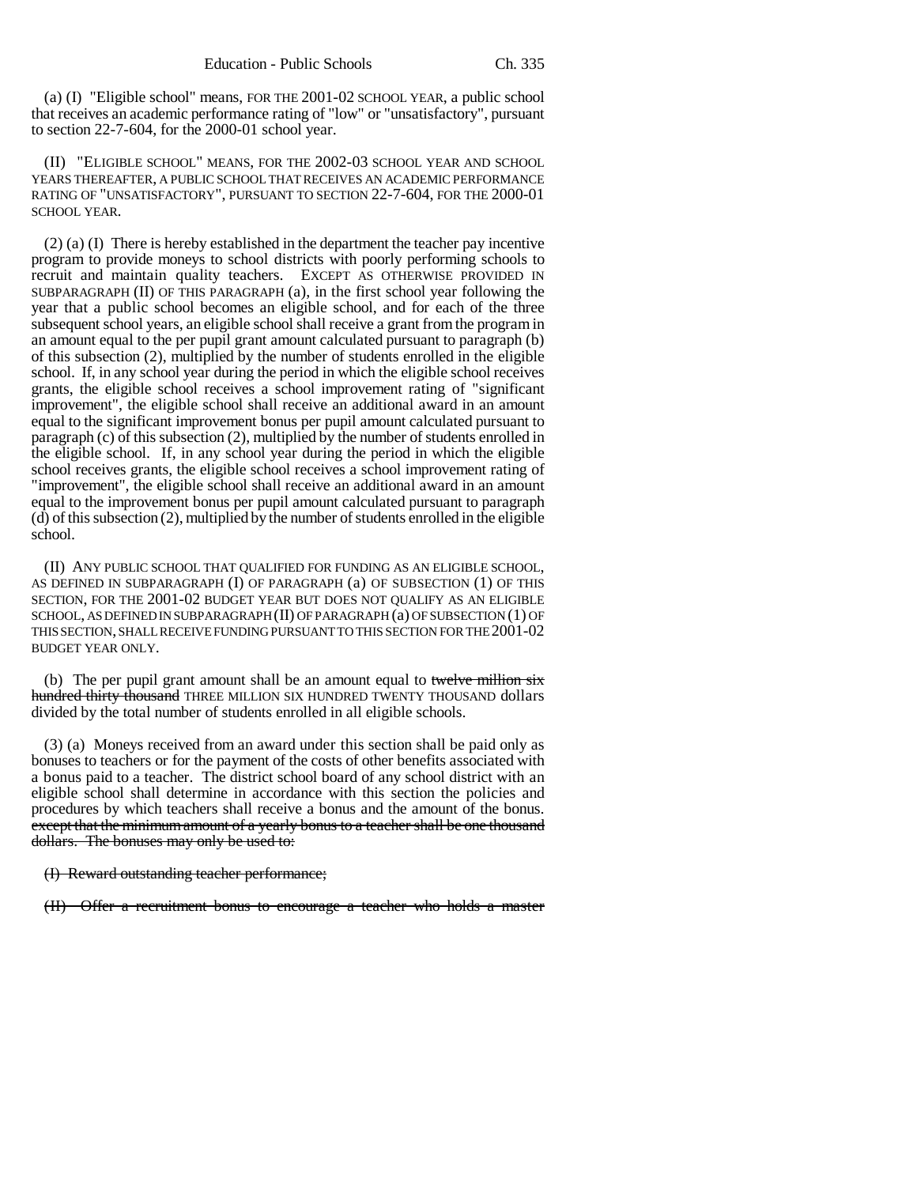(a) (I) "Eligible school" means, FOR THE 2001-02 SCHOOL YEAR, a public school that receives an academic performance rating of "low" or "unsatisfactory", pursuant to section 22-7-604, for the 2000-01 school year.

(II) "ELIGIBLE SCHOOL" MEANS, FOR THE 2002-03 SCHOOL YEAR AND SCHOOL YEARS THEREAFTER, A PUBLIC SCHOOL THAT RECEIVES AN ACADEMIC PERFORMANCE RATING OF "UNSATISFACTORY", PURSUANT TO SECTION 22-7-604, FOR THE 2000-01 SCHOOL YEAR.

(2) (a) (I) There is hereby established in the department the teacher pay incentive program to provide moneys to school districts with poorly performing schools to recruit and maintain quality teachers. EXCEPT AS OTHERWISE PROVIDED IN SUBPARAGRAPH  $(II)$  OF THIS PARAGRAPH  $(a)$ , in the first school year following the year that a public school becomes an eligible school, and for each of the three subsequent school years, an eligible school shall receive a grant from the program in an amount equal to the per pupil grant amount calculated pursuant to paragraph (b) of this subsection (2), multiplied by the number of students enrolled in the eligible school. If, in any school year during the period in which the eligible school receives grants, the eligible school receives a school improvement rating of "significant improvement", the eligible school shall receive an additional award in an amount equal to the significant improvement bonus per pupil amount calculated pursuant to paragraph (c) of this subsection (2), multiplied by the number of students enrolled in the eligible school. If, in any school year during the period in which the eligible school receives grants, the eligible school receives a school improvement rating of "improvement", the eligible school shall receive an additional award in an amount equal to the improvement bonus per pupil amount calculated pursuant to paragraph  $(d)$  of this subsection (2), multiplied by the number of students enrolled in the eligible school.

(II) ANY PUBLIC SCHOOL THAT QUALIFIED FOR FUNDING AS AN ELIGIBLE SCHOOL, AS DEFINED IN SUBPARAGRAPH (I) OF PARAGRAPH (a) OF SUBSECTION (1) OF THIS SECTION, FOR THE 2001-02 BUDGET YEAR BUT DOES NOT QUALIFY AS AN ELIGIBLE SCHOOL, AS DEFINED IN SUBPARAGRAPH (II) OF PARAGRAPH (a) OF SUBSECTION (1) OF THIS SECTION, SHALL RECEIVE FUNDING PURSUANT TO THIS SECTION FOR THE 2001-02 BUDGET YEAR ONLY.

(b) The per pupil grant amount shall be an amount equal to twelve million six hundred thirty thousand THREE MILLION SIX HUNDRED TWENTY THOUSAND dollars divided by the total number of students enrolled in all eligible schools.

(3) (a) Moneys received from an award under this section shall be paid only as bonuses to teachers or for the payment of the costs of other benefits associated with a bonus paid to a teacher. The district school board of any school district with an eligible school shall determine in accordance with this section the policies and procedures by which teachers shall receive a bonus and the amount of the bonus. except that the minimum amount of a yearly bonus to a teacher shall be one thousand dollars. The bonuses may only be used to:

### (I) Reward outstanding teacher performance;

(II) Offer a recruitment bonus to encourage a teacher who holds a master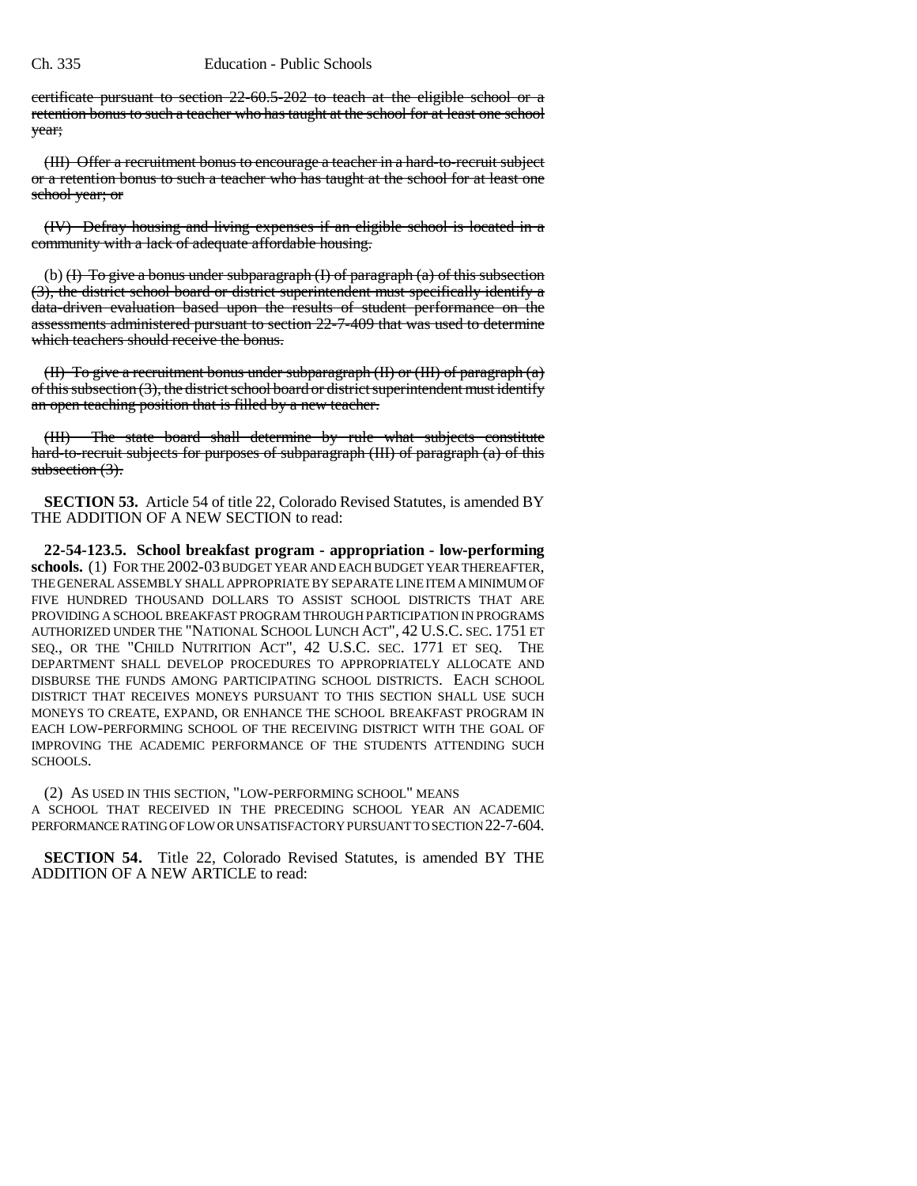certificate pursuant to section 22-60.5-202 to teach at the eligible school or a retention bonus to such a teacher who has taught at the school for at least one school year;

(III) Offer a recruitment bonus to encourage a teacher in a hard-to-recruit subject or a retention bonus to such a teacher who has taught at the school for at least one school year; or

(IV) Defray housing and living expenses if an eligible school is located in a community with a lack of adequate affordable housing.

(b)  $(H)$  To give a bonus under subparagraph  $(H)$  of paragraph  $(a)$  of this subsection (3), the district school board or district superintendent must specifically identify a data-driven evaluation based upon the results of student performance on the assessments administered pursuant to section 22-7-409 that was used to determine which teachers should receive the bonus.

(II) To give a recruitment bonus under subparagraph (II) or (III) of paragraph (a) of this subsection (3), the district school board or district superintendent must identify an open teaching position that is filled by a new teacher.

(III) The state board shall determine by rule what subjects constitute hard-to-recruit subjects for purposes of subparagraph (III) of paragraph (a) of this subsection  $(3)$ .

**SECTION 53.** Article 54 of title 22, Colorado Revised Statutes, is amended BY THE ADDITION OF A NEW SECTION to read:

**22-54-123.5. School breakfast program - appropriation - low-performing schools.** (1) FOR THE 2002-03 BUDGET YEAR AND EACH BUDGET YEAR THEREAFTER, THE GENERAL ASSEMBLY SHALL APPROPRIATE BY SEPARATE LINE ITEM A MINIMUM OF FIVE HUNDRED THOUSAND DOLLARS TO ASSIST SCHOOL DISTRICTS THAT ARE PROVIDING A SCHOOL BREAKFAST PROGRAM THROUGH PARTICIPATION IN PROGRAMS AUTHORIZED UNDER THE "NATIONAL SCHOOL LUNCH ACT", 42 U.S.C. SEC. 1751 ET SEQ., OR THE "CHILD NUTRITION ACT", 42 U.S.C. SEC. 1771 ET SEQ. THE DEPARTMENT SHALL DEVELOP PROCEDURES TO APPROPRIATELY ALLOCATE AND DISBURSE THE FUNDS AMONG PARTICIPATING SCHOOL DISTRICTS. EACH SCHOOL DISTRICT THAT RECEIVES MONEYS PURSUANT TO THIS SECTION SHALL USE SUCH MONEYS TO CREATE, EXPAND, OR ENHANCE THE SCHOOL BREAKFAST PROGRAM IN EACH LOW-PERFORMING SCHOOL OF THE RECEIVING DISTRICT WITH THE GOAL OF IMPROVING THE ACADEMIC PERFORMANCE OF THE STUDENTS ATTENDING SUCH SCHOOLS.

(2) AS USED IN THIS SECTION, "LOW-PERFORMING SCHOOL" MEANS A SCHOOL THAT RECEIVED IN THE PRECEDING SCHOOL YEAR AN ACADEMIC PERFORMANCE RATING OF LOW OR UNSATISFACTORY PURSUANT TO SECTION 22-7-604.

**SECTION 54.** Title 22, Colorado Revised Statutes, is amended BY THE ADDITION OF A NEW ARTICLE to read: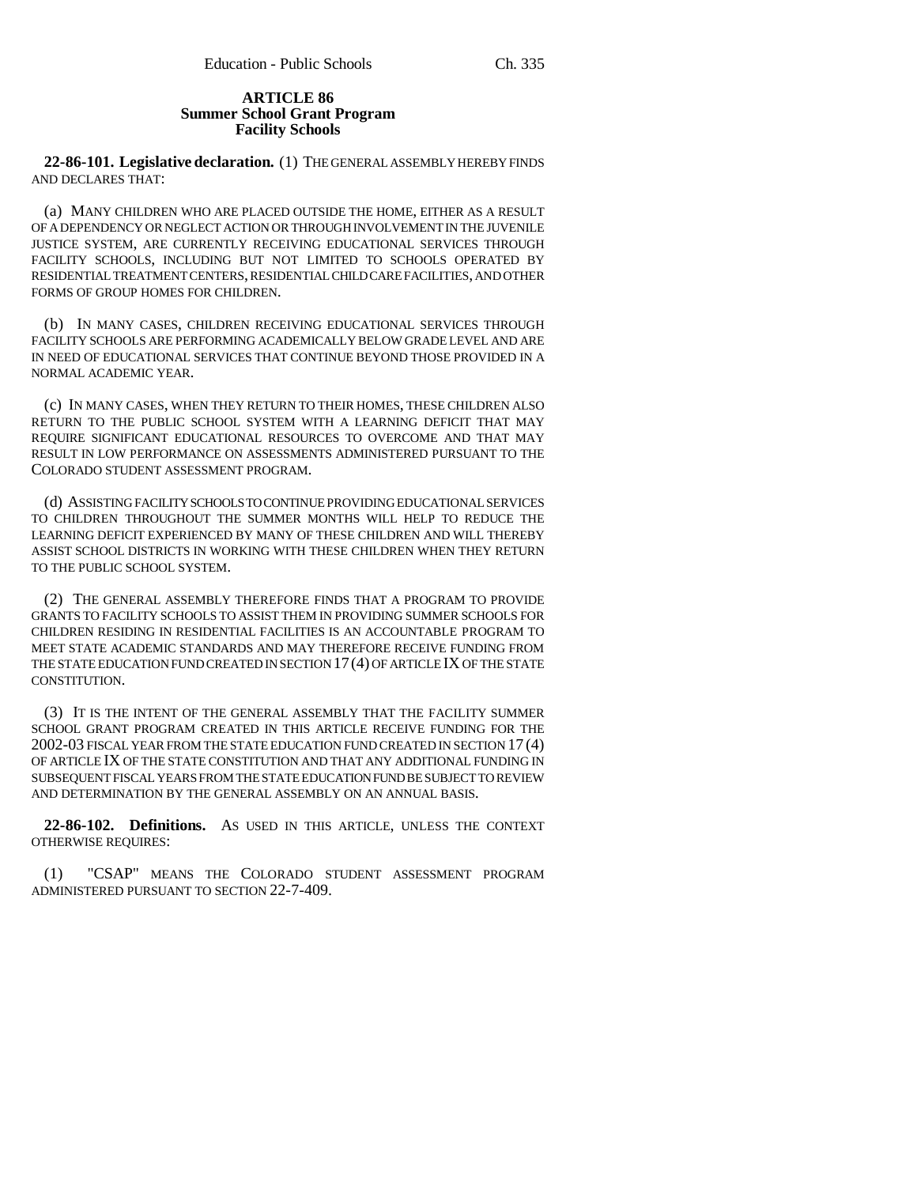## **ARTICLE 86 Summer School Grant Program Facility Schools**

**22-86-101. Legislative declaration.** (1) THE GENERAL ASSEMBLY HEREBY FINDS AND DECLARES THAT:

(a) MANY CHILDREN WHO ARE PLACED OUTSIDE THE HOME, EITHER AS A RESULT OF A DEPENDENCY OR NEGLECT ACTION OR THROUGH INVOLVEMENT IN THE JUVENILE JUSTICE SYSTEM, ARE CURRENTLY RECEIVING EDUCATIONAL SERVICES THROUGH FACILITY SCHOOLS, INCLUDING BUT NOT LIMITED TO SCHOOLS OPERATED BY RESIDENTIAL TREATMENT CENTERS, RESIDENTIAL CHILD CARE FACILITIES, AND OTHER FORMS OF GROUP HOMES FOR CHILDREN.

(b) IN MANY CASES, CHILDREN RECEIVING EDUCATIONAL SERVICES THROUGH FACILITY SCHOOLS ARE PERFORMING ACADEMICALLY BELOW GRADE LEVEL AND ARE IN NEED OF EDUCATIONAL SERVICES THAT CONTINUE BEYOND THOSE PROVIDED IN A NORMAL ACADEMIC YEAR.

(c) IN MANY CASES, WHEN THEY RETURN TO THEIR HOMES, THESE CHILDREN ALSO RETURN TO THE PUBLIC SCHOOL SYSTEM WITH A LEARNING DEFICIT THAT MAY REQUIRE SIGNIFICANT EDUCATIONAL RESOURCES TO OVERCOME AND THAT MAY RESULT IN LOW PERFORMANCE ON ASSESSMENTS ADMINISTERED PURSUANT TO THE COLORADO STUDENT ASSESSMENT PROGRAM.

(d) ASSISTING FACILITY SCHOOLS TO CONTINUE PROVIDING EDUCATIONAL SERVICES TO CHILDREN THROUGHOUT THE SUMMER MONTHS WILL HELP TO REDUCE THE LEARNING DEFICIT EXPERIENCED BY MANY OF THESE CHILDREN AND WILL THEREBY ASSIST SCHOOL DISTRICTS IN WORKING WITH THESE CHILDREN WHEN THEY RETURN TO THE PUBLIC SCHOOL SYSTEM.

(2) THE GENERAL ASSEMBLY THEREFORE FINDS THAT A PROGRAM TO PROVIDE GRANTS TO FACILITY SCHOOLS TO ASSIST THEM IN PROVIDING SUMMER SCHOOLS FOR CHILDREN RESIDING IN RESIDENTIAL FACILITIES IS AN ACCOUNTABLE PROGRAM TO MEET STATE ACADEMIC STANDARDS AND MAY THEREFORE RECEIVE FUNDING FROM THE STATE EDUCATION FUND CREATED IN SECTION 17(4) OF ARTICLE IX OF THE STATE CONSTITUTION.

(3) IT IS THE INTENT OF THE GENERAL ASSEMBLY THAT THE FACILITY SUMMER SCHOOL GRANT PROGRAM CREATED IN THIS ARTICLE RECEIVE FUNDING FOR THE 2002-03 FISCAL YEAR FROM THE STATE EDUCATION FUND CREATED IN SECTION 17 (4) OF ARTICLE IX OF THE STATE CONSTITUTION AND THAT ANY ADDITIONAL FUNDING IN SUBSEQUENT FISCAL YEARS FROM THE STATE EDUCATION FUND BE SUBJECT TO REVIEW AND DETERMINATION BY THE GENERAL ASSEMBLY ON AN ANNUAL BASIS.

**22-86-102. Definitions.** AS USED IN THIS ARTICLE, UNLESS THE CONTEXT OTHERWISE REQUIRES:

(1) "CSAP" MEANS THE COLORADO STUDENT ASSESSMENT PROGRAM ADMINISTERED PURSUANT TO SECTION 22-7-409.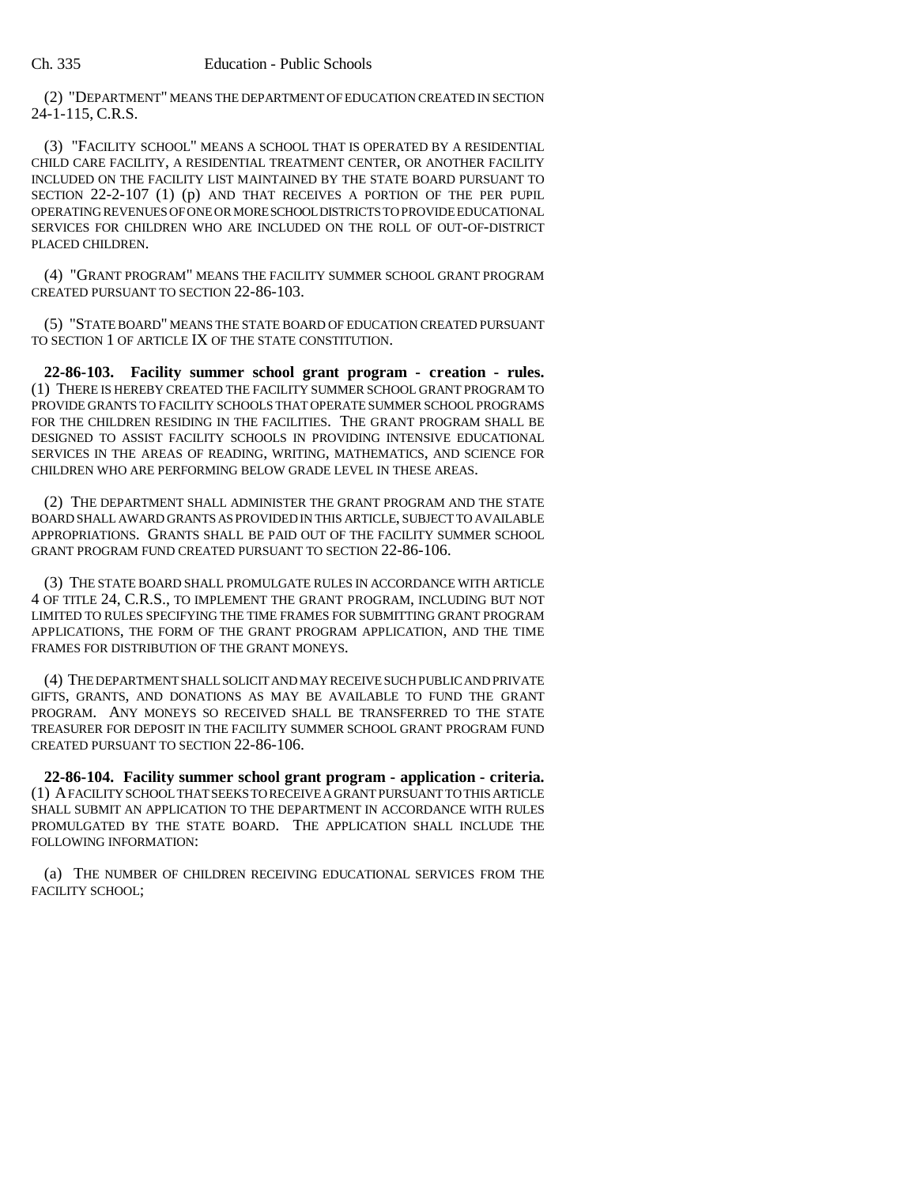(2) "DEPARTMENT" MEANS THE DEPARTMENT OF EDUCATION CREATED IN SECTION 24-1-115, C.R.S.

(3) "FACILITY SCHOOL" MEANS A SCHOOL THAT IS OPERATED BY A RESIDENTIAL CHILD CARE FACILITY, A RESIDENTIAL TREATMENT CENTER, OR ANOTHER FACILITY INCLUDED ON THE FACILITY LIST MAINTAINED BY THE STATE BOARD PURSUANT TO SECTION 22-2-107 (1) (p) AND THAT RECEIVES A PORTION OF THE PER PUPIL OPERATING REVENUES OF ONE OR MORE SCHOOL DISTRICTS TO PROVIDE EDUCATIONAL SERVICES FOR CHILDREN WHO ARE INCLUDED ON THE ROLL OF OUT-OF-DISTRICT PLACED CHILDREN.

(4) "GRANT PROGRAM" MEANS THE FACILITY SUMMER SCHOOL GRANT PROGRAM CREATED PURSUANT TO SECTION 22-86-103.

(5) "STATE BOARD" MEANS THE STATE BOARD OF EDUCATION CREATED PURSUANT TO SECTION 1 OF ARTICLE IX OF THE STATE CONSTITUTION.

**22-86-103. Facility summer school grant program - creation - rules.** (1) THERE IS HEREBY CREATED THE FACILITY SUMMER SCHOOL GRANT PROGRAM TO PROVIDE GRANTS TO FACILITY SCHOOLS THAT OPERATE SUMMER SCHOOL PROGRAMS FOR THE CHILDREN RESIDING IN THE FACILITIES. THE GRANT PROGRAM SHALL BE DESIGNED TO ASSIST FACILITY SCHOOLS IN PROVIDING INTENSIVE EDUCATIONAL SERVICES IN THE AREAS OF READING, WRITING, MATHEMATICS, AND SCIENCE FOR CHILDREN WHO ARE PERFORMING BELOW GRADE LEVEL IN THESE AREAS.

(2) THE DEPARTMENT SHALL ADMINISTER THE GRANT PROGRAM AND THE STATE BOARD SHALL AWARD GRANTS AS PROVIDED IN THIS ARTICLE, SUBJECT TO AVAILABLE APPROPRIATIONS. GRANTS SHALL BE PAID OUT OF THE FACILITY SUMMER SCHOOL GRANT PROGRAM FUND CREATED PURSUANT TO SECTION 22-86-106.

(3) THE STATE BOARD SHALL PROMULGATE RULES IN ACCORDANCE WITH ARTICLE 4 OF TITLE 24, C.R.S., TO IMPLEMENT THE GRANT PROGRAM, INCLUDING BUT NOT LIMITED TO RULES SPECIFYING THE TIME FRAMES FOR SUBMITTING GRANT PROGRAM APPLICATIONS, THE FORM OF THE GRANT PROGRAM APPLICATION, AND THE TIME FRAMES FOR DISTRIBUTION OF THE GRANT MONEYS.

(4) THE DEPARTMENT SHALL SOLICIT AND MAY RECEIVE SUCH PUBLIC AND PRIVATE GIFTS, GRANTS, AND DONATIONS AS MAY BE AVAILABLE TO FUND THE GRANT PROGRAM. ANY MONEYS SO RECEIVED SHALL BE TRANSFERRED TO THE STATE TREASURER FOR DEPOSIT IN THE FACILITY SUMMER SCHOOL GRANT PROGRAM FUND CREATED PURSUANT TO SECTION 22-86-106.

**22-86-104. Facility summer school grant program - application - criteria.** (1) A FACILITY SCHOOL THAT SEEKS TO RECEIVE A GRANT PURSUANT TO THIS ARTICLE SHALL SUBMIT AN APPLICATION TO THE DEPARTMENT IN ACCORDANCE WITH RULES PROMULGATED BY THE STATE BOARD. THE APPLICATION SHALL INCLUDE THE FOLLOWING INFORMATION:

(a) THE NUMBER OF CHILDREN RECEIVING EDUCATIONAL SERVICES FROM THE FACILITY SCHOOL;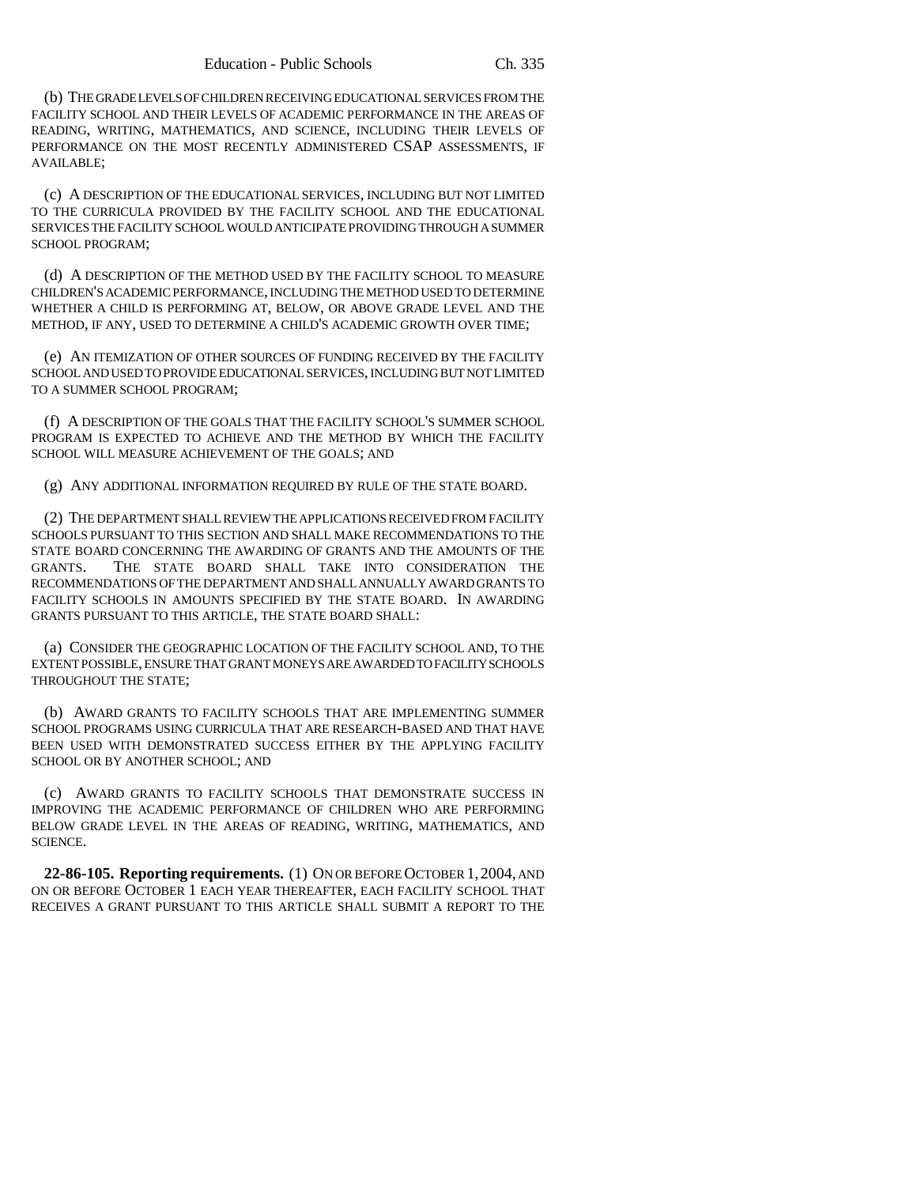(b) THE GRADE LEVELS OF CHILDREN RECEIVING EDUCATIONAL SERVICES FROM THE FACILITY SCHOOL AND THEIR LEVELS OF ACADEMIC PERFORMANCE IN THE AREAS OF READING, WRITING, MATHEMATICS, AND SCIENCE, INCLUDING THEIR LEVELS OF PERFORMANCE ON THE MOST RECENTLY ADMINISTERED CSAP ASSESSMENTS, IF AVAILABLE;

(c) A DESCRIPTION OF THE EDUCATIONAL SERVICES, INCLUDING BUT NOT LIMITED TO THE CURRICULA PROVIDED BY THE FACILITY SCHOOL AND THE EDUCATIONAL SERVICES THE FACILITY SCHOOL WOULD ANTICIPATE PROVIDING THROUGH A SUMMER SCHOOL PROGRAM;

(d) A DESCRIPTION OF THE METHOD USED BY THE FACILITY SCHOOL TO MEASURE CHILDREN'S ACADEMIC PERFORMANCE, INCLUDING THE METHOD USED TO DETERMINE WHETHER A CHILD IS PERFORMING AT, BELOW, OR ABOVE GRADE LEVEL AND THE METHOD, IF ANY, USED TO DETERMINE A CHILD'S ACADEMIC GROWTH OVER TIME;

(e) AN ITEMIZATION OF OTHER SOURCES OF FUNDING RECEIVED BY THE FACILITY SCHOOL AND USED TO PROVIDE EDUCATIONAL SERVICES, INCLUDING BUT NOT LIMITED TO A SUMMER SCHOOL PROGRAM;

(f) A DESCRIPTION OF THE GOALS THAT THE FACILITY SCHOOL'S SUMMER SCHOOL PROGRAM IS EXPECTED TO ACHIEVE AND THE METHOD BY WHICH THE FACILITY SCHOOL WILL MEASURE ACHIEVEMENT OF THE GOALS; AND

(g) ANY ADDITIONAL INFORMATION REQUIRED BY RULE OF THE STATE BOARD.

(2) THE DEPARTMENT SHALL REVIEW THE APPLICATIONS RECEIVED FROM FACILITY SCHOOLS PURSUANT TO THIS SECTION AND SHALL MAKE RECOMMENDATIONS TO THE STATE BOARD CONCERNING THE AWARDING OF GRANTS AND THE AMOUNTS OF THE GRANTS. THE STATE BOARD SHALL TAKE INTO CONSIDERATION THE RECOMMENDATIONS OF THE DEPARTMENT AND SHALL ANNUALLY AWARD GRANTS TO FACILITY SCHOOLS IN AMOUNTS SPECIFIED BY THE STATE BOARD. IN AWARDING GRANTS PURSUANT TO THIS ARTICLE, THE STATE BOARD SHALL:

(a) CONSIDER THE GEOGRAPHIC LOCATION OF THE FACILITY SCHOOL AND, TO THE EXTENT POSSIBLE, ENSURE THAT GRANT MONEYS ARE AWARDED TO FACILITY SCHOOLS THROUGHOUT THE STATE;

(b) AWARD GRANTS TO FACILITY SCHOOLS THAT ARE IMPLEMENTING SUMMER SCHOOL PROGRAMS USING CURRICULA THAT ARE RESEARCH-BASED AND THAT HAVE BEEN USED WITH DEMONSTRATED SUCCESS EITHER BY THE APPLYING FACILITY SCHOOL OR BY ANOTHER SCHOOL; AND

(c) AWARD GRANTS TO FACILITY SCHOOLS THAT DEMONSTRATE SUCCESS IN IMPROVING THE ACADEMIC PERFORMANCE OF CHILDREN WHO ARE PERFORMING BELOW GRADE LEVEL IN THE AREAS OF READING, WRITING, MATHEMATICS, AND SCIENCE.

**22-86-105. Reporting requirements.** (1) ON OR BEFORE OCTOBER 1,2004, AND ON OR BEFORE OCTOBER 1 EACH YEAR THEREAFTER, EACH FACILITY SCHOOL THAT RECEIVES A GRANT PURSUANT TO THIS ARTICLE SHALL SUBMIT A REPORT TO THE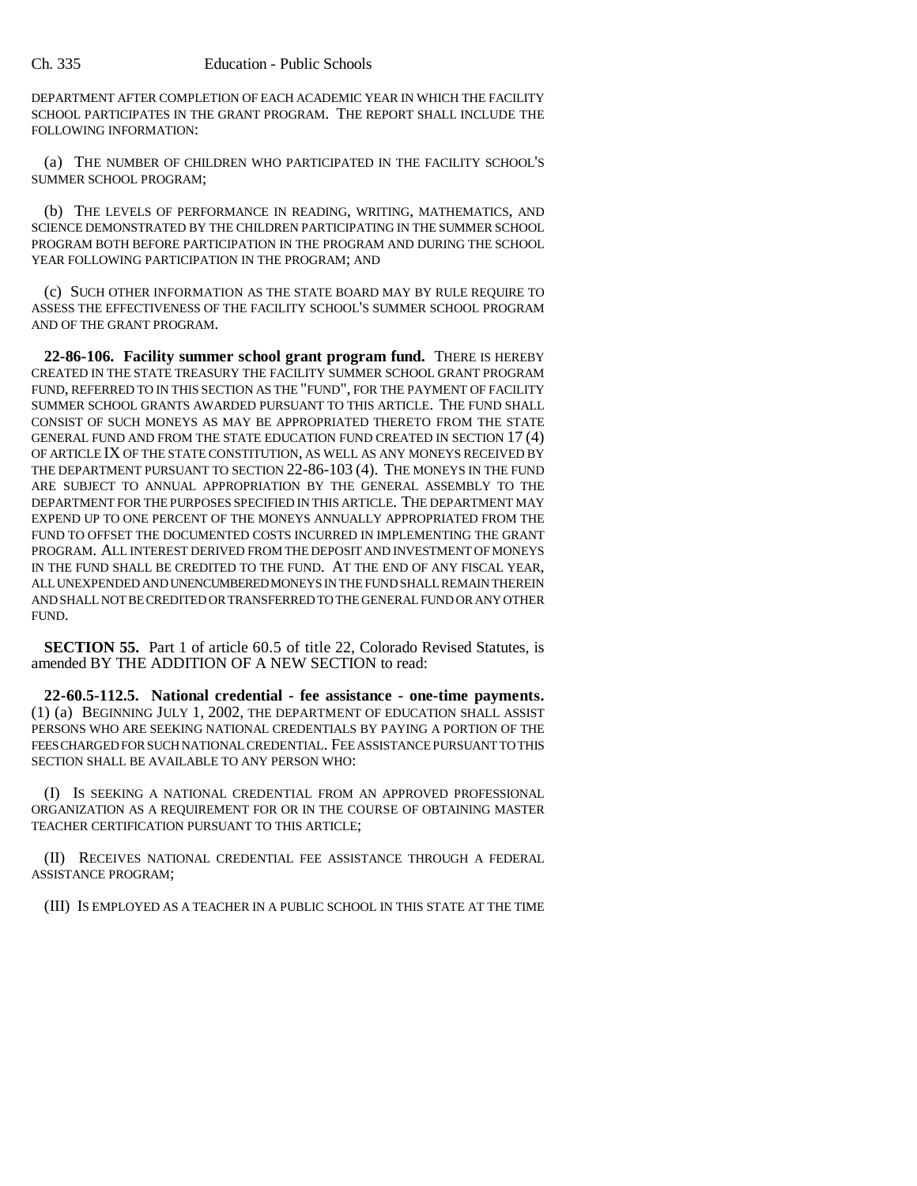DEPARTMENT AFTER COMPLETION OF EACH ACADEMIC YEAR IN WHICH THE FACILITY SCHOOL PARTICIPATES IN THE GRANT PROGRAM. THE REPORT SHALL INCLUDE THE FOLLOWING INFORMATION:

(a) THE NUMBER OF CHILDREN WHO PARTICIPATED IN THE FACILITY SCHOOL'S SUMMER SCHOOL PROGRAM;

(b) THE LEVELS OF PERFORMANCE IN READING, WRITING, MATHEMATICS, AND SCIENCE DEMONSTRATED BY THE CHILDREN PARTICIPATING IN THE SUMMER SCHOOL PROGRAM BOTH BEFORE PARTICIPATION IN THE PROGRAM AND DURING THE SCHOOL YEAR FOLLOWING PARTICIPATION IN THE PROGRAM; AND

(c) SUCH OTHER INFORMATION AS THE STATE BOARD MAY BY RULE REQUIRE TO ASSESS THE EFFECTIVENESS OF THE FACILITY SCHOOL'S SUMMER SCHOOL PROGRAM AND OF THE GRANT PROGRAM.

**22-86-106. Facility summer school grant program fund.** THERE IS HEREBY CREATED IN THE STATE TREASURY THE FACILITY SUMMER SCHOOL GRANT PROGRAM FUND, REFERRED TO IN THIS SECTION AS THE "FUND", FOR THE PAYMENT OF FACILITY SUMMER SCHOOL GRANTS AWARDED PURSUANT TO THIS ARTICLE. THE FUND SHALL CONSIST OF SUCH MONEYS AS MAY BE APPROPRIATED THERETO FROM THE STATE GENERAL FUND AND FROM THE STATE EDUCATION FUND CREATED IN SECTION 17 (4) OF ARTICLE IX OF THE STATE CONSTITUTION, AS WELL AS ANY MONEYS RECEIVED BY THE DEPARTMENT PURSUANT TO SECTION 22-86-103 (4). THE MONEYS IN THE FUND ARE SUBJECT TO ANNUAL APPROPRIATION BY THE GENERAL ASSEMBLY TO THE DEPARTMENT FOR THE PURPOSES SPECIFIED IN THIS ARTICLE. THE DEPARTMENT MAY EXPEND UP TO ONE PERCENT OF THE MONEYS ANNUALLY APPROPRIATED FROM THE FUND TO OFFSET THE DOCUMENTED COSTS INCURRED IN IMPLEMENTING THE GRANT PROGRAM. ALL INTEREST DERIVED FROM THE DEPOSIT AND INVESTMENT OF MONEYS IN THE FUND SHALL BE CREDITED TO THE FUND. AT THE END OF ANY FISCAL YEAR, ALL UNEXPENDED AND UNENCUMBERED MONEYS IN THE FUND SHALL REMAIN THEREIN AND SHALL NOT BE CREDITED OR TRANSFERRED TO THE GENERAL FUND OR ANY OTHER FUND.

**SECTION 55.** Part 1 of article 60.5 of title 22, Colorado Revised Statutes, is amended BY THE ADDITION OF A NEW SECTION to read:

**22-60.5-112.5. National credential - fee assistance - one-time payments.** (1) (a) BEGINNING JULY 1, 2002, THE DEPARTMENT OF EDUCATION SHALL ASSIST PERSONS WHO ARE SEEKING NATIONAL CREDENTIALS BY PAYING A PORTION OF THE FEES CHARGED FOR SUCH NATIONAL CREDENTIAL. FEE ASSISTANCE PURSUANT TO THIS SECTION SHALL BE AVAILABLE TO ANY PERSON WHO:

(I) IS SEEKING A NATIONAL CREDENTIAL FROM AN APPROVED PROFESSIONAL ORGANIZATION AS A REQUIREMENT FOR OR IN THE COURSE OF OBTAINING MASTER TEACHER CERTIFICATION PURSUANT TO THIS ARTICLE;

(II) RECEIVES NATIONAL CREDENTIAL FEE ASSISTANCE THROUGH A FEDERAL ASSISTANCE PROGRAM;

(III) IS EMPLOYED AS A TEACHER IN A PUBLIC SCHOOL IN THIS STATE AT THE TIME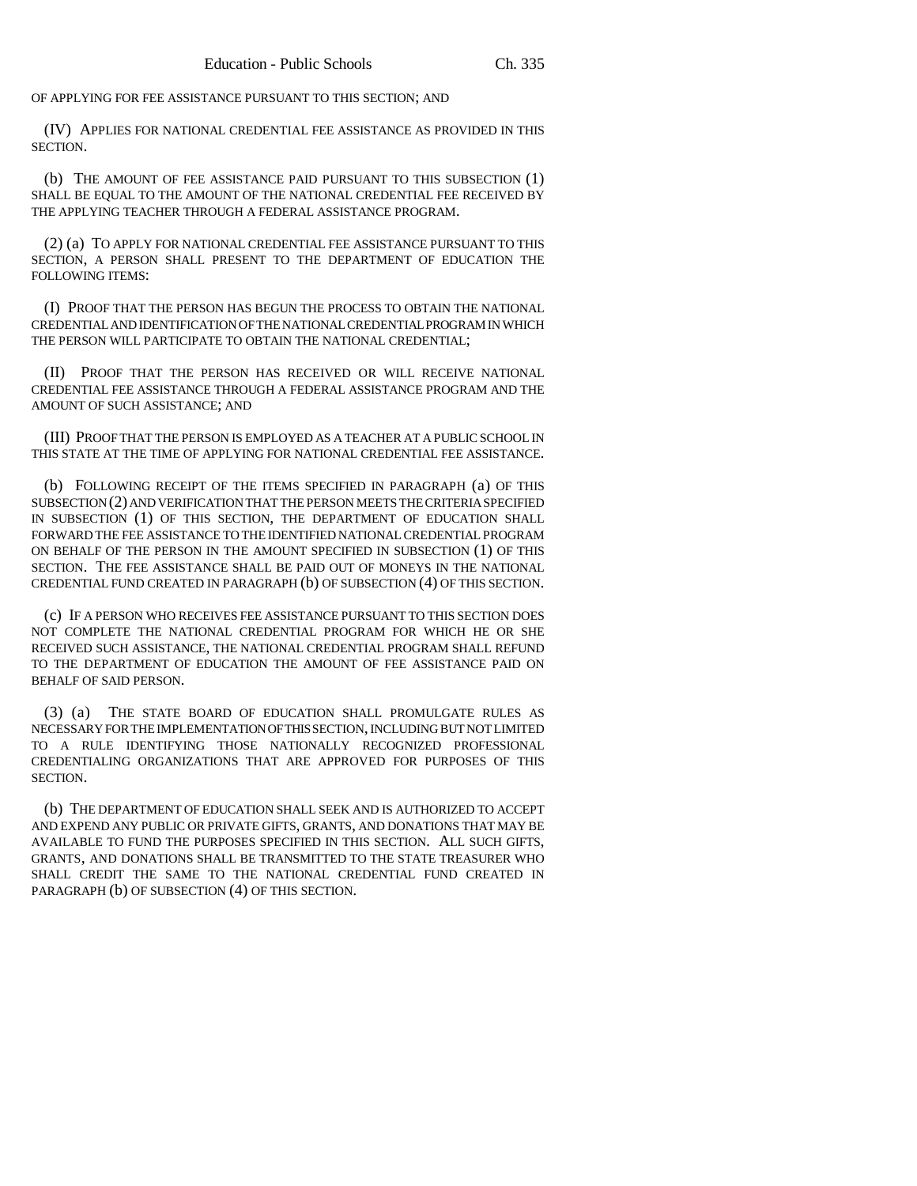OF APPLYING FOR FEE ASSISTANCE PURSUANT TO THIS SECTION; AND

(IV) APPLIES FOR NATIONAL CREDENTIAL FEE ASSISTANCE AS PROVIDED IN THIS SECTION.

(b) THE AMOUNT OF FEE ASSISTANCE PAID PURSUANT TO THIS SUBSECTION (1) SHALL BE EQUAL TO THE AMOUNT OF THE NATIONAL CREDENTIAL FEE RECEIVED BY THE APPLYING TEACHER THROUGH A FEDERAL ASSISTANCE PROGRAM.

(2) (a) TO APPLY FOR NATIONAL CREDENTIAL FEE ASSISTANCE PURSUANT TO THIS SECTION, A PERSON SHALL PRESENT TO THE DEPARTMENT OF EDUCATION THE FOLLOWING ITEMS:

(I) PROOF THAT THE PERSON HAS BEGUN THE PROCESS TO OBTAIN THE NATIONAL CREDENTIAL AND IDENTIFICATION OF THE NATIONAL CREDENTIAL PROGRAM IN WHICH THE PERSON WILL PARTICIPATE TO OBTAIN THE NATIONAL CREDENTIAL;

(II) PROOF THAT THE PERSON HAS RECEIVED OR WILL RECEIVE NATIONAL CREDENTIAL FEE ASSISTANCE THROUGH A FEDERAL ASSISTANCE PROGRAM AND THE AMOUNT OF SUCH ASSISTANCE; AND

(III) PROOF THAT THE PERSON IS EMPLOYED AS A TEACHER AT A PUBLIC SCHOOL IN THIS STATE AT THE TIME OF APPLYING FOR NATIONAL CREDENTIAL FEE ASSISTANCE.

(b) FOLLOWING RECEIPT OF THE ITEMS SPECIFIED IN PARAGRAPH (a) OF THIS SUBSECTION (2) AND VERIFICATION THAT THE PERSON MEETS THE CRITERIA SPECIFIED IN SUBSECTION (1) OF THIS SECTION, THE DEPARTMENT OF EDUCATION SHALL FORWARD THE FEE ASSISTANCE TO THE IDENTIFIED NATIONAL CREDENTIAL PROGRAM ON BEHALF OF THE PERSON IN THE AMOUNT SPECIFIED IN SUBSECTION (1) OF THIS SECTION. THE FEE ASSISTANCE SHALL BE PAID OUT OF MONEYS IN THE NATIONAL CREDENTIAL FUND CREATED IN PARAGRAPH (b) OF SUBSECTION (4) OF THIS SECTION.

(c) IF A PERSON WHO RECEIVES FEE ASSISTANCE PURSUANT TO THIS SECTION DOES NOT COMPLETE THE NATIONAL CREDENTIAL PROGRAM FOR WHICH HE OR SHE RECEIVED SUCH ASSISTANCE, THE NATIONAL CREDENTIAL PROGRAM SHALL REFUND TO THE DEPARTMENT OF EDUCATION THE AMOUNT OF FEE ASSISTANCE PAID ON BEHALF OF SAID PERSON.

(3) (a) THE STATE BOARD OF EDUCATION SHALL PROMULGATE RULES AS NECESSARY FOR THE IMPLEMENTATION OF THIS SECTION, INCLUDING BUT NOT LIMITED TO A RULE IDENTIFYING THOSE NATIONALLY RECOGNIZED PROFESSIONAL CREDENTIALING ORGANIZATIONS THAT ARE APPROVED FOR PURPOSES OF THIS SECTION.

(b) THE DEPARTMENT OF EDUCATION SHALL SEEK AND IS AUTHORIZED TO ACCEPT AND EXPEND ANY PUBLIC OR PRIVATE GIFTS, GRANTS, AND DONATIONS THAT MAY BE AVAILABLE TO FUND THE PURPOSES SPECIFIED IN THIS SECTION. ALL SUCH GIFTS, GRANTS, AND DONATIONS SHALL BE TRANSMITTED TO THE STATE TREASURER WHO SHALL CREDIT THE SAME TO THE NATIONAL CREDENTIAL FUND CREATED IN PARAGRAPH (b) OF SUBSECTION (4) OF THIS SECTION.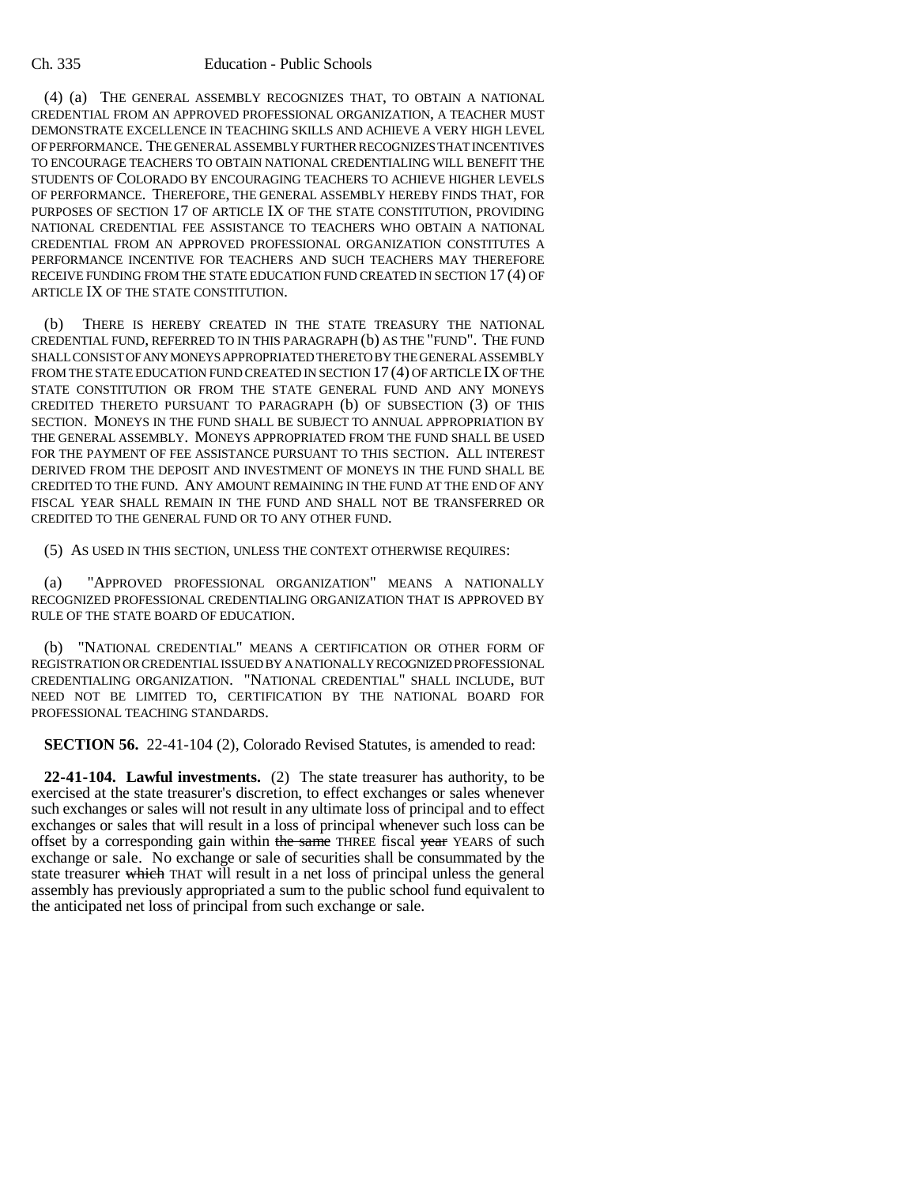(4) (a) THE GENERAL ASSEMBLY RECOGNIZES THAT, TO OBTAIN A NATIONAL CREDENTIAL FROM AN APPROVED PROFESSIONAL ORGANIZATION, A TEACHER MUST DEMONSTRATE EXCELLENCE IN TEACHING SKILLS AND ACHIEVE A VERY HIGH LEVEL OF PERFORMANCE. THE GENERAL ASSEMBLY FURTHER RECOGNIZES THAT INCENTIVES TO ENCOURAGE TEACHERS TO OBTAIN NATIONAL CREDENTIALING WILL BENEFIT THE STUDENTS OF COLORADO BY ENCOURAGING TEACHERS TO ACHIEVE HIGHER LEVELS OF PERFORMANCE. THEREFORE, THE GENERAL ASSEMBLY HEREBY FINDS THAT, FOR PURPOSES OF SECTION 17 OF ARTICLE IX OF THE STATE CONSTITUTION, PROVIDING NATIONAL CREDENTIAL FEE ASSISTANCE TO TEACHERS WHO OBTAIN A NATIONAL CREDENTIAL FROM AN APPROVED PROFESSIONAL ORGANIZATION CONSTITUTES A PERFORMANCE INCENTIVE FOR TEACHERS AND SUCH TEACHERS MAY THEREFORE RECEIVE FUNDING FROM THE STATE EDUCATION FUND CREATED IN SECTION 17 (4) OF ARTICLE IX OF THE STATE CONSTITUTION.

(b) THERE IS HEREBY CREATED IN THE STATE TREASURY THE NATIONAL CREDENTIAL FUND, REFERRED TO IN THIS PARAGRAPH (b) AS THE "FUND". THE FUND SHALL CONSIST OF ANY MONEYS APPROPRIATED THERETO BY THE GENERAL ASSEMBLY FROM THE STATE EDUCATION FUND CREATED IN SECTION 17(4) OF ARTICLE IX OF THE STATE CONSTITUTION OR FROM THE STATE GENERAL FUND AND ANY MONEYS CREDITED THERETO PURSUANT TO PARAGRAPH (b) OF SUBSECTION (3) OF THIS SECTION. MONEYS IN THE FUND SHALL BE SUBJECT TO ANNUAL APPROPRIATION BY THE GENERAL ASSEMBLY. MONEYS APPROPRIATED FROM THE FUND SHALL BE USED FOR THE PAYMENT OF FEE ASSISTANCE PURSUANT TO THIS SECTION. ALL INTEREST DERIVED FROM THE DEPOSIT AND INVESTMENT OF MONEYS IN THE FUND SHALL BE CREDITED TO THE FUND. ANY AMOUNT REMAINING IN THE FUND AT THE END OF ANY FISCAL YEAR SHALL REMAIN IN THE FUND AND SHALL NOT BE TRANSFERRED OR CREDITED TO THE GENERAL FUND OR TO ANY OTHER FUND.

(5) AS USED IN THIS SECTION, UNLESS THE CONTEXT OTHERWISE REQUIRES:

(a) "APPROVED PROFESSIONAL ORGANIZATION" MEANS A NATIONALLY RECOGNIZED PROFESSIONAL CREDENTIALING ORGANIZATION THAT IS APPROVED BY RULE OF THE STATE BOARD OF EDUCATION.

(b) "NATIONAL CREDENTIAL" MEANS A CERTIFICATION OR OTHER FORM OF REGISTRATION OR CREDENTIAL ISSUED BY A NATIONALLY RECOGNIZED PROFESSIONAL CREDENTIALING ORGANIZATION. "NATIONAL CREDENTIAL" SHALL INCLUDE, BUT NEED NOT BE LIMITED TO, CERTIFICATION BY THE NATIONAL BOARD FOR PROFESSIONAL TEACHING STANDARDS.

**SECTION 56.** 22-41-104 (2), Colorado Revised Statutes, is amended to read:

**22-41-104. Lawful investments.** (2) The state treasurer has authority, to be exercised at the state treasurer's discretion, to effect exchanges or sales whenever such exchanges or sales will not result in any ultimate loss of principal and to effect exchanges or sales that will result in a loss of principal whenever such loss can be offset by a corresponding gain within the same THREE fiscal year YEARS of such exchange or sale. No exchange or sale of securities shall be consummated by the state treasurer which THAT will result in a net loss of principal unless the general assembly has previously appropriated a sum to the public school fund equivalent to the anticipated net loss of principal from such exchange or sale.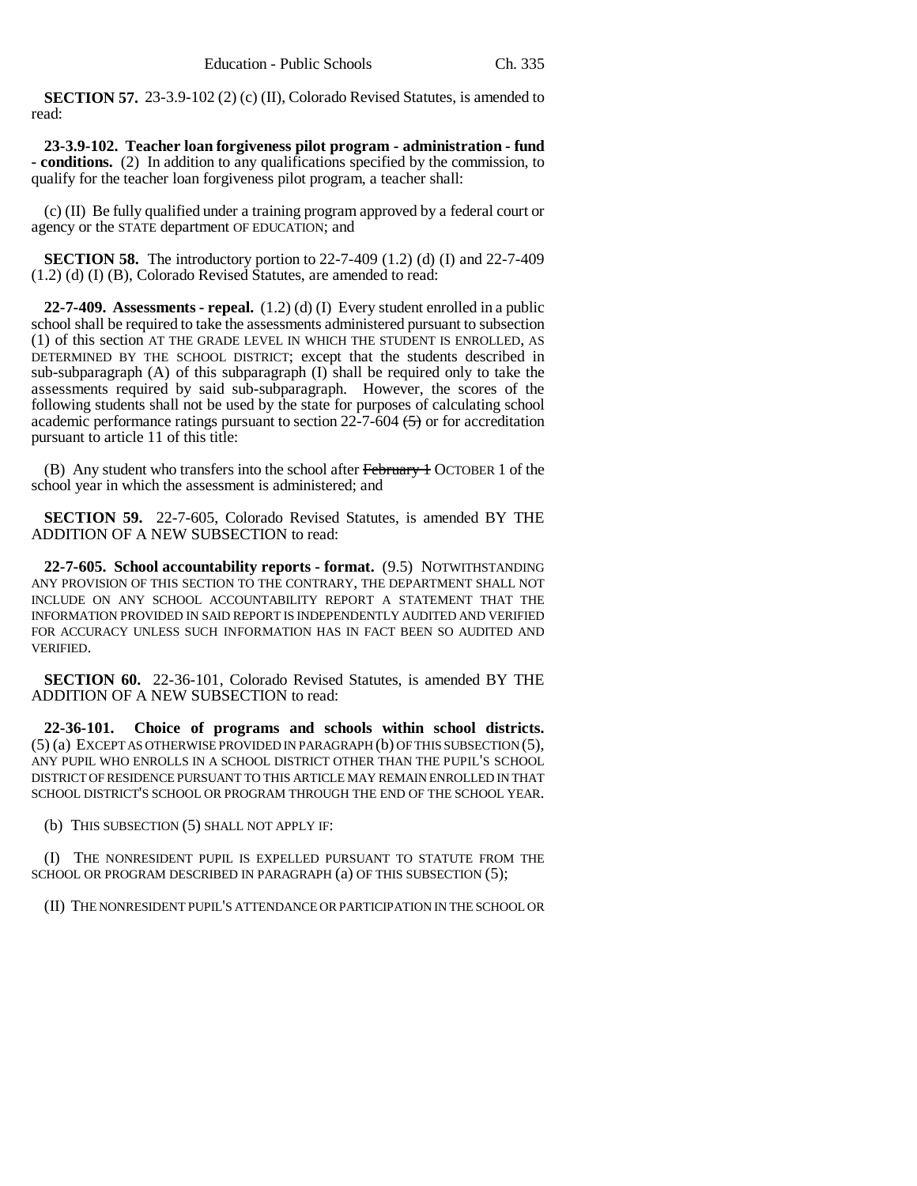**SECTION 57.** 23-3.9-102 (2) (c) (II), Colorado Revised Statutes, is amended to read:

**23-3.9-102. Teacher loan forgiveness pilot program - administration - fund - conditions.** (2) In addition to any qualifications specified by the commission, to qualify for the teacher loan forgiveness pilot program, a teacher shall:

(c) (II) Be fully qualified under a training program approved by a federal court or agency or the STATE department OF EDUCATION; and

**SECTION 58.** The introductory portion to 22-7-409 (1.2) (d) (I) and 22-7-409 (1.2) (d) (I) (B), Colorado Revised Statutes, are amended to read:

**22-7-409. Assessments - repeal.** (1.2) (d) (I) Every student enrolled in a public school shall be required to take the assessments administered pursuant to subsection (1) of this section AT THE GRADE LEVEL IN WHICH THE STUDENT IS ENROLLED, AS DETERMINED BY THE SCHOOL DISTRICT; except that the students described in sub-subparagraph (A) of this subparagraph (I) shall be required only to take the assessments required by said sub-subparagraph. However, the scores of the following students shall not be used by the state for purposes of calculating school academic performance ratings pursuant to section  $22-7-604$   $\leftarrow$  or for accreditation pursuant to article 11 of this title:

(B) Any student who transfers into the school after February 4 OCTOBER 1 of the school year in which the assessment is administered; and

**SECTION 59.** 22-7-605, Colorado Revised Statutes, is amended BY THE ADDITION OF A NEW SUBSECTION to read:

**22-7-605. School accountability reports - format.** (9.5) NOTWITHSTANDING ANY PROVISION OF THIS SECTION TO THE CONTRARY, THE DEPARTMENT SHALL NOT INCLUDE ON ANY SCHOOL ACCOUNTABILITY REPORT A STATEMENT THAT THE INFORMATION PROVIDED IN SAID REPORT IS INDEPENDENTLY AUDITED AND VERIFIED FOR ACCURACY UNLESS SUCH INFORMATION HAS IN FACT BEEN SO AUDITED AND VERIFIED.

**SECTION 60.** 22-36-101, Colorado Revised Statutes, is amended BY THE ADDITION OF A NEW SUBSECTION to read:

**22-36-101. Choice of programs and schools within school districts.** (5) (a) EXCEPT AS OTHERWISE PROVIDED IN PARAGRAPH (b) OF THIS SUBSECTION (5), ANY PUPIL WHO ENROLLS IN A SCHOOL DISTRICT OTHER THAN THE PUPIL'S SCHOOL DISTRICT OF RESIDENCE PURSUANT TO THIS ARTICLE MAY REMAIN ENROLLED IN THAT SCHOOL DISTRICT'S SCHOOL OR PROGRAM THROUGH THE END OF THE SCHOOL YEAR.

(b) THIS SUBSECTION (5) SHALL NOT APPLY IF:

(I) THE NONRESIDENT PUPIL IS EXPELLED PURSUANT TO STATUTE FROM THE SCHOOL OR PROGRAM DESCRIBED IN PARAGRAPH (a) OF THIS SUBSECTION (5);

(II) THE NONRESIDENT PUPIL'S ATTENDANCE OR PARTICIPATION IN THE SCHOOL OR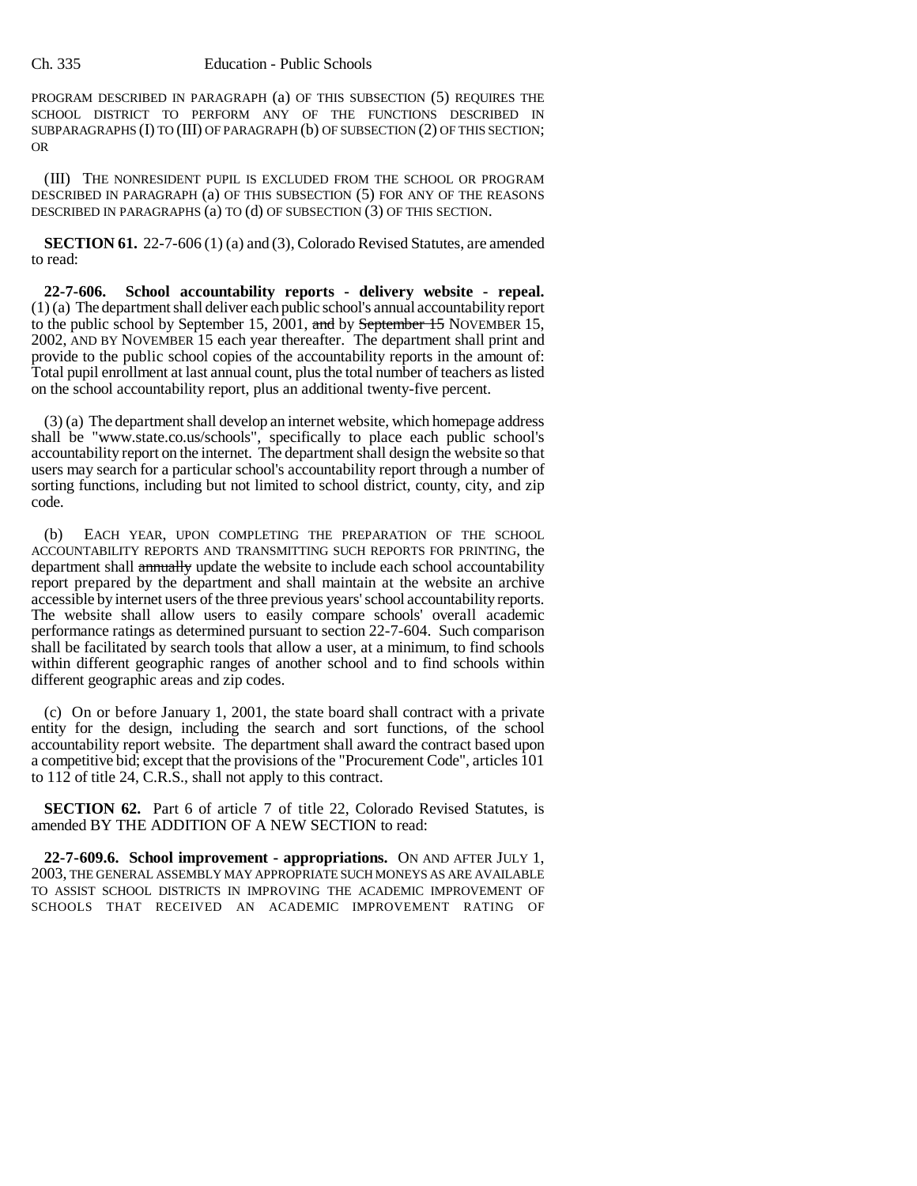PROGRAM DESCRIBED IN PARAGRAPH (a) OF THIS SUBSECTION (5) REQUIRES THE SCHOOL DISTRICT TO PERFORM ANY OF THE FUNCTIONS DESCRIBED IN SUBPARAGRAPHS (I) TO (III) OF PARAGRAPH (b) OF SUBSECTION (2) OF THIS SECTION; OR

(III) THE NONRESIDENT PUPIL IS EXCLUDED FROM THE SCHOOL OR PROGRAM DESCRIBED IN PARAGRAPH (a) OF THIS SUBSECTION (5) FOR ANY OF THE REASONS DESCRIBED IN PARAGRAPHS (a) TO (d) OF SUBSECTION (3) OF THIS SECTION.

**SECTION 61.** 22-7-606 (1) (a) and (3), Colorado Revised Statutes, are amended to read:

**22-7-606. School accountability reports - delivery website - repeal.** (1) (a) The department shall deliver each public school's annual accountability report to the public school by September 15, 2001, and by September 15 NOVEMBER 15, 2002, AND BY NOVEMBER 15 each year thereafter. The department shall print and provide to the public school copies of the accountability reports in the amount of: Total pupil enrollment at last annual count, plus the total number of teachers as listed on the school accountability report, plus an additional twenty-five percent.

(3) (a) The department shall develop an internet website, which homepage address shall be "www.state.co.us/schools", specifically to place each public school's accountability report on the internet. The department shall design the website so that users may search for a particular school's accountability report through a number of sorting functions, including but not limited to school district, county, city, and zip code.

(b) EACH YEAR, UPON COMPLETING THE PREPARATION OF THE SCHOOL ACCOUNTABILITY REPORTS AND TRANSMITTING SUCH REPORTS FOR PRINTING, the department shall annually update the website to include each school accountability report prepared by the department and shall maintain at the website an archive accessible by internet users of the three previous years' school accountability reports. The website shall allow users to easily compare schools' overall academic performance ratings as determined pursuant to section 22-7-604. Such comparison shall be facilitated by search tools that allow a user, at a minimum, to find schools within different geographic ranges of another school and to find schools within different geographic areas and zip codes.

(c) On or before January 1, 2001, the state board shall contract with a private entity for the design, including the search and sort functions, of the school accountability report website. The department shall award the contract based upon a competitive bid; except that the provisions of the "Procurement Code", articles 101 to 112 of title 24, C.R.S., shall not apply to this contract.

**SECTION 62.** Part 6 of article 7 of title 22, Colorado Revised Statutes, is amended BY THE ADDITION OF A NEW SECTION to read:

**22-7-609.6. School improvement - appropriations.** ON AND AFTER JULY 1, 2003, THE GENERAL ASSEMBLY MAY APPROPRIATE SUCH MONEYS AS ARE AVAILABLE TO ASSIST SCHOOL DISTRICTS IN IMPROVING THE ACADEMIC IMPROVEMENT OF SCHOOLS THAT RECEIVED AN ACADEMIC IMPROVEMENT RATING OF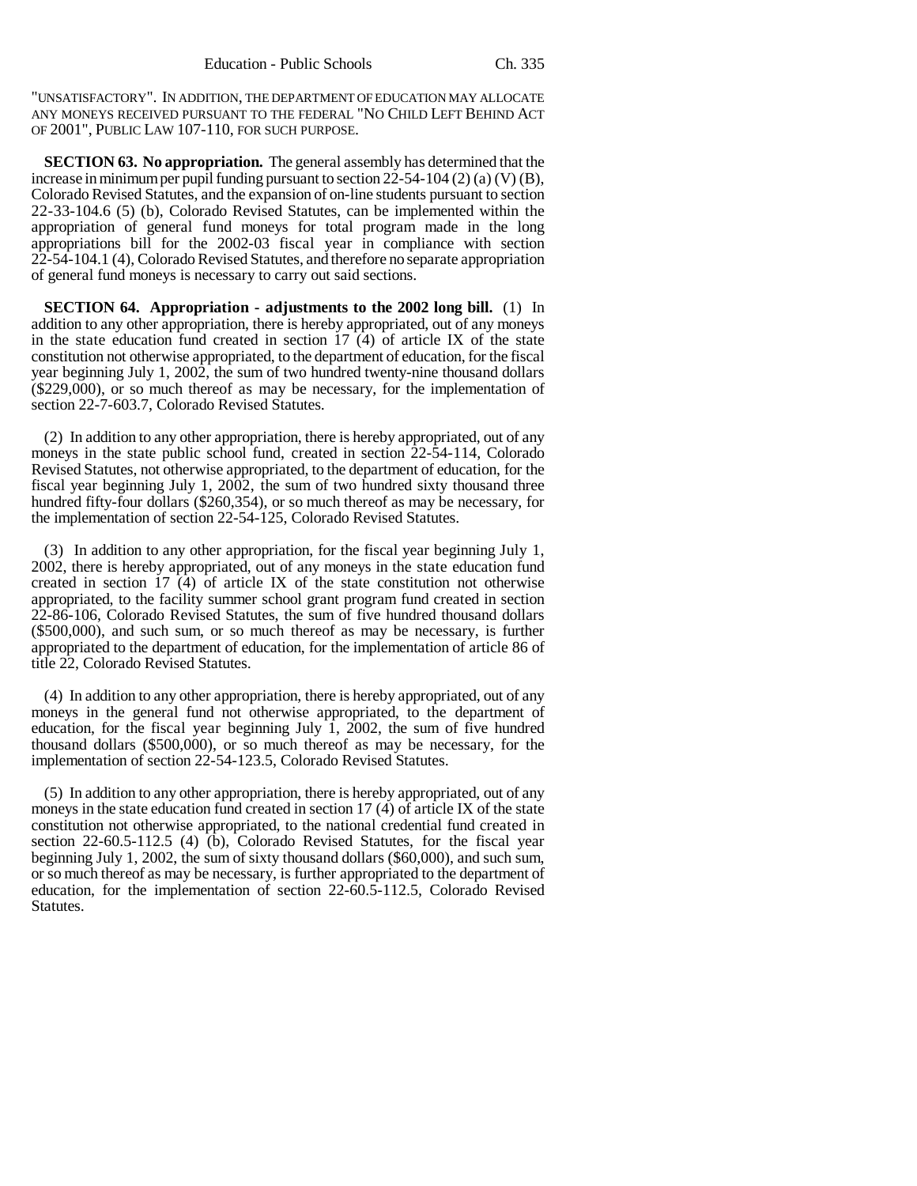"UNSATISFACTORY". IN ADDITION, THE DEPARTMENT OF EDUCATION MAY ALLOCATE ANY MONEYS RECEIVED PURSUANT TO THE FEDERAL "NO CHILD LEFT BEHIND ACT OF 2001", PUBLIC LAW 107-110, FOR SUCH PURPOSE.

**SECTION 63. No appropriation.** The general assembly has determined that the increase in minimum per pupil funding pursuant to section 22-54-104 (2) (a) (V) (B), Colorado Revised Statutes, and the expansion of on-line students pursuant to section 22-33-104.6 (5) (b), Colorado Revised Statutes, can be implemented within the appropriation of general fund moneys for total program made in the long appropriations bill for the 2002-03 fiscal year in compliance with section 22-54-104.1 (4), Colorado Revised Statutes, and therefore no separate appropriation of general fund moneys is necessary to carry out said sections.

**SECTION 64. Appropriation - adjustments to the 2002 long bill.** (1) In addition to any other appropriation, there is hereby appropriated, out of any moneys in the state education fund created in section 17 (4) of article IX of the state constitution not otherwise appropriated, to the department of education, for the fiscal year beginning July 1, 2002, the sum of two hundred twenty-nine thousand dollars (\$229,000), or so much thereof as may be necessary, for the implementation of section 22-7-603.7, Colorado Revised Statutes.

(2) In addition to any other appropriation, there is hereby appropriated, out of any moneys in the state public school fund, created in section 22-54-114, Colorado Revised Statutes, not otherwise appropriated, to the department of education, for the fiscal year beginning July 1, 2002, the sum of two hundred sixty thousand three hundred fifty-four dollars (\$260,354), or so much thereof as may be necessary, for the implementation of section 22-54-125, Colorado Revised Statutes.

(3) In addition to any other appropriation, for the fiscal year beginning July 1, 2002, there is hereby appropriated, out of any moneys in the state education fund created in section 17 (4) of article IX of the state constitution not otherwise appropriated, to the facility summer school grant program fund created in section 22-86-106, Colorado Revised Statutes, the sum of five hundred thousand dollars (\$500,000), and such sum, or so much thereof as may be necessary, is further appropriated to the department of education, for the implementation of article 86 of title 22, Colorado Revised Statutes.

(4) In addition to any other appropriation, there is hereby appropriated, out of any moneys in the general fund not otherwise appropriated, to the department of education, for the fiscal year beginning July  $\overline{1}$ , 2002, the sum of five hundred thousand dollars (\$500,000), or so much thereof as may be necessary, for the implementation of section 22-54-123.5, Colorado Revised Statutes.

(5) In addition to any other appropriation, there is hereby appropriated, out of any moneys in the state education fund created in section 17 (4) of article IX of the state constitution not otherwise appropriated, to the national credential fund created in section 22-60.5-112.5 (4) (b), Colorado Revised Statutes, for the fiscal year beginning July 1, 2002, the sum of sixty thousand dollars (\$60,000), and such sum, or so much thereof as may be necessary, is further appropriated to the department of education, for the implementation of section 22-60.5-112.5, Colorado Revised Statutes.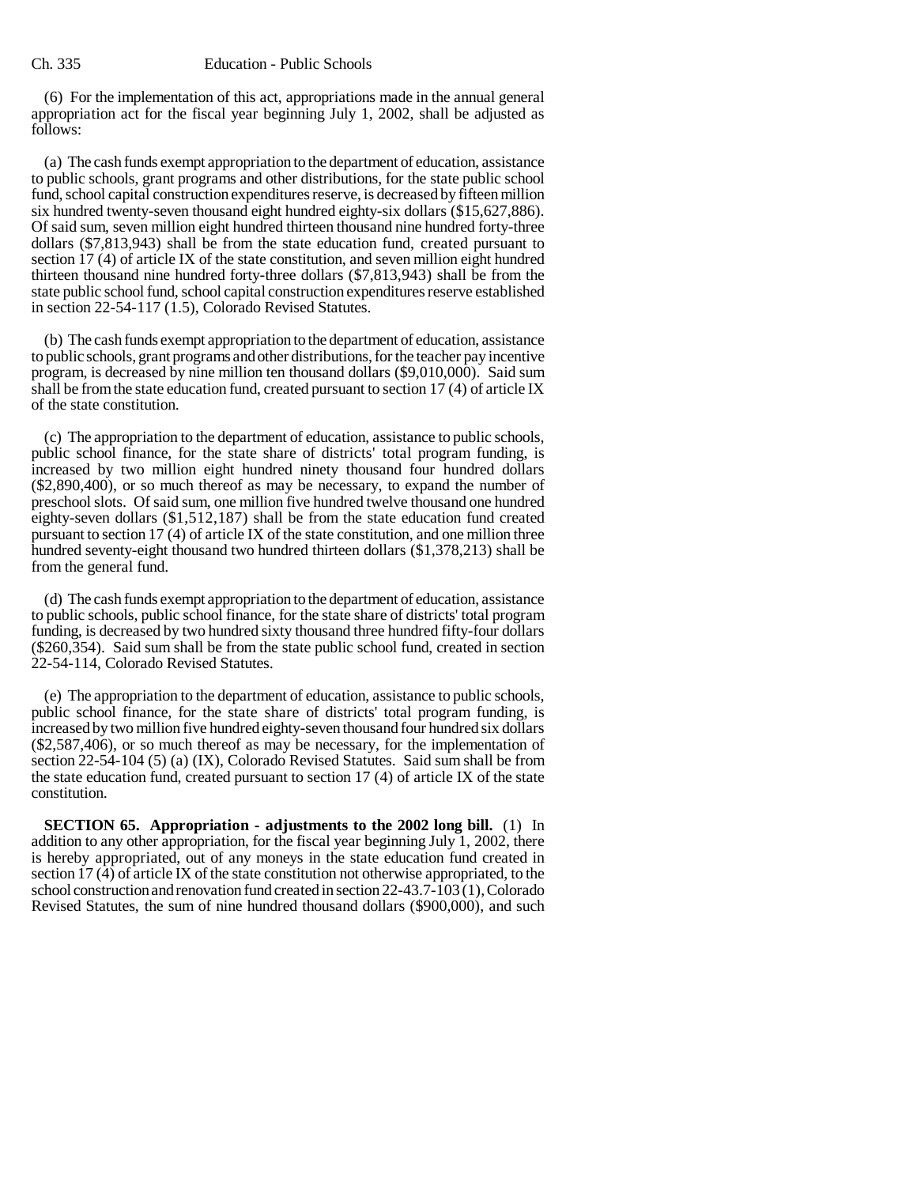(6) For the implementation of this act, appropriations made in the annual general appropriation act for the fiscal year beginning July 1, 2002, shall be adjusted as follows:

(a) The cash funds exempt appropriation to the department of education, assistance to public schools, grant programs and other distributions, for the state public school fund, school capital construction expenditures reserve, is decreased by fifteen million six hundred twenty-seven thousand eight hundred eighty-six dollars (\$15,627,886). Of said sum, seven million eight hundred thirteen thousand nine hundred forty-three dollars (\$7,813,943) shall be from the state education fund, created pursuant to section 17 (4) of article IX of the state constitution, and seven million eight hundred thirteen thousand nine hundred forty-three dollars (\$7,813,943) shall be from the state public school fund, school capital construction expenditures reserve established in section 22-54-117 (1.5), Colorado Revised Statutes.

(b) The cash funds exempt appropriation to the department of education, assistance to public schools, grant programs and other distributions, for the teacher pay incentive program, is decreased by nine million ten thousand dollars (\$9,010,000). Said sum shall be from the state education fund, created pursuant to section 17 (4) of article IX of the state constitution.

(c) The appropriation to the department of education, assistance to public schools, public school finance, for the state share of districts' total program funding, is increased by two million eight hundred ninety thousand four hundred dollars (\$2,890,400), or so much thereof as may be necessary, to expand the number of preschool slots. Of said sum, one million five hundred twelve thousand one hundred eighty-seven dollars (\$1,512,187) shall be from the state education fund created pursuant to section 17 (4) of article IX of the state constitution, and one million three hundred seventy-eight thousand two hundred thirteen dollars (\$1,378,213) shall be from the general fund.

(d) The cash funds exempt appropriation to the department of education, assistance to public schools, public school finance, for the state share of districts' total program funding, is decreased by two hundred sixty thousand three hundred fifty-four dollars (\$260,354). Said sum shall be from the state public school fund, created in section 22-54-114, Colorado Revised Statutes.

(e) The appropriation to the department of education, assistance to public schools, public school finance, for the state share of districts' total program funding, is increased by two million five hundred eighty-seven thousand four hundred six dollars (\$2,587,406), or so much thereof as may be necessary, for the implementation of section 22-54-104 (5) (a) (IX), Colorado Revised Statutes. Said sum shall be from the state education fund, created pursuant to section 17 (4) of article IX of the state constitution.

**SECTION 65. Appropriation - adjustments to the 2002 long bill.** (1) In addition to any other appropriation, for the fiscal year beginning July 1, 2002, there is hereby appropriated, out of any moneys in the state education fund created in section  $17$  (4) of article IX of the state constitution not otherwise appropriated, to the school construction and renovation fund created in section 22-43.7-103 (1), Colorado Revised Statutes, the sum of nine hundred thousand dollars (\$900,000), and such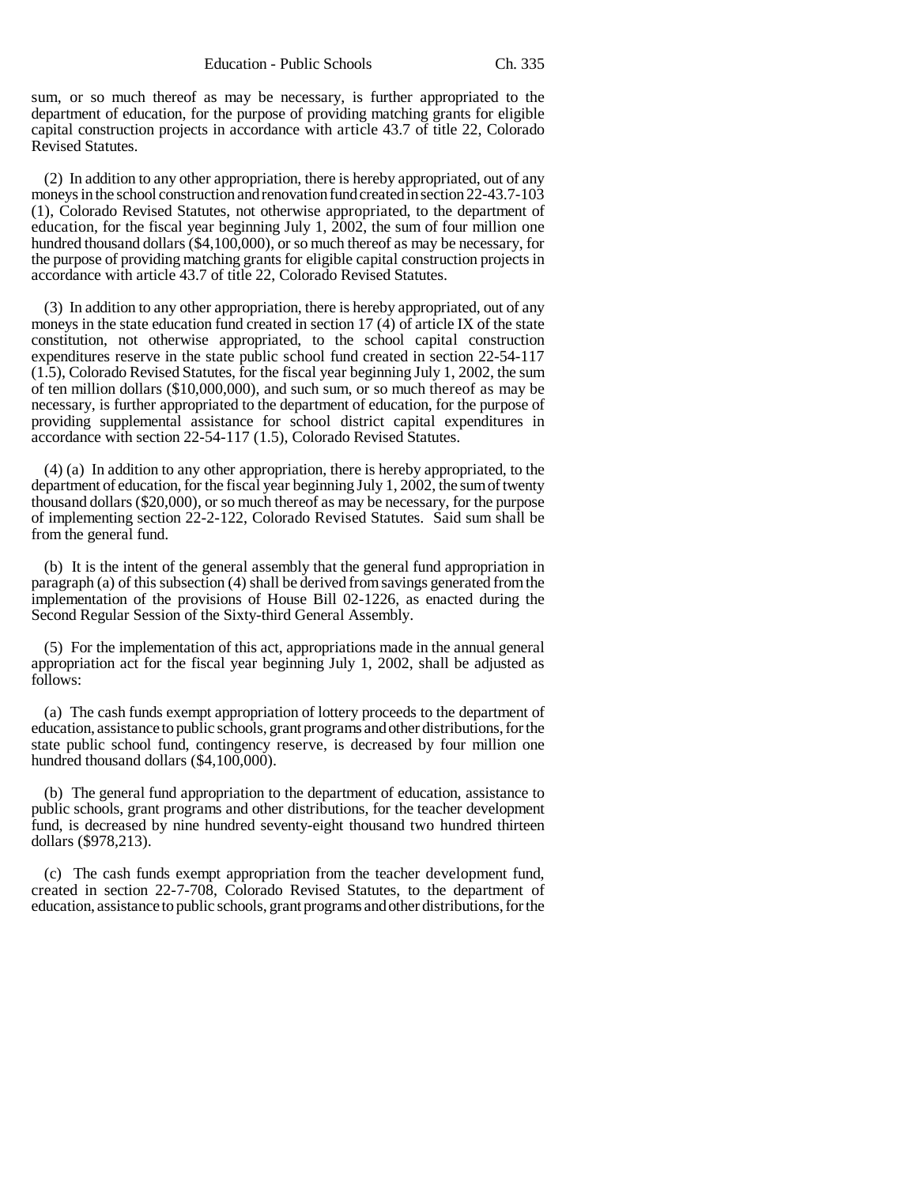sum, or so much thereof as may be necessary, is further appropriated to the department of education, for the purpose of providing matching grants for eligible capital construction projects in accordance with article 43.7 of title 22, Colorado Revised Statutes.

(2) In addition to any other appropriation, there is hereby appropriated, out of any moneys in the school construction and renovation fund created in section 22-43.7-103 (1), Colorado Revised Statutes, not otherwise appropriated, to the department of education, for the fiscal year beginning July 1, 2002, the sum of four million one hundred thousand dollars (\$4,100,000), or so much thereof as may be necessary, for the purpose of providing matching grants for eligible capital construction projects in accordance with article 43.7 of title 22, Colorado Revised Statutes.

(3) In addition to any other appropriation, there is hereby appropriated, out of any moneys in the state education fund created in section 17 (4) of article IX of the state constitution, not otherwise appropriated, to the school capital construction expenditures reserve in the state public school fund created in section 22-54-117 (1.5), Colorado Revised Statutes, for the fiscal year beginning July 1, 2002, the sum of ten million dollars (\$10,000,000), and such sum, or so much thereof as may be necessary, is further appropriated to the department of education, for the purpose of providing supplemental assistance for school district capital expenditures in accordance with section 22-54-117 (1.5), Colorado Revised Statutes.

(4) (a) In addition to any other appropriation, there is hereby appropriated, to the department of education, for the fiscal year beginning July 1, 2002, the sum of twenty thousand dollars (\$20,000), or so much thereof as may be necessary, for the purpose of implementing section 22-2-122, Colorado Revised Statutes. Said sum shall be from the general fund.

(b) It is the intent of the general assembly that the general fund appropriation in paragraph (a) of this subsection (4) shall be derived from savings generated from the implementation of the provisions of House Bill 02-1226, as enacted during the Second Regular Session of the Sixty-third General Assembly.

(5) For the implementation of this act, appropriations made in the annual general appropriation act for the fiscal year beginning July 1, 2002, shall be adjusted as follows:

(a) The cash funds exempt appropriation of lottery proceeds to the department of education, assistance to public schools, grant programs and other distributions, for the state public school fund, contingency reserve, is decreased by four million one hundred thousand dollars (\$4,100,000).

(b) The general fund appropriation to the department of education, assistance to public schools, grant programs and other distributions, for the teacher development fund, is decreased by nine hundred seventy-eight thousand two hundred thirteen dollars (\$978,213).

(c) The cash funds exempt appropriation from the teacher development fund, created in section 22-7-708, Colorado Revised Statutes, to the department of education, assistance to public schools, grant programs and other distributions, for the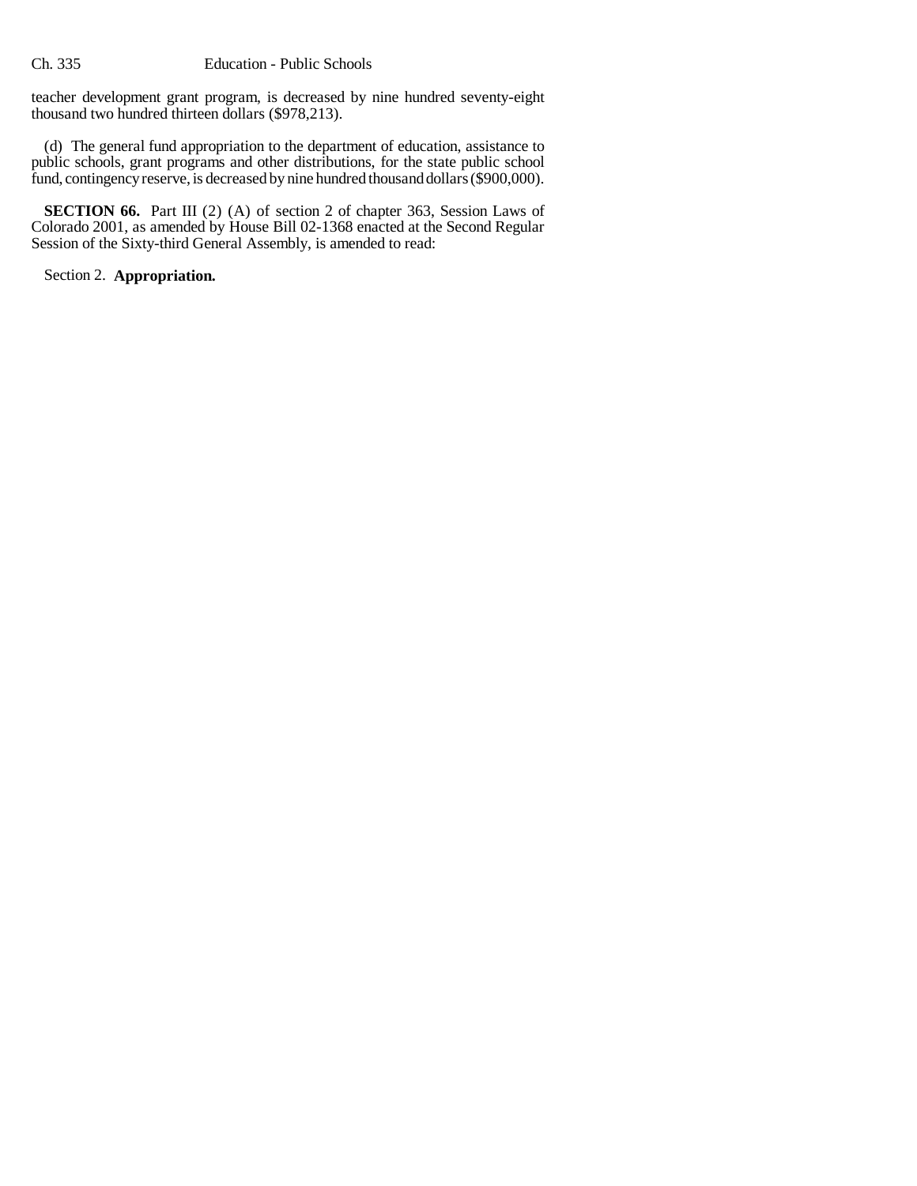teacher development grant program, is decreased by nine hundred seventy-eight thousand two hundred thirteen dollars (\$978,213).

(d) The general fund appropriation to the department of education, assistance to public schools, grant programs and other distributions, for the state public school fund, contingency reserve, is decreased by nine hundred thousand dollars (\$900,000).

**SECTION 66.** Part III (2) (A) of section 2 of chapter 363, Session Laws of Colorado 2001, as amended by House Bill 02-1368 enacted at the Second Regular Session of the Sixty-third General Assembly, is amended to read:

Section 2. **Appropriation.**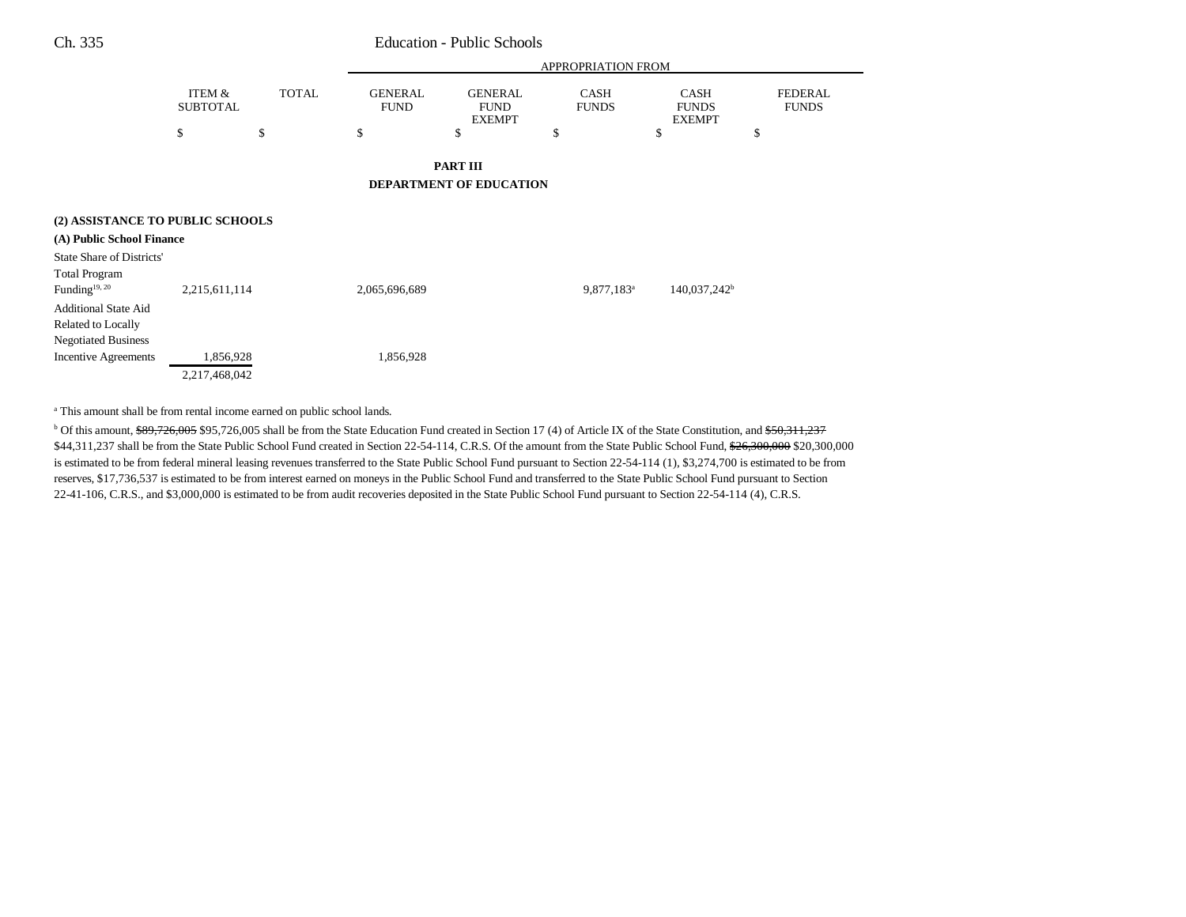|                                                   | <b>APPROPRIATION FROM</b> |              |                               |                                                |                             |                                              |                          |                                |
|---------------------------------------------------|---------------------------|--------------|-------------------------------|------------------------------------------------|-----------------------------|----------------------------------------------|--------------------------|--------------------------------|
|                                                   | ITEM &<br><b>SUBTOTAL</b> | <b>TOTAL</b> | <b>GENERAL</b><br><b>FUND</b> | <b>GENERAL</b><br><b>FUND</b><br><b>EXEMPT</b> | <b>CASH</b><br><b>FUNDS</b> | <b>CASH</b><br><b>FUNDS</b><br><b>EXEMPT</b> |                          | <b>FEDERAL</b><br><b>FUNDS</b> |
|                                                   | \$                        | \$           | \$                            | \$                                             | \$                          | \$                                           | \$                       |                                |
|                                                   |                           |              |                               | <b>PART III</b>                                |                             |                                              |                          |                                |
|                                                   |                           |              |                               | DEPARTMENT OF EDUCATION                        |                             |                                              |                          |                                |
| (2) ASSISTANCE TO PUBLIC SCHOOLS                  |                           |              |                               |                                                |                             |                                              |                          |                                |
| (A) Public School Finance                         |                           |              |                               |                                                |                             |                                              |                          |                                |
| <b>State Share of Districts'</b>                  |                           |              |                               |                                                |                             |                                              |                          |                                |
| <b>Total Program</b><br>Funding <sup>19, 20</sup> | 2,215,611,114             |              | 2,065,696,689                 |                                                | 9,877,183 <sup>a</sup>      |                                              | 140,037,242 <sup>b</sup> |                                |
| <b>Additional State Aid</b>                       |                           |              |                               |                                                |                             |                                              |                          |                                |
| Related to Locally                                |                           |              |                               |                                                |                             |                                              |                          |                                |
| <b>Negotiated Business</b>                        |                           |              |                               |                                                |                             |                                              |                          |                                |
| <b>Incentive Agreements</b>                       | 1,856,928                 |              | 1,856,928                     |                                                |                             |                                              |                          |                                |
|                                                   | 2,217,468,042             |              |                               |                                                |                             |                                              |                          |                                |

<sup>a</sup> This amount shall be from rental income earned on public school lands.

 $b$  Of this amount, \$89,726,005 \$95,726,005 shall be from the State Education Fund created in Section 17 (4) of Article IX of the State Constitution, and \$50,311,237 \$44,311,237 shall be from the State Public School Fund created in Section 22-54-114, C.R.S. Of the amount from the State Public School Fund, \$26,300,000 \$20,300,000 is estimated to be from federal mineral leasing revenues transferred to the State Public School Fund pursuant to Section 22-54-114 (1), \$3,274,700 is estimated to be from reserves, \$17,736,537 is estimated to be from interest earned on moneys in the Public School Fund and transferred to the State Public School Fund pursuant to Section 22-41-106, C.R.S., and \$3,000,000 is estimated to be from audit recoveries deposited in the State Public School Fund pursuant to Section 22-54-114 (4), C.R.S.